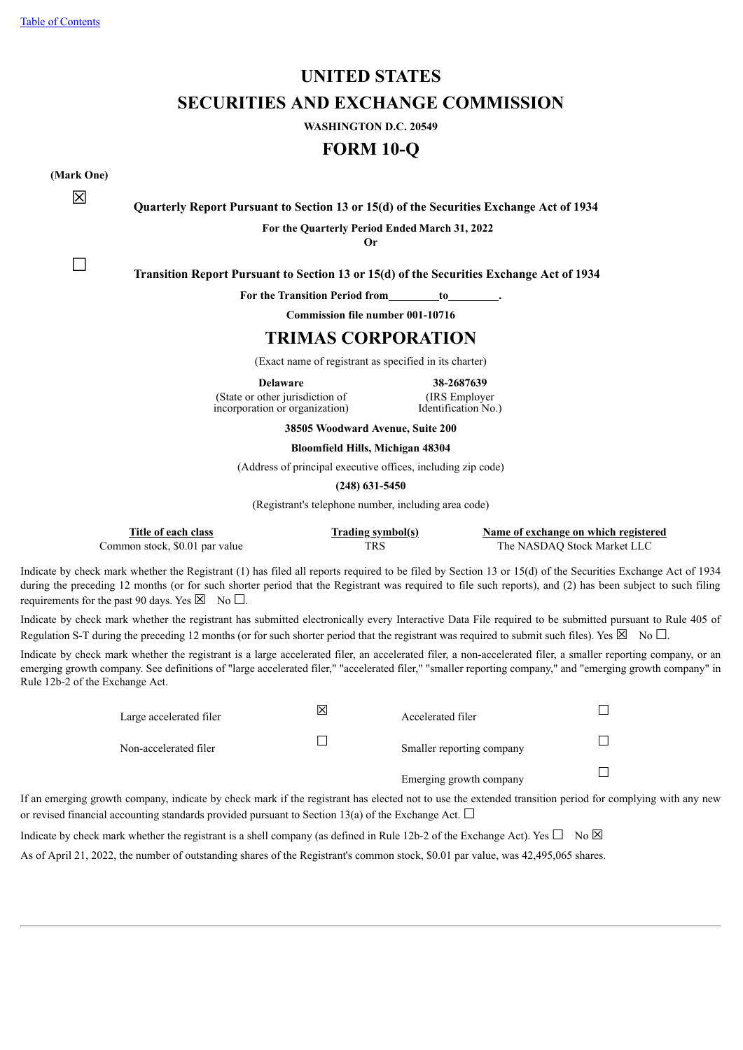# **UNITED STATES SECURITIES AND EXCHANGE COMMISSION**

**WASHINGTON D.C. 20549**

**FORM 10-Q**

**(Mark One)**

☒ **Quarterly Report Pursuant to Section <sup>13</sup> or 15(d) of the Securities Exchange Act of <sup>1934</sup>**

**For the Quarterly Period Ended March 31, 2022**

**Or**

☐ **Transition Report Pursuant to Section <sup>13</sup> or 15(d) of the Securities Exchange Act of <sup>1934</sup>**

**For the Transition Period from to .**

**Commission file number 001-10716**

### **TRIMAS CORPORATION**

(Exact name of registrant as specified in its charter)

(State or other jurisdiction of incorporation or organization)

**Delaware 38-2687639** (IRS Employer Identification No.)

**38505 Woodward Avenue, Suite 200**

#### **Bloomfield Hills, Michigan 48304**

(Address of principal executive offices, including zip code)

**(248) 631-5450**

(Registrant's telephone number, including area code)

| Title of each class            | <b>Trading symbol(s)</b> | Name of exchange on which registered |
|--------------------------------|--------------------------|--------------------------------------|
| Common stock, \$0.01 par value | TRS -                    | The NASDAO Stock Market LLC          |

Indicate by check mark whether the Registrant (1) has filed all reports required to be filed by Section 13 or 15(d) of the Securities Exchange Act of 1934 during the preceding 12 months (or for such shorter period that the Registrant was required to file such reports), and (2) has been subject to such filing requirements for the past 90 days. Yes  $\boxtimes$  No  $\Box$ .

Indicate by check mark whether the registrant has submitted electronically every Interactive Data File required to be submitted pursuant to Rule 405 of Regulation S-T during the preceding 12 months (or for such shorter period that the registrant was required to submit such files). Yes  $\boxtimes$  No  $\Box$ .

Indicate by check mark whether the registrant is a large accelerated filer, an accelerated filer, a non-accelerated filer, a smaller reporting company, or an emerging growth company. See definitions of "large accelerated filer," "accelerated filer," "smaller reporting company," and "emerging growth company" in Rule 12b-2 of the Exchange Act.

| Large accelerated filer | × | Accelerated filer                                                                                               |  |
|-------------------------|---|-----------------------------------------------------------------------------------------------------------------|--|
| Non-accelerated filer   |   | Smaller reporting company                                                                                       |  |
|                         |   | Emerging growth company                                                                                         |  |
|                         |   | . Samaran in disate her shark massh if the saaristsmat has sharted wat to coasthe anten dad tsansitive second f |  |

If an emerging growth company, indicate by check mark if the registrant has elected not to use the extended transition period for complying with any new or revised financial accounting standards provided pursuant to Section 13(a) of the Exchange Act.  $\Box$ 

Indicate by check mark whether the registrant is a shell company (as defined in Rule 12b-2 of the Exchange Act). Yes  $\square$  No  $\boxtimes$ 

<span id="page-0-0"></span>As of April 21, 2022, the number of outstanding shares of the Registrant's common stock, \$0.01 par value, was 42,495,065 shares.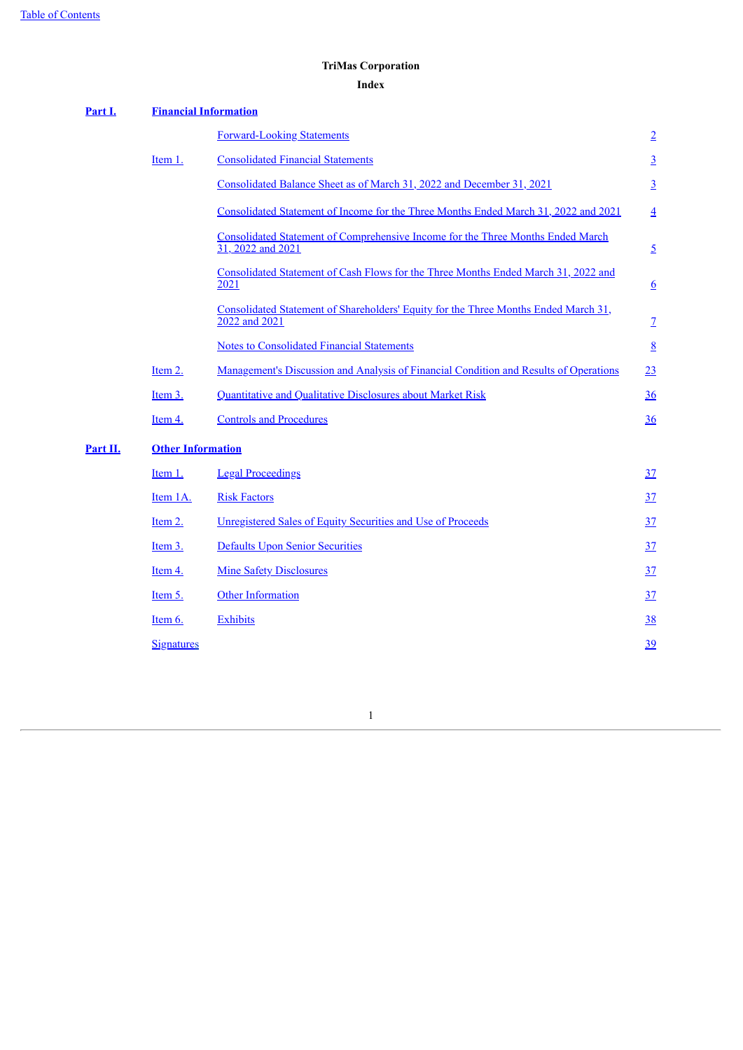## **TriMas Corporation**

### **Index**

<span id="page-1-0"></span>

| Part I.  | <b>Financial Information</b> |                                                                                                      |                  |
|----------|------------------------------|------------------------------------------------------------------------------------------------------|------------------|
|          |                              | <b>Forward-Looking Statements</b>                                                                    | $\overline{2}$   |
|          | Item 1.                      | <b>Consolidated Financial Statements</b>                                                             | $\overline{3}$   |
|          |                              | Consolidated Balance Sheet as of March 31, 2022 and December 31, 2021                                | $\overline{3}$   |
|          |                              | Consolidated Statement of Income for the Three Months Ended March 31, 2022 and 2021                  | $\overline{4}$   |
|          |                              | Consolidated Statement of Comprehensive Income for the Three Months Ended March<br>31, 2022 and 2021 | $\overline{2}$   |
|          |                              | Consolidated Statement of Cash Flows for the Three Months Ended March 31, 2022 and<br>2021           | $6 \overline{6}$ |
|          |                              | Consolidated Statement of Shareholders' Equity for the Three Months Ended March 31,<br>2022 and 2021 | $\overline{1}$   |
|          |                              | <b>Notes to Consolidated Financial Statements</b>                                                    | $\underline{8}$  |
|          | Item 2.                      | Management's Discussion and Analysis of Financial Condition and Results of Operations                | 23               |
|          | Item 3.                      | Quantitative and Qualitative Disclosures about Market Risk                                           | 36               |
|          | Item 4.                      | <b>Controls and Procedures</b>                                                                       | 36               |
| Part II. | <b>Other Information</b>     |                                                                                                      |                  |
|          | Item 1.                      | <b>Legal Proceedings</b>                                                                             | 37               |
|          | Item 1A.                     | <b>Risk Factors</b>                                                                                  | 37               |
|          | Item 2.                      | Unregistered Sales of Equity Securities and Use of Proceeds                                          | 37               |
|          | Item 3.                      | <b>Defaults Upon Senior Securities</b>                                                               | <u>37</u>        |
|          | Item 4.                      | <b>Mine Safety Disclosures</b>                                                                       | <u>37</u>        |
|          | Item 5.                      | <b>Other Information</b>                                                                             | 37               |
|          | Item 6.                      | <b>Exhibits</b>                                                                                      | 38               |
|          | <b>Signatures</b>            |                                                                                                      | 39               |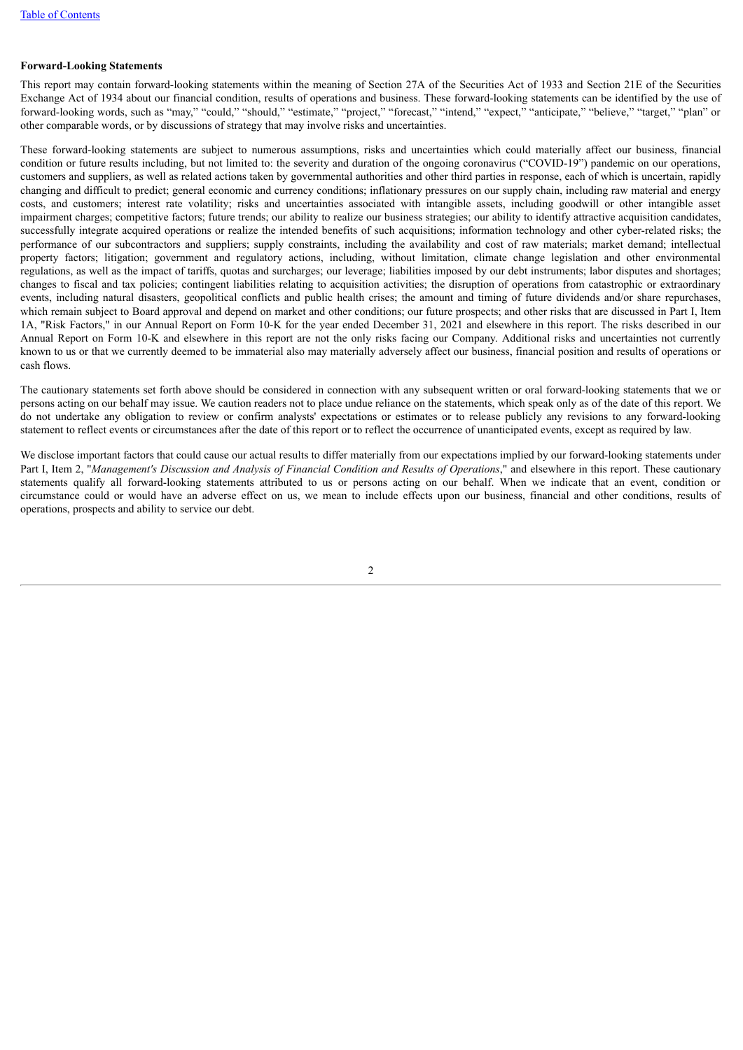#### **Forward-Looking Statements**

This report may contain forward-looking statements within the meaning of Section 27A of the Securities Act of 1933 and Section 21E of the Securities Exchange Act of 1934 about our financial condition, results of operations and business. These forward-looking statements can be identified by the use of forward-looking words, such as "may," "could," "should," "estimate," "project," "forecast," "intend," "expect," "anticipate," "believe," "target," "plan" or other comparable words, or by discussions of strategy that may involve risks and uncertainties.

These forward-looking statements are subject to numerous assumptions, risks and uncertainties which could materially affect our business, financial condition or future results including, but not limited to: the severity and duration of the ongoing coronavirus ("COVID-19") pandemic on our operations, customers and suppliers, as well as related actions taken by governmental authorities and other third parties in response, each of which is uncertain, rapidly changing and difficult to predict; general economic and currency conditions; inflationary pressures on our supply chain, including raw material and energy costs, and customers; interest rate volatility; risks and uncertainties associated with intangible assets, including goodwill or other intangible asset impairment charges; competitive factors; future trends; our ability to realize our business strategies; our ability to identify attractive acquisition candidates, successfully integrate acquired operations or realize the intended benefits of such acquisitions; information technology and other cyber-related risks; the performance of our subcontractors and suppliers; supply constraints, including the availability and cost of raw materials; market demand; intellectual property factors; litigation; government and regulatory actions, including, without limitation, climate change legislation and other environmental regulations, as well as the impact of tariffs, quotas and surcharges; our leverage; liabilities imposed by our debt instruments; labor disputes and shortages; changes to fiscal and tax policies; contingent liabilities relating to acquisition activities; the disruption of operations from catastrophic or extraordinary events, including natural disasters, geopolitical conflicts and public health crises; the amount and timing of future dividends and/or share repurchases, which remain subject to Board approval and depend on market and other conditions; our future prospects; and other risks that are discussed in Part I, Item 1A, "Risk Factors," in our Annual Report on Form 10-K for the year ended December 31, 2021 and elsewhere in this report. The risks described in our Annual Report on Form 10-K and elsewhere in this report are not the only risks facing our Company. Additional risks and uncertainties not currently known to us or that we currently deemed to be immaterial also may materially adversely affect our business, financial position and results of operations or cash flows.

The cautionary statements set forth above should be considered in connection with any subsequent written or oral forward-looking statements that we or persons acting on our behalf may issue. We caution readers not to place undue reliance on the statements, which speak only as of the date of this report. We do not undertake any obligation to review or confirm analysts' expectations or estimates or to release publicly any revisions to any forward-looking statement to reflect events or circumstances after the date of this report or to reflect the occurrence of unanticipated events, except as required by law.

<span id="page-2-0"></span>We disclose important factors that could cause our actual results to differ materially from our expectations implied by our forward-looking statements under Part I, Item 2, "Management's Discussion and Analysis of Financial Condition and Results of Operations," and elsewhere in this report. These cautionary statements qualify all forward-looking statements attributed to us or persons acting on our behalf. When we indicate that an event, condition or circumstance could or would have an adverse effect on us, we mean to include effects upon our business, financial and other conditions, results of operations, prospects and ability to service our debt.

 $\overline{2}$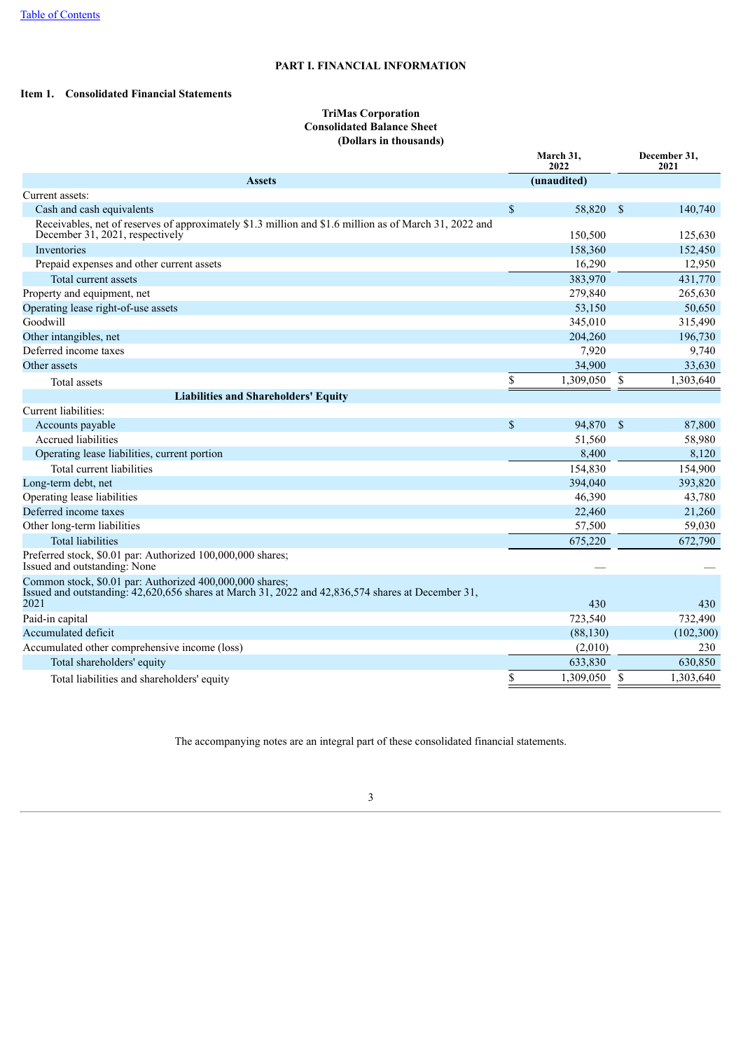### **PART I. FINANCIAL INFORMATION**

### <span id="page-3-1"></span><span id="page-3-0"></span>**Item 1. Consolidated Financial Statements**

#### **TriMas Corporation Consolidated Balance Sheet (Dollars in thousands)**

|                                                                                                                                                                       |               | March 31,<br>2022 |              | December 31,<br>2021 |
|-----------------------------------------------------------------------------------------------------------------------------------------------------------------------|---------------|-------------------|--------------|----------------------|
| <b>Assets</b>                                                                                                                                                         |               | (unaudited)       |              |                      |
| Current assets:                                                                                                                                                       |               |                   |              |                      |
| Cash and cash equivalents                                                                                                                                             | $\mathsf{\$}$ | 58,820            | $^{\circ}$   | 140,740              |
| Receivables, net of reserves of approximately \$1.3 million and \$1.6 million as of March 31, 2022 and<br>December 31, 2021, respectively                             |               | 150,500           |              | 125,630              |
| Inventories                                                                                                                                                           |               | 158,360           |              | 152,450              |
| Prepaid expenses and other current assets                                                                                                                             |               | 16,290            |              | 12,950               |
| Total current assets                                                                                                                                                  |               | 383,970           |              | 431,770              |
| Property and equipment, net                                                                                                                                           |               | 279,840           |              | 265,630              |
| Operating lease right-of-use assets                                                                                                                                   |               | 53,150            |              | 50,650               |
| Goodwill                                                                                                                                                              |               | 345,010           |              | 315,490              |
| Other intangibles, net                                                                                                                                                |               | 204,260           |              | 196,730              |
| Deferred income taxes                                                                                                                                                 |               | 7,920             |              | 9,740                |
| Other assets                                                                                                                                                          |               | 34,900            |              | 33,630               |
| Total assets                                                                                                                                                          | \$            | 1,309,050         | \$           | 1,303,640            |
| <b>Liabilities and Shareholders' Equity</b>                                                                                                                           |               |                   |              |                      |
| Current liabilities:                                                                                                                                                  |               |                   |              |                      |
| Accounts payable                                                                                                                                                      | $\mathcal{S}$ | 94,870            | $\mathbf{s}$ | 87,800               |
| <b>Accrued liabilities</b>                                                                                                                                            |               | 51,560            |              | 58,980               |
| Operating lease liabilities, current portion                                                                                                                          |               | 8,400             |              | 8,120                |
| Total current liabilities                                                                                                                                             |               | 154,830           |              | 154,900              |
| Long-term debt, net                                                                                                                                                   |               | 394,040           |              | 393,820              |
| Operating lease liabilities                                                                                                                                           |               | 46,390            |              | 43,780               |
| Deferred income taxes                                                                                                                                                 |               | 22,460            |              | 21,260               |
| Other long-term liabilities                                                                                                                                           |               | 57,500            |              | 59,030               |
| <b>Total liabilities</b>                                                                                                                                              |               | 675,220           |              | 672,790              |
| Preferred stock, \$0.01 par: Authorized 100,000,000 shares;<br>Issued and outstanding: None                                                                           |               |                   |              |                      |
| Common stock, \$0.01 par: Authorized 400,000,000 shares;<br>Issued and outstanding: 42,620,656 shares at March 31, 2022 and 42,836,574 shares at December 31,<br>2021 |               | 430               |              | 430                  |
| Paid-in capital                                                                                                                                                       |               | 723,540           |              | 732,490              |
| Accumulated deficit                                                                                                                                                   |               | (88, 130)         |              | (102, 300)           |
| Accumulated other comprehensive income (loss)                                                                                                                         |               | (2,010)           |              | 230                  |
| Total shareholders' equity                                                                                                                                            |               | 633,830           |              | 630,850              |
| Total liabilities and shareholders' equity                                                                                                                            | \$            | 1,309,050         | \$           | 1,303,640            |

<span id="page-3-2"></span>The accompanying notes are an integral part of these consolidated financial statements.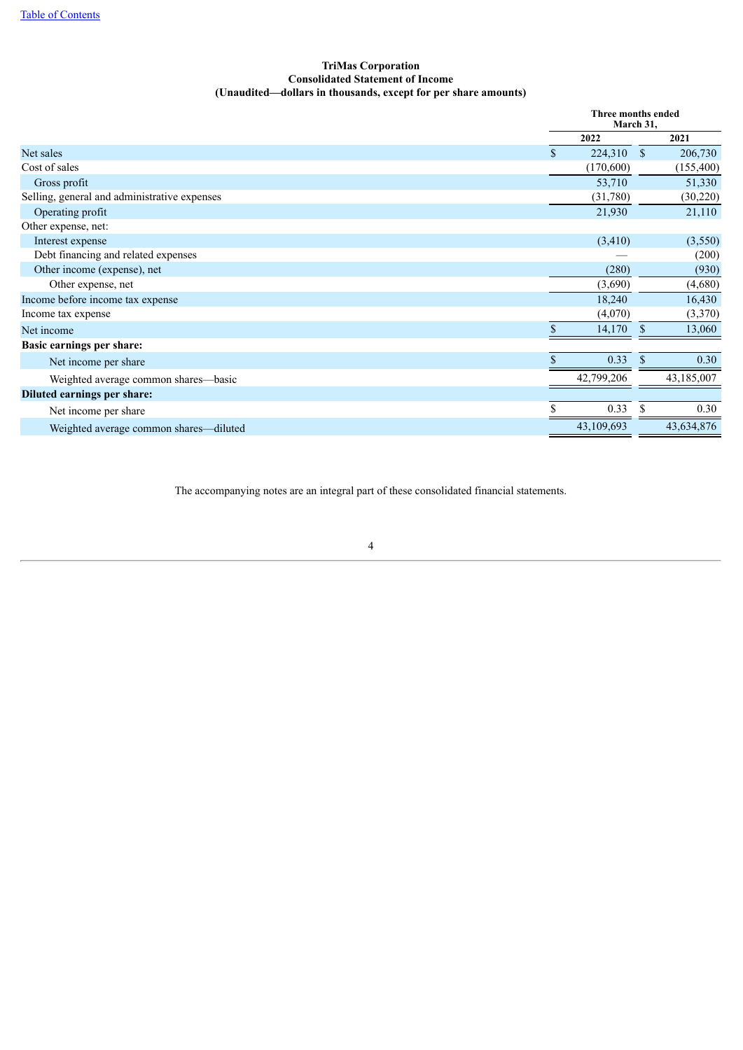### **TriMas Corporation Consolidated Statement of Income (Unaudited—dollars in thousands, except for per share amounts)**

|                                              |                         | Three months ended<br>March 31, |            |  |  |
|----------------------------------------------|-------------------------|---------------------------------|------------|--|--|
|                                              | 2022                    |                                 | 2021       |  |  |
| Net sales                                    | 224,310<br>$\mathbf{s}$ | $\mathbf{s}$                    | 206,730    |  |  |
| Cost of sales                                | (170,600)               |                                 | (155, 400) |  |  |
| Gross profit                                 | 53,710                  |                                 | 51,330     |  |  |
| Selling, general and administrative expenses | (31,780)                |                                 | (30, 220)  |  |  |
| Operating profit                             | 21,930                  |                                 | 21,110     |  |  |
| Other expense, net:                          |                         |                                 |            |  |  |
| Interest expense                             | (3,410)                 |                                 | (3,550)    |  |  |
| Debt financing and related expenses          |                         |                                 | (200)      |  |  |
| Other income (expense), net                  |                         | (280)                           | (930)      |  |  |
| Other expense, net                           | (3,690)                 |                                 | (4,680)    |  |  |
| Income before income tax expense             | 18,240                  |                                 | 16,430     |  |  |
| Income tax expense                           | (4,070)                 |                                 | (3,370)    |  |  |
| Net income                                   | 14,170                  | S                               | 13,060     |  |  |
| Basic earnings per share:                    |                         |                                 |            |  |  |
| Net income per share                         |                         | 0.33<br><sup>S</sup>            | 0.30       |  |  |
| Weighted average common shares—basic         | 42,799,206              |                                 | 43,185,007 |  |  |
| Diluted earnings per share:                  |                         |                                 |            |  |  |
| Net income per share                         |                         | 0.33<br>-S                      | 0.30       |  |  |
| Weighted average common shares—diluted       | 43,109,693              |                                 | 43,634,876 |  |  |

<span id="page-4-0"></span>The accompanying notes are an integral part of these consolidated financial statements.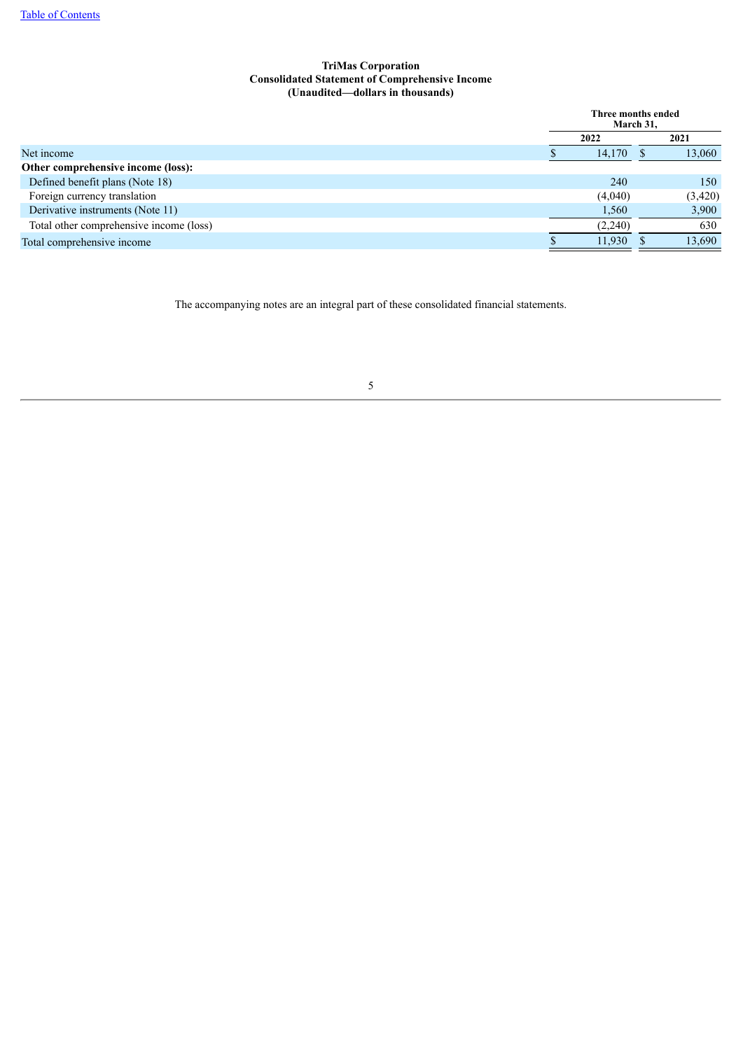### **TriMas Corporation Consolidated Statement of Comprehensive Income (Unaudited—dollars in thousands)**

|                                         | Three months ended<br>March 31, |         |  |         |
|-----------------------------------------|---------------------------------|---------|--|---------|
|                                         |                                 | 2022    |  | 2021    |
| Net income                              |                                 | 14,170  |  | 13,060  |
| Other comprehensive income (loss):      |                                 |         |  |         |
| Defined benefit plans (Note 18)         |                                 | 240     |  | 150     |
| Foreign currency translation            |                                 | (4,040) |  | (3,420) |
| Derivative instruments (Note 11)        |                                 | 1,560   |  | 3,900   |
| Total other comprehensive income (loss) |                                 | (2,240) |  | 630     |
| Total comprehensive income              |                                 | 11,930  |  | 13,690  |

<span id="page-5-0"></span>The accompanying notes are an integral part of these consolidated financial statements.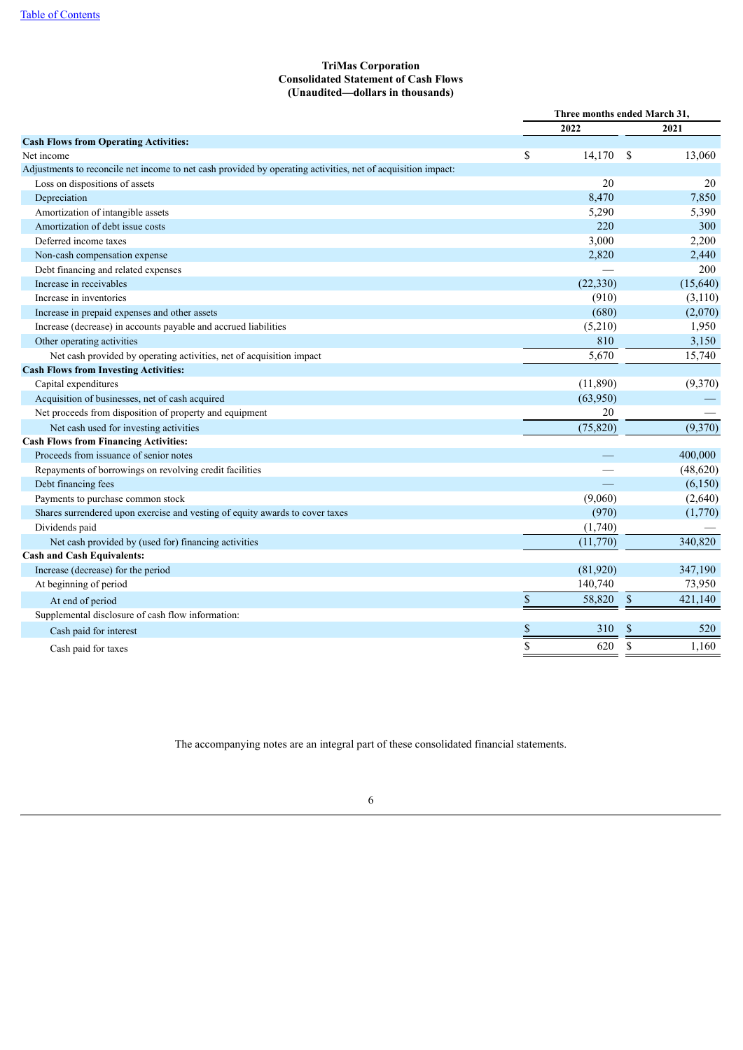### **TriMas Corporation Consolidated Statement of Cash Flows (Unaudited—dollars in thousands)**

|                                                                                                              | Three months ended March 31, |           |               |          |
|--------------------------------------------------------------------------------------------------------------|------------------------------|-----------|---------------|----------|
|                                                                                                              |                              | 2022      |               | 2021     |
| <b>Cash Flows from Operating Activities:</b>                                                                 |                              |           |               |          |
| Net income                                                                                                   | \$                           | 14,170    | $\mathcal{S}$ | 13,060   |
| Adjustments to reconcile net income to net cash provided by operating activities, net of acquisition impact: |                              |           |               |          |
| Loss on dispositions of assets                                                                               |                              | 20        |               | 20       |
| Depreciation                                                                                                 |                              | 8,470     |               | 7,850    |
| Amortization of intangible assets                                                                            |                              | 5,290     |               | 5,390    |
| Amortization of debt issue costs                                                                             |                              | 220       |               | 300      |
| Deferred income taxes                                                                                        |                              | 3,000     |               | 2,200    |
| Non-cash compensation expense                                                                                |                              | 2,820     |               | 2,440    |
| Debt financing and related expenses                                                                          |                              |           |               | 200      |
| Increase in receivables                                                                                      |                              | (22, 330) |               | (15,640) |
| Increase in inventories                                                                                      |                              | (910)     |               | (3,110)  |
| Increase in prepaid expenses and other assets                                                                |                              | (680)     |               | (2,070)  |
| Increase (decrease) in accounts payable and accrued liabilities                                              |                              | (5,210)   |               | 1,950    |
| Other operating activities                                                                                   |                              | 810       |               | 3,150    |
| Net cash provided by operating activities, net of acquisition impact                                         |                              | 5,670     |               | 15,740   |
| <b>Cash Flows from Investing Activities:</b>                                                                 |                              |           |               |          |
| Capital expenditures                                                                                         |                              | (11,890)  |               | (9,370)  |
| Acquisition of businesses, net of cash acquired                                                              |                              | (63,950)  |               |          |
| Net proceeds from disposition of property and equipment                                                      |                              | 20        |               |          |
| Net cash used for investing activities                                                                       |                              | (75, 820) |               | (9,370)  |
| <b>Cash Flows from Financing Activities:</b>                                                                 |                              |           |               |          |
| Proceeds from issuance of senior notes                                                                       |                              |           |               | 400,000  |
| Repayments of borrowings on revolving credit facilities                                                      |                              |           |               | (48,620) |
| Debt financing fees                                                                                          |                              |           |               | (6,150)  |
| Payments to purchase common stock                                                                            |                              | (9,060)   |               | (2,640)  |
| Shares surrendered upon exercise and vesting of equity awards to cover taxes                                 |                              | (970)     |               | (1,770)  |
| Dividends paid                                                                                               |                              | (1,740)   |               |          |
| Net cash provided by (used for) financing activities                                                         |                              | (11,770)  |               | 340,820  |
| <b>Cash and Cash Equivalents:</b>                                                                            |                              |           |               |          |
| Increase (decrease) for the period                                                                           |                              | (81,920)  |               | 347,190  |
| At beginning of period                                                                                       |                              | 140,740   |               | 73,950   |
| At end of period                                                                                             | $\$$                         | 58,820    | $\mathcal{S}$ | 421,140  |
| Supplemental disclosure of cash flow information:                                                            |                              |           |               |          |
| Cash paid for interest                                                                                       | \$                           | 310       | \$            | 520      |
| Cash paid for taxes                                                                                          | \$                           | 620       | <sup>\$</sup> | 1,160    |
|                                                                                                              |                              |           |               |          |

<span id="page-6-0"></span>The accompanying notes are an integral part of these consolidated financial statements.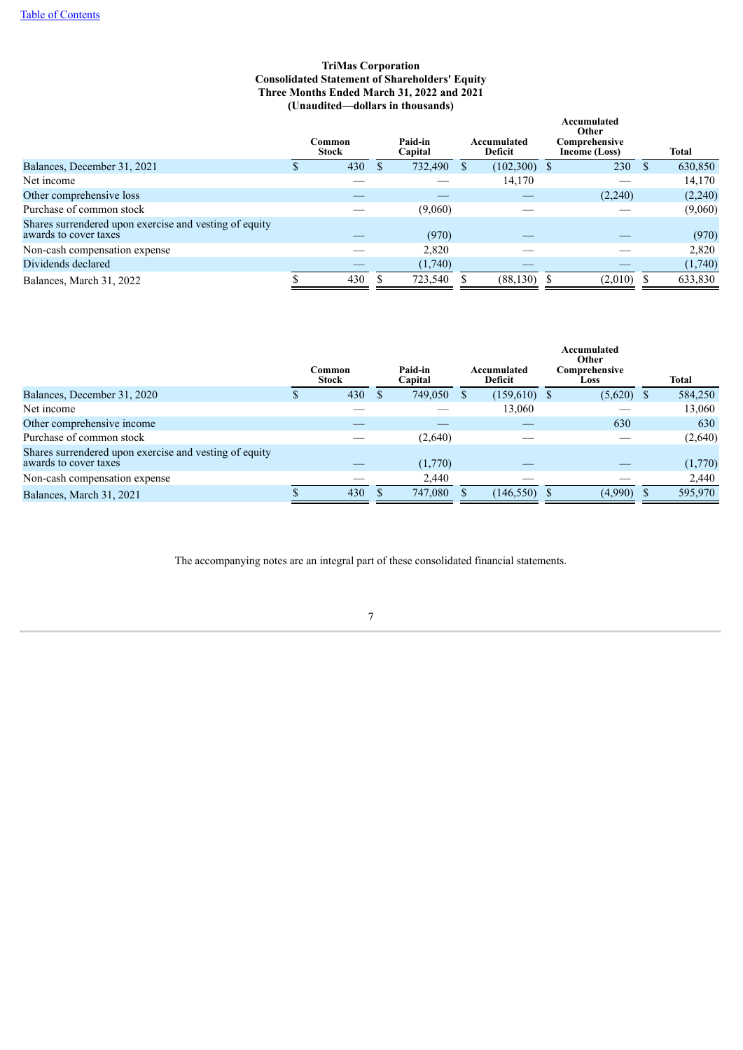#### **TriMas Corporation Consolidated Statement of Shareholders' Equity Three Months Ended March 31, 2022 and 2021 (Unaudited—dollars in thousands)**

|                                                                                 | Common<br><b>Stock</b> | Paid-in<br>Capital | Accumulated<br><b>Deficit</b> | Accumulated<br>Other<br>Comprehensive<br>Income (Loss) | <b>Total</b> |
|---------------------------------------------------------------------------------|------------------------|--------------------|-------------------------------|--------------------------------------------------------|--------------|
| Balances, December 31, 2021                                                     | 430                    | 732,490            | $(102,300)$ \$                | 230                                                    | 630,850      |
| Net income                                                                      |                        |                    | 14,170                        |                                                        | 14,170       |
| Other comprehensive loss                                                        |                        |                    |                               | (2,240)                                                | (2,240)      |
| Purchase of common stock                                                        |                        | (9,060)            |                               |                                                        | (9,060)      |
| Shares surrendered upon exercise and vesting of equity<br>awards to cover taxes |                        | (970)              |                               |                                                        | (970)        |
| Non-cash compensation expense                                                   |                        | 2,820              |                               |                                                        | 2,820        |
| Dividends declared                                                              |                        | (1,740)            |                               |                                                        | (1,740)      |
| Balances, March 31, 2022                                                        | 430                    | 723,540            | (88, 130)                     | $(2,010)$ \$                                           | 633,830      |

|                                                                                 | Common<br><b>Stock</b> | Paid-in<br>Capital | Accumulated<br>Deficit | Accumulated<br>Other<br>Comprehensive<br>Loss | <b>Total</b> |
|---------------------------------------------------------------------------------|------------------------|--------------------|------------------------|-----------------------------------------------|--------------|
| Balances, December 31, 2020                                                     | 430                    | 749,050            | $(159,610)$ \$         | $(5,620)$ \$                                  | 584,250      |
| Net income                                                                      |                        |                    | 13,060                 |                                               | 13,060       |
| Other comprehensive income                                                      |                        |                    |                        | 630                                           | 630          |
| Purchase of common stock                                                        |                        | (2,640)            |                        |                                               | (2,640)      |
| Shares surrendered upon exercise and vesting of equity<br>awards to cover taxes |                        | (1,770)            |                        |                                               | (1,770)      |
| Non-cash compensation expense                                                   |                        | 2,440              |                        |                                               | 2,440        |
| Balances, March 31, 2021                                                        | 430                    | 747,080            | (146, 550)             | (4,990)                                       | 595,970      |

<span id="page-7-0"></span>The accompanying notes are an integral part of these consolidated financial statements.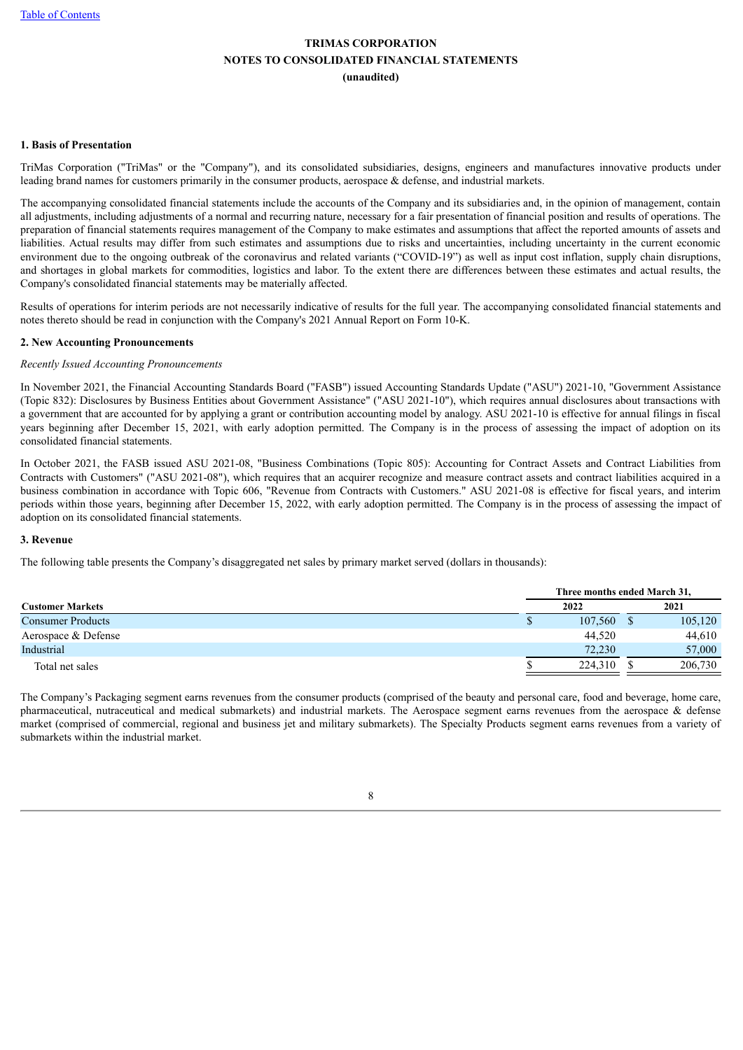#### **1. Basis of Presentation**

TriMas Corporation ("TriMas" or the "Company"), and its consolidated subsidiaries, designs, engineers and manufactures innovative products under leading brand names for customers primarily in the consumer products, aerospace & defense, and industrial markets.

The accompanying consolidated financial statements include the accounts of the Company and its subsidiaries and, in the opinion of management, contain all adjustments, including adjustments of a normal and recurring nature, necessary for a fair presentation of financial position and results of operations. The preparation of financial statements requires management of the Company to make estimates and assumptions that affect the reported amounts of assets and liabilities. Actual results may differ from such estimates and assumptions due to risks and uncertainties, including uncertainty in the current economic environment due to the ongoing outbreak of the coronavirus and related variants ("COVID-19") as well as input cost inflation, supply chain disruptions, and shortages in global markets for commodities, logistics and labor. To the extent there are differences between these estimates and actual results, the Company's consolidated financial statements may be materially affected.

Results of operations for interim periods are not necessarily indicative of results for the full year. The accompanying consolidated financial statements and notes thereto should be read in conjunction with the Company's 2021 Annual Report on Form 10-K.

#### **2. New Accounting Pronouncements**

#### *Recently Issued Accounting Pronouncements*

In November 2021, the Financial Accounting Standards Board ("FASB") issued Accounting Standards Update ("ASU") 2021-10, "Government Assistance (Topic 832): Disclosures by Business Entities about Government Assistance" ("ASU 2021-10"), which requires annual disclosures about transactions with a government that are accounted for by applying a grant or contribution accounting model by analogy. ASU 2021-10 is effective for annual filings in fiscal years beginning after December 15, 2021, with early adoption permitted. The Company is in the process of assessing the impact of adoption on its consolidated financial statements.

In October 2021, the FASB issued ASU 2021-08, "Business Combinations (Topic 805): Accounting for Contract Assets and Contract Liabilities from Contracts with Customers" ("ASU 2021-08"), which requires that an acquirer recognize and measure contract assets and contract liabilities acquired in a business combination in accordance with Topic 606, "Revenue from Contracts with Customers." ASU 2021-08 is effective for fiscal years, and interim periods within those years, beginning after December 15, 2022, with early adoption permitted. The Company is in the process of assessing the impact of adoption on its consolidated financial statements.

#### **3. Revenue**

The following table presents the Company's disaggregated net sales by primary market served (dollars in thousands):

|                          | Three months ended March 31. |         |      |         |  |  |  |  |
|--------------------------|------------------------------|---------|------|---------|--|--|--|--|
| <b>Customer Markets</b>  |                              | 2022    | 2021 |         |  |  |  |  |
| <b>Consumer Products</b> |                              | 107,560 |      | 105,120 |  |  |  |  |
| Aerospace & Defense      |                              | 44.520  |      | 44,610  |  |  |  |  |
| Industrial               |                              | 72,230  |      | 57,000  |  |  |  |  |
| Total net sales          |                              | 224,310 |      | 206,730 |  |  |  |  |

The Company's Packaging segment earns revenues from the consumer products (comprised of the beauty and personal care, food and beverage, home care, pharmaceutical, nutraceutical and medical submarkets) and industrial markets. The Aerospace segment earns revenues from the aerospace & defense market (comprised of commercial, regional and business jet and military submarkets). The Specialty Products segment earns revenues from a variety of submarkets within the industrial market.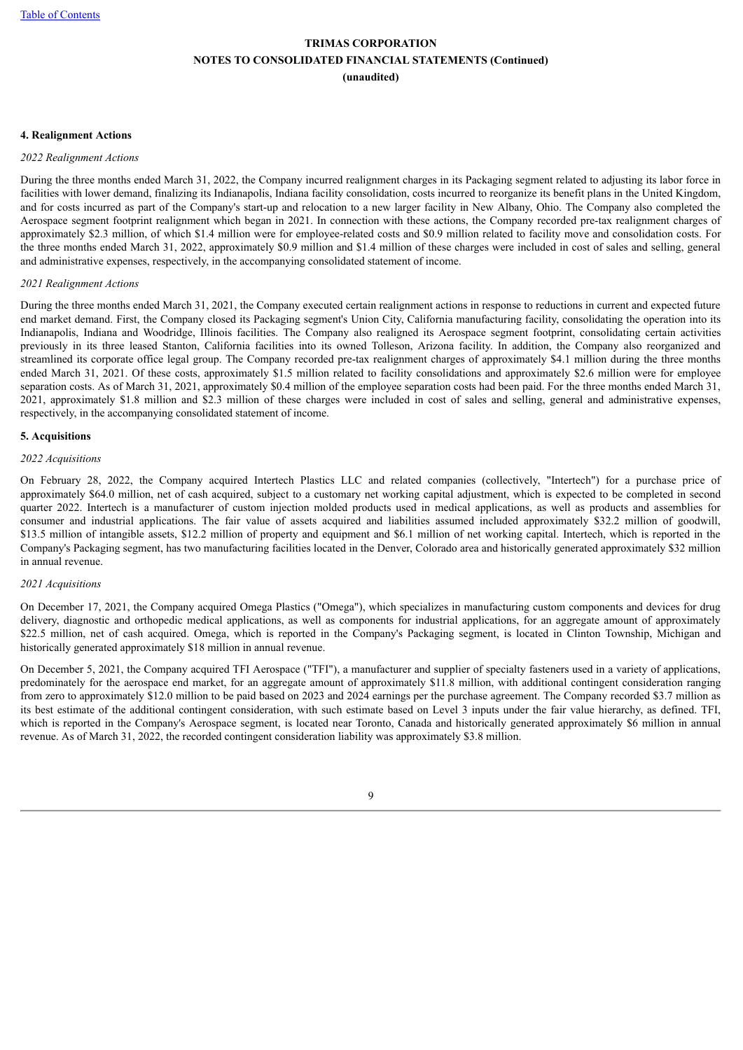#### **4. Realignment Actions**

#### *2022 Realignment Actions*

During the three months ended March 31, 2022, the Company incurred realignment charges in its Packaging segment related to adjusting its labor force in facilities with lower demand, finalizing its Indianapolis, Indiana facility consolidation, costs incurred to reorganize its benefit plans in the United Kingdom, and for costs incurred as part of the Company's start-up and relocation to a new larger facility in New Albany, Ohio. The Company also completed the Aerospace segment footprint realignment which began in 2021. In connection with these actions, the Company recorded pre-tax realignment charges of approximately \$2.3 million, of which \$1.4 million were for employee-related costs and \$0.9 million related to facility move and consolidation costs. For the three months ended March 31, 2022, approximately \$0.9 million and \$1.4 million of these charges were included in cost of sales and selling, general and administrative expenses, respectively, in the accompanying consolidated statement of income.

#### *2021 Realignment Actions*

During the three months ended March 31, 2021, the Company executed certain realignment actions in response to reductions in current and expected future end market demand. First, the Company closed its Packaging segment's Union City, California manufacturing facility, consolidating the operation into its Indianapolis, Indiana and Woodridge, Illinois facilities. The Company also realigned its Aerospace segment footprint, consolidating certain activities previously in its three leased Stanton, California facilities into its owned Tolleson, Arizona facility. In addition, the Company also reorganized and streamlined its corporate office legal group. The Company recorded pre-tax realignment charges of approximately \$4.1 million during the three months ended March 31, 2021. Of these costs, approximately \$1.5 million related to facility consolidations and approximately \$2.6 million were for employee separation costs. As of March 31, 2021, approximately \$0.4 million of the employee separation costs had been paid. For the three months ended March 31, 2021, approximately \$1.8 million and \$2.3 million of these charges were included in cost of sales and selling, general and administrative expenses, respectively, in the accompanying consolidated statement of income.

#### **5. Acquisitions**

#### *2022 Acquisitions*

On February 28, 2022, the Company acquired Intertech Plastics LLC and related companies (collectively, "Intertech") for a purchase price of approximately \$64.0 million, net of cash acquired, subject to a customary net working capital adjustment, which is expected to be completed in second quarter 2022. Intertech is a manufacturer of custom injection molded products used in medical applications, as well as products and assemblies for consumer and industrial applications. The fair value of assets acquired and liabilities assumed included approximately \$32.2 million of goodwill, \$13.5 million of intangible assets, \$12.2 million of property and equipment and \$6.1 million of net working capital. Intertech, which is reported in the Company's Packaging segment, has two manufacturing facilities located in the Denver, Colorado area and historically generated approximately \$32 million in annual revenue.

#### *2021 Acquisitions*

On December 17, 2021, the Company acquired Omega Plastics ("Omega"), which specializes in manufacturing custom components and devices for drug delivery, diagnostic and orthopedic medical applications, as well as components for industrial applications, for an aggregate amount of approximately \$22.5 million, net of cash acquired. Omega, which is reported in the Company's Packaging segment, is located in Clinton Township, Michigan and historically generated approximately \$18 million in annual revenue.

On December 5, 2021, the Company acquired TFI Aerospace ("TFI"), a manufacturer and supplier of specialty fasteners used in a variety of applications, predominately for the aerospace end market, for an aggregate amount of approximately \$11.8 million, with additional contingent consideration ranging from zero to approximately \$12.0 million to be paid based on 2023 and 2024 earnings per the purchase agreement. The Company recorded \$3.7 million as its best estimate of the additional contingent consideration, with such estimate based on Level 3 inputs under the fair value hierarchy, as defined. TFI, which is reported in the Company's Aerospace segment, is located near Toronto, Canada and historically generated approximately \$6 million in annual revenue. As of March 31, 2022, the recorded contingent consideration liability was approximately \$3.8 million.

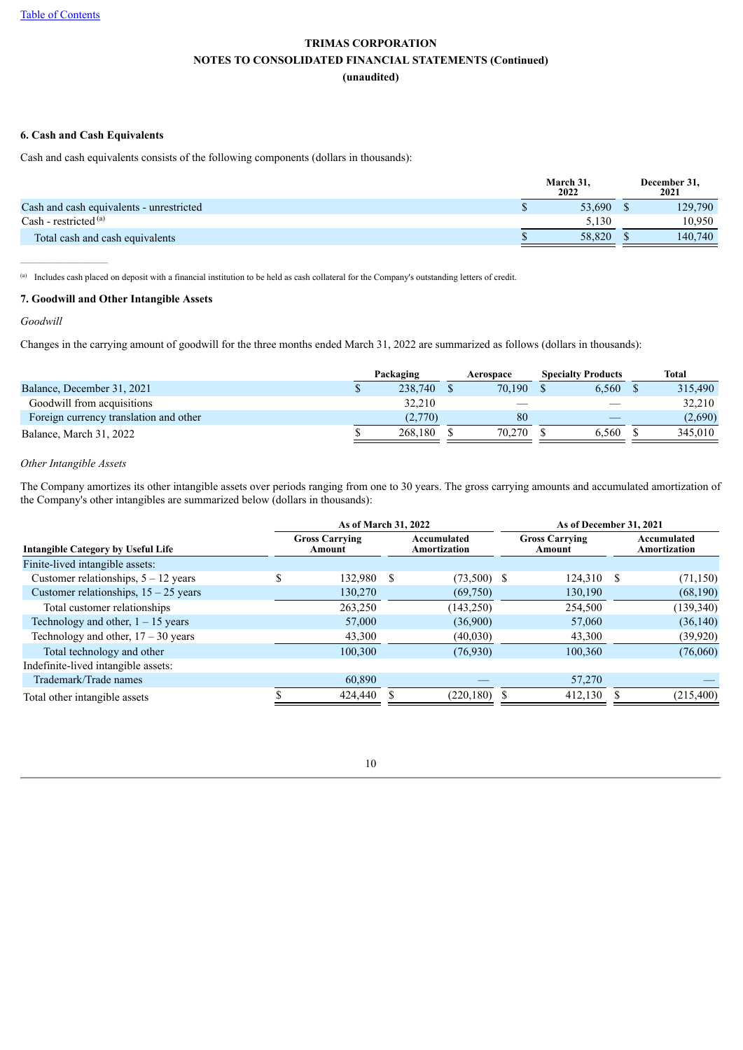#### **6. Cash and Cash Equivalents**

Cash and cash equivalents consists of the following components (dollars in thousands):

|                                          | March 31.<br>2022 | December 31.<br>2021 |
|------------------------------------------|-------------------|----------------------|
| Cash and cash equivalents - unrestricted | 53.690            | 129,790              |
| Cash - restricted $(a)$                  | 5.130             | 10,950               |
| Total cash and cash equivalents          | 58.820            | 140.740              |

(a) Includes cash placed on deposit with a financial institution to be held as cash collateral for the Company's outstanding letters of credit.

#### **7. Goodwill and Other Intangible Assets**

#### *Goodwill*

 $\mathcal{L}_\text{max}$ 

Changes in the carrying amount of goodwill for the three months ended March 31, 2022 are summarized as follows (dollars in thousands):

|                                        | Packaging | Aerospace | <b>Specialty Products</b> | <b>Total</b> |
|----------------------------------------|-----------|-----------|---------------------------|--------------|
| Balance, December 31, 2021             | 238,740   | 70.190    | 6.560                     | 315.490      |
| Goodwill from acquisitions             | 32.210    |           |                           | 32,210       |
| Foreign currency translation and other | (2,770)   | 80        |                           | (2,690)      |
| Balance, March 31, 2022                | 268.180   | 70.270    | 6.560                     | 345,010      |

#### *Other Intangible Assets*

The Company amortizes its other intangible assets over periods ranging from one to 30 years. The gross carrying amounts and accumulated amortization of the Company's other intangibles are summarized below (dollars in thousands):

|                                           |                                                                                                   | As of March 31, 2022 |  | As of December 31, 2021 |                                    |            |  |            |  |
|-------------------------------------------|---------------------------------------------------------------------------------------------------|----------------------|--|-------------------------|------------------------------------|------------|--|------------|--|
| <b>Intangible Category by Useful Life</b> | <b>Gross Carrying</b><br><b>Gross Carrying</b><br>Accumulated<br>Amortization<br>Amount<br>Amount |                      |  |                         | Accumulated<br><b>Amortization</b> |            |  |            |  |
| Finite-lived intangible assets:           |                                                                                                   |                      |  |                         |                                    |            |  |            |  |
| Customer relationships, $5 - 12$ years    | ¢                                                                                                 | 132,980 \$           |  | $(73,500)$ \$           |                                    | 124,310 \$ |  | (71, 150)  |  |
| Customer relationships, $15 - 25$ years   |                                                                                                   | 130,270              |  | (69,750)                |                                    | 130,190    |  | (68,190)   |  |
| Total customer relationships              |                                                                                                   | 263,250              |  | (143, 250)              |                                    | 254,500    |  | (139, 340) |  |
| Technology and other, $1 - 15$ years      |                                                                                                   | 57,000               |  | (36,900)                |                                    | 57,060     |  | (36, 140)  |  |
| Technology and other, $17 - 30$ years     |                                                                                                   | 43,300               |  | (40,030)                |                                    | 43,300     |  | (39, 920)  |  |
| Total technology and other                |                                                                                                   | 100,300              |  | (76,930)                |                                    | 100,360    |  | (76,060)   |  |
| Indefinite-lived intangible assets:       |                                                                                                   |                      |  |                         |                                    |            |  |            |  |
| Trademark/Trade names                     |                                                                                                   | 60,890               |  |                         |                                    | 57,270     |  |            |  |
| Total other intangible assets             |                                                                                                   | 424,440              |  | $(220, 180)$ \$         |                                    | 412,130    |  | (215,400)  |  |

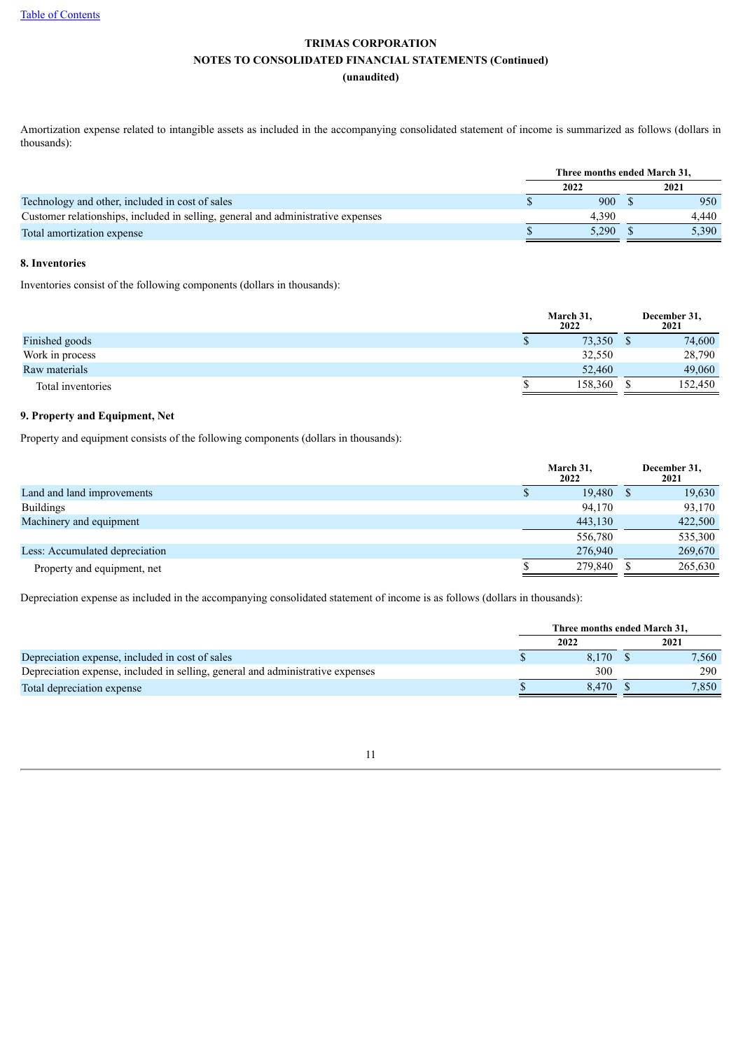Amortization expense related to intangible assets as included in the accompanying consolidated statement of income is summarized as follows (dollars in thousands):

|                                                                                  | Three months ended March 31. |       |  |       |  |  |
|----------------------------------------------------------------------------------|------------------------------|-------|--|-------|--|--|
|                                                                                  |                              | 2022  |  | 2021  |  |  |
| Technology and other, included in cost of sales                                  |                              | 900   |  | 950   |  |  |
| Customer relationships, included in selling, general and administrative expenses |                              | 4.390 |  | 4.440 |  |  |
| Total amortization expense                                                       |                              | 5.290 |  | 5.390 |  |  |

#### **8. Inventories**

Inventories consist of the following components (dollars in thousands):

|                   | March 31,<br>2022 | December 31,<br>2021 |
|-------------------|-------------------|----------------------|
| Finished goods    | 73,350<br>۰       | 74,600               |
| Work in process   | 32,550            | 28,790               |
| Raw materials     | 52,460            | 49,060               |
| Total inventories | 158,360           | 152,450              |

#### **9. Property and Equipment, Net**

Property and equipment consists of the following components (dollars in thousands):

|                                | March 31,<br>2022 | December 31,<br>2021 |
|--------------------------------|-------------------|----------------------|
| Land and land improvements     | 19,480            | 19,630               |
| <b>Buildings</b>               | 94,170            | 93,170               |
| Machinery and equipment        | 443,130           | 422,500              |
|                                | 556,780           | 535,300              |
| Less: Accumulated depreciation | 276,940           | 269,670              |
| Property and equipment, net    | 279,840           | 265,630              |

Depreciation expense as included in the accompanying consolidated statement of income is as follows (dollars in thousands):

| Three months ended March 31. |       |       |       |  |  |
|------------------------------|-------|-------|-------|--|--|
|                              | 2022  |       | 2021  |  |  |
|                              | 8.170 |       | 7.560 |  |  |
|                              | 300   |       | 290   |  |  |
|                              |       |       | 7.850 |  |  |
|                              |       | 8.470 |       |  |  |

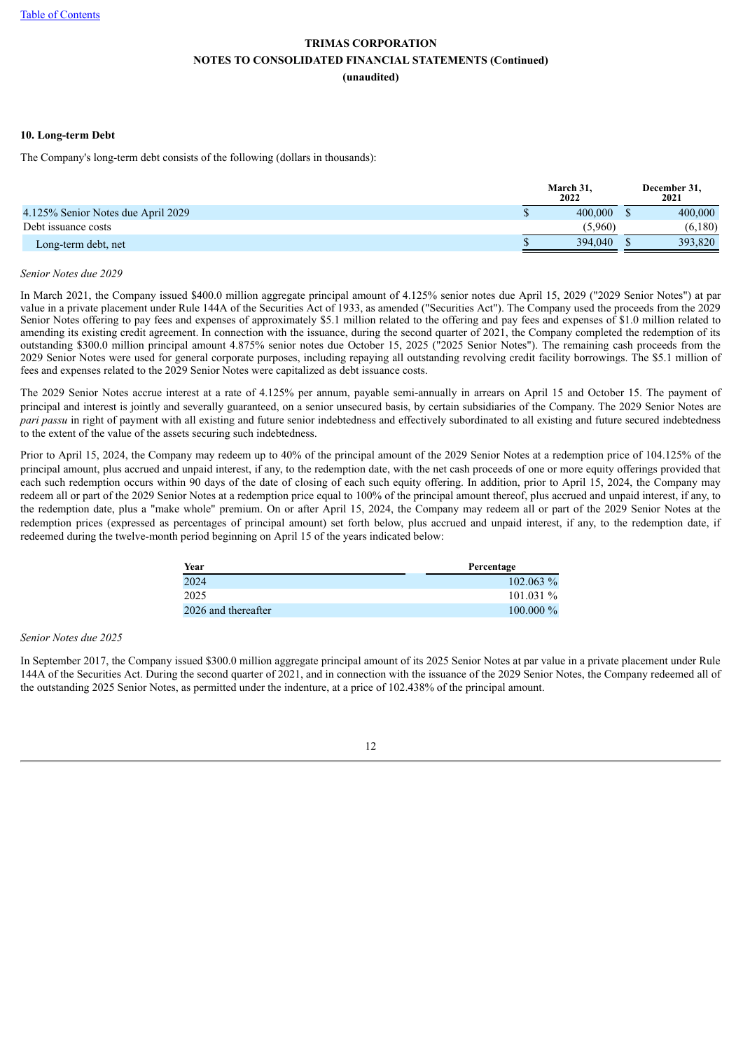#### **10. Long-term Debt**

The Company's long-term debt consists of the following (dollars in thousands):

|                                    | March 31.<br>2022 | December 31.<br>2021 |
|------------------------------------|-------------------|----------------------|
| 4.125% Senior Notes due April 2029 | 400,000           | 400,000              |
| Debt issuance costs                | (5.960)           | (6,180)              |
| Long-term debt, net                | 394,040           | 393,820              |
|                                    |                   |                      |

#### *Senior Notes due 2029*

In March 2021, the Company issued \$400.0 million aggregate principal amount of 4.125% senior notes due April 15, 2029 ("2029 Senior Notes") at par value in a private placement under Rule 144A of the Securities Act of 1933, as amended ("Securities Act"). The Company used the proceeds from the 2029 Senior Notes offering to pay fees and expenses of approximately \$5.1 million related to the offering and pay fees and expenses of \$1.0 million related to amending its existing credit agreement. In connection with the issuance, during the second quarter of 2021, the Company completed the redemption of its outstanding \$300.0 million principal amount 4.875% senior notes due October 15, 2025 ("2025 Senior Notes"). The remaining cash proceeds from the 2029 Senior Notes were used for general corporate purposes, including repaying all outstanding revolving credit facility borrowings. The \$5.1 million of fees and expenses related to the 2029 Senior Notes were capitalized as debt issuance costs.

The 2029 Senior Notes accrue interest at a rate of 4.125% per annum, payable semi-annually in arrears on April 15 and October 15. The payment of principal and interest is jointly and severally guaranteed, on a senior unsecured basis, by certain subsidiaries of the Company. The 2029 Senior Notes are *pari passu* in right of payment with all existing and future senior indebtedness and effectively subordinated to all existing and future secured indebtedness to the extent of the value of the assets securing such indebtedness.

Prior to April 15, 2024, the Company may redeem up to 40% of the principal amount of the 2029 Senior Notes at a redemption price of 104.125% of the principal amount, plus accrued and unpaid interest, if any, to the redemption date, with the net cash proceeds of one or more equity offerings provided that each such redemption occurs within 90 days of the date of closing of each such equity offering. In addition, prior to April 15, 2024, the Company may redeem all or part of the 2029 Senior Notes at a redemption price equal to 100% of the principal amount thereof, plus accrued and unpaid interest, if any, to the redemption date, plus a "make whole" premium. On or after April 15, 2024, the Company may redeem all or part of the 2029 Senior Notes at the redemption prices (expressed as percentages of principal amount) set forth below, plus accrued and unpaid interest, if any, to the redemption date, if redeemed during the twelve-month period beginning on April 15 of the years indicated below:

| Year                | Percentage   |
|---------------------|--------------|
| 2024                | $102.063\%$  |
| 2025                | 101.031%     |
| 2026 and thereafter | $100.000 \%$ |

#### *Senior Notes due 2025*

In September 2017, the Company issued \$300.0 million aggregate principal amount of its 2025 Senior Notes at par value in a private placement under Rule 144A of the Securities Act. During the second quarter of 2021, and in connection with the issuance of the 2029 Senior Notes, the Company redeemed all of the outstanding 2025 Senior Notes, as permitted under the indenture, at a price of 102.438% of the principal amount.

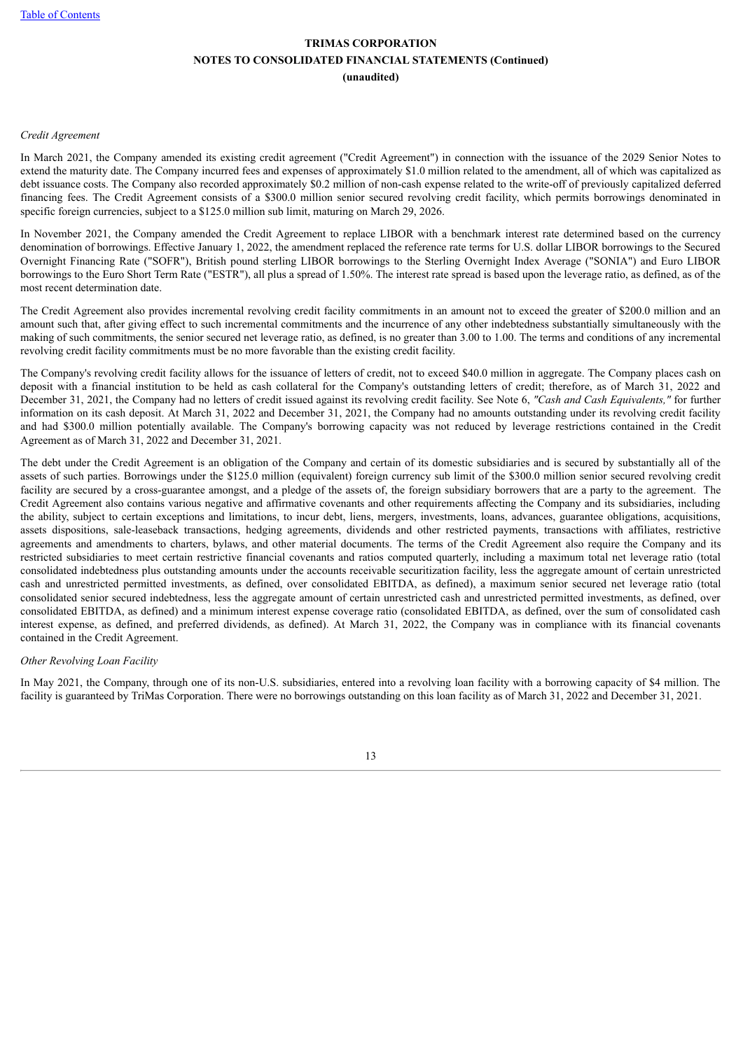#### *Credit Agreement*

In March 2021, the Company amended its existing credit agreement ("Credit Agreement") in connection with the issuance of the 2029 Senior Notes to extend the maturity date. The Company incurred fees and expenses of approximately \$1.0 million related to the amendment, all of which was capitalized as debt issuance costs. The Company also recorded approximately \$0.2 million of non-cash expense related to the write-off of previously capitalized deferred financing fees. The Credit Agreement consists of a \$300.0 million senior secured revolving credit facility, which permits borrowings denominated in specific foreign currencies, subject to a \$125.0 million sub limit, maturing on March 29, 2026.

In November 2021, the Company amended the Credit Agreement to replace LIBOR with a benchmark interest rate determined based on the currency denomination of borrowings. Effective January 1, 2022, the amendment replaced the reference rate terms for U.S. dollar LIBOR borrowings to the Secured Overnight Financing Rate ("SOFR"), British pound sterling LIBOR borrowings to the Sterling Overnight Index Average ("SONIA") and Euro LIBOR borrowings to the Euro Short Term Rate ("ESTR"), all plus a spread of 1.50%. The interest rate spread is based upon the leverage ratio, as defined, as of the most recent determination date.

The Credit Agreement also provides incremental revolving credit facility commitments in an amount not to exceed the greater of \$200.0 million and an amount such that, after giving effect to such incremental commitments and the incurrence of any other indebtedness substantially simultaneously with the making of such commitments, the senior secured net leverage ratio, as defined, is no greater than 3.00 to 1.00. The terms and conditions of any incremental revolving credit facility commitments must be no more favorable than the existing credit facility.

The Company's revolving credit facility allows for the issuance of letters of credit, not to exceed \$40.0 million in aggregate. The Company places cash on deposit with a financial institution to be held as cash collateral for the Company's outstanding letters of credit; therefore, as of March 31, 2022 and December 31, 2021, the Company had no letters of credit issued against its revolving credit facility. See Note 6, *"Cash and Cash Equivalents,"* for further information on its cash deposit. At March 31, 2022 and December 31, 2021, the Company had no amounts outstanding under its revolving credit facility and had \$300.0 million potentially available. The Company's borrowing capacity was not reduced by leverage restrictions contained in the Credit Agreement as of March 31, 2022 and December 31, 2021.

The debt under the Credit Agreement is an obligation of the Company and certain of its domestic subsidiaries and is secured by substantially all of the assets of such parties. Borrowings under the \$125.0 million (equivalent) foreign currency sub limit of the \$300.0 million senior secured revolving credit facility are secured by a cross-guarantee amongst, and a pledge of the assets of, the foreign subsidiary borrowers that are a party to the agreement. The Credit Agreement also contains various negative and affirmative covenants and other requirements affecting the Company and its subsidiaries, including the ability, subject to certain exceptions and limitations, to incur debt, liens, mergers, investments, loans, advances, guarantee obligations, acquisitions, assets dispositions, sale-leaseback transactions, hedging agreements, dividends and other restricted payments, transactions with affiliates, restrictive agreements and amendments to charters, bylaws, and other material documents. The terms of the Credit Agreement also require the Company and its restricted subsidiaries to meet certain restrictive financial covenants and ratios computed quarterly, including a maximum total net leverage ratio (total consolidated indebtedness plus outstanding amounts under the accounts receivable securitization facility, less the aggregate amount of certain unrestricted cash and unrestricted permitted investments, as defined, over consolidated EBITDA, as defined), a maximum senior secured net leverage ratio (total consolidated senior secured indebtedness, less the aggregate amount of certain unrestricted cash and unrestricted permitted investments, as defined, over consolidated EBITDA, as defined) and a minimum interest expense coverage ratio (consolidated EBITDA, as defined, over the sum of consolidated cash interest expense, as defined, and preferred dividends, as defined). At March 31, 2022, the Company was in compliance with its financial covenants contained in the Credit Agreement.

#### *Other Revolving Loan Facility*

In May 2021, the Company, through one of its non-U.S. subsidiaries, entered into a revolving loan facility with a borrowing capacity of \$4 million. The facility is guaranteed by TriMas Corporation. There were no borrowings outstanding on this loan facility as of March 31, 2022 and December 31, 2021.

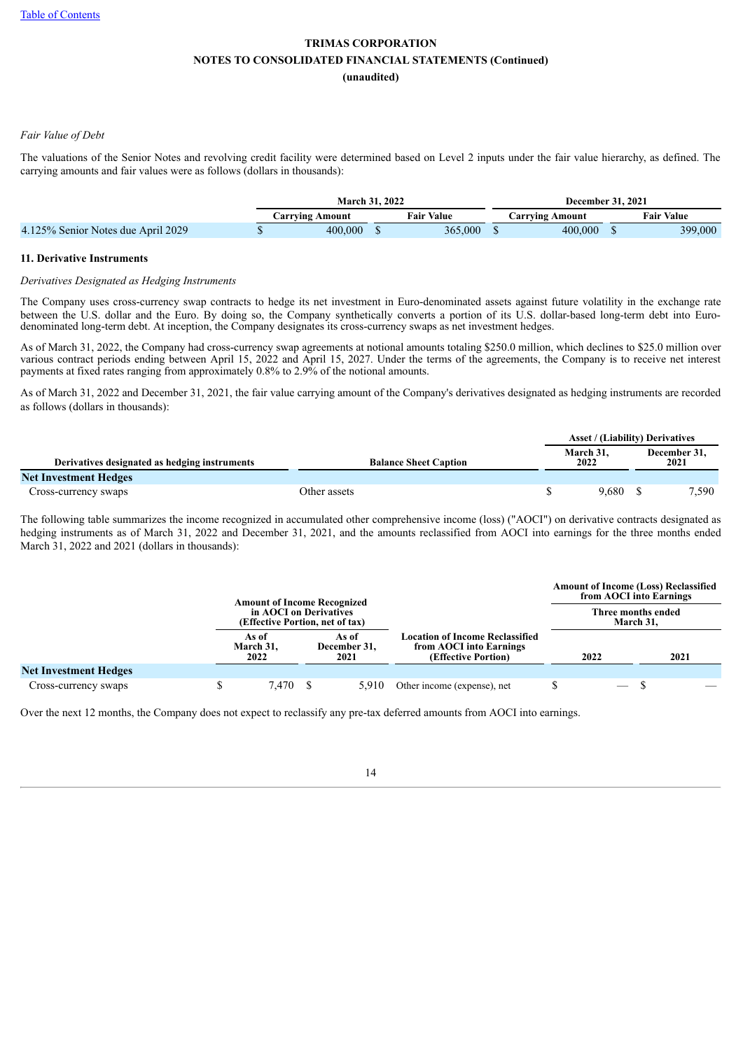#### *Fair Value of Debt*

The valuations of the Senior Notes and revolving credit facility were determined based on Level 2 inputs under the fair value hierarchy, as defined. The carrying amounts and fair values were as follows (dollars in thousands):

|                                    | <b>March 31, 2022</b> |                   | <b>December 31, 2021</b> |                   |
|------------------------------------|-----------------------|-------------------|--------------------------|-------------------|
|                                    | Carrving Amount       | Fair Val<br>Value | Jarrving Amount          | <b>Fair Value</b> |
| 4.125% Senior Notes due April 2029 | 400.000               | 365,000           | 400,000                  | 399,000           |

#### **11. Derivative Instruments**

#### *Derivatives Designated as Hedging Instruments*

The Company uses cross-currency swap contracts to hedge its net investment in Euro-denominated assets against future volatility in the exchange rate between the U.S. dollar and the Euro. By doing so, the Company synthetically converts a portion of its U.S. dollar-based long-term debt into Eurodenominated long-term debt. At inception, the Company designates its cross-currency swaps as net investment hedges.

As of March 31, 2022, the Company had cross-currency swap agreements at notional amounts totaling \$250.0 million, which declines to \$25.0 million over various contract periods ending between April 15, 2022 and April 15, 2027. Under the terms of the agreements, the Company is to receive net interest payments at fixed rates ranging from approximately 0.8% to 2.9% of the notional amounts.

As of March 31, 2022 and December 31, 2021, the fair value carrying amount of the Company's derivatives designated as hedging instruments are recorded as follows (dollars in thousands):

|                                               |                              |                   | <b>Asset / (Liability) Derivatives</b> |  |                      |
|-----------------------------------------------|------------------------------|-------------------|----------------------------------------|--|----------------------|
| Derivatives designated as hedging instruments | <b>Balance Sheet Caption</b> | March 31,<br>2022 |                                        |  | December 31,<br>2021 |
| <b>Net Investment Hedges</b>                  |                              |                   |                                        |  |                      |
| Cross-currency swaps                          | Other assets                 |                   | 9.680                                  |  | 7.590                |

The following table summarizes the income recognized in accumulated other comprehensive income (loss) ("AOCI") on derivative contracts designated as hedging instruments as of March 31, 2022 and December 31, 2021, and the amounts reclassified from AOCI into earnings for the three months ended March 31, 2022 and 2021 (dollars in thousands):

|                              | <b>Amount of Income Recognized</b>                        |                               |                                                                                          | <b>Amount of Income (Loss) Reclassified</b><br>from AOCI into Earnings |      |
|------------------------------|-----------------------------------------------------------|-------------------------------|------------------------------------------------------------------------------------------|------------------------------------------------------------------------|------|
|                              | in AOCI on Derivatives<br>(Effective Portion, net of tax) |                               |                                                                                          | Three months ended<br>March 31.                                        |      |
|                              | As of<br>March 31,<br>2022                                | As of<br>December 31,<br>2021 | <b>Location of Income Reclassified</b><br>from AOCI into Earnings<br>(Effective Portion) | 2022                                                                   | 2021 |
| <b>Net Investment Hedges</b> |                                                           |                               |                                                                                          |                                                                        |      |
| Cross-currency swaps         | 7,470                                                     | 5.910                         | Other income (expense), net                                                              | $\qquad \qquad$                                                        |      |

Over the next 12 months, the Company does not expect to reclassify any pre-tax deferred amounts from AOCI into earnings.

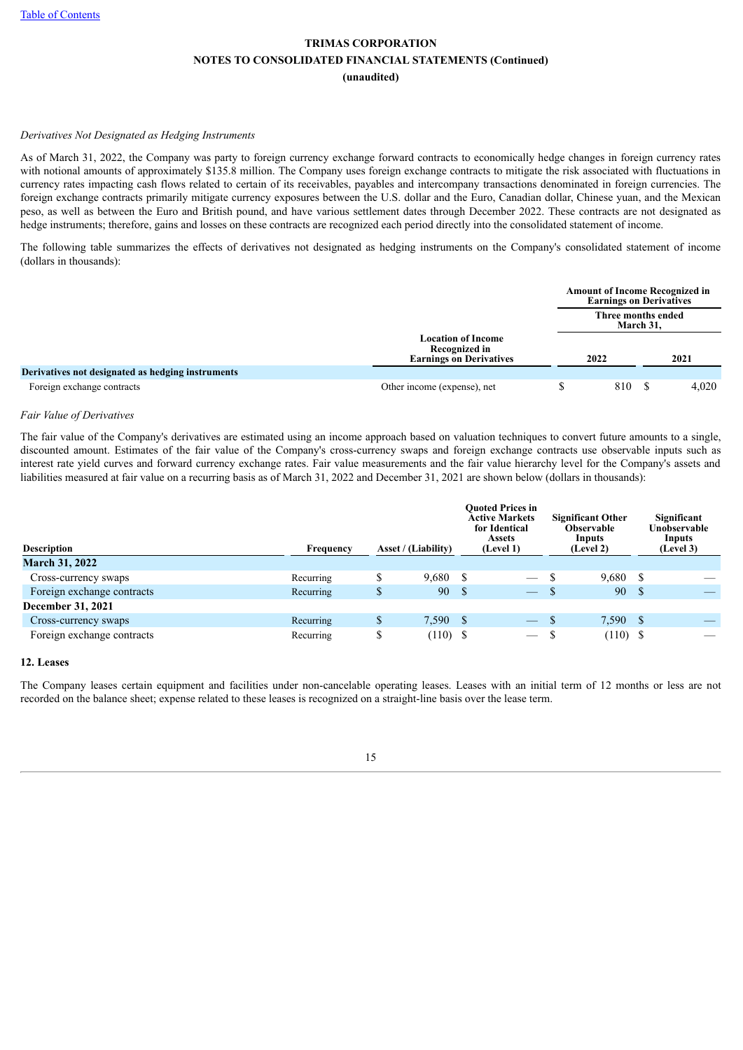#### *Derivatives Not Designated as Hedging Instruments*

As of March 31, 2022, the Company was party to foreign currency exchange forward contracts to economically hedge changes in foreign currency rates with notional amounts of approximately \$135.8 million. The Company uses foreign exchange contracts to mitigate the risk associated with fluctuations in currency rates impacting cash flows related to certain of its receivables, payables and intercompany transactions denominated in foreign currencies. The foreign exchange contracts primarily mitigate currency exposures between the U.S. dollar and the Euro, Canadian dollar, Chinese yuan, and the Mexican peso, as well as between the Euro and British pound, and have various settlement dates through December 2022. These contracts are not designated as hedge instruments; therefore, gains and losses on these contracts are recognized each period directly into the consolidated statement of income.

The following table summarizes the effects of derivatives not designated as hedging instruments on the Company's consolidated statement of income (dollars in thousands):

|                                                   |                                                                              |      | <b>Amount of Income Recognized in</b><br><b>Earnings on Derivatives</b> |       |      |  |
|---------------------------------------------------|------------------------------------------------------------------------------|------|-------------------------------------------------------------------------|-------|------|--|
|                                                   |                                                                              |      | Three months ended<br>March 31,                                         |       |      |  |
|                                                   | <b>Location of Income</b><br>Recognized in<br><b>Earnings on Derivatives</b> | 2022 |                                                                         |       | 2021 |  |
| Derivatives not designated as hedging instruments |                                                                              |      |                                                                         |       |      |  |
| Foreign exchange contracts                        | Other income (expense), net                                                  | 810  |                                                                         | 4,020 |      |  |

#### *Fair Value of Derivatives*

The fair value of the Company's derivatives are estimated using an income approach based on valuation techniques to convert future amounts to a single, discounted amount. Estimates of the fair value of the Company's cross-currency swaps and foreign exchange contracts use observable inputs such as interest rate yield curves and forward currency exchange rates. Fair value measurements and the fair value hierarchy level for the Company's assets and liabilities measured at fair value on a recurring basis as of March 31, 2022 and December 31, 2021 are shown below (dollars in thousands):

| <b>Description</b>         | Frequency | <b>Asset / (Liability)</b> |       | <b>Ouoted Prices in</b><br><b>Active Markets</b><br>for Identical<br><b>Assets</b><br>(Level 1) |                          | <b>Significant Other</b><br><b>Observable</b><br>Inputs<br>(Level 2) |            |              | Significant<br>Unobservable<br>Inputs<br>(Level 3) |
|----------------------------|-----------|----------------------------|-------|-------------------------------------------------------------------------------------------------|--------------------------|----------------------------------------------------------------------|------------|--------------|----------------------------------------------------|
| <b>March 31, 2022</b>      |           |                            |       |                                                                                                 |                          |                                                                      |            |              |                                                    |
| Cross-currency swaps       | Recurring | \$                         | 9,680 | -S                                                                                              | $\overline{\phantom{m}}$ |                                                                      | 9,680      | -S           |                                                    |
| Foreign exchange contracts | Recurring | \$                         | 90    | <sup>\$</sup>                                                                                   | $\overline{\phantom{0}}$ |                                                                      | 90         | <sup>S</sup> |                                                    |
| December 31, 2021          |           |                            |       |                                                                                                 |                          |                                                                      |            |              |                                                    |
| Cross-currency swaps       | Recurring | S                          | 7,590 | - \$                                                                                            | $\overline{\phantom{a}}$ |                                                                      | 7,590      | -S           |                                                    |
| Foreign exchange contracts | Recurring | \$                         | (110) | - \$                                                                                            |                          |                                                                      | $(110)$ \$ |              |                                                    |

#### **12. Leases**

The Company leases certain equipment and facilities under non-cancelable operating leases. Leases with an initial term of 12 months or less are not recorded on the balance sheet; expense related to these leases is recognized on a straight-line basis over the lease term.

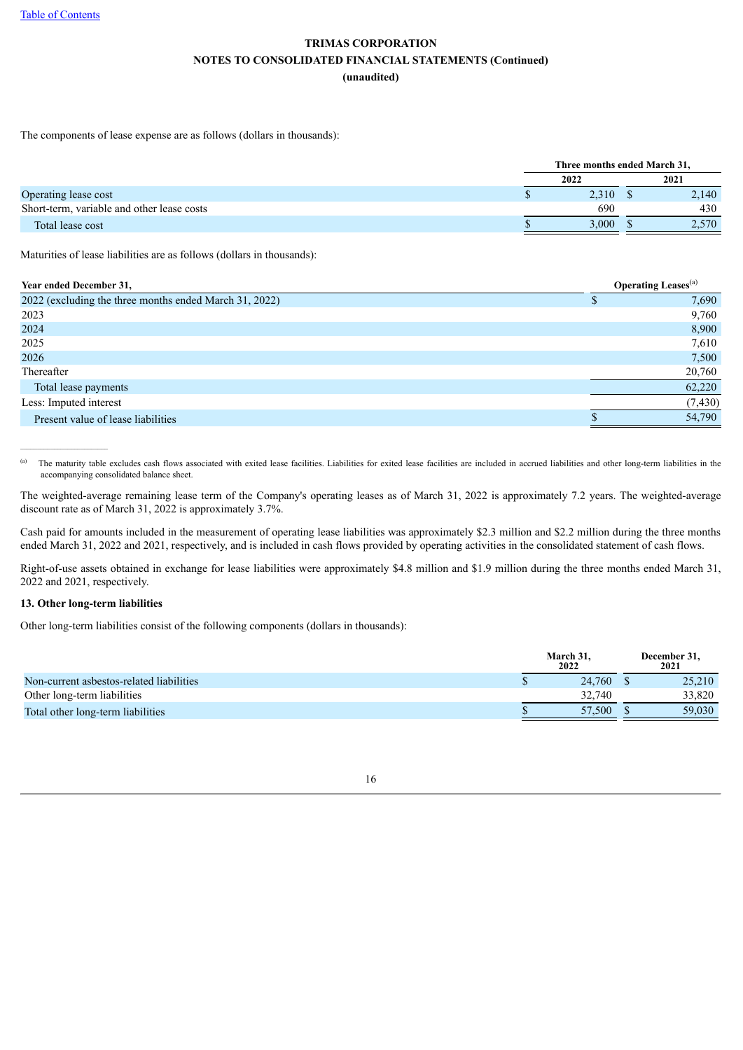The components of lease expense are as follows (dollars in thousands):

|                                            | Three months ended March 31, |  |       |  |  |
|--------------------------------------------|------------------------------|--|-------|--|--|
| Operating lease cost                       | 2022                         |  | 2021  |  |  |
|                                            | 2.310                        |  | 2,140 |  |  |
| Short-term, variable and other lease costs | 690                          |  | 430   |  |  |
| Total lease cost                           | 3.000                        |  | 2.570 |  |  |
|                                            |                              |  |       |  |  |

Maturities of lease liabilities are as follows (dollars in thousands):

| Year ended December 31,                                |  | <b>Operating Leases</b> <sup>(a)</sup> |  |  |  |
|--------------------------------------------------------|--|----------------------------------------|--|--|--|
| 2022 (excluding the three months ended March 31, 2022) |  | 7,690                                  |  |  |  |
| 2023                                                   |  | 9,760                                  |  |  |  |
| 2024                                                   |  | 8,900                                  |  |  |  |
| 2025                                                   |  | 7,610                                  |  |  |  |
| 2026                                                   |  | 7,500                                  |  |  |  |
| Thereafter                                             |  | 20,760                                 |  |  |  |
| Total lease payments                                   |  | 62,220                                 |  |  |  |
| Less: Imputed interest                                 |  | (7, 430)                               |  |  |  |
| Present value of lease liabilities                     |  | 54,790                                 |  |  |  |

The maturity table excludes cash flows associated with exited lease facilities. Liabilities for exited lease facilities are included in accrued liabilities and other long-term liabilities in the accompanying consolidated balance sheet. (a)

The weighted-average remaining lease term of the Company's operating leases as of March 31, 2022 is approximately 7.2 years. The weighted-average discount rate as of March 31, 2022 is approximately 3.7%.

Cash paid for amounts included in the measurement of operating lease liabilities was approximately \$2.3 million and \$2.2 million during the three months ended March 31, 2022 and 2021, respectively, and is included in cash flows provided by operating activities in the consolidated statement of cash flows.

Right-of-use assets obtained in exchange for lease liabilities were approximately \$4.8 million and \$1.9 million during the three months ended March 31, 2022 and 2021, respectively.

#### **13. Other long-term liabilities**

 $\mathcal{L}_\text{max}$ 

Other long-term liabilities consist of the following components (dollars in thousands):

|                                          | March 31.<br>2022 | December 31.<br>2021 |
|------------------------------------------|-------------------|----------------------|
| Non-current asbestos-related liabilities | 24,760            | 25,210               |
| Other long-term liabilities              | 32.740            | 33.820               |
| Total other long-term liabilities        | 57.500            | 59,030               |

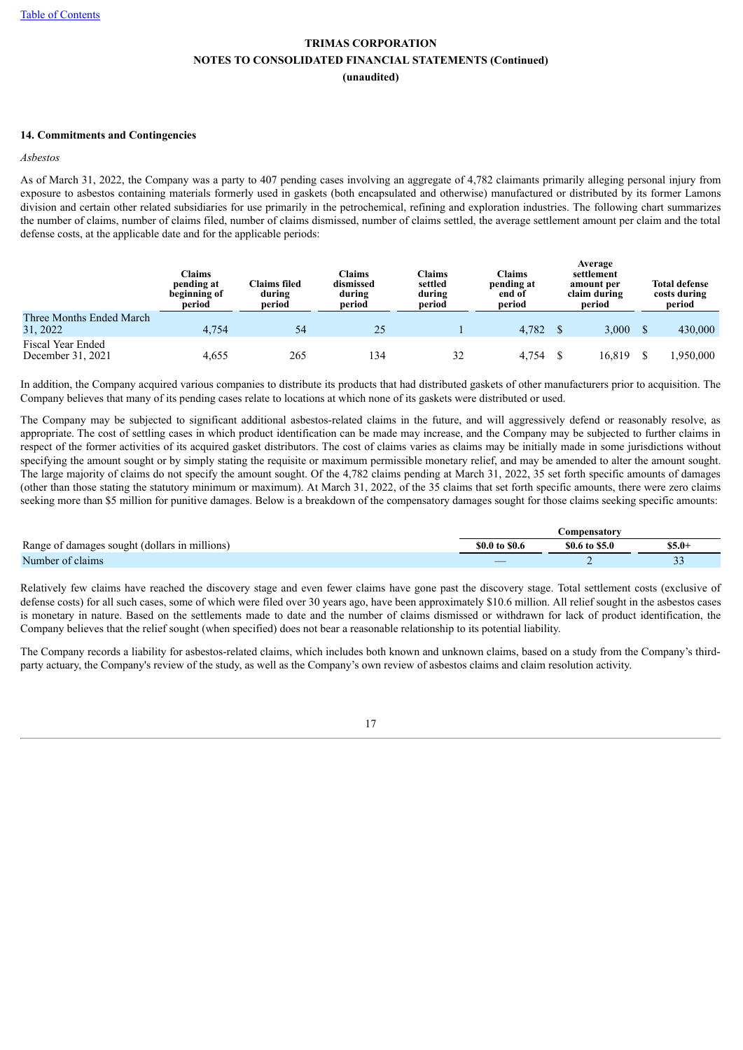#### **14. Commitments and Contingencies**

#### *Asbestos*

As of March 31, 2022, the Company was a party to 407 pending cases involving an aggregate of 4,782 claimants primarily alleging personal injury from exposure to asbestos containing materials formerly used in gaskets (both encapsulated and otherwise) manufactured or distributed by its former Lamons division and certain other related subsidiaries for use primarily in the petrochemical, refining and exploration industries. The following chart summarizes the number of claims, number of claims filed, number of claims dismissed, number of claims settled, the average settlement amount per claim and the total defense costs, at the applicable date and for the applicable periods:

|                                        | <b>Claims</b><br>pending at<br>beginning of<br>period | <b>Claims filed</b><br>during<br>period | Claims<br>dismissed<br>during<br>period | Claims<br>settled<br>during<br>period | Claims<br>pending at<br>end of<br>period |  | Average<br>settlement<br>amount per<br>claim during<br>period | <b>Total defense</b><br>costs during<br>period |
|----------------------------------------|-------------------------------------------------------|-----------------------------------------|-----------------------------------------|---------------------------------------|------------------------------------------|--|---------------------------------------------------------------|------------------------------------------------|
| Three Months Ended March<br>31, 2022   | 4.754                                                 | 54                                      | 25                                      |                                       | $4,782$ \$                               |  | 3,000                                                         | 430,000                                        |
| Fiscal Year Ended<br>December 31, 2021 | 4,655                                                 | 265                                     | 134                                     | 32                                    | 4.754                                    |  | 16.819                                                        | 1.950.000                                      |

In addition, the Company acquired various companies to distribute its products that had distributed gaskets of other manufacturers prior to acquisition. The Company believes that many of its pending cases relate to locations at which none of its gaskets were distributed or used.

The Company may be subjected to significant additional asbestos-related claims in the future, and will aggressively defend or reasonably resolve, as appropriate. The cost of settling cases in which product identification can be made may increase, and the Company may be subjected to further claims in respect of the former activities of its acquired gasket distributors. The cost of claims varies as claims may be initially made in some jurisdictions without specifying the amount sought or by simply stating the requisite or maximum permissible monetary relief, and may be amended to alter the amount sought. The large majority of claims do not specify the amount sought. Of the 4,782 claims pending at March 31, 2022, 35 set forth specific amounts of damages (other than those stating the statutory minimum or maximum). At March 31, 2022, of the 35 claims that set forth specific amounts, there were zero claims seeking more than \$5 million for punitive damages. Below is a breakdown of the compensatory damages sought for those claims seeking specific amounts:

|                                               |                | <b>Compensatory</b> |        |
|-----------------------------------------------|----------------|---------------------|--------|
| Range of damages sought (dollars in millions) | \$0.0 to \$0.6 | \$0.6 to \$5.0      | S5.0-  |
| Number of claims                              |                |                     | $\sim$ |

Relatively few claims have reached the discovery stage and even fewer claims have gone past the discovery stage. Total settlement costs (exclusive of defense costs) for all such cases, some of which were filed over 30 years ago, have been approximately \$10.6 million. All relief sought in the asbestos cases is monetary in nature. Based on the settlements made to date and the number of claims dismissed or withdrawn for lack of product identification, the Company believes that the relief sought (when specified) does not bear a reasonable relationship to its potential liability.

The Company records a liability for asbestos-related claims, which includes both known and unknown claims, based on a study from the Company's thirdparty actuary, the Company's review of the study, as well as the Company's own review of asbestos claims and claim resolution activity.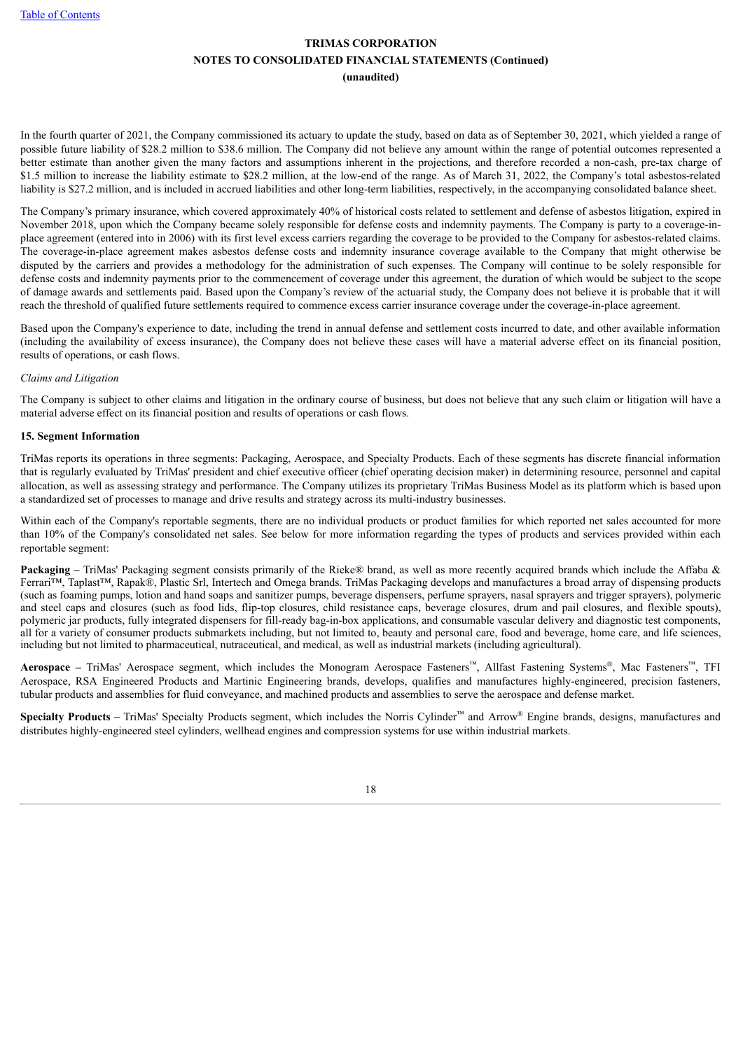In the fourth quarter of 2021, the Company commissioned its actuary to update the study, based on data as of September 30, 2021, which yielded a range of possible future liability of \$28.2 million to \$38.6 million. The Company did not believe any amount within the range of potential outcomes represented a better estimate than another given the many factors and assumptions inherent in the projections, and therefore recorded a non-cash, pre-tax charge of \$1.5 million to increase the liability estimate to \$28.2 million, at the low-end of the range. As of March 31, 2022, the Company's total asbestos-related liability is \$27.2 million, and is included in accrued liabilities and other long-term liabilities, respectively, in the accompanying consolidated balance sheet.

The Company's primary insurance, which covered approximately 40% of historical costs related to settlement and defense of asbestos litigation, expired in November 2018, upon which the Company became solely responsible for defense costs and indemnity payments. The Company is party to a coverage-inplace agreement (entered into in 2006) with its first level excess carriers regarding the coverage to be provided to the Company for asbestos-related claims. The coverage-in-place agreement makes asbestos defense costs and indemnity insurance coverage available to the Company that might otherwise be disputed by the carriers and provides a methodology for the administration of such expenses. The Company will continue to be solely responsible for defense costs and indemnity payments prior to the commencement of coverage under this agreement, the duration of which would be subject to the scope of damage awards and settlements paid. Based upon the Company's review of the actuarial study, the Company does not believe it is probable that it will reach the threshold of qualified future settlements required to commence excess carrier insurance coverage under the coverage-in-place agreement.

Based upon the Company's experience to date, including the trend in annual defense and settlement costs incurred to date, and other available information (including the availability of excess insurance), the Company does not believe these cases will have a material adverse effect on its financial position, results of operations, or cash flows.

#### *Claims and Litigation*

The Company is subject to other claims and litigation in the ordinary course of business, but does not believe that any such claim or litigation will have a material adverse effect on its financial position and results of operations or cash flows.

#### **15. Segment Information**

TriMas reports its operations in three segments: Packaging, Aerospace, and Specialty Products. Each of these segments has discrete financial information that is regularly evaluated by TriMas' president and chief executive officer (chief operating decision maker) in determining resource, personnel and capital allocation, as well as assessing strategy and performance. The Company utilizes its proprietary TriMas Business Model as its platform which is based upon a standardized set of processes to manage and drive results and strategy across its multi-industry businesses.

Within each of the Company's reportable segments, there are no individual products or product families for which reported net sales accounted for more than 10% of the Company's consolidated net sales. See below for more information regarding the types of products and services provided within each reportable segment:

**Packaging** – TriMas' Packaging segment consists primarily of the Rieke® brand, as well as more recently acquired brands which include the Affaba & Ferrari™, Taplast™, Rapak®, Plastic Srl, Intertech and Omega brands. TriMas Packaging develops and manufactures a broad array of dispensing products (such as foaming pumps, lotion and hand soaps and sanitizer pumps, beverage dispensers, perfume sprayers, nasal sprayers and trigger sprayers), polymeric and steel caps and closures (such as food lids, flip-top closures, child resistance caps, beverage closures, drum and pail closures, and flexible spouts), polymeric jar products, fully integrated dispensers for fill-ready bag-in-box applications, and consumable vascular delivery and diagnostic test components, all for a variety of consumer products submarkets including, but not limited to, beauty and personal care, food and beverage, home care, and life sciences, including but not limited to pharmaceutical, nutraceutical, and medical, as well as industrial markets (including agricultural).

**Aerospace** – TriMas' Aerospace segment, which includes the Monogram Aerospace Fasteners™, Allfast Fastening Systems®, Mac Fasteners™, TFI Aerospace, RSA Engineered Products and Martinic Engineering brands, develops, qualifies and manufactures highly-engineered, precision fasteners, tubular products and assemblies for fluid conveyance, and machined products and assemblies to serve the aerospace and defense market.

**Specialty Products** – TriMas' Specialty Products segment, which includes the Norris Cylinder™ and Arrow® Engine brands, designs, manufactures and distributes highly-engineered steel cylinders, wellhead engines and compression systems for use within industrial markets.

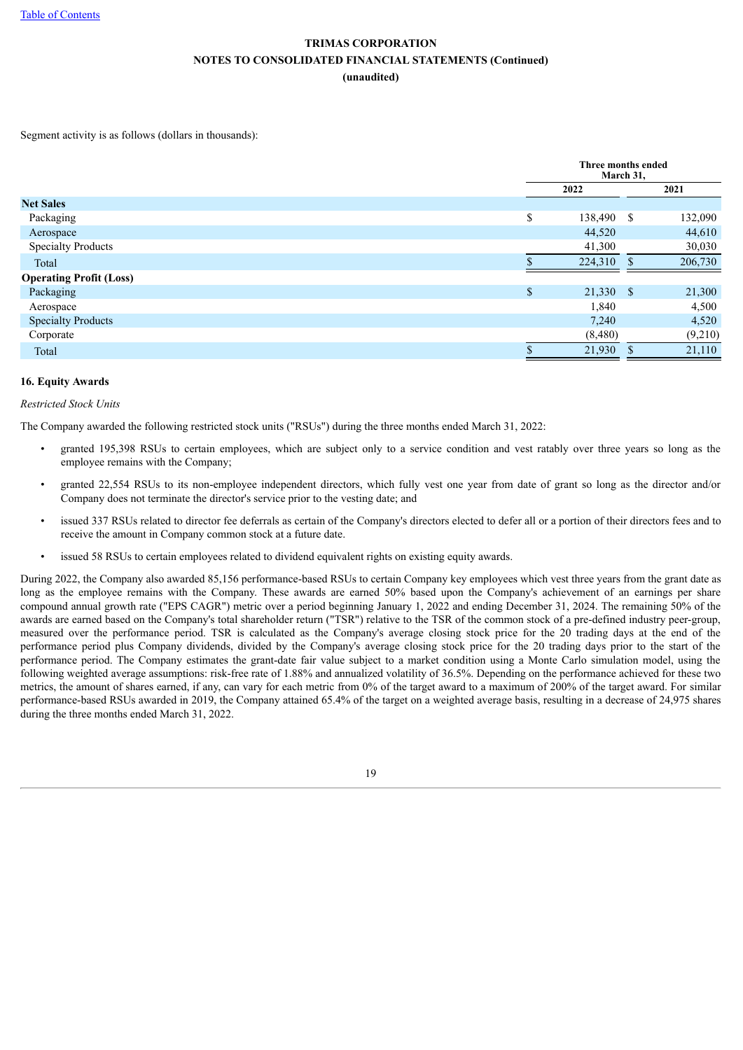Segment activity is as follows (dollars in thousands):

|                                |    | Three months ended<br>March 31, |               |         |  |  |
|--------------------------------|----|---------------------------------|---------------|---------|--|--|
|                                |    | 2022                            |               | 2021    |  |  |
| <b>Net Sales</b>               |    |                                 |               |         |  |  |
| Packaging                      | \$ | 138,490                         | <sup>\$</sup> | 132,090 |  |  |
| Aerospace                      |    | 44,520                          |               | 44,610  |  |  |
| <b>Specialty Products</b>      |    | 41,300                          |               | 30,030  |  |  |
| Total                          |    | 224,310                         | S.            | 206,730 |  |  |
| <b>Operating Profit (Loss)</b> |    |                                 |               |         |  |  |
| Packaging                      | \$ | 21,330 \$                       |               | 21,300  |  |  |
| Aerospace                      |    | 1,840                           |               | 4,500   |  |  |
| <b>Specialty Products</b>      |    | 7,240                           |               | 4,520   |  |  |
| Corporate                      |    | (8,480)                         |               | (9,210) |  |  |
| Total                          |    | 21,930                          |               | 21,110  |  |  |

#### **16. Equity Awards**

#### *Restricted Stock Units*

The Company awarded the following restricted stock units ("RSUs") during the three months ended March 31, 2022:

- granted 195,398 RSUs to certain employees, which are subject only to a service condition and vest ratably over three years so long as the employee remains with the Company;
- granted 22,554 RSUs to its non-employee independent directors, which fully vest one year from date of grant so long as the director and/or Company does not terminate the director's service prior to the vesting date; and
- issued 337 RSUs related to director fee deferrals as certain of the Company's directors elected to defer all or a portion of their directors fees and to receive the amount in Company common stock at a future date.
- issued 58 RSUs to certain employees related to dividend equivalent rights on existing equity awards.

During 2022, the Company also awarded 85,156 performance-based RSUs to certain Company key employees which vest three years from the grant date as long as the employee remains with the Company. These awards are earned 50% based upon the Company's achievement of an earnings per share compound annual growth rate ("EPS CAGR") metric over a period beginning January 1, 2022 and ending December 31, 2024. The remaining 50% of the awards are earned based on the Company's total shareholder return ("TSR") relative to the TSR of the common stock of a pre-defined industry peer-group, measured over the performance period. TSR is calculated as the Company's average closing stock price for the 20 trading days at the end of the performance period plus Company dividends, divided by the Company's average closing stock price for the 20 trading days prior to the start of the performance period. The Company estimates the grant-date fair value subject to a market condition using a Monte Carlo simulation model, using the following weighted average assumptions: risk-free rate of 1.88% and annualized volatility of 36.5%. Depending on the performance achieved for these two metrics, the amount of shares earned, if any, can vary for each metric from 0% of the target award to a maximum of 200% of the target award. For similar performance-based RSUs awarded in 2019, the Company attained 65.4% of the target on a weighted average basis, resulting in a decrease of 24,975 shares during the three months ended March 31, 2022.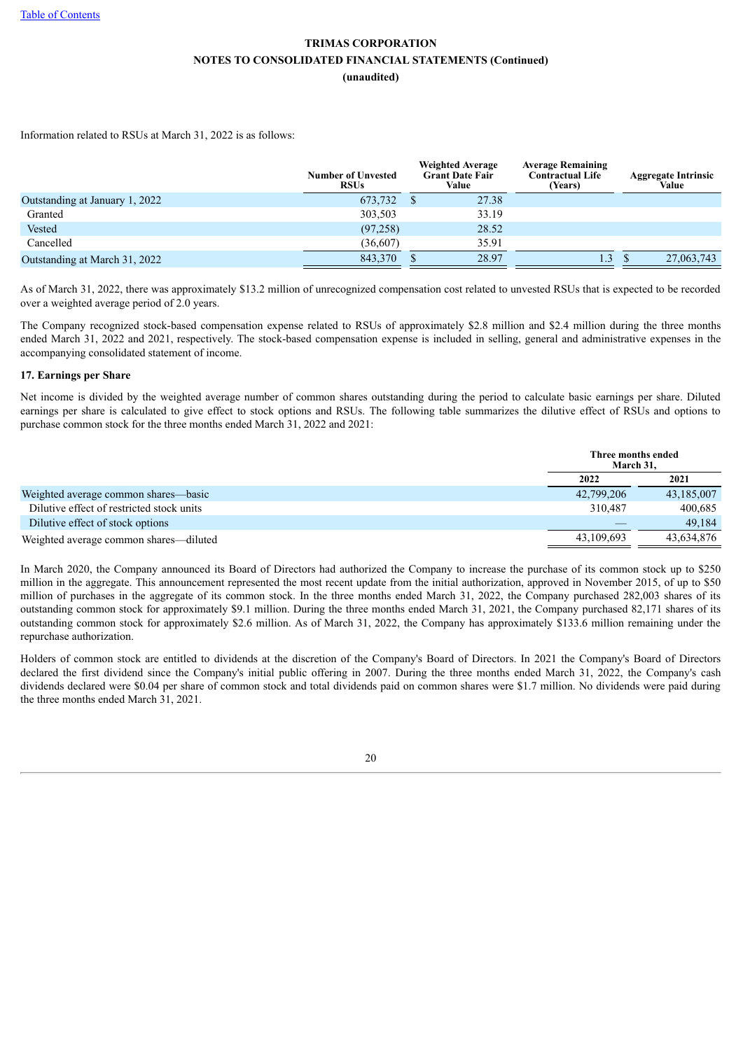Information related to RSUs at March 31, 2022 is as follows:

|                                | <b>Number of Unvested</b><br><b>RSUs</b> | <b>Weighted Average</b><br><b>Grant Date Fair</b><br>Value | <b>Average Remaining</b><br><b>Contractual Life</b><br>(Years) | <b>Aggregate Intrinsic</b><br>Value |
|--------------------------------|------------------------------------------|------------------------------------------------------------|----------------------------------------------------------------|-------------------------------------|
| Outstanding at January 1, 2022 | 673,732                                  | 27.38                                                      |                                                                |                                     |
| Granted                        | 303,503                                  | 33.19                                                      |                                                                |                                     |
| Vested                         | (97, 258)                                | 28.52                                                      |                                                                |                                     |
| Cancelled                      | (36,607)                                 | 35.91                                                      |                                                                |                                     |
| Outstanding at March 31, 2022  | 843,370                                  | 28.97                                                      | 1.3                                                            | 27,063,743                          |

As of March 31, 2022, there was approximately \$13.2 million of unrecognized compensation cost related to unvested RSUs that is expected to be recorded over a weighted average period of 2.0 years.

The Company recognized stock-based compensation expense related to RSUs of approximately \$2.8 million and \$2.4 million during the three months ended March 31, 2022 and 2021, respectively. The stock-based compensation expense is included in selling, general and administrative expenses in the accompanying consolidated statement of income.

#### **17. Earnings per Share**

Net income is divided by the weighted average number of common shares outstanding during the period to calculate basic earnings per share. Diluted earnings per share is calculated to give effect to stock options and RSUs. The following table summarizes the dilutive effect of RSUs and options to purchase common stock for the three months ended March 31, 2022 and 2021:

|                                           | Three months ended<br>March 31. |            |
|-------------------------------------------|---------------------------------|------------|
|                                           | 2022                            | 2021       |
| Weighted average common shares—basic      | 42,799,206                      | 43,185,007 |
| Dilutive effect of restricted stock units | 310.487                         | 400.685    |
| Dilutive effect of stock options          |                                 | 49.184     |
| Weighted average common shares—diluted    | 43,109,693                      | 43,634,876 |

In March 2020, the Company announced its Board of Directors had authorized the Company to increase the purchase of its common stock up to \$250 million in the aggregate. This announcement represented the most recent update from the initial authorization, approved in November 2015, of up to \$50 million of purchases in the aggregate of its common stock. In the three months ended March 31, 2022, the Company purchased 282,003 shares of its outstanding common stock for approximately \$9.1 million. During the three months ended March 31, 2021, the Company purchased 82,171 shares of its outstanding common stock for approximately \$2.6 million. As of March 31, 2022, the Company has approximately \$133.6 million remaining under the repurchase authorization.

Holders of common stock are entitled to dividends at the discretion of the Company's Board of Directors. In 2021 the Company's Board of Directors declared the first dividend since the Company's initial public offering in 2007. During the three months ended March 31, 2022, the Company's cash dividends declared were \$0.04 per share of common stock and total dividends paid on common shares were \$1.7 million. No dividends were paid during the three months ended March 31, 2021.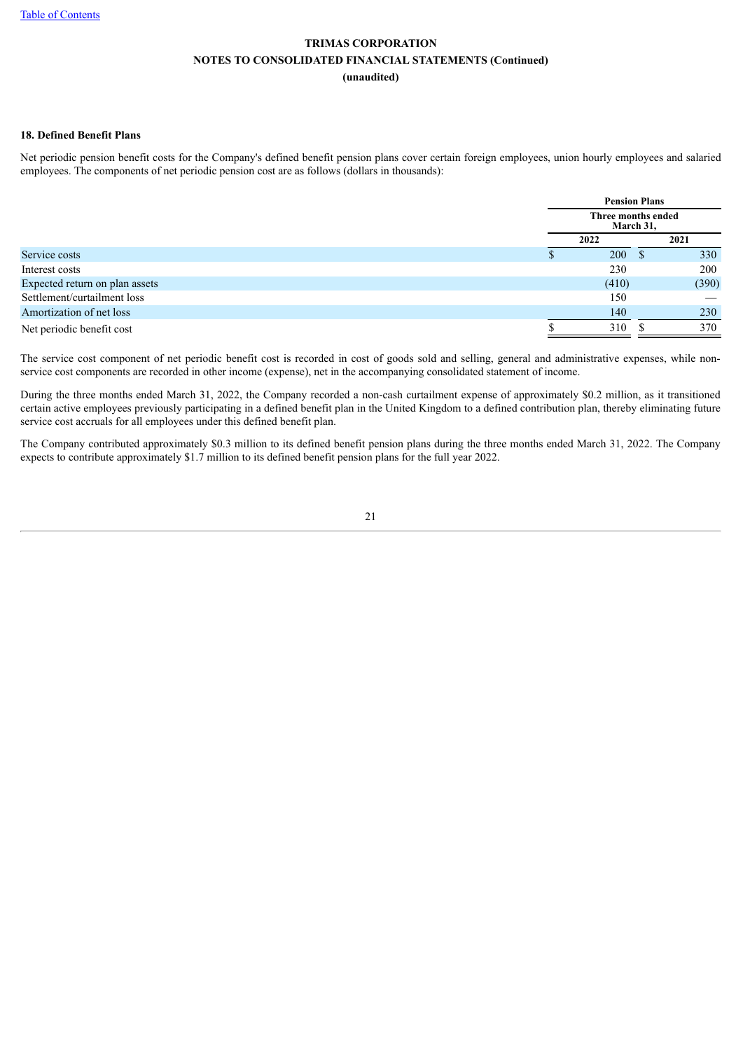#### **18. Defined Benefit Plans**

Net periodic pension benefit costs for the Company's defined benefit pension plans cover certain foreign employees, union hourly employees and salaried employees. The components of net periodic pension cost are as follows (dollars in thousands):

|                                | <b>Pension Plans</b>            |              |       |  |
|--------------------------------|---------------------------------|--------------|-------|--|
|                                | Three months ended<br>March 31, |              |       |  |
|                                | 2022                            |              | 2021  |  |
| Service costs                  | <b>200</b>                      | <sup>3</sup> | 330   |  |
| Interest costs                 | 230                             |              | 200   |  |
| Expected return on plan assets | (410)                           |              | (390) |  |
| Settlement/curtailment loss    | 150                             |              |       |  |
| Amortization of net loss       | 140                             |              | 230   |  |
| Net periodic benefit cost      | 310                             |              | 370   |  |

The service cost component of net periodic benefit cost is recorded in cost of goods sold and selling, general and administrative expenses, while nonservice cost components are recorded in other income (expense), net in the accompanying consolidated statement of income.

During the three months ended March 31, 2022, the Company recorded a non-cash curtailment expense of approximately \$0.2 million, as it transitioned certain active employees previously participating in a defined benefit plan in the United Kingdom to a defined contribution plan, thereby eliminating future service cost accruals for all employees under this defined benefit plan.

The Company contributed approximately \$0.3 million to its defined benefit pension plans during the three months ended March 31, 2022. The Company expects to contribute approximately \$1.7 million to its defined benefit pension plans for the full year 2022.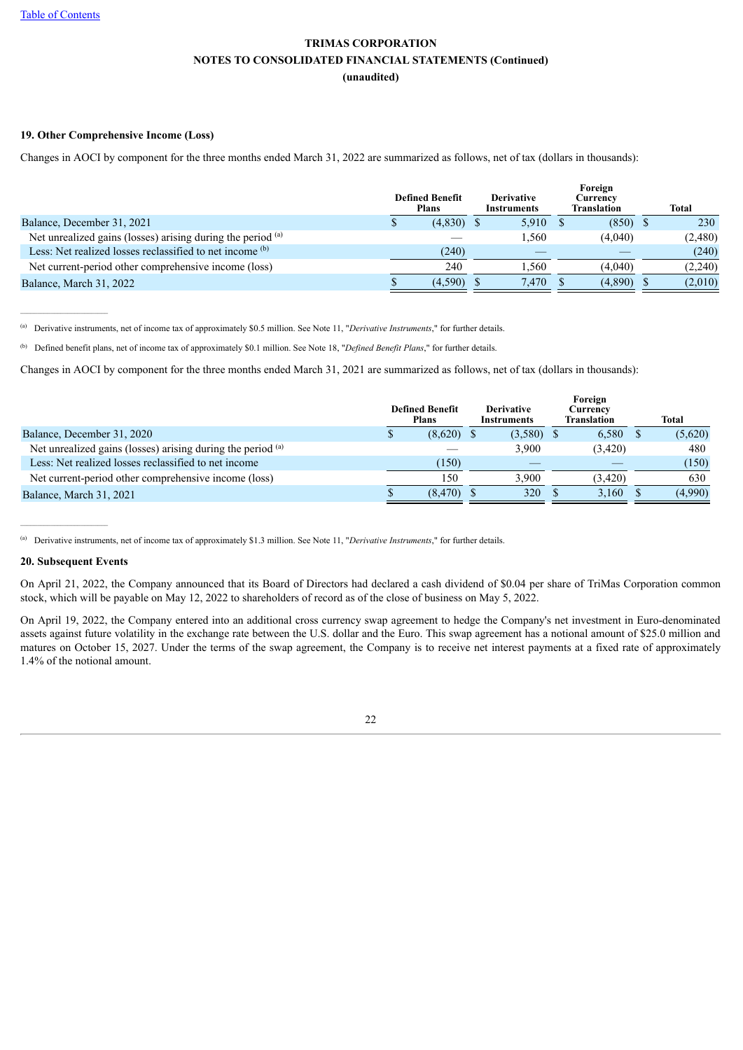#### **19. Other Comprehensive Income (Loss)**

Changes in AOCI by component for the three months ended March 31, 2022 are summarized as follows, net of tax (dollars in thousands):

|                                                             | <b>Defined Benefit</b><br><b>Plans</b> | <b>Derivative</b><br><b>Instruments</b> | Foreign<br>Currency<br><b>Translation</b> | <b>Total</b> |
|-------------------------------------------------------------|----------------------------------------|-----------------------------------------|-------------------------------------------|--------------|
| Balance, December 31, 2021                                  | $(4,830)$ \$                           | $5,910$ \$                              | $(850)$ \$                                | 230          |
| Net unrealized gains (losses) arising during the period (a) |                                        | 1.560                                   | (4,040)                                   | (2,480)      |
| Less: Net realized losses reclassified to net income (b)    | (240)                                  |                                         |                                           | (240)        |
| Net current-period other comprehensive income (loss)        | 240                                    | .560                                    | (4.040)                                   | (2,240)      |
| Balance, March 31, 2022                                     | (4.590)                                | 7.470                                   | (4,890)                                   | (2,010)      |

Derivative instruments, net of income tax of approximately \$0.5 million. See Note 11, "*Derivative Instruments*," for further details. (a)

<sup>(b)</sup> Defined benefit plans, net of income tax of approximately \$0.1 million. See Note 18, "*Defined Benefit Plans*," for further details.

Changes in AOCI by component for the three months ended March 31, 2021 are summarized as follows, net of tax (dollars in thousands):

|                                                             | <b>Defined Benefit</b><br><b>Plans</b> | <b>Derivative</b><br><b>Instruments</b> | Foreign<br>Currencv<br><b>Translation</b> | <b>Total</b> |
|-------------------------------------------------------------|----------------------------------------|-----------------------------------------|-------------------------------------------|--------------|
| Balance, December 31, 2020                                  | (8,620)                                | (3,580)                                 | 6,580                                     | (5,620)      |
| Net unrealized gains (losses) arising during the period (a) |                                        | 3.900                                   | (3,420)                                   | 480          |
| Less: Net realized losses reclassified to net income        | (150)                                  |                                         |                                           | (150)        |
| Net current-period other comprehensive income (loss)        | 150                                    | 3.900                                   | (3.420)                                   | 630          |
| Balance, March 31, 2021                                     | (8, 470)                               | 320                                     | 3.160                                     | (4,990)      |

Derivative instruments, net of income tax of approximately \$1.3 million. See Note 11, "*Derivative Instruments*," for further details. (a)

#### **20. Subsequent Events**

 $\mathcal{L}_\text{max}$ 

 $\mathcal{L}_\text{max}$ 

On April 21, 2022, the Company announced that its Board of Directors had declared a cash dividend of \$0.04 per share of TriMas Corporation common stock, which will be payable on May 12, 2022 to shareholders of record as of the close of business on May 5, 2022.

<span id="page-22-0"></span>On April 19, 2022, the Company entered into an additional cross currency swap agreement to hedge the Company's net investment in Euro-denominated assets against future volatility in the exchange rate between the U.S. dollar and the Euro. This swap agreement has a notional amount of \$25.0 million and matures on October 15, 2027. Under the terms of the swap agreement, the Company is to receive net interest payments at a fixed rate of approximately 1.4% of the notional amount.

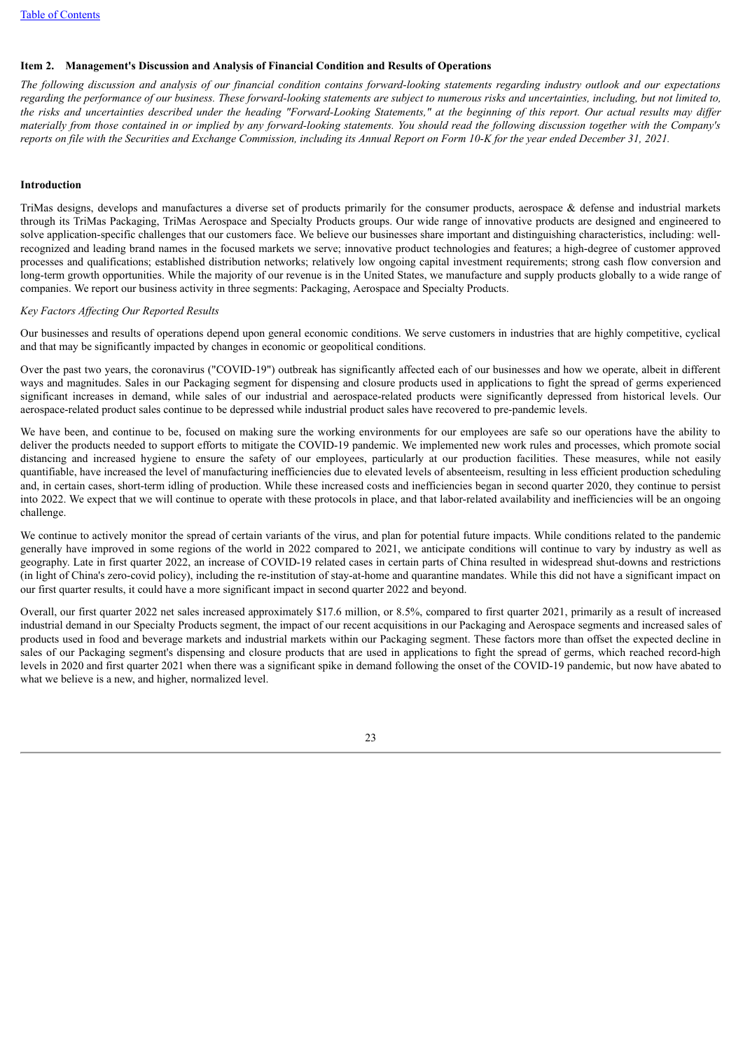#### **Item 2. Management's Discussion and Analysis of Financial Condition and Results of Operations**

The following discussion and analysis of our financial condition contains forward-looking statements regarding industry outlook and our expectations regarding the performance of our business. These forward-looking statements are subject to numerous risks and uncertainties, including, but not limited to, the risks and uncertainties described under the heading "Forward-Looking Statements," at the beginning of this report. Our actual results may differ materially from those contained in or implied by any forward-looking statements. You should read the following discussion together with the Company's reports on file with the Securities and Exchange Commission, including its Annual Report on Form 10-K for the year ended December 31, 2021.

#### **Introduction**

TriMas designs, develops and manufactures a diverse set of products primarily for the consumer products, aerospace & defense and industrial markets through its TriMas Packaging, TriMas Aerospace and Specialty Products groups. Our wide range of innovative products are designed and engineered to solve application-specific challenges that our customers face. We believe our businesses share important and distinguishing characteristics, including: wellrecognized and leading brand names in the focused markets we serve; innovative product technologies and features; a high-degree of customer approved processes and qualifications; established distribution networks; relatively low ongoing capital investment requirements; strong cash flow conversion and long-term growth opportunities. While the majority of our revenue is in the United States, we manufacture and supply products globally to a wide range of companies. We report our business activity in three segments: Packaging, Aerospace and Specialty Products.

#### *Key Factors Af ecting Our Reported Results*

Our businesses and results of operations depend upon general economic conditions. We serve customers in industries that are highly competitive, cyclical and that may be significantly impacted by changes in economic or geopolitical conditions.

Over the past two years, the coronavirus ("COVID-19") outbreak has significantly affected each of our businesses and how we operate, albeit in different ways and magnitudes. Sales in our Packaging segment for dispensing and closure products used in applications to fight the spread of germs experienced significant increases in demand, while sales of our industrial and aerospace-related products were significantly depressed from historical levels. Our aerospace-related product sales continue to be depressed while industrial product sales have recovered to pre-pandemic levels.

We have been, and continue to be, focused on making sure the working environments for our employees are safe so our operations have the ability to deliver the products needed to support efforts to mitigate the COVID-19 pandemic. We implemented new work rules and processes, which promote social distancing and increased hygiene to ensure the safety of our employees, particularly at our production facilities. These measures, while not easily quantifiable, have increased the level of manufacturing inefficiencies due to elevated levels of absenteeism, resulting in less efficient production scheduling and, in certain cases, short-term idling of production. While these increased costs and inefficiencies began in second quarter 2020, they continue to persist into 2022. We expect that we will continue to operate with these protocols in place, and that labor-related availability and inefficiencies will be an ongoing challenge.

We continue to actively monitor the spread of certain variants of the virus, and plan for potential future impacts. While conditions related to the pandemic generally have improved in some regions of the world in 2022 compared to 2021, we anticipate conditions will continue to vary by industry as well as geography. Late in first quarter 2022, an increase of COVID-19 related cases in certain parts of China resulted in widespread shut-downs and restrictions (in light of China's zero-covid policy), including the re-institution of stay-at-home and quarantine mandates. While this did not have a significant impact on our first quarter results, it could have a more significant impact in second quarter 2022 and beyond.

Overall, our first quarter 2022 net sales increased approximately \$17.6 million, or 8.5%, compared to first quarter 2021, primarily as a result of increased industrial demand in our Specialty Products segment, the impact of our recent acquisitions in our Packaging and Aerospace segments and increased sales of products used in food and beverage markets and industrial markets within our Packaging segment. These factors more than offset the expected decline in sales of our Packaging segment's dispensing and closure products that are used in applications to fight the spread of germs, which reached record-high levels in 2020 and first quarter 2021 when there was a significant spike in demand following the onset of the COVID-19 pandemic, but now have abated to what we believe is a new, and higher, normalized level.

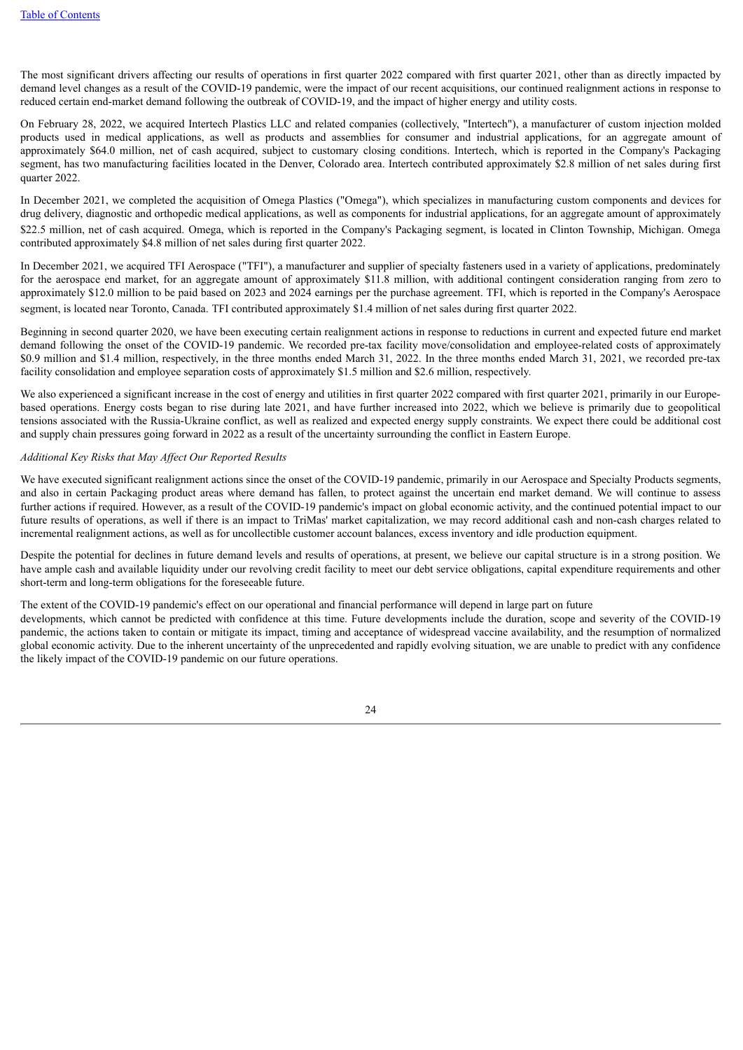The most significant drivers affecting our results of operations in first quarter 2022 compared with first quarter 2021, other than as directly impacted by demand level changes as a result of the COVID-19 pandemic, were the impact of our recent acquisitions, our continued realignment actions in response to reduced certain end-market demand following the outbreak of COVID-19, and the impact of higher energy and utility costs.

On February 28, 2022, we acquired Intertech Plastics LLC and related companies (collectively, "Intertech"), a manufacturer of custom injection molded products used in medical applications, as well as products and assemblies for consumer and industrial applications, for an aggregate amount of approximately \$64.0 million, net of cash acquired, subject to customary closing conditions. Intertech, which is reported in the Company's Packaging segment, has two manufacturing facilities located in the Denver, Colorado area. Intertech contributed approximately \$2.8 million of net sales during first quarter 2022.

In December 2021, we completed the acquisition of Omega Plastics ("Omega"), which specializes in manufacturing custom components and devices for drug delivery, diagnostic and orthopedic medical applications, as well as components for industrial applications, for an aggregate amount of approximately \$22.5 million, net of cash acquired. Omega, which is reported in the Company's Packaging segment, is located in Clinton Township, Michigan. Omega contributed approximately \$4.8 million of net sales during first quarter 2022.

In December 2021, we acquired TFI Aerospace ("TFI"), a manufacturer and supplier of specialty fasteners used in a variety of applications, predominately for the aerospace end market, for an aggregate amount of approximately \$11.8 million, with additional contingent consideration ranging from zero to approximately \$12.0 million to be paid based on 2023 and 2024 earnings per the purchase agreement. TFI, which is reported in the Company's Aerospace segment, is located near Toronto, Canada. TFI contributed approximately \$1.4 million of net sales during first quarter 2022.

Beginning in second quarter 2020, we have been executing certain realignment actions in response to reductions in current and expected future end market demand following the onset of the COVID-19 pandemic. We recorded pre-tax facility move/consolidation and employee-related costs of approximately \$0.9 million and \$1.4 million, respectively, in the three months ended March 31, 2022. In the three months ended March 31, 2021, we recorded pre-tax facility consolidation and employee separation costs of approximately \$1.5 million and \$2.6 million, respectively.

We also experienced a significant increase in the cost of energy and utilities in first quarter 2022 compared with first quarter 2021, primarily in our Europebased operations. Energy costs began to rise during late 2021, and have further increased into 2022, which we believe is primarily due to geopolitical tensions associated with the Russia-Ukraine conflict, as well as realized and expected energy supply constraints. We expect there could be additional cost and supply chain pressures going forward in 2022 as a result of the uncertainty surrounding the conflict in Eastern Europe.

#### *Additional Key Risks that May Af ect Our Reported Results*

We have executed significant realignment actions since the onset of the COVID-19 pandemic, primarily in our Aerospace and Specialty Products segments, and also in certain Packaging product areas where demand has fallen, to protect against the uncertain end market demand. We will continue to assess further actions if required. However, as a result of the COVID-19 pandemic's impact on global economic activity, and the continued potential impact to our future results of operations, as well if there is an impact to TriMas' market capitalization, we may record additional cash and non-cash charges related to incremental realignment actions, as well as for uncollectible customer account balances, excess inventory and idle production equipment.

Despite the potential for declines in future demand levels and results of operations, at present, we believe our capital structure is in a strong position. We have ample cash and available liquidity under our revolving credit facility to meet our debt service obligations, capital expenditure requirements and other short-term and long-term obligations for the foreseeable future.

The extent of the COVID-19 pandemic's effect on our operational and financial performance will depend in large part on future

developments, which cannot be predicted with confidence at this time. Future developments include the duration, scope and severity of the COVID-19 pandemic, the actions taken to contain or mitigate its impact, timing and acceptance of widespread vaccine availability, and the resumption of normalized global economic activity. Due to the inherent uncertainty of the unprecedented and rapidly evolving situation, we are unable to predict with any confidence the likely impact of the COVID-19 pandemic on our future operations.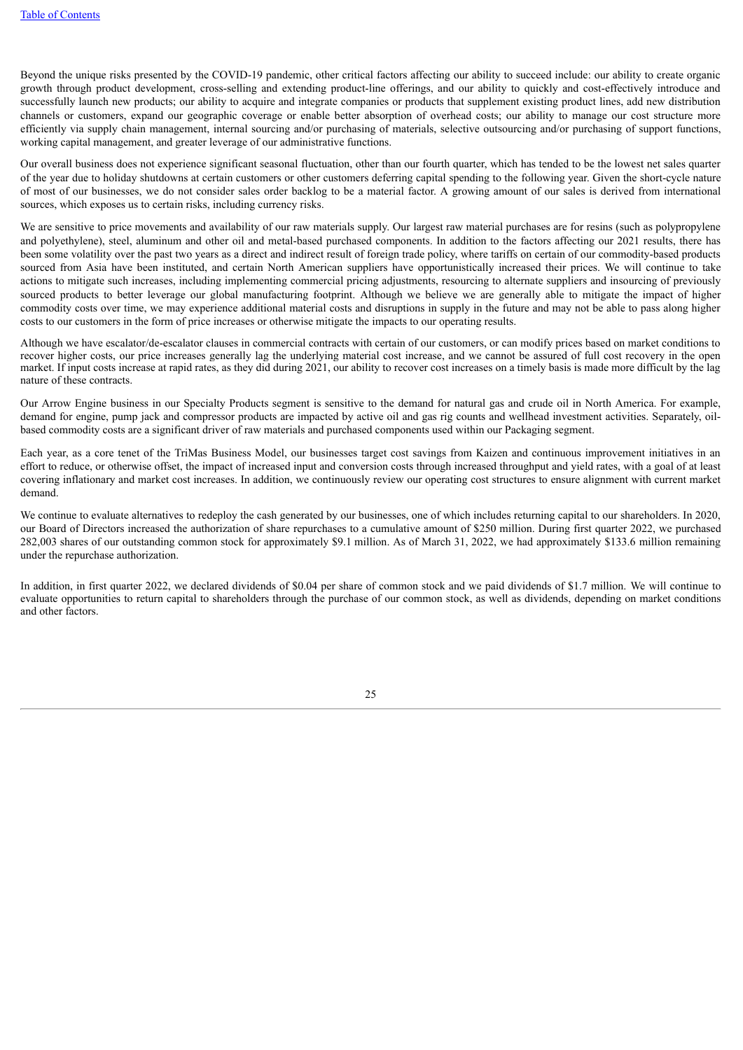Beyond the unique risks presented by the COVID-19 pandemic, other critical factors affecting our ability to succeed include: our ability to create organic growth through product development, cross-selling and extending product-line offerings, and our ability to quickly and cost-effectively introduce and successfully launch new products; our ability to acquire and integrate companies or products that supplement existing product lines, add new distribution channels or customers, expand our geographic coverage or enable better absorption of overhead costs; our ability to manage our cost structure more efficiently via supply chain management, internal sourcing and/or purchasing of materials, selective outsourcing and/or purchasing of support functions, working capital management, and greater leverage of our administrative functions.

Our overall business does not experience significant seasonal fluctuation, other than our fourth quarter, which has tended to be the lowest net sales quarter of the year due to holiday shutdowns at certain customers or other customers deferring capital spending to the following year. Given the short-cycle nature of most of our businesses, we do not consider sales order backlog to be a material factor. A growing amount of our sales is derived from international sources, which exposes us to certain risks, including currency risks.

We are sensitive to price movements and availability of our raw materials supply. Our largest raw material purchases are for resins (such as polypropylene and polyethylene), steel, aluminum and other oil and metal-based purchased components. In addition to the factors affecting our 2021 results, there has been some volatility over the past two years as a direct and indirect result of foreign trade policy, where tariffs on certain of our commodity-based products sourced from Asia have been instituted, and certain North American suppliers have opportunistically increased their prices. We will continue to take actions to mitigate such increases, including implementing commercial pricing adjustments, resourcing to alternate suppliers and insourcing of previously sourced products to better leverage our global manufacturing footprint. Although we believe we are generally able to mitigate the impact of higher commodity costs over time, we may experience additional material costs and disruptions in supply in the future and may not be able to pass along higher costs to our customers in the form of price increases or otherwise mitigate the impacts to our operating results.

Although we have escalator/de-escalator clauses in commercial contracts with certain of our customers, or can modify prices based on market conditions to recover higher costs, our price increases generally lag the underlying material cost increase, and we cannot be assured of full cost recovery in the open market. If input costs increase at rapid rates, as they did during 2021, our ability to recover cost increases on a timely basis is made more difficult by the lag nature of these contracts.

Our Arrow Engine business in our Specialty Products segment is sensitive to the demand for natural gas and crude oil in North America. For example, demand for engine, pump jack and compressor products are impacted by active oil and gas rig counts and wellhead investment activities. Separately, oilbased commodity costs are a significant driver of raw materials and purchased components used within our Packaging segment.

Each year, as a core tenet of the TriMas Business Model, our businesses target cost savings from Kaizen and continuous improvement initiatives in an effort to reduce, or otherwise offset, the impact of increased input and conversion costs through increased throughput and yield rates, with a goal of at least covering inflationary and market cost increases. In addition, we continuously review our operating cost structures to ensure alignment with current market demand.

We continue to evaluate alternatives to redeploy the cash generated by our businesses, one of which includes returning capital to our shareholders. In 2020, our Board of Directors increased the authorization of share repurchases to a cumulative amount of \$250 million. During first quarter 2022, we purchased 282,003 shares of our outstanding common stock for approximately \$9.1 million. As of March 31, 2022, we had approximately \$133.6 million remaining under the repurchase authorization.

In addition, in first quarter 2022, we declared dividends of \$0.04 per share of common stock and we paid dividends of \$1.7 million. We will continue to evaluate opportunities to return capital to shareholders through the purchase of our common stock, as well as dividends, depending on market conditions and other factors.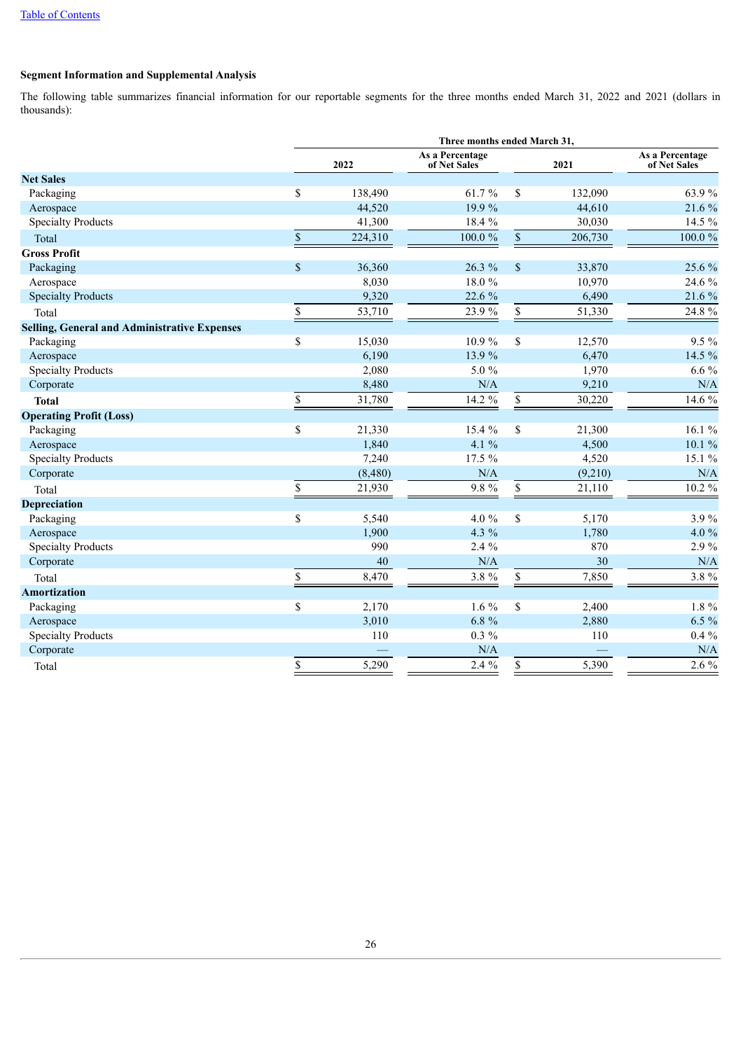### **Segment Information and Supplemental Analysis**

The following table summarizes financial information for our reportable segments for the three months ended March 31, 2022 and 2021 (dollars in thousands):

|                                                     | Three months ended March 31, |         |                                 |             |         |                                 |  |  |  |
|-----------------------------------------------------|------------------------------|---------|---------------------------------|-------------|---------|---------------------------------|--|--|--|
|                                                     |                              | 2022    | As a Percentage<br>of Net Sales | 2021        |         | As a Percentage<br>of Net Sales |  |  |  |
| <b>Net Sales</b>                                    |                              |         |                                 |             |         |                                 |  |  |  |
| Packaging                                           | \$                           | 138,490 | $61.7\ \%$                      | \$          | 132,090 | 63.9%                           |  |  |  |
| Aerospace                                           |                              | 44,520  | 19.9%                           |             | 44,610  | 21.6 %                          |  |  |  |
| <b>Specialty Products</b>                           |                              | 41,300  | 18.4 %                          |             | 30,030  | 14.5 %                          |  |  |  |
| Total                                               | $\,$                         | 224,310 | 100.0%                          | $\mathbb S$ | 206,730 | $100.0 \%$                      |  |  |  |
| <b>Gross Profit</b>                                 |                              |         |                                 |             |         |                                 |  |  |  |
| Packaging                                           | \$                           | 36,360  | 26.3 %                          | $\$$        | 33,870  | 25.6 %                          |  |  |  |
| Aerospace                                           |                              | 8,030   | 18.0%                           |             | 10,970  | 24.6 %                          |  |  |  |
| <b>Specialty Products</b>                           |                              | 9,320   | 22.6 %                          |             | 6,490   | 21.6 %                          |  |  |  |
| Total                                               | \$                           | 53,710  | 23.9%                           | \$          | 51,330  | 24.8 %                          |  |  |  |
| <b>Selling, General and Administrative Expenses</b> |                              |         |                                 |             |         |                                 |  |  |  |
| Packaging                                           | \$                           | 15,030  | 10.9%                           | \$          | 12,570  | 9.5 %                           |  |  |  |
| Aerospace                                           |                              | 6,190   | 13.9%                           |             | 6,470   | 14.5 %                          |  |  |  |
| <b>Specialty Products</b>                           |                              | 2,080   | 5.0%                            |             | 1,970   | $6.6\%$                         |  |  |  |
| Corporate                                           |                              | 8,480   | N/A                             |             | 9,210   | N/A                             |  |  |  |
| <b>Total</b>                                        | \$                           | 31,780  | 14.2 %                          | \$          | 30,220  | 14.6 %                          |  |  |  |
| <b>Operating Profit (Loss)</b>                      |                              |         |                                 |             |         |                                 |  |  |  |
| Packaging                                           | \$                           | 21,330  | 15.4 %                          | \$          | 21,300  | 16.1%                           |  |  |  |
| Aerospace                                           |                              | 1,840   | 4.1 $%$                         |             | 4,500   | $10.1 \%$                       |  |  |  |
| <b>Specialty Products</b>                           |                              | 7,240   | 17.5 %                          |             | 4,520   | 15.1 %                          |  |  |  |
| Corporate                                           |                              | (8,480) | N/A                             |             | (9,210) | N/A                             |  |  |  |
| Total                                               | \$                           | 21,930  | 9.8 %                           | \$          | 21,110  | $10.2 \%$                       |  |  |  |
| <b>Depreciation</b>                                 |                              |         |                                 |             |         |                                 |  |  |  |
| Packaging                                           | \$                           | 5,540   | 4.0 %                           | \$          | 5,170   | 3.9%                            |  |  |  |
| Aerospace                                           |                              | 1,900   | 4.3 %                           |             | 1,780   | 4.0 %                           |  |  |  |
| <b>Specialty Products</b>                           |                              | 990     | 2.4 %                           |             | 870     | 2.9%                            |  |  |  |
| Corporate                                           |                              | $40\,$  | N/A                             |             | 30      | N/A                             |  |  |  |
| Total                                               | \$                           | 8,470   | 3.8%                            | \$          | 7,850   | 3.8%                            |  |  |  |
| <b>Amortization</b>                                 |                              |         |                                 |             |         |                                 |  |  |  |
| Packaging                                           | \$                           | 2,170   | $1.6\%$                         | \$          | 2,400   | 1.8 %                           |  |  |  |
| Aerospace                                           |                              | 3,010   | $6.8 \%$                        |             | 2,880   | $6.5 \%$                        |  |  |  |
| <b>Specialty Products</b>                           |                              | 110     | $0.3\%$                         |             | 110     | $0.4\%$                         |  |  |  |
| Corporate                                           |                              |         | N/A                             |             |         | N/A                             |  |  |  |
| Total                                               | \$                           | 5,290   | 2.4 %                           | \$          | 5,390   | $2.6\%$                         |  |  |  |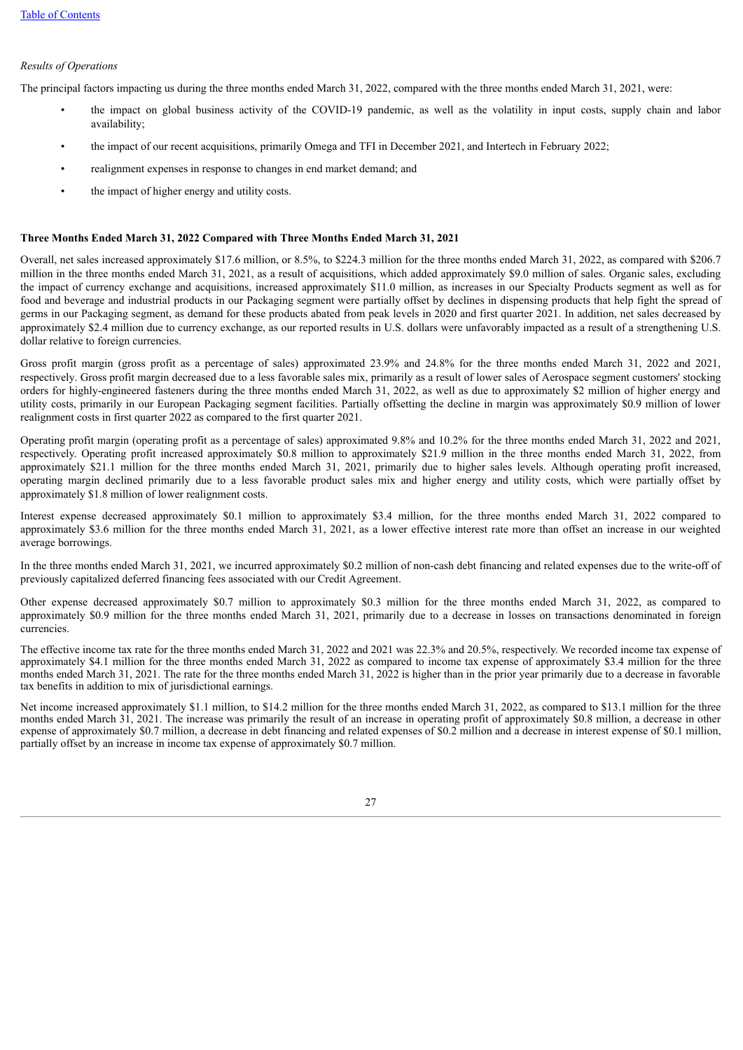#### *Results of Operations*

The principal factors impacting us during the three months ended March 31, 2022, compared with the three months ended March 31, 2021, were:

- the impact on global business activity of the COVID-19 pandemic, as well as the volatility in input costs, supply chain and labor availability;
- the impact of our recent acquisitions, primarily Omega and TFI in December 2021, and Intertech in February 2022;
- realignment expenses in response to changes in end market demand; and
- the impact of higher energy and utility costs.

#### **Three Months Ended March 31, 2022 Compared with Three Months Ended March 31, 2021**

Overall, net sales increased approximately \$17.6 million, or 8.5%, to \$224.3 million for the three months ended March 31, 2022, as compared with \$206.7 million in the three months ended March 31, 2021, as a result of acquisitions, which added approximately \$9.0 million of sales. Organic sales, excluding the impact of currency exchange and acquisitions, increased approximately \$11.0 million, as increases in our Specialty Products segment as well as for food and beverage and industrial products in our Packaging segment were partially offset by declines in dispensing products that help fight the spread of germs in our Packaging segment, as demand for these products abated from peak levels in 2020 and first quarter 2021. In addition, net sales decreased by approximately \$2.4 million due to currency exchange, as our reported results in U.S. dollars were unfavorably impacted as a result of a strengthening U.S. dollar relative to foreign currencies.

Gross profit margin (gross profit as a percentage of sales) approximated 23.9% and 24.8% for the three months ended March 31, 2022 and 2021, respectively. Gross profit margin decreased due to a less favorable sales mix, primarily as a result of lower sales of Aerospace segment customers' stocking orders for highly-engineered fasteners during the three months ended March 31, 2022, as well as due to approximately \$2 million of higher energy and utility costs, primarily in our European Packaging segment facilities. Partially offsetting the decline in margin was approximately \$0.9 million of lower realignment costs in first quarter 2022 as compared to the first quarter 2021.

Operating profit margin (operating profit as a percentage of sales) approximated 9.8% and 10.2% for the three months ended March 31, 2022 and 2021, respectively. Operating profit increased approximately \$0.8 million to approximately \$21.9 million in the three months ended March 31, 2022, from approximately \$21.1 million for the three months ended March 31, 2021, primarily due to higher sales levels. Although operating profit increased, operating margin declined primarily due to a less favorable product sales mix and higher energy and utility costs, which were partially offset by approximately \$1.8 million of lower realignment costs.

Interest expense decreased approximately \$0.1 million to approximately \$3.4 million, for the three months ended March 31, 2022 compared to approximately \$3.6 million for the three months ended March 31, 2021, as a lower effective interest rate more than offset an increase in our weighted average borrowings.

In the three months ended March 31, 2021, we incurred approximately \$0.2 million of non-cash debt financing and related expenses due to the write-off of previously capitalized deferred financing fees associated with our Credit Agreement.

Other expense decreased approximately \$0.7 million to approximately \$0.3 million for the three months ended March 31, 2022, as compared to approximately \$0.9 million for the three months ended March 31, 2021, primarily due to a decrease in losses on transactions denominated in foreign currencies.

The effective income tax rate for the three months ended March 31, 2022 and 2021 was 22.3% and 20.5%, respectively. We recorded income tax expense of approximately \$4.1 million for the three months ended March 31, 2022 as compared to income tax expense of approximately \$3.4 million for the three months ended March 31, 2021. The rate for the three months ended March 31, 2022 is higher than in the prior year primarily due to a decrease in favorable tax benefits in addition to mix of jurisdictional earnings.

Net income increased approximately \$1.1 million, to \$14.2 million for the three months ended March 31, 2022, as compared to \$13.1 million for the three months ended March 31, 2021. The increase was primarily the result of an increase in operating profit of approximately \$0.8 million, a decrease in other expense of approximately \$0.7 million, a decrease in debt financing and related expenses of \$0.2 million and a decrease in interest expense of \$0.1 million, partially offset by an increase in income tax expense of approximately \$0.7 million.

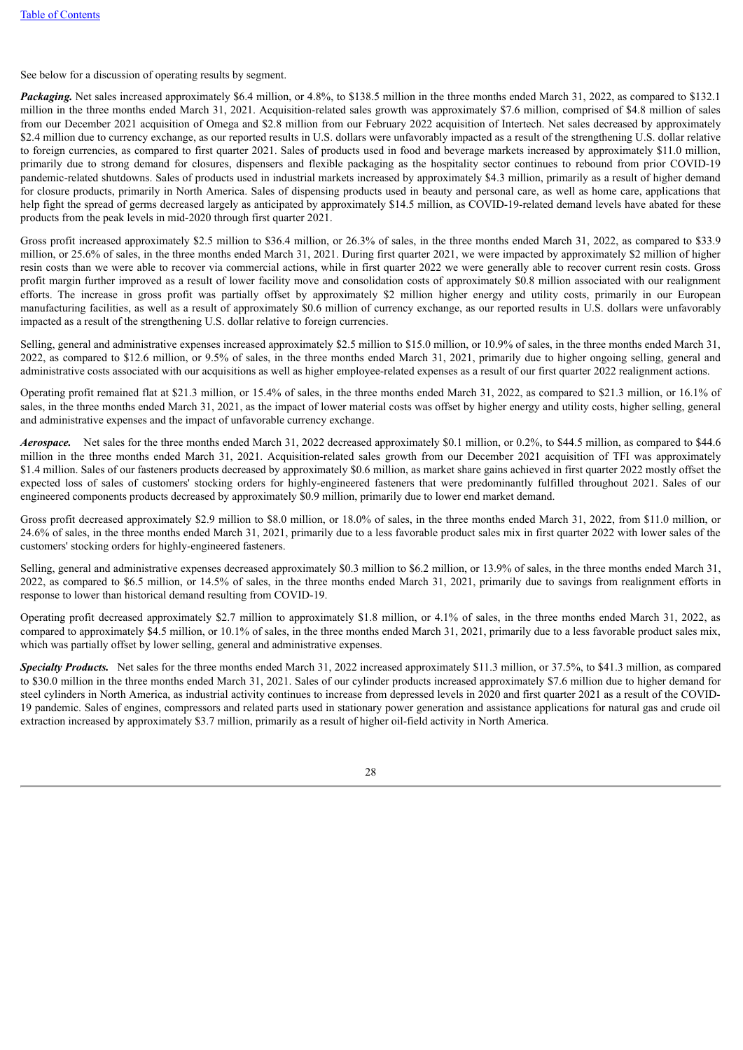See below for a discussion of operating results by segment.

*Packaging.* Net sales increased approximately \$6.4 million, or 4.8%, to \$138.5 million in the three months ended March 31, 2022, as compared to \$132.1 million in the three months ended March 31, 2021. Acquisition-related sales growth was approximately \$7.6 million, comprised of \$4.8 million of sales from our December 2021 acquisition of Omega and \$2.8 million from our February 2022 acquisition of Intertech. Net sales decreased by approximately \$2.4 million due to currency exchange, as our reported results in U.S. dollars were unfavorably impacted as a result of the strengthening U.S. dollar relative to foreign currencies, as compared to first quarter 2021. Sales of products used in food and beverage markets increased by approximately \$11.0 million, primarily due to strong demand for closures, dispensers and flexible packaging as the hospitality sector continues to rebound from prior COVID-19 pandemic-related shutdowns. Sales of products used in industrial markets increased by approximately \$4.3 million, primarily as a result of higher demand for closure products, primarily in North America. Sales of dispensing products used in beauty and personal care, as well as home care, applications that help fight the spread of germs decreased largely as anticipated by approximately \$14.5 million, as COVID-19-related demand levels have abated for these products from the peak levels in mid-2020 through first quarter 2021.

Gross profit increased approximately \$2.5 million to \$36.4 million, or 26.3% of sales, in the three months ended March 31, 2022, as compared to \$33.9 million, or 25.6% of sales, in the three months ended March 31, 2021. During first quarter 2021, we were impacted by approximately \$2 million of higher resin costs than we were able to recover via commercial actions, while in first quarter 2022 we were generally able to recover current resin costs. Gross profit margin further improved as a result of lower facility move and consolidation costs of approximately \$0.8 million associated with our realignment efforts. The increase in gross profit was partially offset by approximately \$2 million higher energy and utility costs, primarily in our European manufacturing facilities, as well as a result of approximately \$0.6 million of currency exchange, as our reported results in U.S. dollars were unfavorably impacted as a result of the strengthening U.S. dollar relative to foreign currencies.

Selling, general and administrative expenses increased approximately \$2.5 million to \$15.0 million, or 10.9% of sales, in the three months ended March 31, 2022, as compared to \$12.6 million, or 9.5% of sales, in the three months ended March 31, 2021, primarily due to higher ongoing selling, general and administrative costs associated with our acquisitions as well as higher employee-related expenses as a result of our first quarter 2022 realignment actions.

Operating profit remained flat at \$21.3 million, or 15.4% of sales, in the three months ended March 31, 2022, as compared to \$21.3 million, or 16.1% of sales, in the three months ended March 31, 2021, as the impact of lower material costs was offset by higher energy and utility costs, higher selling, general and administrative expenses and the impact of unfavorable currency exchange.

*Aerospace.* Net sales for the three months ended March 31, 2022 decreased approximately \$0.1 million, or 0.2%, to \$44.5 million, as compared to \$44.6 million in the three months ended March 31, 2021. Acquisition-related sales growth from our December 2021 acquisition of TFI was approximately \$1.4 million. Sales of our fasteners products decreased by approximately \$0.6 million, as market share gains achieved in first quarter 2022 mostly offset the expected loss of sales of customers' stocking orders for highly-engineered fasteners that were predominantly fulfilled throughout 2021. Sales of our engineered components products decreased by approximately \$0.9 million, primarily due to lower end market demand.

Gross profit decreased approximately \$2.9 million to \$8.0 million, or 18.0% of sales, in the three months ended March 31, 2022, from \$11.0 million, or 24.6% of sales, in the three months ended March 31, 2021, primarily due to a less favorable product sales mix in first quarter 2022 with lower sales of the customers' stocking orders for highly-engineered fasteners.

Selling, general and administrative expenses decreased approximately \$0.3 million to \$6.2 million, or 13.9% of sales, in the three months ended March 31, 2022, as compared to \$6.5 million, or 14.5% of sales, in the three months ended March 31, 2021, primarily due to savings from realignment efforts in response to lower than historical demand resulting from COVID-19.

Operating profit decreased approximately \$2.7 million to approximately \$1.8 million, or 4.1% of sales, in the three months ended March 31, 2022, as compared to approximately \$4.5 million, or 10.1% of sales, in the three months ended March 31, 2021, primarily due to a less favorable product sales mix, which was partially offset by lower selling, general and administrative expenses.

*Specialty Products.* Net sales for the three months ended March 31, 2022 increased approximately \$11.3 million, or 37.5%, to \$41.3 million, as compared to \$30.0 million in the three months ended March 31, 2021. Sales of our cylinder products increased approximately \$7.6 million due to higher demand for steel cylinders in North America, as industrial activity continues to increase from depressed levels in 2020 and first quarter 2021 as a result of the COVID-19 pandemic. Sales of engines, compressors and related parts used in stationary power generation and assistance applications for natural gas and crude oil extraction increased by approximately \$3.7 million, primarily as a result of higher oil-field activity in North America.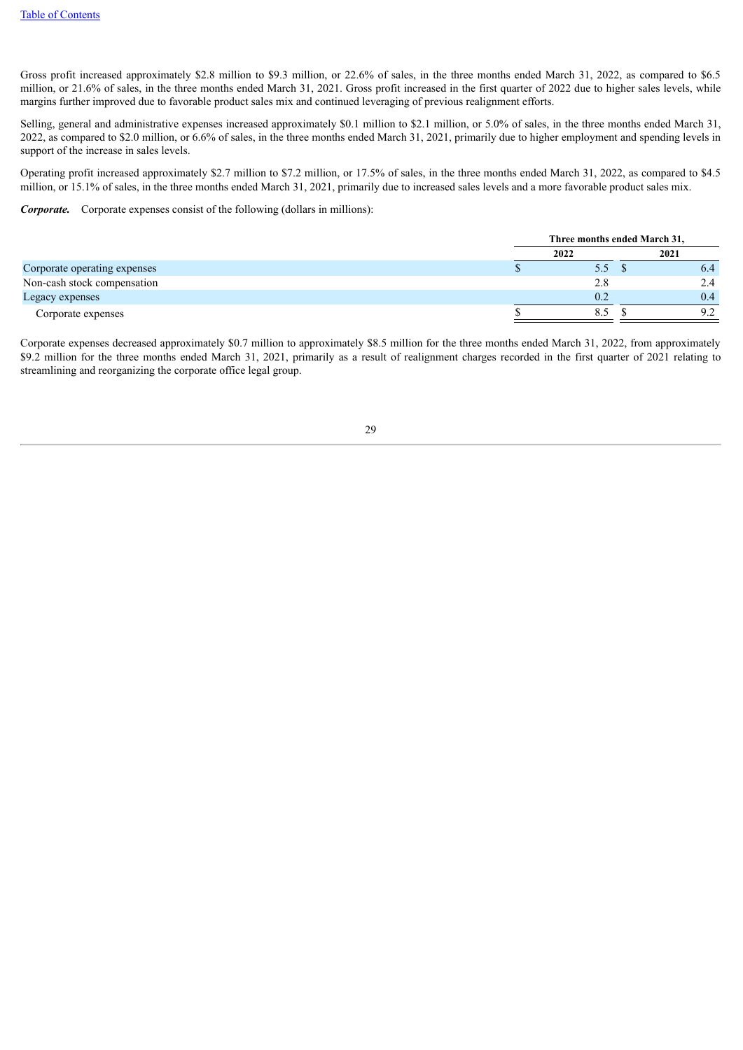Gross profit increased approximately \$2.8 million to \$9.3 million, or 22.6% of sales, in the three months ended March 31, 2022, as compared to \$6.5 million, or 21.6% of sales, in the three months ended March 31, 2021. Gross profit increased in the first quarter of 2022 due to higher sales levels, while margins further improved due to favorable product sales mix and continued leveraging of previous realignment efforts.

Selling, general and administrative expenses increased approximately \$0.1 million to \$2.1 million, or 5.0% of sales, in the three months ended March 31, 2022, as compared to \$2.0 million, or 6.6% of sales, in the three months ended March 31, 2021, primarily due to higher employment and spending levels in support of the increase in sales levels.

Operating profit increased approximately \$2.7 million to \$7.2 million, or 17.5% of sales, in the three months ended March 31, 2022, as compared to \$4.5 million, or 15.1% of sales, in the three months ended March 31, 2021, primarily due to increased sales levels and a more favorable product sales mix.

*Corporate.* Corporate expenses consist of the following (dollars in millions):

|                              | Three months ended March 31, |  |      |
|------------------------------|------------------------------|--|------|
|                              | 2022                         |  | 2021 |
| Corporate operating expenses | 5.5                          |  | 6.4  |
| Non-cash stock compensation  | 2.8                          |  | 2.4  |
| Legacy expenses              | 0.2                          |  | 0.4  |
| Corporate expenses           | 8.5                          |  | ロク   |

Corporate expenses decreased approximately \$0.7 million to approximately \$8.5 million for the three months ended March 31, 2022, from approximately \$9.2 million for the three months ended March 31, 2021, primarily as a result of realignment charges recorded in the first quarter of 2021 relating to streamlining and reorganizing the corporate office legal group.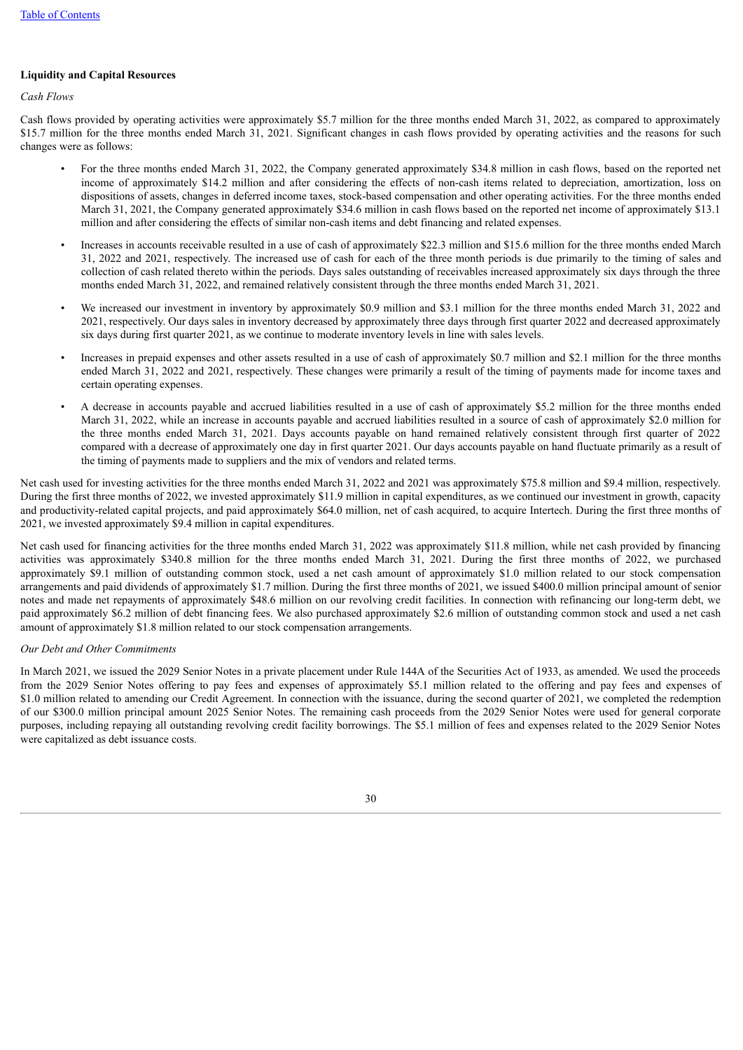#### **Liquidity and Capital Resources**

*Cash Flows*

Cash flows provided by operating activities were approximately \$5.7 million for the three months ended March 31, 2022, as compared to approximately \$15.7 million for the three months ended March 31, 2021. Significant changes in cash flows provided by operating activities and the reasons for such changes were as follows:

- For the three months ended March 31, 2022, the Company generated approximately \$34.8 million in cash flows, based on the reported net income of approximately \$14.2 million and after considering the effects of non-cash items related to depreciation, amortization, loss on dispositions of assets, changes in deferred income taxes, stock-based compensation and other operating activities. For the three months ended March 31, 2021, the Company generated approximately \$34.6 million in cash flows based on the reported net income of approximately \$13.1 million and after considering the effects of similar non-cash items and debt financing and related expenses.
- Increases in accounts receivable resulted in a use of cash of approximately \$22.3 million and \$15.6 million for the three months ended March 31, 2022 and 2021, respectively. The increased use of cash for each of the three month periods is due primarily to the timing of sales and collection of cash related thereto within the periods. Days sales outstanding of receivables increased approximately six days through the three months ended March 31, 2022, and remained relatively consistent through the three months ended March 31, 2021.
- We increased our investment in inventory by approximately \$0.9 million and \$3.1 million for the three months ended March 31, 2022 and 2021, respectively. Our days sales in inventory decreased by approximately three days through first quarter 2022 and decreased approximately six days during first quarter 2021, as we continue to moderate inventory levels in line with sales levels.
- Increases in prepaid expenses and other assets resulted in a use of cash of approximately \$0.7 million and \$2.1 million for the three months ended March 31, 2022 and 2021, respectively. These changes were primarily a result of the timing of payments made for income taxes and certain operating expenses.
- A decrease in accounts payable and accrued liabilities resulted in a use of cash of approximately \$5.2 million for the three months ended March 31, 2022, while an increase in accounts payable and accrued liabilities resulted in a source of cash of approximately \$2.0 million for the three months ended March 31, 2021. Days accounts payable on hand remained relatively consistent through first quarter of 2022 compared with a decrease of approximately one day in first quarter 2021. Our days accounts payable on hand fluctuate primarily as a result of the timing of payments made to suppliers and the mix of vendors and related terms.

Net cash used for investing activities for the three months ended March 31, 2022 and 2021 was approximately \$75.8 million and \$9.4 million, respectively. During the first three months of 2022, we invested approximately \$11.9 million in capital expenditures, as we continued our investment in growth, capacity and productivity-related capital projects, and paid approximately \$64.0 million, net of cash acquired, to acquire Intertech. During the first three months of 2021, we invested approximately \$9.4 million in capital expenditures.

Net cash used for financing activities for the three months ended March 31, 2022 was approximately \$11.8 million, while net cash provided by financing activities was approximately \$340.8 million for the three months ended March 31, 2021. During the first three months of 2022, we purchased approximately \$9.1 million of outstanding common stock, used a net cash amount of approximately \$1.0 million related to our stock compensation arrangements and paid dividends of approximately \$1.7 million. During the first three months of 2021, we issued \$400.0 million principal amount of senior notes and made net repayments of approximately \$48.6 million on our revolving credit facilities. In connection with refinancing our long-term debt, we paid approximately \$6.2 million of debt financing fees. We also purchased approximately \$2.6 million of outstanding common stock and used a net cash amount of approximately \$1.8 million related to our stock compensation arrangements.

#### *Our Debt and Other Commitments*

In March 2021, we issued the 2029 Senior Notes in a private placement under Rule 144A of the Securities Act of 1933, as amended. We used the proceeds from the 2029 Senior Notes offering to pay fees and expenses of approximately \$5.1 million related to the offering and pay fees and expenses of \$1.0 million related to amending our Credit Agreement. In connection with the issuance, during the second quarter of 2021, we completed the redemption of our \$300.0 million principal amount 2025 Senior Notes. The remaining cash proceeds from the 2029 Senior Notes were used for general corporate purposes, including repaying all outstanding revolving credit facility borrowings. The \$5.1 million of fees and expenses related to the 2029 Senior Notes were capitalized as debt issuance costs.

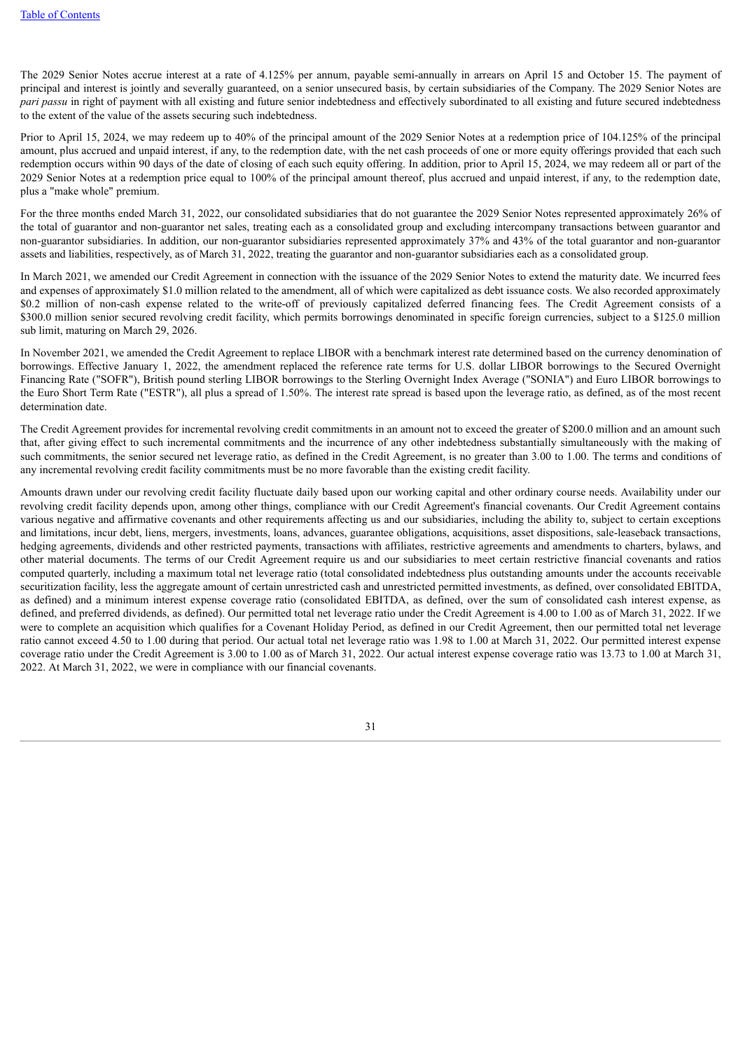The 2029 Senior Notes accrue interest at a rate of 4.125% per annum, payable semi-annually in arrears on April 15 and October 15. The payment of principal and interest is jointly and severally guaranteed, on a senior unsecured basis, by certain subsidiaries of the Company. The 2029 Senior Notes are *pari passu* in right of payment with all existing and future senior indebtedness and effectively subordinated to all existing and future secured indebtedness to the extent of the value of the assets securing such indebtedness.

Prior to April 15, 2024, we may redeem up to 40% of the principal amount of the 2029 Senior Notes at a redemption price of 104.125% of the principal amount, plus accrued and unpaid interest, if any, to the redemption date, with the net cash proceeds of one or more equity offerings provided that each such redemption occurs within 90 days of the date of closing of each such equity offering. In addition, prior to April 15, 2024, we may redeem all or part of the 2029 Senior Notes at a redemption price equal to 100% of the principal amount thereof, plus accrued and unpaid interest, if any, to the redemption date, plus a "make whole" premium.

For the three months ended March 31, 2022, our consolidated subsidiaries that do not guarantee the 2029 Senior Notes represented approximately 26% of the total of guarantor and non-guarantor net sales, treating each as a consolidated group and excluding intercompany transactions between guarantor and non-guarantor subsidiaries. In addition, our non-guarantor subsidiaries represented approximately 37% and 43% of the total guarantor and non-guarantor assets and liabilities, respectively, as of March 31, 2022, treating the guarantor and non-guarantor subsidiaries each as a consolidated group.

In March 2021, we amended our Credit Agreement in connection with the issuance of the 2029 Senior Notes to extend the maturity date. We incurred fees and expenses of approximately \$1.0 million related to the amendment, all of which were capitalized as debt issuance costs. We also recorded approximately \$0.2 million of non-cash expense related to the write-off of previously capitalized deferred financing fees. The Credit Agreement consists of a \$300.0 million senior secured revolving credit facility, which permits borrowings denominated in specific foreign currencies, subject to a \$125.0 million sub limit, maturing on March 29, 2026.

In November 2021, we amended the Credit Agreement to replace LIBOR with a benchmark interest rate determined based on the currency denomination of borrowings. Effective January 1, 2022, the amendment replaced the reference rate terms for U.S. dollar LIBOR borrowings to the Secured Overnight Financing Rate ("SOFR"), British pound sterling LIBOR borrowings to the Sterling Overnight Index Average ("SONIA") and Euro LIBOR borrowings to the Euro Short Term Rate ("ESTR"), all plus a spread of 1.50%. The interest rate spread is based upon the leverage ratio, as defined, as of the most recent determination date.

The Credit Agreement provides for incremental revolving credit commitments in an amount not to exceed the greater of \$200.0 million and an amount such that, after giving effect to such incremental commitments and the incurrence of any other indebtedness substantially simultaneously with the making of such commitments, the senior secured net leverage ratio, as defined in the Credit Agreement, is no greater than 3.00 to 1.00. The terms and conditions of any incremental revolving credit facility commitments must be no more favorable than the existing credit facility.

Amounts drawn under our revolving credit facility fluctuate daily based upon our working capital and other ordinary course needs. Availability under our revolving credit facility depends upon, among other things, compliance with our Credit Agreement's financial covenants. Our Credit Agreement contains various negative and affirmative covenants and other requirements affecting us and our subsidiaries, including the ability to, subject to certain exceptions and limitations, incur debt, liens, mergers, investments, loans, advances, guarantee obligations, acquisitions, asset dispositions, sale-leaseback transactions, hedging agreements, dividends and other restricted payments, transactions with affiliates, restrictive agreements and amendments to charters, bylaws, and other material documents. The terms of our Credit Agreement require us and our subsidiaries to meet certain restrictive financial covenants and ratios computed quarterly, including a maximum total net leverage ratio (total consolidated indebtedness plus outstanding amounts under the accounts receivable securitization facility, less the aggregate amount of certain unrestricted cash and unrestricted permitted investments, as defined, over consolidated EBITDA, as defined) and a minimum interest expense coverage ratio (consolidated EBITDA, as defined, over the sum of consolidated cash interest expense, as defined, and preferred dividends, as defined). Our permitted total net leverage ratio under the Credit Agreement is 4.00 to 1.00 as of March 31, 2022. If we were to complete an acquisition which qualifies for a Covenant Holiday Period, as defined in our Credit Agreement, then our permitted total net leverage ratio cannot exceed 4.50 to 1.00 during that period. Our actual total net leverage ratio was 1.98 to 1.00 at March 31, 2022. Our permitted interest expense coverage ratio under the Credit Agreement is 3.00 to 1.00 as of March 31, 2022. Our actual interest expense coverage ratio was 13.73 to 1.00 at March 31, 2022. At March 31, 2022, we were in compliance with our financial covenants.

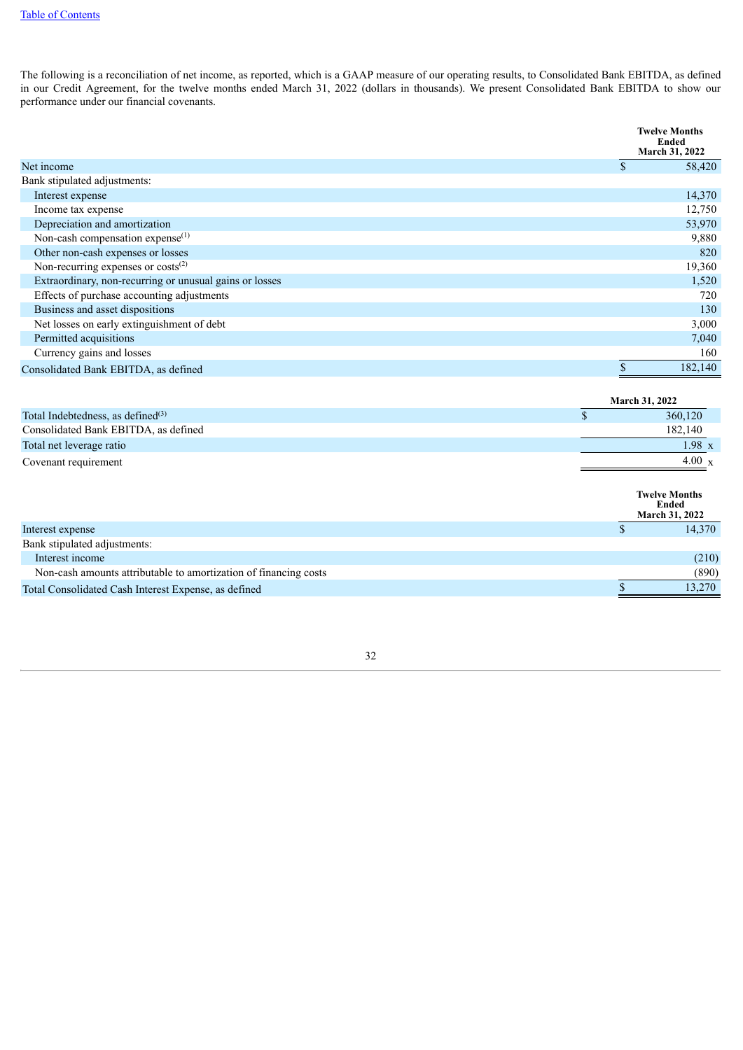The following is a reconciliation of net income, as reported, which is a GAAP measure of our operating results, to Consolidated Bank EBITDA, as defined in our Credit Agreement, for the twelve months ended March 31, 2022 (dollars in thousands). We present Consolidated Bank EBITDA to show our performance under our financial covenants.

|                                                         | <b>Twelve Months</b><br>Ended<br><b>March 31, 2022</b> |
|---------------------------------------------------------|--------------------------------------------------------|
| Net income                                              | \$<br>58,420                                           |
| Bank stipulated adjustments:                            |                                                        |
| Interest expense                                        | 14,370                                                 |
| Income tax expense                                      | 12,750                                                 |
| Depreciation and amortization                           | 53,970                                                 |
| Non-cash compensation expense $^{(1)}$                  | 9,880                                                  |
| Other non-cash expenses or losses                       | 820                                                    |
| Non-recurring expenses or costs <sup>(2)</sup>          | 19,360                                                 |
| Extraordinary, non-recurring or unusual gains or losses | 1,520                                                  |
| Effects of purchase accounting adjustments              | 720                                                    |
| Business and asset dispositions                         | 130                                                    |
| Net losses on early extinguishment of debt              | 3,000                                                  |
| Permitted acquisitions                                  | 7,040                                                  |
| Currency gains and losses                               | 160                                                    |
| Consolidated Bank EBITDA, as defined                    | 182,140                                                |

|                                      | <b>March 31, 2022</b> |  |
|--------------------------------------|-----------------------|--|
| Total Indebtedness, as defined $(3)$ | 360,120               |  |
| Consolidated Bank EBITDA, as defined | 182,140               |  |
| Total net leverage ratio             | $1.98 \text{ x}$      |  |
| Covenant requirement                 | 4.00 $x$              |  |
|                                      |                       |  |

|                                                                  | <b>Twelve Months</b><br>Ended<br><b>March 31, 2022</b> |
|------------------------------------------------------------------|--------------------------------------------------------|
| Interest expense                                                 | 14,370                                                 |
| Bank stipulated adjustments:                                     |                                                        |
| Interest income                                                  | (210)                                                  |
| Non-cash amounts attributable to amortization of financing costs | (890)                                                  |
| Total Consolidated Cash Interest Expense, as defined             | 13,270                                                 |

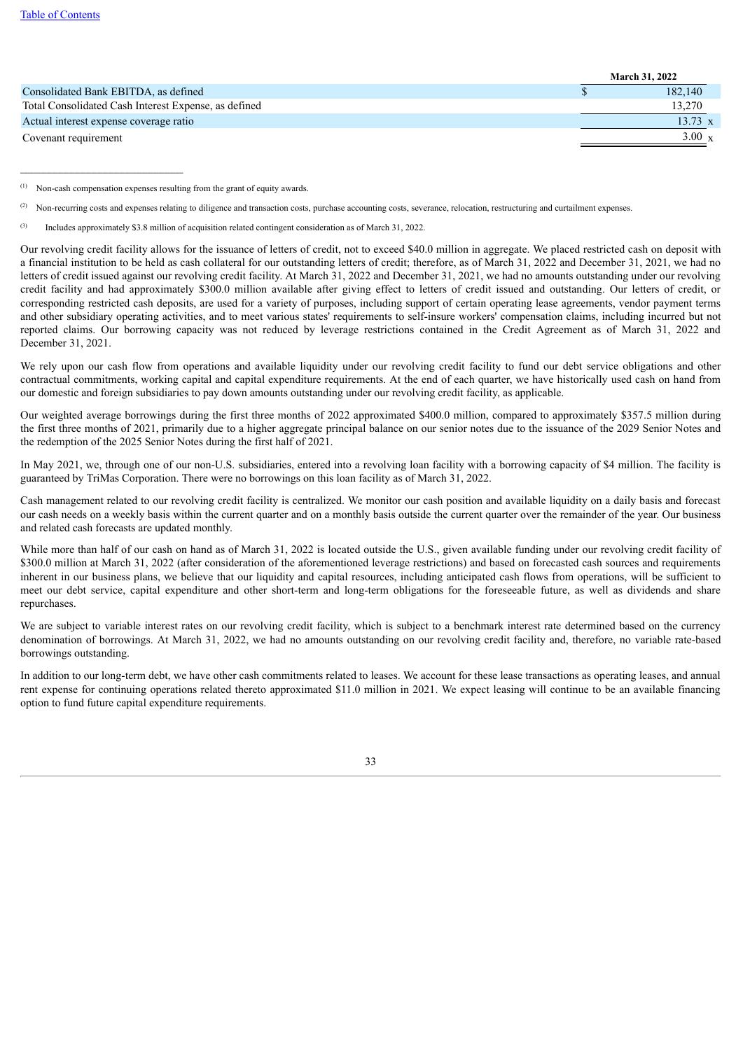#### Table of [Contents](#page-0-0)

|                                                      | <b>March 31, 2022</b> |  |
|------------------------------------------------------|-----------------------|--|
| Consolidated Bank EBITDA, as defined                 | 182.140               |  |
| Total Consolidated Cash Interest Expense, as defined | 13.270                |  |
| Actual interest expense coverage ratio               | $13.73 \times$        |  |
| Covenant requirement                                 | $3.00 \times$         |  |

Non-cash compensation expenses resulting from the grant of equity awards. (1)

\_\_\_\_\_\_\_\_\_\_\_\_\_\_\_\_\_\_\_\_\_\_\_\_\_\_\_\_\_

Our revolving credit facility allows for the issuance of letters of credit, not to exceed \$40.0 million in aggregate. We placed restricted cash on deposit with a financial institution to be held as cash collateral for our outstanding letters of credit; therefore, as of March 31, 2022 and December 31, 2021, we had no letters of credit issued against our revolving credit facility. At March 31, 2022 and December 31, 2021, we had no amounts outstanding under our revolving credit facility and had approximately \$300.0 million available after giving effect to letters of credit issued and outstanding. Our letters of credit, or corresponding restricted cash deposits, are used for a variety of purposes, including support of certain operating lease agreements, vendor payment terms and other subsidiary operating activities, and to meet various states' requirements to self-insure workers' compensation claims, including incurred but not reported claims. Our borrowing capacity was not reduced by leverage restrictions contained in the Credit Agreement as of March 31, 2022 and December 31, 2021.

We rely upon our cash flow from operations and available liquidity under our revolving credit facility to fund our debt service obligations and other contractual commitments, working capital and capital expenditure requirements. At the end of each quarter, we have historically used cash on hand from our domestic and foreign subsidiaries to pay down amounts outstanding under our revolving credit facility, as applicable.

Our weighted average borrowings during the first three months of 2022 approximated \$400.0 million, compared to approximately \$357.5 million during the first three months of 2021, primarily due to a higher aggregate principal balance on our senior notes due to the issuance of the 2029 Senior Notes and the redemption of the 2025 Senior Notes during the first half of 2021.

In May 2021, we, through one of our non-U.S. subsidiaries, entered into a revolving loan facility with a borrowing capacity of \$4 million. The facility is guaranteed by TriMas Corporation. There were no borrowings on this loan facility as of March 31, 2022.

Cash management related to our revolving credit facility is centralized. We monitor our cash position and available liquidity on a daily basis and forecast our cash needs on a weekly basis within the current quarter and on a monthly basis outside the current quarter over the remainder of the year. Our business and related cash forecasts are updated monthly.

While more than half of our cash on hand as of March 31, 2022 is located outside the U.S., given available funding under our revolving credit facility of \$300.0 million at March 31, 2022 (after consideration of the aforementioned leverage restrictions) and based on forecasted cash sources and requirements inherent in our business plans, we believe that our liquidity and capital resources, including anticipated cash flows from operations, will be sufficient to meet our debt service, capital expenditure and other short-term and long-term obligations for the foreseeable future, as well as dividends and share repurchases.

We are subject to variable interest rates on our revolving credit facility, which is subject to a benchmark interest rate determined based on the currency denomination of borrowings. At March 31, 2022, we had no amounts outstanding on our revolving credit facility and, therefore, no variable rate-based borrowings outstanding.

In addition to our long-term debt, we have other cash commitments related to leases. We account for these lease transactions as operating leases, and annual rent expense for continuing operations related thereto approximated \$11.0 million in 2021. We expect leasing will continue to be an available financing option to fund future capital expenditure requirements.

Non-recurring costs and expenses relating to diligence and transaction costs, purchase accounting costs, severance, relocation, restructuring and curtailment expenses. (2)

Includes approximately \$3.8 million of acquisition related contingent consideration as of March 31, 2022. (3)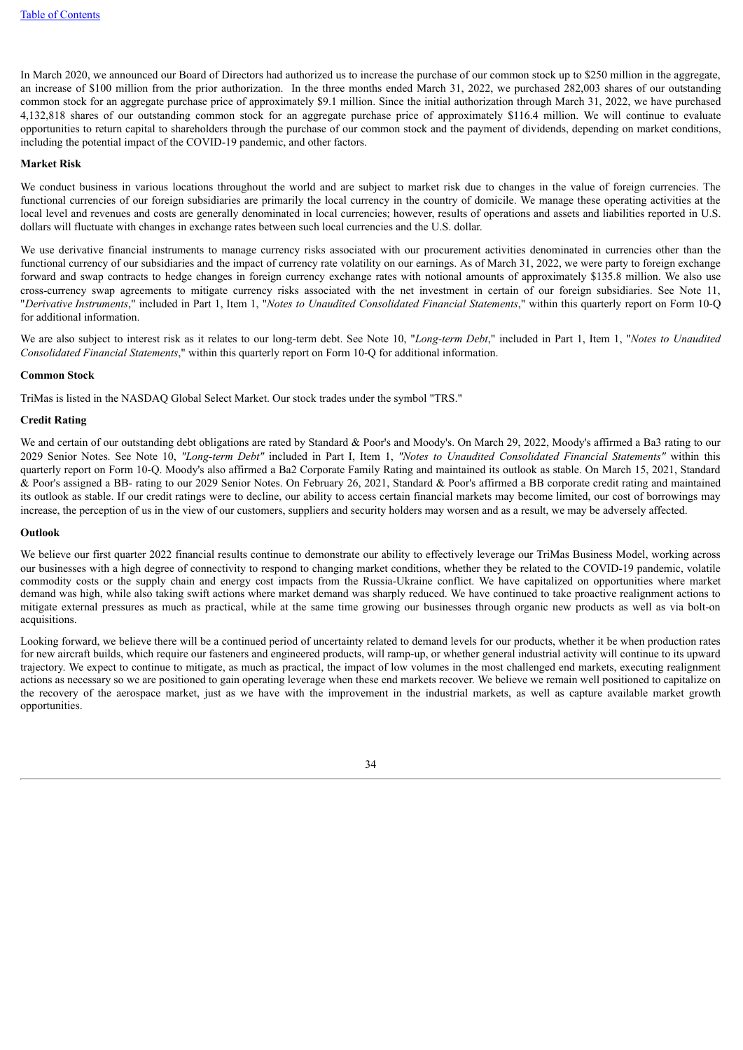In March 2020, we announced our Board of Directors had authorized us to increase the purchase of our common stock up to \$250 million in the aggregate, an increase of \$100 million from the prior authorization. In the three months ended March 31, 2022, we purchased 282,003 shares of our outstanding common stock for an aggregate purchase price of approximately \$9.1 million. Since the initial authorization through March 31, 2022, we have purchased 4,132,818 shares of our outstanding common stock for an aggregate purchase price of approximately \$116.4 million. We will continue to evaluate opportunities to return capital to shareholders through the purchase of our common stock and the payment of dividends, depending on market conditions, including the potential impact of the COVID-19 pandemic, and other factors.

#### **Market Risk**

We conduct business in various locations throughout the world and are subject to market risk due to changes in the value of foreign currencies. The functional currencies of our foreign subsidiaries are primarily the local currency in the country of domicile. We manage these operating activities at the local level and revenues and costs are generally denominated in local currencies; however, results of operations and assets and liabilities reported in U.S. dollars will fluctuate with changes in exchange rates between such local currencies and the U.S. dollar.

We use derivative financial instruments to manage currency risks associated with our procurement activities denominated in currencies other than the functional currency of our subsidiaries and the impact of currency rate volatility on our earnings. As of March 31, 2022, we were party to foreign exchange forward and swap contracts to hedge changes in foreign currency exchange rates with notional amounts of approximately \$135.8 million. We also use cross-currency swap agreements to mitigate currency risks associated with the net investment in certain of our foreign subsidiaries. See Note 11, "*Derivative Instruments*," included in Part 1, Item 1, "*Notes to Unaudited Consolidated Financial Statements*," within this quarterly report on Form 10-Q for additional information.

We are also subject to interest risk as it relates to our long-term debt. See Note 10, "*Long-term Debt*," included in Part 1, Item 1, "*Notes to Unaudited Consolidated Financial Statements*," within this quarterly report on Form 10-Q for additional information.

#### **Common Stock**

TriMas is listed in the NASDAQ Global Select Market. Our stock trades under the symbol "TRS."

#### **Credit Rating**

We and certain of our outstanding debt obligations are rated by Standard & Poor's and Moody's. On March 29, 2022, Moody's affirmed a Ba3 rating to our 2029 Senior Notes. See Note 10, *"Long-term Debt"* included in Part I, Item 1, *"Notes to Unaudited Consolidated Financial Statements"* within this quarterly report on Form 10-Q. Moody's also affirmed a Ba2 Corporate Family Rating and maintained its outlook as stable. On March 15, 2021, Standard & Poor's assigned a BB- rating to our 2029 Senior Notes. On February 26, 2021, Standard & Poor's affirmed a BB corporate credit rating and maintained its outlook as stable. If our credit ratings were to decline, our ability to access certain financial markets may become limited, our cost of borrowings may increase, the perception of us in the view of our customers, suppliers and security holders may worsen and as a result, we may be adversely affected.

#### **Outlook**

We believe our first quarter 2022 financial results continue to demonstrate our ability to effectively leverage our TriMas Business Model, working across our businesses with a high degree of connectivity to respond to changing market conditions, whether they be related to the COVID-19 pandemic, volatile commodity costs or the supply chain and energy cost impacts from the Russia-Ukraine conflict. We have capitalized on opportunities where market demand was high, while also taking swift actions where market demand was sharply reduced. We have continued to take proactive realignment actions to mitigate external pressures as much as practical, while at the same time growing our businesses through organic new products as well as via bolt-on acquisitions.

Looking forward, we believe there will be a continued period of uncertainty related to demand levels for our products, whether it be when production rates for new aircraft builds, which require our fasteners and engineered products, will ramp-up, or whether general industrial activity will continue to its upward trajectory. We expect to continue to mitigate, as much as practical, the impact of low volumes in the most challenged end markets, executing realignment actions as necessary so we are positioned to gain operating leverage when these end markets recover. We believe we remain well positioned to capitalize on the recovery of the aerospace market, just as we have with the improvement in the industrial markets, as well as capture available market growth opportunities.

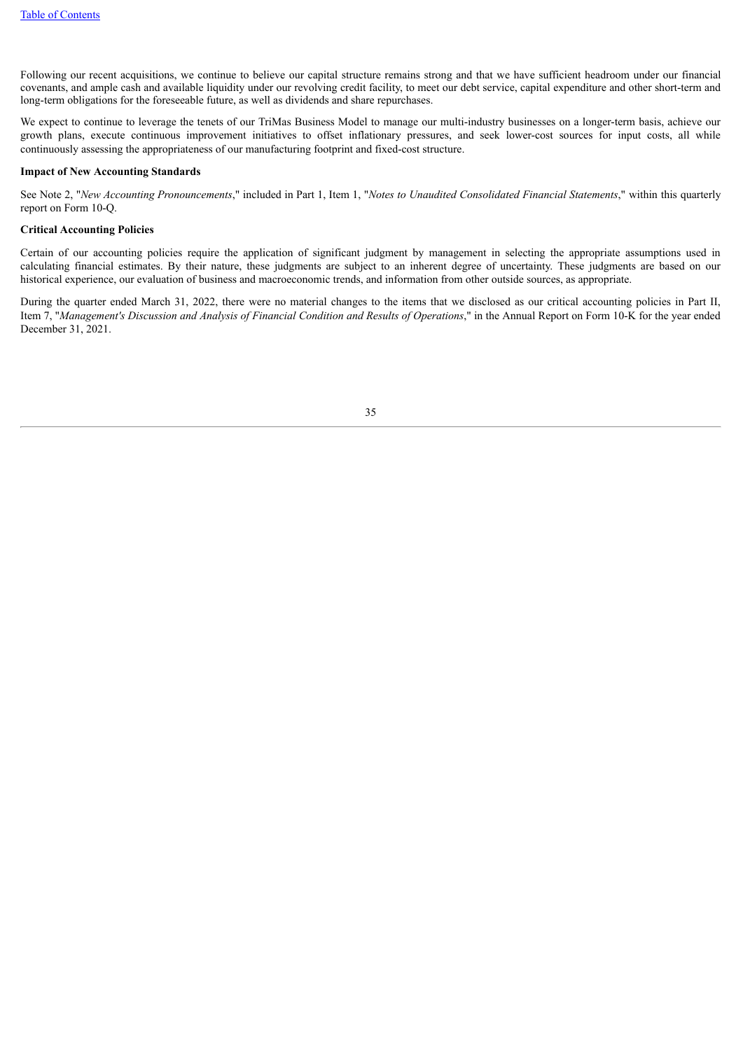Following our recent acquisitions, we continue to believe our capital structure remains strong and that we have sufficient headroom under our financial covenants, and ample cash and available liquidity under our revolving credit facility, to meet our debt service, capital expenditure and other short-term and long-term obligations for the foreseeable future, as well as dividends and share repurchases.

We expect to continue to leverage the tenets of our TriMas Business Model to manage our multi-industry businesses on a longer-term basis, achieve our growth plans, execute continuous improvement initiatives to offset inflationary pressures, and seek lower-cost sources for input costs, all while continuously assessing the appropriateness of our manufacturing footprint and fixed-cost structure.

#### **Impact of New Accounting Standards**

See Note 2, "*New Accounting Pronouncements*," included in Part 1, Item 1, "*Notes to Unaudited Consolidated Financial Statements*," within this quarterly report on Form 10-Q.

#### **Critical Accounting Policies**

Certain of our accounting policies require the application of significant judgment by management in selecting the appropriate assumptions used in calculating financial estimates. By their nature, these judgments are subject to an inherent degree of uncertainty. These judgments are based on our historical experience, our evaluation of business and macroeconomic trends, and information from other outside sources, as appropriate.

<span id="page-35-0"></span>During the quarter ended March 31, 2022, there were no material changes to the items that we disclosed as our critical accounting policies in Part II, Item 7, "Management's Discussion and Analysis of Financial Condition and Results of Operations," in the Annual Report on Form 10-K for the year ended December 31, 2021.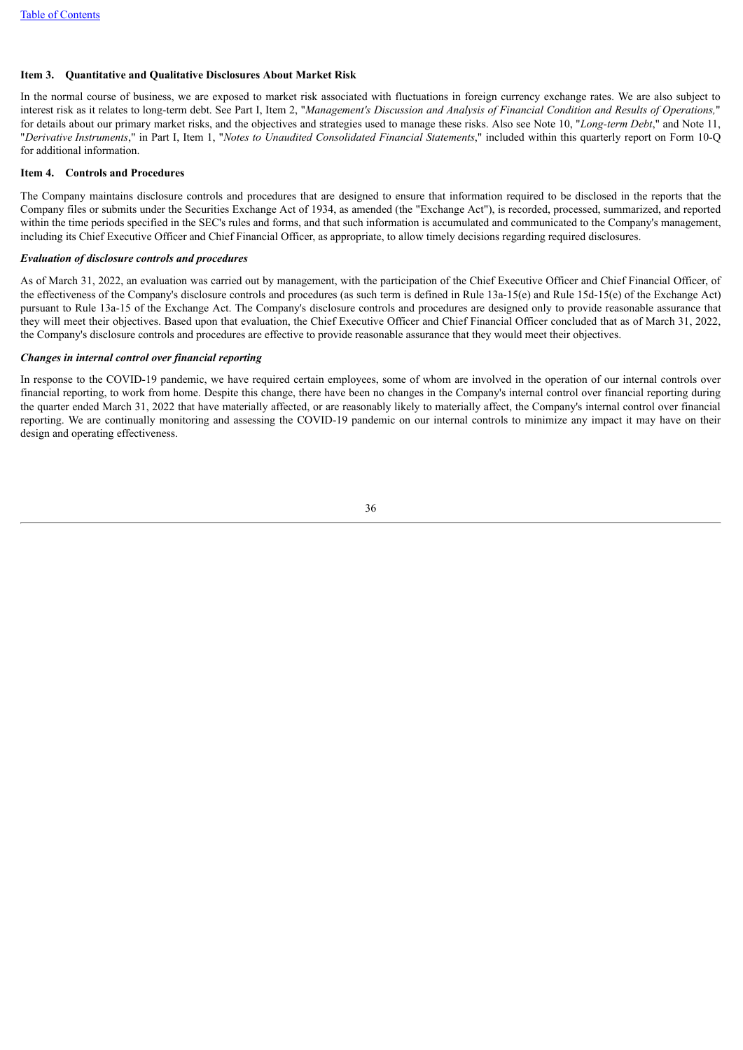#### **Item 3. Quantitative and Qualitative Disclosures About Market Risk**

In the normal course of business, we are exposed to market risk associated with fluctuations in foreign currency exchange rates. We are also subject to interest risk as it relates to long-term debt. See Part I, Item 2, "Management's Discussion and Analysis of Financial Condition and Results of Operations," for details about our primary market risks, and the objectives and strategies used to manage these risks. Also see Note 10, "*Long-term Debt*," and Note 11, "*Derivative Instruments*," in Part I, Item 1, "*Notes to Unaudited Consolidated Financial Statements*," included within this quarterly report on Form 10-Q for additional information.

#### **Item 4. Controls and Procedures**

The Company maintains disclosure controls and procedures that are designed to ensure that information required to be disclosed in the reports that the Company files or submits under the Securities Exchange Act of 1934, as amended (the "Exchange Act"), is recorded, processed, summarized, and reported within the time periods specified in the SEC's rules and forms, and that such information is accumulated and communicated to the Company's management, including its Chief Executive Officer and Chief Financial Officer, as appropriate, to allow timely decisions regarding required disclosures.

#### *Evaluation of disclosure controls and procedures*

As of March 31, 2022, an evaluation was carried out by management, with the participation of the Chief Executive Officer and Chief Financial Officer, of the effectiveness of the Company's disclosure controls and procedures (as such term is defined in Rule 13a-15(e) and Rule 15d-15(e) of the Exchange Act) pursuant to Rule 13a-15 of the Exchange Act. The Company's disclosure controls and procedures are designed only to provide reasonable assurance that they will meet their objectives. Based upon that evaluation, the Chief Executive Officer and Chief Financial Officer concluded that as of March 31, 2022, the Company's disclosure controls and procedures are effective to provide reasonable assurance that they would meet their objectives.

#### *Changes in internal control over financial reporting*

In response to the COVID-19 pandemic, we have required certain employees, some of whom are involved in the operation of our internal controls over financial reporting, to work from home. Despite this change, there have been no changes in the Company's internal control over financial reporting during the quarter ended March 31, 2022 that have materially affected, or are reasonably likely to materially affect, the Company's internal control over financial reporting. We are continually monitoring and assessing the COVID-19 pandemic on our internal controls to minimize any impact it may have on their design and operating effectiveness.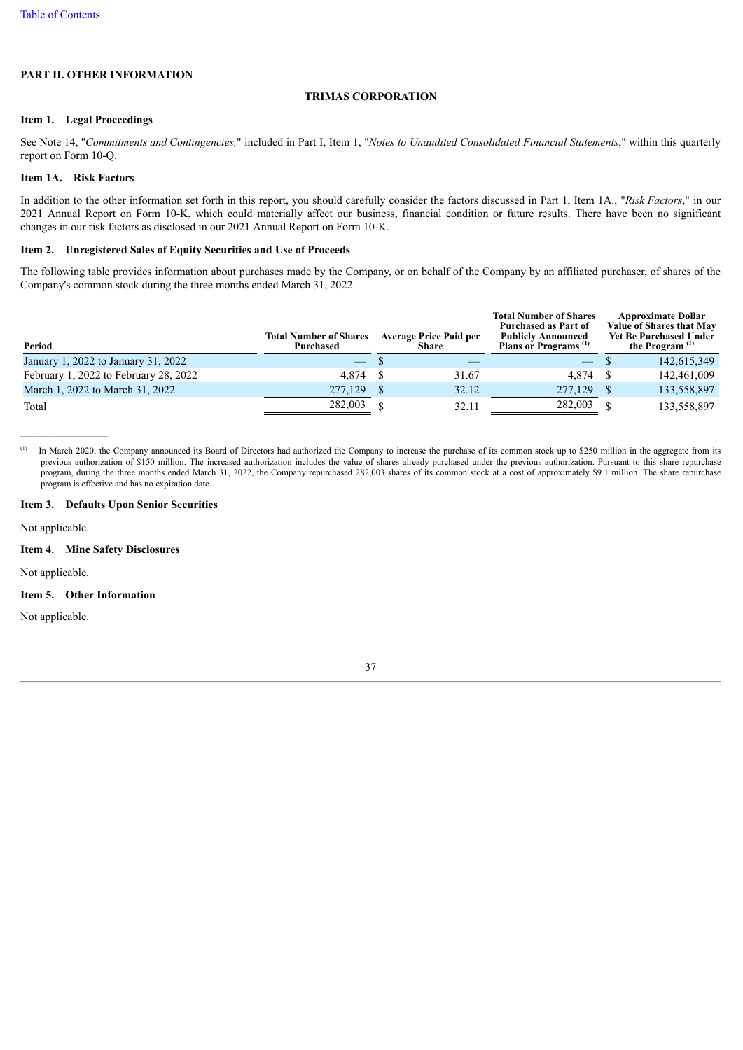## **PART II. OTHER INFORMATION**

#### **TRIMAS CORPORATION**

#### **Item 1. Legal Proceedings**

See Note 14, "*Commitments and Contingencies,*" included in Part I, Item 1, "*Notes to Unaudited Consolidated Financial Statements*," within this quarterly report on Form 10-Q.

## **Item 1A. Risk Factors**

In addition to the other information set forth in this report, you should carefully consider the factors discussed in Part 1, Item 1A., "*Risk Factors*," in our 2021 Annual Report on Form 10-K, which could materially affect our business, financial condition or future results. There have been no significant changes in our risk factors as disclosed in our 2021 Annual Report on Form 10-K.

#### **Item 2. Unregistered Sales of Equity Securities and Use of Proceeds**

The following table provides information about purchases made by the Company, or on behalf of the Company by an affiliated purchaser, of shares of the Company's common stock during the three months ended March 31, 2022.

| Period                                | <b>Total Number of Shares</b><br><b>Purchased</b> | <b>Average Price Paid per</b><br>Share | <b>Total Number of Shares</b><br><b>Purchased as Part of</b><br><b>Publicly Announced</b><br>Plans or Programs <sup>(1)</sup> | <b>Approximate Dollar</b><br>Value of Shares that May<br><b>Yet Be Purchased Under</b><br>the Program <sup>(1)</sup> |
|---------------------------------------|---------------------------------------------------|----------------------------------------|-------------------------------------------------------------------------------------------------------------------------------|----------------------------------------------------------------------------------------------------------------------|
| January 1, 2022 to January 31, 2022   | $\overline{\phantom{0}}$                          |                                        | $\hspace{0.1mm}-\hspace{0.1mm}$                                                                                               | 142,615,349                                                                                                          |
| February 1, 2022 to February 28, 2022 | 4.874                                             | 31.67                                  | 4.874                                                                                                                         | 142,461,009                                                                                                          |
| March 1, 2022 to March 31, 2022       | 277,129                                           | 32.12                                  | 277,129                                                                                                                       | 133,558,897                                                                                                          |
| Total                                 | 282,003                                           | 32.11                                  | 282,003                                                                                                                       | 133,558,897                                                                                                          |

In March 2020, the Company announced its Board of Directors had authorized the Company to increase the purchase of its common stock up to \$250 million in the aggregate from its previous authorization of \$150 million. The increased authorization includes the value of shares already purchased under the previous authorization. Pursuant to this share repurchase program, during the three months ended March 31, 2022, the Company repurchased 282,003 shares of its common stock at a cost of approximately \$9.1 million. The share repurchase program is effective and has no expiration date. (1)

#### **Item 3. Defaults Upon Senior Securities**

Not applicable.

#### **Item 4. Mine Safety Disclosures**

Not applicable.

#### **Item 5. Other Information**

Not applicable.

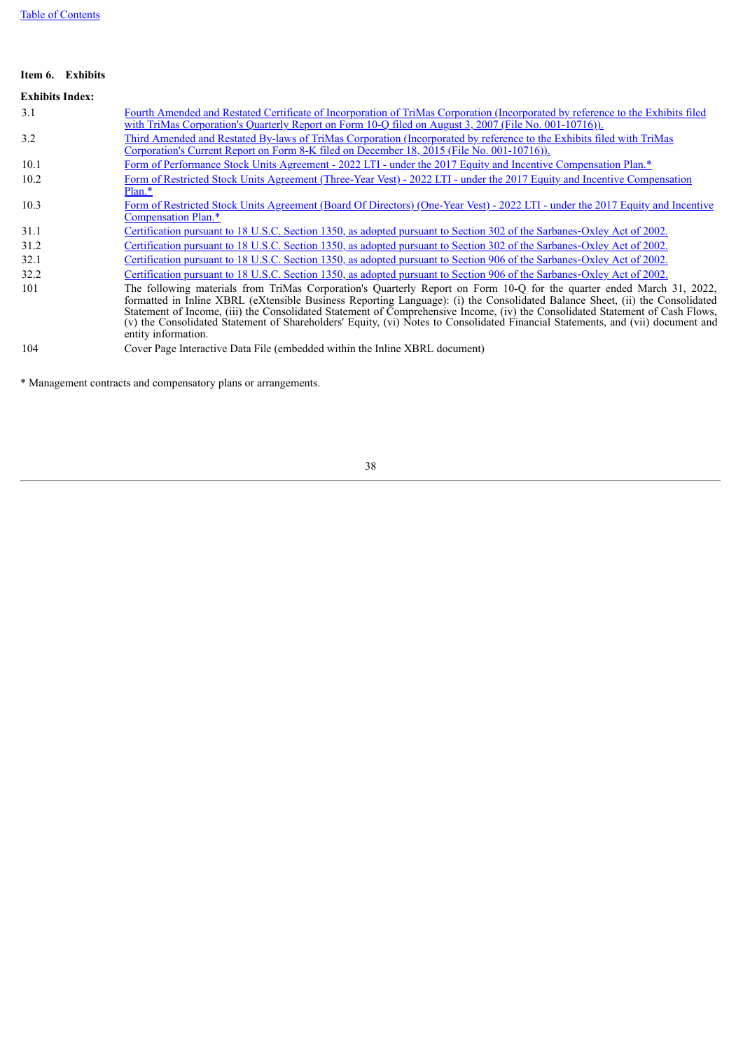## **Item 6. Exhibits**

# **Exhibits Index:**

| 3.1  | Fourth Amended and Restated Certificate of Incorporation of TriMas Corporation (Incorporated by reference to the Exhibits filed<br>with TriMas Corporation's Quarterly Report on Form 10-Q filed on August 3, 2007 (File No. 001-10716)).                                                                                                                                                                                                                                                                                                        |
|------|--------------------------------------------------------------------------------------------------------------------------------------------------------------------------------------------------------------------------------------------------------------------------------------------------------------------------------------------------------------------------------------------------------------------------------------------------------------------------------------------------------------------------------------------------|
| 3.2  | Third Amended and Restated By-laws of TriMas Corporation (Incorporated by reference to the Exhibits filed with TriMas<br>Corporation's Current Report on Form 8-K filed on December 18, 2015 (File No. 001-10716)).                                                                                                                                                                                                                                                                                                                              |
| 10.1 | Form of Performance Stock Units Agreement - 2022 LTI - under the 2017 Equity and Incentive Compensation Plan.*                                                                                                                                                                                                                                                                                                                                                                                                                                   |
| 10.2 | Form of Restricted Stock Units Agreement (Three-Year Vest) - 2022 LTI - under the 2017 Equity and Incentive Compensation<br>$Plan.*$                                                                                                                                                                                                                                                                                                                                                                                                             |
| 10.3 | Form of Restricted Stock Units Agreement (Board Of Directors) (One-Year Vest) - 2022 LTI - under the 2017 Equity and Incentive<br>Compensation Plan.*                                                                                                                                                                                                                                                                                                                                                                                            |
| 31.1 | Certification pursuant to 18 U.S.C. Section 1350, as adopted pursuant to Section 302 of the Sarbanes-Oxley Act of 2002.                                                                                                                                                                                                                                                                                                                                                                                                                          |
| 31.2 | Certification pursuant to 18 U.S.C. Section 1350, as adopted pursuant to Section 302 of the Sarbanes-Oxley Act of 2002.                                                                                                                                                                                                                                                                                                                                                                                                                          |
| 32.1 | Certification pursuant to 18 U.S.C. Section 1350, as adopted pursuant to Section 906 of the Sarbanes-Oxley Act of 2002.                                                                                                                                                                                                                                                                                                                                                                                                                          |
| 32.2 | Certification pursuant to 18 U.S.C. Section 1350, as adopted pursuant to Section 906 of the Sarbanes-Oxley Act of 2002.                                                                                                                                                                                                                                                                                                                                                                                                                          |
| 101  | The following materials from TriMas Corporation's Quarterly Report on Form 10-Q for the quarter ended March 31, 2022,<br>formatted in Inline XBRL (eXtensible Business Reporting Language): (i) the Consolidated Balance Sheet, (ii) the Consolidated<br>Statement of Income, (iii) the Consolidated Statement of Comprehensive Income, (iv) the Consolidated Statement of Cash Flows,<br>(v) the Consolidated Statement of Shareholders' Equity, (vi) Notes to Consolidated Financial Statements, and (vii) document and<br>entity information. |
| 104  | Cover Page Interactive Data File (embedded within the Inline XBRL document)                                                                                                                                                                                                                                                                                                                                                                                                                                                                      |

\* Management contracts and compensatory plans or arrangements.

38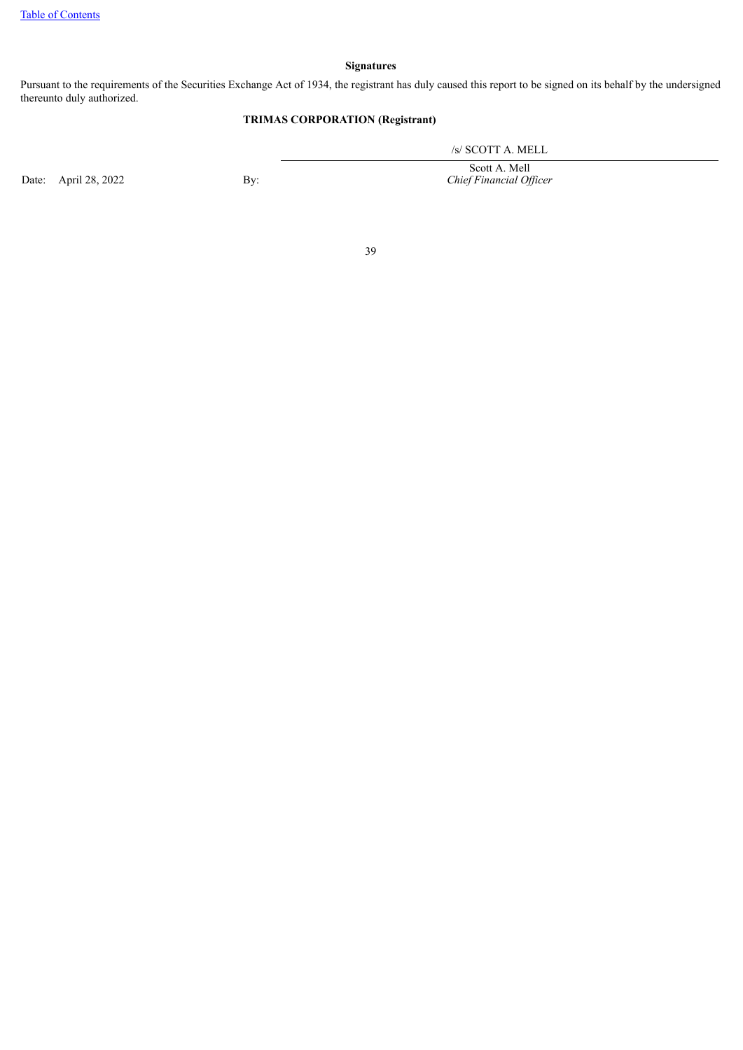## **Signatures**

Pursuant to the requirements of the Securities Exchange Act of 1934, the registrant has duly caused this report to be signed on its behalf by the undersigned thereunto duly authorized.

## **TRIMAS CORPORATION (Registrant)**

/s/ SCOTT A. MELL

Scott A. Mell *Chief Financial Of icer*

Date: April 28, 2022 By:

39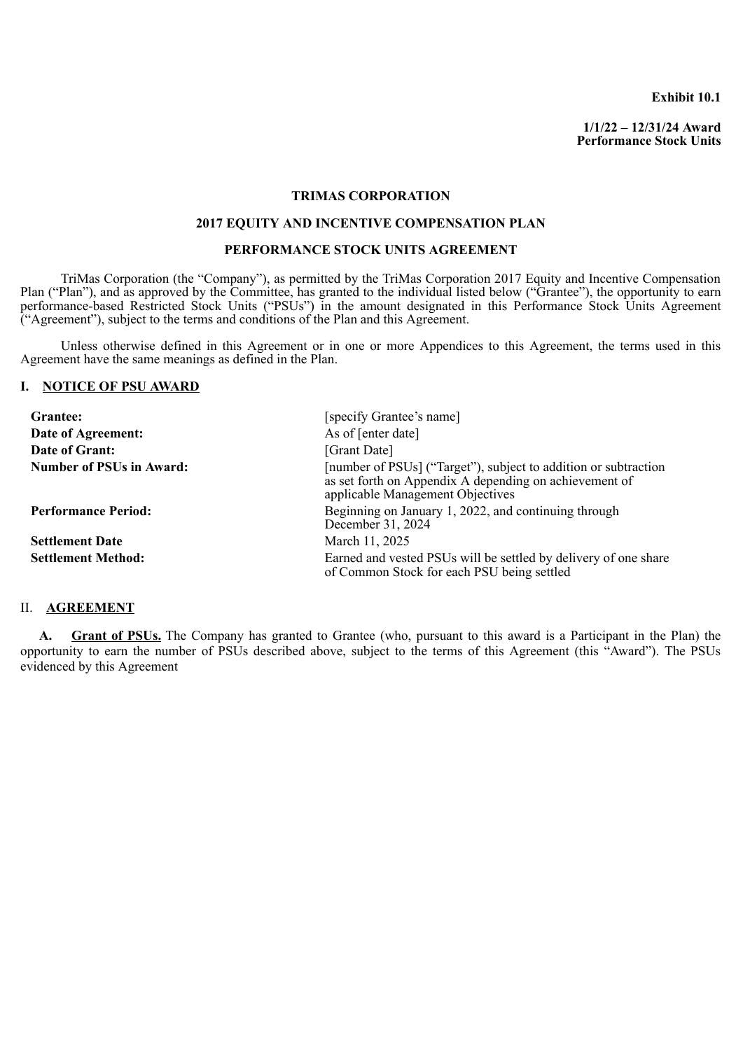**Exhibit 10.1**

**1/1/22 – 12/31/24 Award Performance Stock Units**

#### **TRIMAS CORPORATION**

## **2017 EQUITY AND INCENTIVE COMPENSATION PLAN**

#### **PERFORMANCE STOCK UNITS AGREEMENT**

<span id="page-40-0"></span>TriMas Corporation (the "Company"), as permitted by the TriMas Corporation 2017 Equity and Incentive Compensation Plan ("Plan"), and as approved by the Committee, has granted to the individual listed below ("Grantee"), the opportunity to earn performance-based Restricted Stock Units ("PSUs") in the amount designated in this Performance Stock Units Agreement ("Agreement"), subject to the terms and conditions of the Plan and this Agreement.

Unless otherwise defined in this Agreement or in one or more Appendices to this Agreement, the terms used in this Agreement have the same meanings as defined in the Plan.

## **I. NOTICE OF PSU AWARD**

| Grantee:                        | [specify Grantee's name]                                                                                                                                      |
|---------------------------------|---------------------------------------------------------------------------------------------------------------------------------------------------------------|
| Date of Agreement:              | As of [enter date]                                                                                                                                            |
| Date of Grant:                  | [Grant Date]                                                                                                                                                  |
| <b>Number of PSUs in Award:</b> | [number of PSUs] ("Target"), subject to addition or subtraction<br>as set forth on Appendix A depending on achievement of<br>applicable Management Objectives |
| <b>Performance Period:</b>      | Beginning on January 1, 2022, and continuing through<br>December 31, 2024                                                                                     |
| <b>Settlement Date</b>          | March 11, 2025                                                                                                                                                |
| <b>Settlement Method:</b>       | Earned and vested PSUs will be settled by delivery of one share<br>of Common Stock for each PSU being settled                                                 |

## II. **AGREEMENT**

**A. Grant of PSUs.** The Company has granted to Grantee (who, pursuant to this award is a Participant in the Plan) the opportunity to earn the number of PSUs described above, subject to the terms of this Agreement (this "Award"). The PSUs evidenced by this Agreement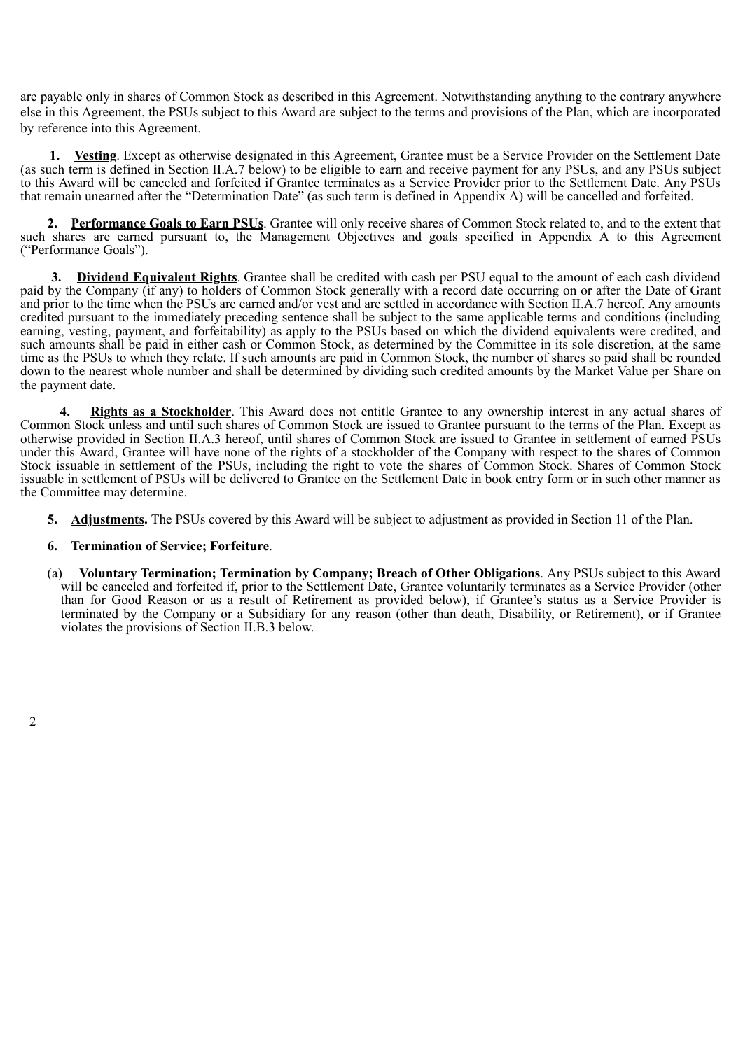are payable only in shares of Common Stock as described in this Agreement. Notwithstanding anything to the contrary anywhere else in this Agreement, the PSUs subject to this Award are subject to the terms and provisions of the Plan, which are incorporated by reference into this Agreement.

**1. Vesting**. Except as otherwise designated in this Agreement, Grantee must be a Service Provider on the Settlement Date (as such term is defined in Section II.A.7 below) to be eligible to earn and receive payment for any PSUs, and any PSUs subject to this Award will be canceled and forfeited if Grantee terminates as a Service Provider prior to the Settlement Date. Any PSUs that remain unearned after the "Determination Date" (as such term is defined in Appendix A) will be cancelled and forfeited.

**2. Performance Goals to Earn PSUs**. Grantee will only receive shares of Common Stock related to, and to the extent that such shares are earned pursuant to, the Management Objectives and goals specified in Appendix A to this Agreement ("Performance Goals").

**3. Dividend Equivalent Rights**. Grantee shall be credited with cash per PSU equal to the amount of each cash dividend paid by the Company (if any) to holders of Common Stock generally with a record date occurring on or after the Date of Grant and prior to the time when the PSUs are earned and/or vest and are settled in accordance with Section II.A.7 hereof. Any amounts credited pursuant to the immediately preceding sentence shall be subject to the same applicable terms and conditions (including earning, vesting, payment, and forfeitability) as apply to the PSUs based on which the dividend equivalents were credited, and such amounts shall be paid in either cash or Common Stock, as determined by the Committee in its sole discretion, at the same time as the PSUs to which they relate. If such amounts are paid in Common Stock, the number of shares so paid shall be rounded down to the nearest whole number and shall be determined by dividing such credited amounts by the Market Value per Share on the payment date.

**4. Rights as a Stockholder**. This Award does not entitle Grantee to any ownership interest in any actual shares of Common Stock unless and until such shares of Common Stock are issued to Grantee pursuant to the terms of the Plan. Except as otherwise provided in Section II.A.3 hereof, until shares of Common Stock are issued to Grantee in settlement of earned PSUs under this Award, Grantee will have none of the rights of a stockholder of the Company with respect to the shares of Common Stock issuable in settlement of the PSUs, including the right to vote the shares of Common Stock. Shares of Common Stock issuable in settlement of PSUs will be delivered to Grantee on the Settlement Date in book entry form or in such other manner as the Committee may determine.

**5. Adjustments.** The PSUs covered by this Award will be subject to adjustment as provided in Section 11 of the Plan.

## **6. Termination of Service; Forfeiture**.

(a) **Voluntary Termination; Termination by Company; Breach of Other Obligations**. Any PSUs subject to this Award will be canceled and forfeited if, prior to the Settlement Date, Grantee voluntarily terminates as a Service Provider (other than for Good Reason or as a result of Retirement as provided below), if Grantee's status as a Service Provider is terminated by the Company or a Subsidiary for any reason (other than death, Disability, or Retirement), or if Grantee violates the provisions of Section II.B.3 below.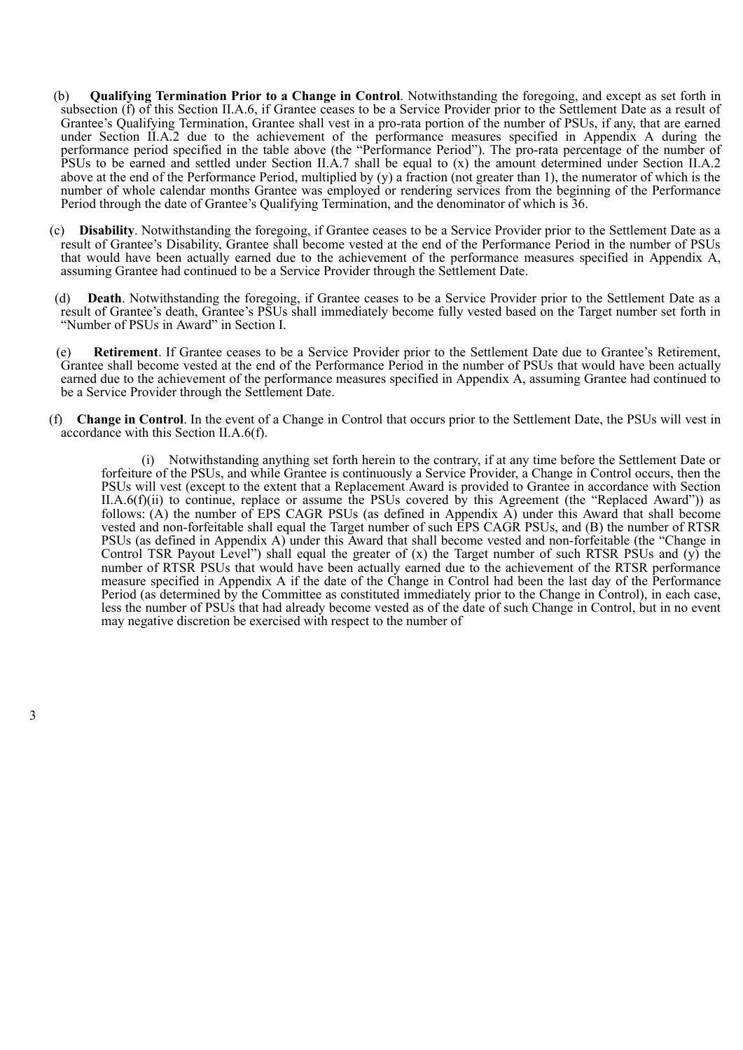- (b) **Qualifying Termination Prior to a Change in Control**. Notwithstanding the foregoing, and except as set forth in subsection (f) of this Section II.A.6, if Grantee ceases to be a Service Provider prior to the Settlement Date as a result of Grantee's Qualifying Termination, Grantee shall vest in a pro-rata portion of the number of PSUs, if any, that are earned under Section II.A.2 due to the achievement of the performance measures specified in Appendix A during the performance period specified in the table above (the "Performance Period"). The pro-rata percentage of the number of PSUs to be earned and settled under Section II.A.7 shall be equal to (x) the amount determined under Section II.A.2 above at the end of the Performance Period, multiplied by (y) a fraction (not greater than 1), the numerator of which is the number of whole calendar months Grantee was employed or rendering services from the beginning of the Performance Period through the date of Grantee's Qualifying Termination, and the denominator of which is 36.
- (c) **Disability**. Notwithstanding the foregoing, if Grantee ceases to be a Service Provider prior to the Settlement Date as a result of Grantee's Disability, Grantee shall become vested at the end of the Performance Period in the number of PSUs that would have been actually earned due to the achievement of the performance measures specified in Appendix A, assuming Grantee had continued to be a Service Provider through the Settlement Date.
- (d) **Death**. Notwithstanding the foregoing, if Grantee ceases to be a Service Provider prior to the Settlement Date as a result of Grantee's death, Grantee's PSUs shall immediately become fully vested based on the Target number set forth in "Number of PSUs in Award" in Section I.
- (e) **Retirement**. If Grantee ceases to be a Service Provider prior to the Settlement Date due to Grantee's Retirement, Grantee shall become vested at the end of the Performance Period in the number of PSUs that would have been actually earned due to the achievement of the performance measures specified in Appendix A, assuming Grantee had continued to be a Service Provider through the Settlement Date.
- (f) **Change in Control**. In the event of a Change in Control that occurs prior to the Settlement Date, the PSUs will vest in accordance with this Section II.A.6(f).

(i) Notwithstanding anything set forth herein to the contrary, if at any time before the Settlement Date or forfeiture of the PSUs, and while Grantee is continuously a Service Provider, a Change in Control occurs, then the PSUs will vest (except to the extent that a Replacement Award is provided to Grantee in accordance with Section II.A.6(f)(ii) to continue, replace or assume the PSUs covered by this Agreement (the "Replaced Award")) as follows: (A) the number of EPS CAGR PSUs (as defined in Appendix A) under this Award that shall become vested and non-forfeitable shall equal the Target number of such EPS CAGR PSUs, and (B) the number of RTSR PSUs (as defined in Appendix A) under this Award that shall become vested and non-forfeitable (the "Change in Control TSR Payout Level") shall equal the greater of  $(x)$  the Target number of such RTSR PSUs and  $(y)$  the number of RTSR PSUs that would have been actually earned due to the achievement of the RTSR performance measure specified in Appendix A if the date of the Change in Control had been the last day of the Performance Period (as determined by the Committee as constituted immediately prior to the Change in Control), in each case, less the number of PSUs that had already become vested as of the date of such Change in Control, but in no event may negative discretion be exercised with respect to the number of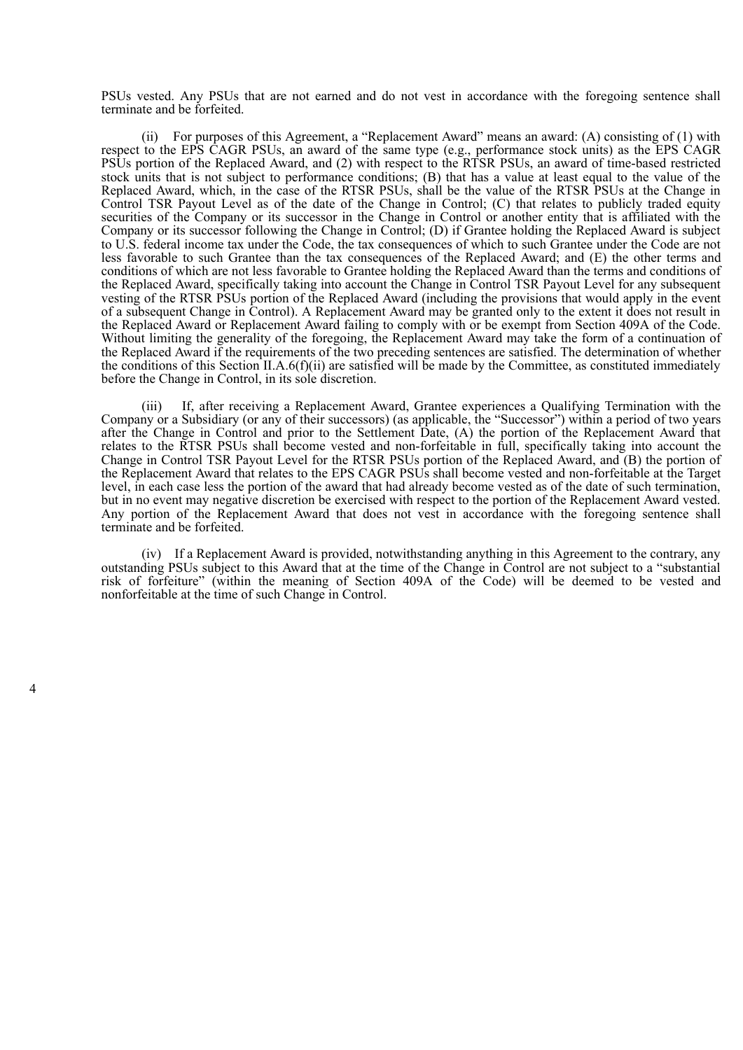PSUs vested. Any PSUs that are not earned and do not vest in accordance with the foregoing sentence shall terminate and be forfeited.

(ii) For purposes of this Agreement, a "Replacement Award" means an award: (A) consisting of (1) with respect to the EPS CAGR PSUs, an award of the same type (e.g., performance stock units) as the EPS CAGR PSUs portion of the Replaced Award, and (2) with respect to the RTSR PSUs, an award of time-based restricted stock units that is not subject to performance conditions; (B) that has a value at least equal to the value of the Replaced Award, which, in the case of the RTSR PSUs, shall be the value of the RTSR PSUs at the Change in Control TSR Payout Level as of the date of the Change in Control; (C) that relates to publicly traded equity securities of the Company or its successor in the Change in Control or another entity that is affiliated with the Company or its successor following the Change in Control; (D) if Grantee holding the Replaced Award is subject to U.S. federal income tax under the Code, the tax consequences of which to such Grantee under the Code are not less favorable to such Grantee than the tax consequences of the Replaced Award; and (E) the other terms and conditions of which are not less favorable to Grantee holding the Replaced Award than the terms and conditions of the Replaced Award, specifically taking into account the Change in Control TSR Payout Level for any subsequent vesting of the RTSR PSUs portion of the Replaced Award (including the provisions that would apply in the event of a subsequent Change in Control). A Replacement Award may be granted only to the extent it does not result in the Replaced Award or Replacement Award failing to comply with or be exempt from Section 409A of the Code. Without limiting the generality of the foregoing, the Replacement Award may take the form of a continuation of the Replaced Award if the requirements of the two preceding sentences are satisfied. The determination of whether the conditions of this Section II.A.6(f)(ii) are satisfied will be made by the Committee, as constituted immediately before the Change in Control, in its sole discretion.

(iii) If, after receiving a Replacement Award, Grantee experiences a Qualifying Termination with the Company or a Subsidiary (or any of their successors) (as applicable, the "Successor") within a period of two years after the Change in Control and prior to the Settlement Date, (A) the portion of the Replacement Award that relates to the RTSR PSUs shall become vested and non-forfeitable in full, specifically taking into account the Change in Control TSR Payout Level for the RTSR PSUs portion of the Replaced Award, and (B) the portion of the Replacement Award that relates to the EPS CAGR PSUs shall become vested and non-forfeitable at the Target level, in each case less the portion of the award that had already become vested as of the date of such termination, but in no event may negative discretion be exercised with respect to the portion of the Replacement Award vested. Any portion of the Replacement Award that does not vest in accordance with the foregoing sentence shall terminate and be forfeited.

(iv) If a Replacement Award is provided, notwithstanding anything in this Agreement to the contrary, any outstanding PSUs subject to this Award that at the time of the Change in Control are not subject to a "substantial risk of forfeiture" (within the meaning of Section 409A of the Code) will be deemed to be vested and nonforfeitable at the time of such Change in Control.

4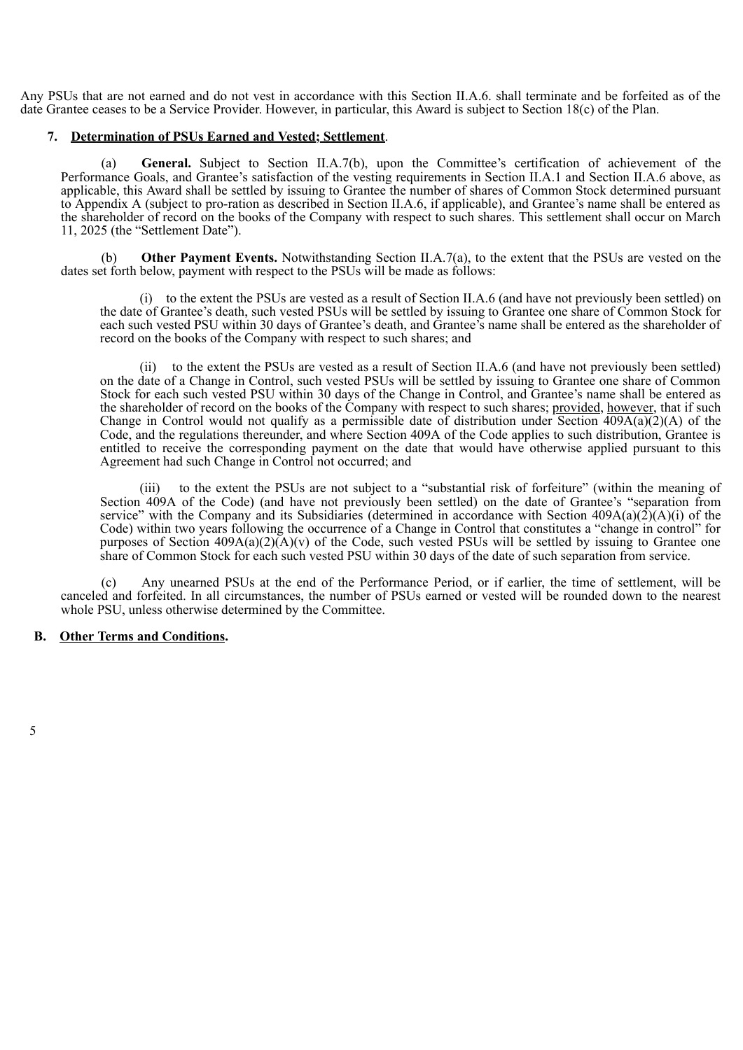Any PSUs that are not earned and do not vest in accordance with this Section II.A.6. shall terminate and be forfeited as of the date Grantee ceases to be a Service Provider. However, in particular, this Award is subject to Section 18(c) of the Plan.

## **7. Determination of PSUs Earned and Vested; Settlement**.

General. Subject to Section II.A.7(b), upon the Committee's certification of achievement of the Performance Goals, and Grantee's satisfaction of the vesting requirements in Section II.A.1 and Section II.A.6 above, as applicable, this Award shall be settled by issuing to Grantee the number of shares of Common Stock determined pursuant to Appendix A (subject to pro-ration as described in Section II.A.6, if applicable), and Grantee's name shall be entered as the shareholder of record on the books of the Company with respect to such shares. This settlement shall occur on March 11, 2025 (the "Settlement Date").

(b) **Other Payment Events.** Notwithstanding Section II.A.7(a), to the extent that the PSUs are vested on the dates set forth below, payment with respect to the PSUs will be made as follows:

(i) to the extent the PSUs are vested as a result of Section II.A.6 (and have not previously been settled) on the date of Grantee's death, such vested PSUs will be settled by issuing to Grantee one share of Common Stock for each such vested PSU within 30 days of Grantee's death, and Grantee's name shall be entered as the shareholder of record on the books of the Company with respect to such shares; and

(ii) to the extent the PSUs are vested as a result of Section II.A.6 (and have not previously been settled) on the date of a Change in Control, such vested PSUs will be settled by issuing to Grantee one share of Common Stock for each such vested PSU within 30 days of the Change in Control, and Grantee's name shall be entered as the shareholder of record on the books of the Company with respect to such shares; provided, however, that if such Change in Control would not qualify as a permissible date of distribution under Section  $\overline{409A(a)(2)}(A)$  of the Code, and the regulations thereunder, and where Section 409A of the Code applies to such distribution, Grantee is entitled to receive the corresponding payment on the date that would have otherwise applied pursuant to this Agreement had such Change in Control not occurred; and

(iii) to the extent the PSUs are not subject to a "substantial risk of forfeiture" (within the meaning of Section 409A of the Code) (and have not previously been settled) on the date of Grantee's "separation from service" with the Company and its Subsidiaries (determined in accordance with Section  $409A(a)(2)(A)(i)$  of the Code) within two years following the occurrence of a Change in Control that constitutes a "change in control" for purposes of Section  $409A(a)(2)(A)(v)$  of the Code, such vested PSUs will be settled by issuing to Grantee one share of Common Stock for each such vested PSU within 30 days of the date of such separation from service.

Any unearned PSUs at the end of the Performance Period, or if earlier, the time of settlement, will be canceled and forfeited. In all circumstances, the number of PSUs earned or vested will be rounded down to the nearest whole PSU, unless otherwise determined by the Committee.

## **B. Other Terms and Conditions.**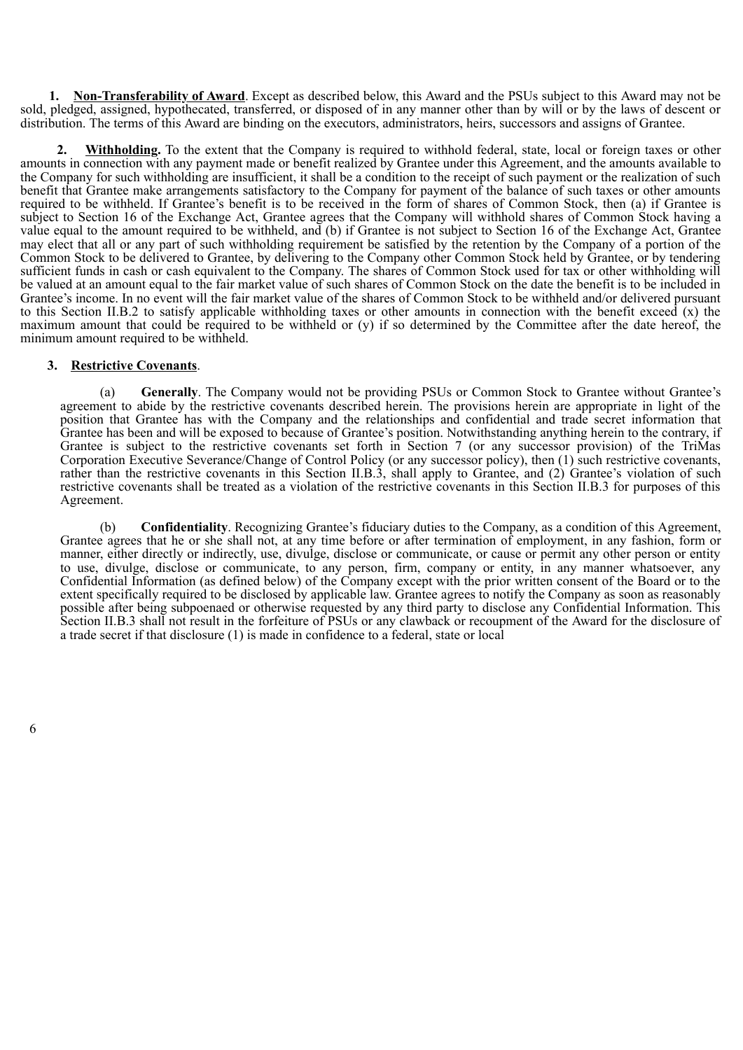**1. Non-Transferability of Award**. Except as described below, this Award and the PSUs subject to this Award may not be sold, pledged, assigned, hypothecated, transferred, or disposed of in any manner other than by will or by the laws of descent or distribution. The terms of this Award are binding on the executors, administrators, heirs, successors and assigns of Grantee.

**2. Withholding.** To the extent that the Company is required to withhold federal, state, local or foreign taxes or other amounts in connection with any payment made or benefit realized by Grantee under this Agreement, and the amounts available to the Company for such withholding are insufficient, it shall be a condition to the receipt of such payment or the realization of such benefit that Grantee make arrangements satisfactory to the Company for payment of the balance of such taxes or other amounts required to be withheld. If Grantee's benefit is to be received in the form of shares of Common Stock, then (a) if Grantee is subject to Section 16 of the Exchange Act, Grantee agrees that the Company will withhold shares of Common Stock having a value equal to the amount required to be withheld, and (b) if Grantee is not subject to Section 16 of the Exchange Act, Grantee may elect that all or any part of such withholding requirement be satisfied by the retention by the Company of a portion of the Common Stock to be delivered to Grantee, by delivering to the Company other Common Stock held by Grantee, or by tendering sufficient funds in cash or cash equivalent to the Company. The shares of Common Stock used for tax or other withholding will be valued at an amount equal to the fair market value of such shares of Common Stock on the date the benefit is to be included in Grantee's income. In no event will the fair market value of the shares of Common Stock to be withheld and/or delivered pursuant to this Section II.B.2 to satisfy applicable withholding taxes or other amounts in connection with the benefit exceed (x) the maximum amount that could be required to be withheld or  $(v)$  if so determined by the Committee after the date hereof, the minimum amount required to be withheld.

#### **3. Restrictive Covenants**.

(a) **Generally**. The Company would not be providing PSUs or Common Stock to Grantee without Grantee's agreement to abide by the restrictive covenants described herein. The provisions herein are appropriate in light of the position that Grantee has with the Company and the relationships and confidential and trade secret information that Grantee has been and will be exposed to because of Grantee's position. Notwithstanding anything herein to the contrary, if Grantee is subject to the restrictive covenants set forth in Section 7 (or any successor provision) of the TriMas Corporation Executive Severance/Change of Control Policy (or any successor policy), then (1) such restrictive covenants, rather than the restrictive covenants in this Section II.B.3, shall apply to Grantee, and (2) Grantee's violation of such restrictive covenants shall be treated as a violation of the restrictive covenants in this Section II.B.3 for purposes of this Agreement.

(b) **Confidentiality**. Recognizing Grantee's fiduciary duties to the Company, as a condition of this Agreement, Grantee agrees that he or she shall not, at any time before or after termination of employment, in any fashion, form or manner, either directly or indirectly, use, divulge, disclose or communicate, or cause or permit any other person or entity to use, divulge, disclose or communicate, to any person, firm, company or entity, in any manner whatsoever, any Confidential Information (as defined below) of the Company except with the prior written consent of the Board or to the extent specifically required to be disclosed by applicable law. Grantee agrees to notify the Company as soon as reasonably possible after being subpoenaed or otherwise requested by any third party to disclose any Confidential Information. This Section II.B.3 shall not result in the forfeiture of PSUs or any clawback or recoupment of the Award for the disclosure of a trade secret if that disclosure (1) is made in confidence to a federal, state or local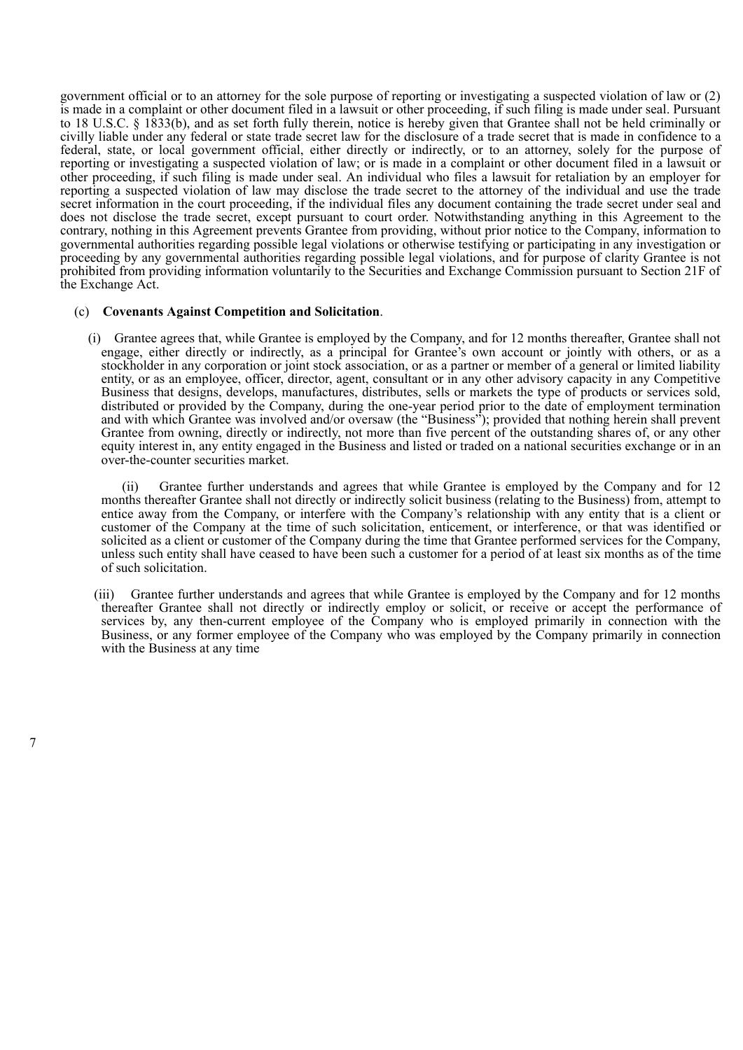government official or to an attorney for the sole purpose of reporting or investigating a suspected violation of law or (2) is made in a complaint or other document filed in a lawsuit or other proceeding, if such filing is made under seal. Pursuant to 18 U.S.C. § 1833(b), and as set forth fully therein, notice is hereby given that Grantee shall not be held criminally or civilly liable under any federal or state trade secret law for the disclosure of a trade secret that is made in confidence to a federal, state, or local government official, either directly or indirectly, or to an attorney, solely for the purpose of reporting or investigating a suspected violation of law; or is made in a complaint or other document filed in a lawsuit or other proceeding, if such filing is made under seal. An individual who files a lawsuit for retaliation by an employer for reporting a suspected violation of law may disclose the trade secret to the attorney of the individual and use the trade secret information in the court proceeding, if the individual files any document containing the trade secret under seal and does not disclose the trade secret, except pursuant to court order. Notwithstanding anything in this Agreement to the contrary, nothing in this Agreement prevents Grantee from providing, without prior notice to the Company, information to governmental authorities regarding possible legal violations or otherwise testifying or participating in any investigation or proceeding by any governmental authorities regarding possible legal violations, and for purpose of clarity Grantee is not prohibited from providing information voluntarily to the Securities and Exchange Commission pursuant to Section 21F of the Exchange Act.

#### (c) **Covenants Against Competition and Solicitation**.

(i) Grantee agrees that, while Grantee is employed by the Company, and for 12 months thereafter, Grantee shall not engage, either directly or indirectly, as a principal for Grantee's own account or jointly with others, or as a stockholder in any corporation or joint stock association, or as a partner or member of a general or limited liability entity, or as an employee, officer, director, agent, consultant or in any other advisory capacity in any Competitive Business that designs, develops, manufactures, distributes, sells or markets the type of products or services sold, distributed or provided by the Company, during the one-year period prior to the date of employment termination and with which Grantee was involved and/or oversaw (the "Business"); provided that nothing herein shall prevent Grantee from owning, directly or indirectly, not more than five percent of the outstanding shares of, or any other equity interest in, any entity engaged in the Business and listed or traded on a national securities exchange or in an over-the-counter securities market.

(ii) Grantee further understands and agrees that while Grantee is employed by the Company and for 12 months thereafter Grantee shall not directly or indirectly solicit business (relating to the Business) from, attempt to entice away from the Company, or interfere with the Company's relationship with any entity that is a client or customer of the Company at the time of such solicitation, enticement, or interference, or that was identified or solicited as a client or customer of the Company during the time that Grantee performed services for the Company, unless such entity shall have ceased to have been such a customer for a period of at least six months as of the time of such solicitation.

(iii) Grantee further understands and agrees that while Grantee is employed by the Company and for 12 months thereafter Grantee shall not directly or indirectly employ or solicit, or receive or accept the performance of services by, any then-current employee of the Company who is employed primarily in connection with the Business, or any former employee of the Company who was employed by the Company primarily in connection with the Business at any time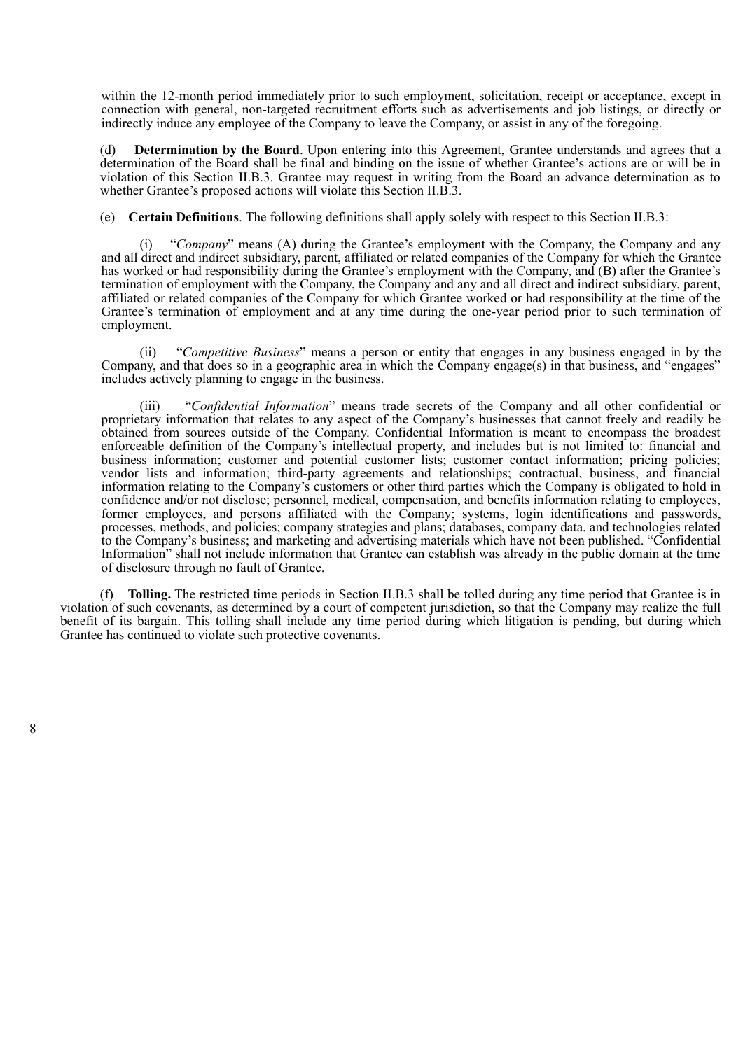within the 12-month period immediately prior to such employment, solicitation, receipt or acceptance, except in connection with general, non-targeted recruitment efforts such as advertisements and job listings, or directly or indirectly induce any employee of the Company to leave the Company, or assist in any of the foregoing.

(d) **Determination by the Board**. Upon entering into this Agreement, Grantee understands and agrees that a determination of the Board shall be final and binding on the issue of whether Grantee's actions are or will be in violation of this Section II.B.3. Grantee may request in writing from the Board an advance determination as to whether Grantee's proposed actions will violate this Section II.B.3.

(e) **Certain Definitions**. The following definitions shall apply solely with respect to this Section II.B.3:

"*Company*" means (A) during the Grantee's employment with the Company, the Company and any and all direct and indirect subsidiary, parent, affiliated or related companies of the Company for which the Grantee has worked or had responsibility during the Grantee's employment with the Company, and (B) after the Grantee's termination of employment with the Company, the Company and any and all direct and indirect subsidiary, parent, affiliated or related companies of the Company for which Grantee worked or had responsibility at the time of the Grantee's termination of employment and at any time during the one-year period prior to such termination of employment.

(ii) "*Competitive Business*" means a person or entity that engages in any business engaged in by the Company, and that does so in a geographic area in which the Company engage(s) in that business, and "engages" includes actively planning to engage in the business.

(iii) "*Confidential Information*" means trade secrets of the Company and all other confidential or proprietary information that relates to any aspect of the Company's businesses that cannot freely and readily be obtained from sources outside of the Company. Confidential Information is meant to encompass the broadest enforceable definition of the Company's intellectual property, and includes but is not limited to: financial and business information; customer and potential customer lists; customer contact information; pricing policies; vendor lists and information; third-party agreements and relationships; contractual, business, and financial information relating to the Company's customers or other third parties which the Company is obligated to hold in confidence and/or not disclose; personnel, medical, compensation, and benefits information relating to employees, former employees, and persons affiliated with the Company; systems, login identifications and passwords, processes, methods, and policies; company strategies and plans; databases, company data, and technologies related to the Company's business; and marketing and advertising materials which have not been published. "Confidential Information" shall not include information that Grantee can establish was already in the public domain at the time of disclosure through no fault of Grantee.

(f) **Tolling.** The restricted time periods in Section II.B.3 shall be tolled during any time period that Grantee is in violation of such covenants, as determined by a court of competent jurisdiction, so that the Company may realize the full benefit of its bargain. This tolling shall include any time period during which litigation is pending, but during which Grantee has continued to violate such protective covenants.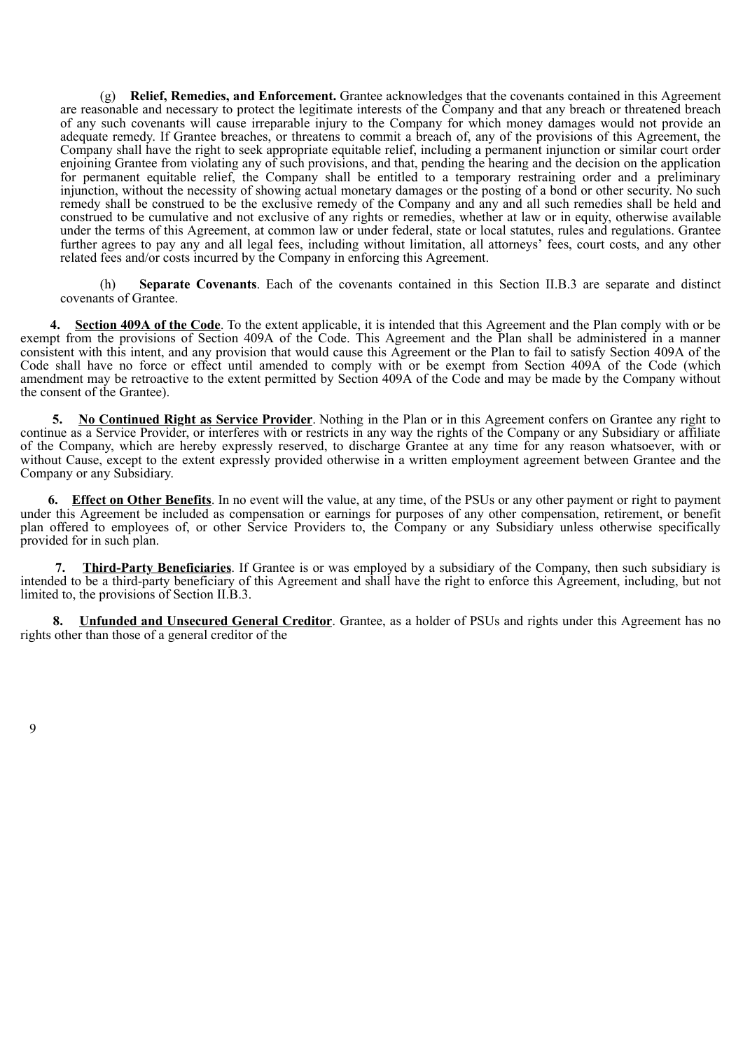(g) **Relief, Remedies, and Enforcement.** Grantee acknowledges that the covenants contained in this Agreement are reasonable and necessary to protect the legitimate interests of the Company and that any breach or threatened breach of any such covenants will cause irreparable injury to the Company for which money damages would not provide an adequate remedy. If Grantee breaches, or threatens to commit a breach of, any of the provisions of this Agreement, the Company shall have the right to seek appropriate equitable relief, including a permanent injunction or similar court order enjoining Grantee from violating any of such provisions, and that, pending the hearing and the decision on the application for permanent equitable relief, the Company shall be entitled to a temporary restraining order and a preliminary injunction, without the necessity of showing actual monetary damages or the posting of a bond or other security. No such remedy shall be construed to be the exclusive remedy of the Company and any and all such remedies shall be held and construed to be cumulative and not exclusive of any rights or remedies, whether at law or in equity, otherwise available under the terms of this Agreement, at common law or under federal, state or local statutes, rules and regulations. Grantee further agrees to pay any and all legal fees, including without limitation, all attorneys' fees, court costs, and any other related fees and/or costs incurred by the Company in enforcing this Agreement.

(h) **Separate Covenants**. Each of the covenants contained in this Section II.B.3 are separate and distinct covenants of Grantee.

**4. Section 409A of the Code**. To the extent applicable, it is intended that this Agreement and the Plan comply with or be exempt from the provisions of Section 409A of the Code. This Agreement and the Plan shall be administered in a manner consistent with this intent, and any provision that would cause this Agreement or the Plan to fail to satisfy Section 409A of the Code shall have no force or effect until amended to comply with or be exempt from Section 409A of the Code (which amendment may be retroactive to the extent permitted by Section 409A of the Code and may be made by the Company without the consent of the Grantee).

**5. No Continued Right as Service Provider**. Nothing in the Plan or in this Agreement confers on Grantee any right to continue as a Service Provider, or interferes with or restricts in any way the rights of the Company or any Subsidiary or affiliate of the Company, which are hereby expressly reserved, to discharge Grantee at any time for any reason whatsoever, with or without Cause, except to the extent expressly provided otherwise in a written employment agreement between Grantee and the Company or any Subsidiary.

**6. Effect on Other Benefits**. In no event will the value, at any time, of the PSUs or any other payment or right to payment under this Agreement be included as compensation or earnings for purposes of any other compensation, retirement, or benefit plan offered to employees of, or other Service Providers to, the Company or any Subsidiary unless otherwise specifically provided for in such plan.

**7. Third-Party Beneficiaries**. If Grantee is or was employed by a subsidiary of the Company, then such subsidiary is intended to be a third-party beneficiary of this Agreement and shall have the right to enforce this Agreement, including, but not limited to, the provisions of Section II.B.3.

**8. Unfunded and Unsecured General Creditor**. Grantee, as a holder of PSUs and rights under this Agreement has no rights other than those of a general creditor of the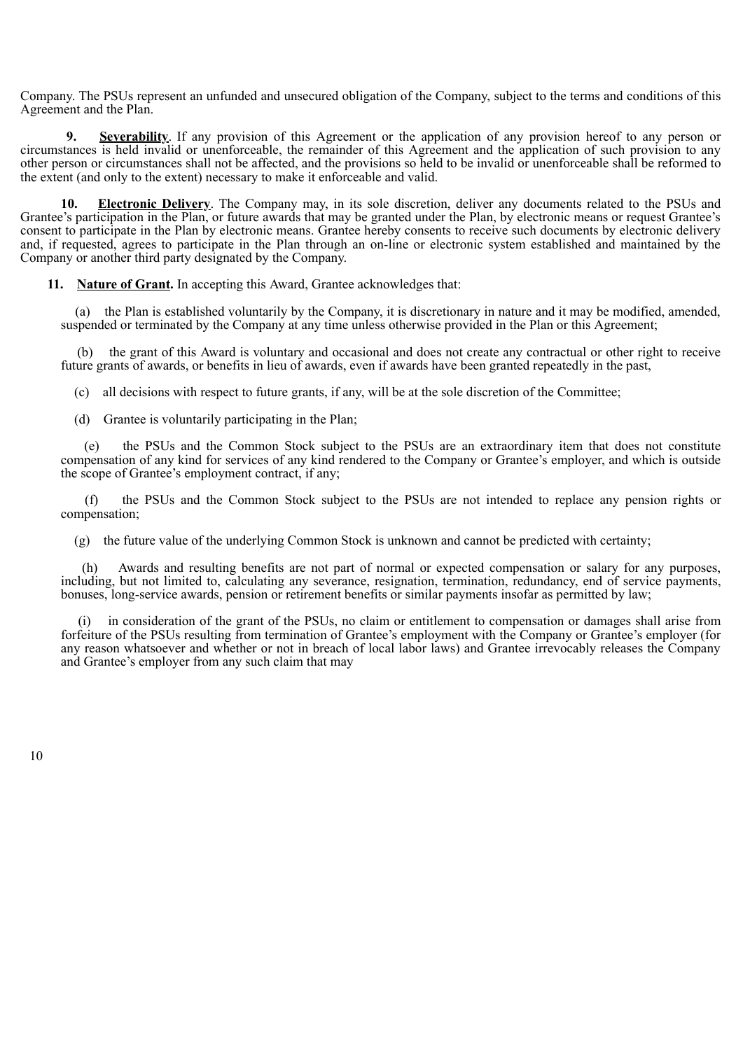Company. The PSUs represent an unfunded and unsecured obligation of the Company, subject to the terms and conditions of this Agreement and the Plan.

**<u>Severability</u>**. If any provision of this Agreement or the application of any provision hereof to any person or circumstances is held invalid or unenforceable, the remainder of this Agreement and the application of such provision to any other person or circumstances shall not be affected, and the provisions so held to be invalid or unenforceable shall be reformed to the extent (and only to the extent) necessary to make it enforceable and valid.

**10. Electronic Delivery**. The Company may, in its sole discretion, deliver any documents related to the PSUs and Grantee's participation in the Plan, or future awards that may be granted under the Plan, by electronic means or request Grantee's consent to participate in the Plan by electronic means. Grantee hereby consents to receive such documents by electronic delivery and, if requested, agrees to participate in the Plan through an on-line or electronic system established and maintained by the Company or another third party designated by the Company.

**11. Nature of Grant.** In accepting this Award, Grantee acknowledges that:

(a) the Plan is established voluntarily by the Company, it is discretionary in nature and it may be modified, amended, suspended or terminated by the Company at any time unless otherwise provided in the Plan or this Agreement;

(b) the grant of this Award is voluntary and occasional and does not create any contractual or other right to receive future grants of awards, or benefits in lieu of awards, even if awards have been granted repeatedly in the past,

(c) all decisions with respect to future grants, if any, will be at the sole discretion of the Committee;

(d) Grantee is voluntarily participating in the Plan;

(e) the PSUs and the Common Stock subject to the PSUs are an extraordinary item that does not constitute compensation of any kind for services of any kind rendered to the Company or Grantee's employer, and which is outside the scope of Grantee's employment contract, if any;

(f) the PSUs and the Common Stock subject to the PSUs are not intended to replace any pension rights or compensation;

(g) the future value of the underlying Common Stock is unknown and cannot be predicted with certainty;

(h) Awards and resulting benefits are not part of normal or expected compensation or salary for any purposes, including, but not limited to, calculating any severance, resignation, termination, redundancy, end of service payments, bonuses, long-service awards, pension or retirement benefits or similar payments insofar as permitted by law;

(i) in consideration of the grant of the PSUs, no claim or entitlement to compensation or damages shall arise from forfeiture of the PSUs resulting from termination of Grantee's employment with the Company or Grantee's employer (for any reason whatsoever and whether or not in breach of local labor laws) and Grantee irrevocably releases the Company and Grantee's employer from any such claim that may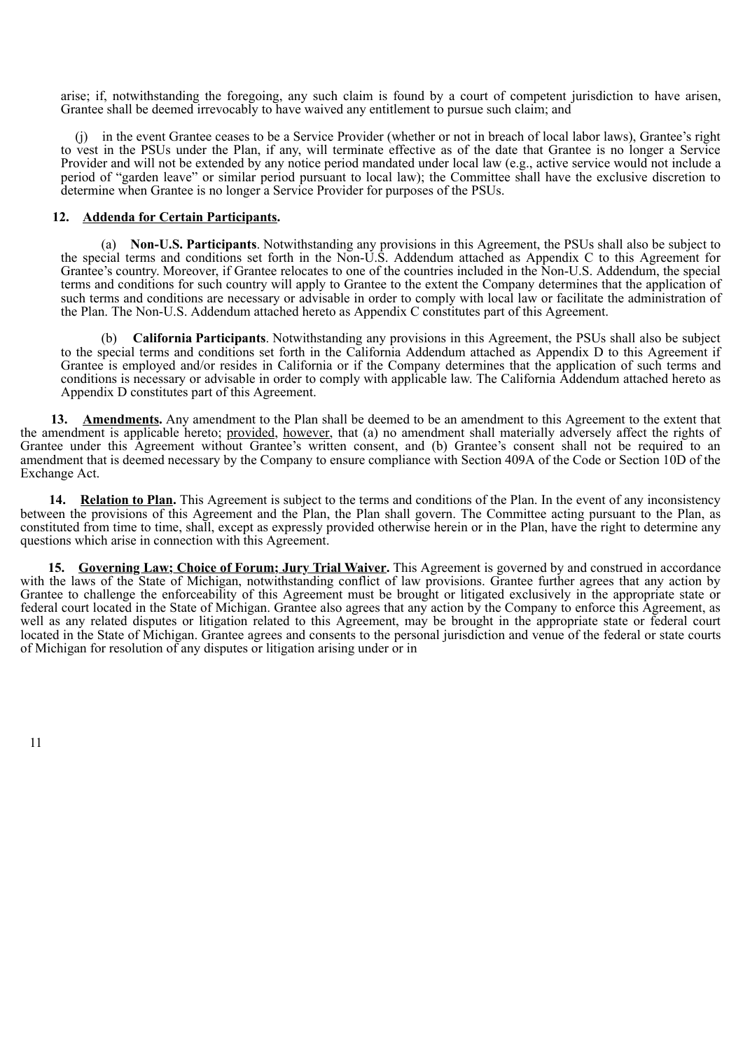arise; if, notwithstanding the foregoing, any such claim is found by a court of competent jurisdiction to have arisen, Grantee shall be deemed irrevocably to have waived any entitlement to pursue such claim; and

(j) in the event Grantee ceases to be a Service Provider (whether or not in breach of local labor laws), Grantee's right to vest in the PSUs under the Plan, if any, will terminate effective as of the date that Grantee is no longer a Service Provider and will not be extended by any notice period mandated under local law (e.g., active service would not include a period of "garden leave" or similar period pursuant to local law); the Committee shall have the exclusive discretion to determine when Grantee is no longer a Service Provider for purposes of the PSUs.

## **12. Addenda for Certain Participants.**

(a) **Non-U.S. Participants**. Notwithstanding any provisions in this Agreement, the PSUs shall also be subject to the special terms and conditions set forth in the Non-U.S. Addendum attached as Appendix C to this Agreement for Grantee's country. Moreover, if Grantee relocates to one of the countries included in the Non-U.S. Addendum, the special terms and conditions for such country will apply to Grantee to the extent the Company determines that the application of such terms and conditions are necessary or advisable in order to comply with local law or facilitate the administration of the Plan. The Non-U.S. Addendum attached hereto as Appendix C constitutes part of this Agreement.

(b) **California Participants**. Notwithstanding any provisions in this Agreement, the PSUs shall also be subject to the special terms and conditions set forth in the California Addendum attached as Appendix D to this Agreement if Grantee is employed and/or resides in California or if the Company determines that the application of such terms and conditions is necessary or advisable in order to comply with applicable law. The California Addendum attached hereto as Appendix D constitutes part of this Agreement.

**13. Amendments.** Any amendment to the Plan shall be deemed to be an amendment to this Agreement to the extent that the amendment is applicable hereto; provided, however, that (a) no amendment shall materially adversely affect the rights of Grantee under this Agreement without Grantee's written consent, and (b) Grantee's consent shall not be required to an amendment that is deemed necessary by the Company to ensure compliance with Section 409A of the Code or Section 10D of the Exchange Act.

**14. Relation to Plan.** This Agreement is subject to the terms and conditions of the Plan. In the event of any inconsistency between the provisions of this Agreement and the Plan, the Plan shall govern. The Committee acting pursuant to the Plan, as constituted from time to time, shall, except as expressly provided otherwise herein or in the Plan, have the right to determine any questions which arise in connection with this Agreement.

**15. Governing Law; Choice of Forum; Jury Trial Waiver.** This Agreement is governed by and construed in accordance with the laws of the State of Michigan, notwithstanding conflict of law provisions. Grantee further agrees that any action by Grantee to challenge the enforceability of this Agreement must be brought or litigated exclusively in the appropriate state or federal court located in the State of Michigan. Grantee also agrees that any action by the Company to enforce this Agreement, as well as any related disputes or litigation related to this Agreement, may be brought in the appropriate state or federal court located in the State of Michigan. Grantee agrees and consents to the personal jurisdiction and venue of the federal or state courts of Michigan for resolution of any disputes or litigation arising under or in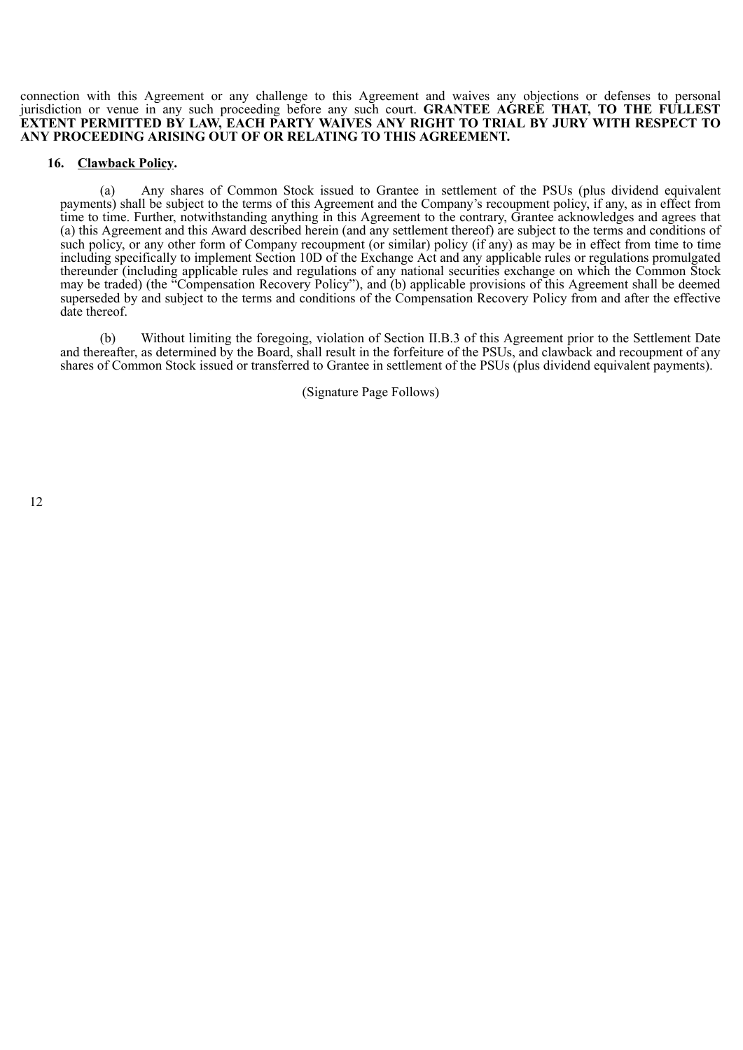connection with this Agreement or any challenge to this Agreement and waives any objections or defenses to personal jurisdiction or venue in any such proceeding before any such court. **GRANTEE AGREE THAT, TO THE FULLEST EXTENT PERMITTED BY LAW, EACH PARTY WAIVES ANY RIGHT TO TRIAL BY JURY WITH RESPECT TO ANY PROCEEDING ARISING OUT OF OR RELATING TO THIS AGREEMENT.**

#### **16. Clawback Policy.**

(a) Any shares of Common Stock issued to Grantee in settlement of the PSUs (plus dividend equivalent payments) shall be subject to the terms of this Agreement and the Company's recoupment policy, if any, as in effect from time to time. Further, notwithstanding anything in this Agreement to the contrary, Grantee acknowledges and agrees that (a) this Agreement and this Award described herein (and any settlement thereof) are subject to the terms and conditions of such policy, or any other form of Company recoupment (or similar) policy (if any) as may be in effect from time to time including specifically to implement Section 10D of the Exchange Act and any applicable rules or regulations promulgated thereunder (including applicable rules and regulations of any national securities exchange on which the Common Stock may be traded) (the "Compensation Recovery Policy"), and (b) applicable provisions of this Agreement shall be deemed superseded by and subject to the terms and conditions of the Compensation Recovery Policy from and after the effective date thereof.

(b) Without limiting the foregoing, violation of Section II.B.3 of this Agreement prior to the Settlement Date and thereafter, as determined by the Board, shall result in the forfeiture of the PSUs, and clawback and recoupment of any shares of Common Stock issued or transferred to Grantee in settlement of the PSUs (plus dividend equivalent payments).

(Signature Page Follows)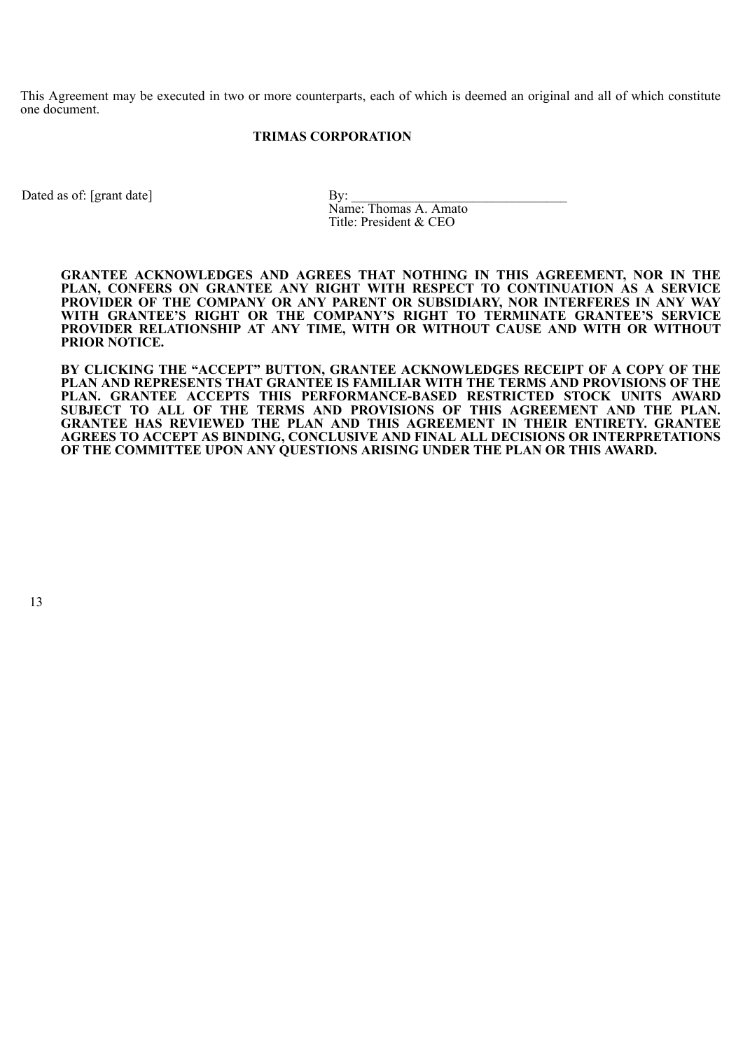This Agreement may be executed in two or more counterparts, each of which is deemed an original and all of which constitute one document.

## **TRIMAS CORPORATION**

Dated as of: [grant date] By:

Name: Thomas A. Amato Title: President & CEO

**GRANTEE ACKNOWLEDGES AND AGREES THAT NOTHING IN THIS AGREEMENT, NOR IN THE PLAN, CONFERS ON GRANTEE ANY RIGHT WITH RESPECT TO CONTINUATION AS A SERVICE PROVIDER OF THE COMPANY OR ANY PARENT OR SUBSIDIARY, NOR INTERFERES IN ANY WAY WITH GRANTEE'S RIGHT OR THE COMPANY'S RIGHT TO TERMINATE GRANTEE'S SERVICE PROVIDER RELATIONSHIP AT ANY TIME, WITH OR WITHOUT CAUSE AND WITH OR WITHOUT PRIOR NOTICE.**

**BY CLICKING THE "ACCEPT" BUTTON, GRANTEE ACKNOWLEDGES RECEIPT OF A COPY OF THE PLAN AND REPRESENTS THAT GRANTEE IS FAMILIAR WITH THE TERMS AND PROVISIONS OF THE PLAN. GRANTEE ACCEPTS THIS PERFORMANCE-BASED RESTRICTED STOCK UNITS AWARD SUBJECT TO ALL OF THE TERMS AND PROVISIONS OF THIS AGREEMENT AND THE PLAN. GRANTEE HAS REVIEWED THE PLAN AND THIS AGREEMENT IN THEIR ENTIRETY. GRANTEE AGREES TO ACCEPT AS BINDING, CONCLUSIVE AND FINAL ALL DECISIONS OR INTERPRETATIONS OF THE COMMITTEE UPON ANY QUESTIONS ARISING UNDER THE PLAN OR THIS AWARD.**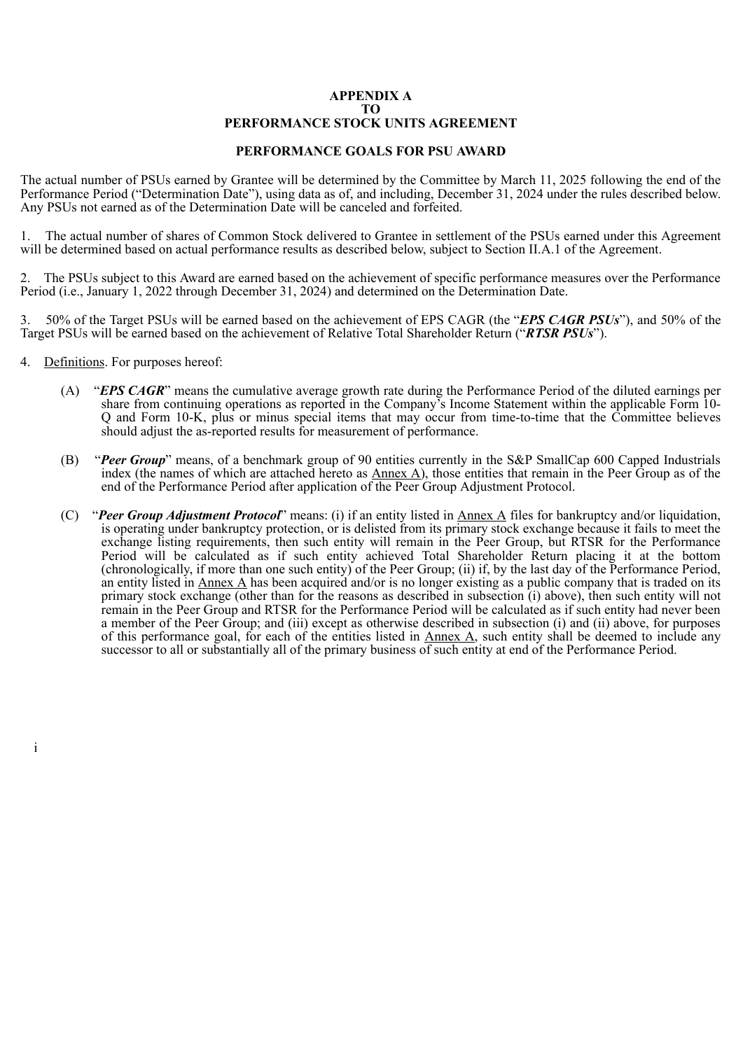## **APPENDIX A TO PERFORMANCE STOCK UNITS AGREEMENT**

## **PERFORMANCE GOALS FOR PSU AWARD**

The actual number of PSUs earned by Grantee will be determined by the Committee by March 11, 2025 following the end of the Performance Period ("Determination Date"), using data as of, and including, December 31, 2024 under the rules described below. Any PSUs not earned as of the Determination Date will be canceled and forfeited.

1. The actual number of shares of Common Stock delivered to Grantee in settlement of the PSUs earned under this Agreement will be determined based on actual performance results as described below, subject to Section II.A.1 of the Agreement.

2. The PSUs subject to this Award are earned based on the achievement of specific performance measures over the Performance Period (i.e., January 1, 2022 through December 31, 2024) and determined on the Determination Date.

3. 50% of the Target PSUs will be earned based on the achievement of EPS CAGR (the "*EPS CAGR PSUs*"), and 50% of the Target PSUs will be earned based on the achievement of Relative Total Shareholder Return ("*RTSR PSUs*").

4. Definitions. For purposes hereof:

i

- (A) "*EPS CAGR*" means the cumulative average growth rate during the Performance Period of the diluted earnings per share from continuing operations as reported in the Company's Income Statement within the applicable Form 10- Q and Form 10-K, plus or minus special items that may occur from time-to-time that the Committee believes should adjust the as-reported results for measurement of performance.
- (B) "*Peer Group*" means, of a benchmark group of 90 entities currently in the S&P SmallCap 600 Capped Industrials index (the names of which are attached hereto as  $\Delta$ nnex  $\Delta$ ), those entities that remain in the Peer Group as of the end of the Performance Period after application of the Peer Group Adjustment Protocol.
- (C) "*Peer Group Adjustment Protocol*" means: (i) if an entity listed in Annex A files for bankruptcy and/or liquidation, is operating under bankruptcy protection, or is delisted from its primary stock exchange because it fails to meet the exchange listing requirements, then such entity will remain in the Peer Group, but RTSR for the Performance Period will be calculated as if such entity achieved Total Shareholder Return placing it at the bottom (chronologically, if more than one such entity) of the Peer Group; (ii) if, by the last day of the Performance Period, an entity listed in  $\Delta$ nnex  $\Delta$  has been acquired and/or is no longer existing as a public company that is traded on its primary stock exchange (other than for the reasons as described in subsection (i) above), then such entity will not remain in the Peer Group and RTSR for the Performance Period will be calculated as if such entity had never been a member of the Peer Group; and (iii) except as otherwise described in subsection (i) and (ii) above, for purposes of this performance goal, for each of the entities listed in  $\Delta$ nnex  $\Delta$ , such entity shall be deemed to include any successor to all or substantially all of the primary business of such entity at end of the Performance Period.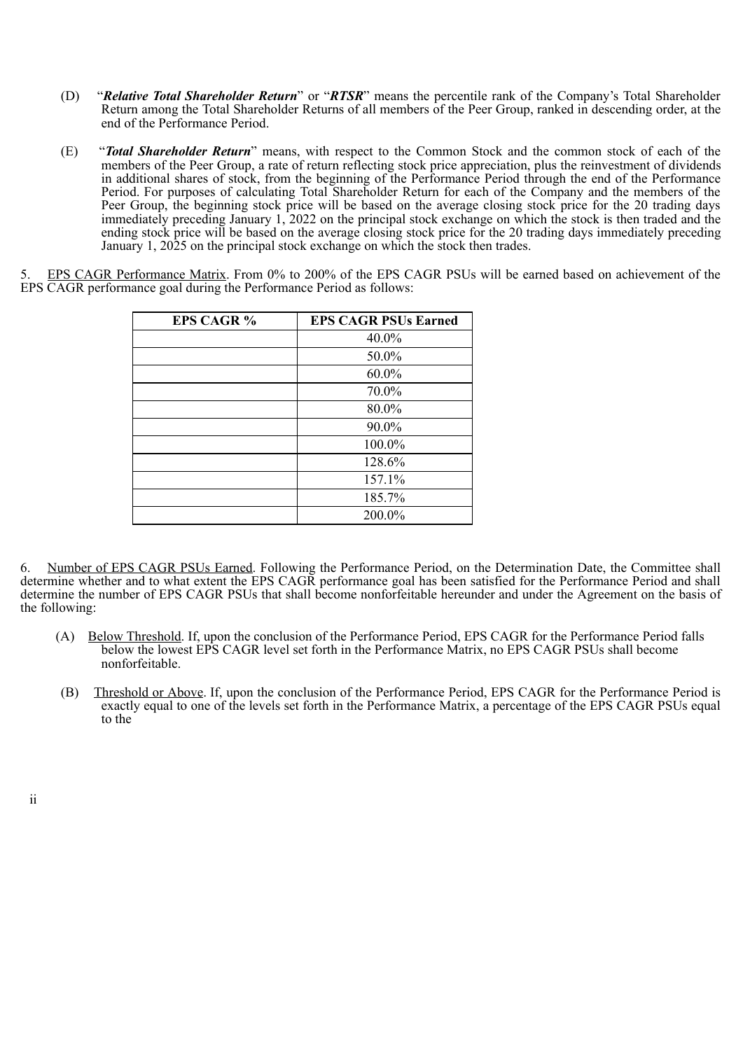- (D) "*Relative Total Shareholder Return*" or "*RTSR*" means the percentile rank of the Company's Total Shareholder Return among the Total Shareholder Returns of all members of the Peer Group, ranked in descending order, at the end of the Performance Period.
- (E) "*Total Shareholder Return*" means, with respect to the Common Stock and the common stock of each of the members of the Peer Group, a rate of return reflecting stock price appreciation, plus the reinvestment of dividends in additional shares of stock, from the beginning of the Performance Period through the end of the Performance Period. For purposes of calculating Total Shareholder Return for each of the Company and the members of the Peer Group, the beginning stock price will be based on the average closing stock price for the 20 trading days immediately preceding January 1, 2022 on the principal stock exchange on which the stock is then traded and the ending stock price will be based on the average closing stock price for the 20 trading days immediately preceding January 1, 2025 on the principal stock exchange on which the stock then trades.

5. EPS CAGR Performance Matrix. From 0% to 200% of the EPS CAGR PSUs will be earned based on achievement of the EPS CAGR performance goal during the Performance Period as follows:

| <b>EPS CAGR %</b> | <b>EPS CAGR PSUs Earned</b> |
|-------------------|-----------------------------|
|                   | 40.0%                       |
|                   | 50.0%                       |
|                   | $60.0\%$                    |
|                   | 70.0%                       |
|                   | 80.0%                       |
|                   | 90.0%                       |
|                   | 100.0%                      |
|                   | 128.6%                      |
|                   | 157.1%                      |
|                   | 185.7%                      |
|                   | 200.0%                      |

6. Number of EPS CAGR PSUs Earned. Following the Performance Period, on the Determination Date, the Committee shall determine whether and to what extent the EPS CAGR performance goal has been satisfied for the Performance Period and shall determine the number of EPS CAGR PSUs that shall become nonforfeitable hereunder and under the Agreement on the basis of the following:

- (A) Below Threshold. If, upon the conclusion of the Performance Period, EPS CAGR for the Performance Period falls below the lowest EPS CAGR level set forth in the Performance Matrix, no EPS CAGR PSUs shall become nonforfeitable.
- (B) Threshold or Above. If, upon the conclusion of the Performance Period, EPS CAGR for the Performance Period is exactly equal to one of the levels set forth in the Performance Matrix, a percentage of the EPS CAGR PSUs equal to the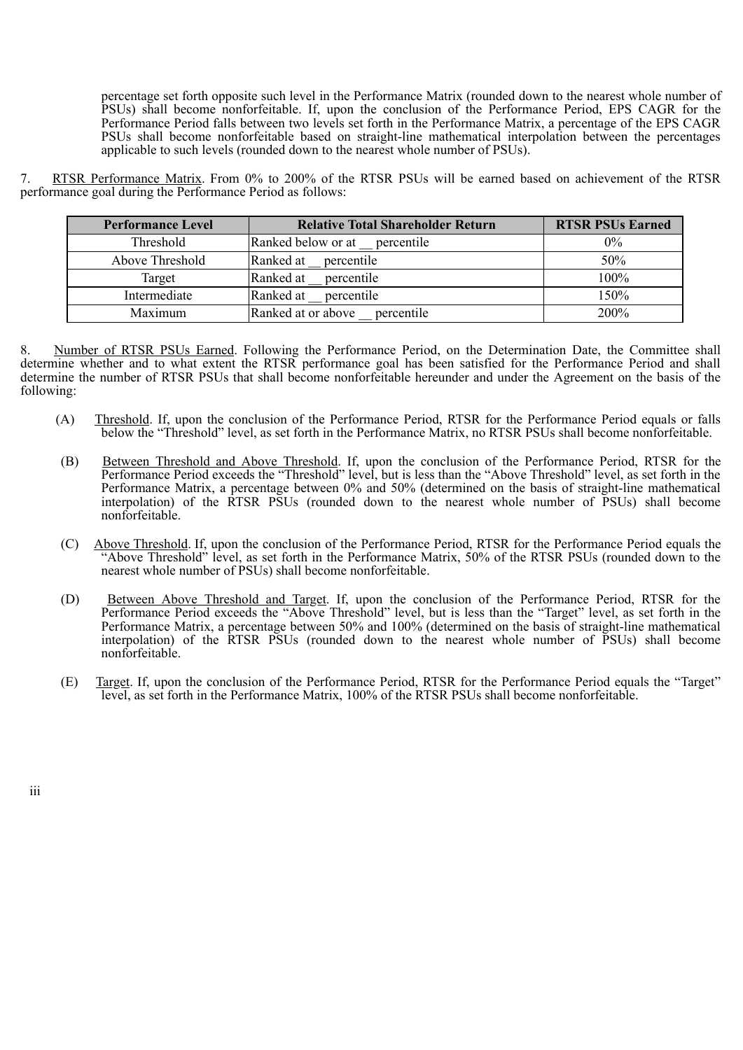percentage set forth opposite such level in the Performance Matrix (rounded down to the nearest whole number of PSUs) shall become nonforfeitable. If, upon the conclusion of the Performance Period, EPS CAGR for the Performance Period falls between two levels set forth in the Performance Matrix, a percentage of the EPS CAGR PSUs shall become nonforfeitable based on straight-line mathematical interpolation between the percentages applicable to such levels (rounded down to the nearest whole number of PSUs).

7. RTSR Performance Matrix. From 0% to 200% of the RTSR PSUs will be earned based on achievement of the RTSR performance goal during the Performance Period as follows:

| <b>Performance Level</b> | <b>Relative Total Shareholder Return</b> | <b>RTSR PSUs Earned</b> |
|--------------------------|------------------------------------------|-------------------------|
| Threshold                | Ranked below or at<br>percentile         | $0\%$                   |
| Above Threshold          | Ranked at<br>percentile                  | 50%                     |
| Target                   | Ranked at<br>percentile                  | 100%                    |
| Intermediate             | Ranked at<br>percentile                  | 150%                    |
| Maximum                  | Ranked at or above percentile            | 200%                    |

8. Number of RTSR PSUs Earned. Following the Performance Period, on the Determination Date, the Committee shall determine whether and to what extent the RTSR performance goal has been satisfied for the Performance Period and shall determine the number of RTSR PSUs that shall become nonforfeitable hereunder and under the Agreement on the basis of the following:

- (A) Threshold. If, upon the conclusion of the Performance Period, RTSR for the Performance Period equals or falls below the "Threshold" level, as set forth in the Performance Matrix, no RTSR PSUs shall become nonforfeitable.
- (B) Between Threshold and Above Threshold. If, upon the conclusion of the Performance Period, RTSR for the Performance Period exceeds the "Threshold" level, but is less than the "Above Threshold" level, as set forth in the Performance Matrix, a percentage between 0% and 50% (determined on the basis of straight-line mathematical interpolation) of the RTSR PSUs (rounded down to the nearest whole number of PSUs) shall become nonforfeitable.
- (C) Above Threshold. If, upon the conclusion of the Performance Period, RTSR for the Performance Period equals the "Above Threshold" level, as set forth in the Performance Matrix, 50% of the RTSR PSUs (rounded down to the nearest whole number of PSUs) shall become nonforfeitable.
- (D) Between Above Threshold and Target. If, upon the conclusion of the Performance Period, RTSR for the Performance Period exceeds the "Above Threshold" level, but is less than the "Target" level, as set forth in the Performance Matrix, a percentage between 50% and 100% (determined on the basis of straight-line mathematical interpolation) of the RTSR PSUs (rounded down to the nearest whole number of PSUs) shall become nonforfeitable.
- (E) Target. If, upon the conclusion of the Performance Period, RTSR for the Performance Period equals the "Target" level, as set forth in the Performance Matrix, 100% of the RTSR PSUs shall become nonforfeitable.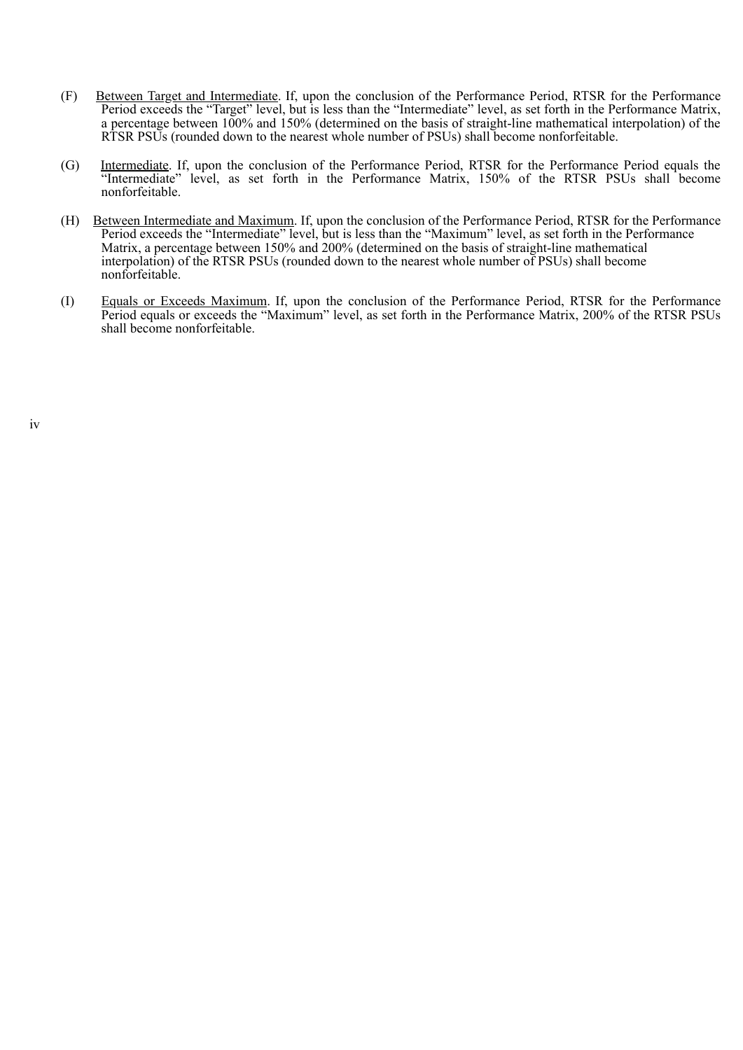- (F) Between Target and Intermediate. If, upon the conclusion of the Performance Period, RTSR for the Performance Period exceeds the "Target" level, but is less than the "Intermediate" level, as set forth in the Performance Matrix, a percentage between 100% and 150% (determined on the basis of straight-line mathematical interpolation) of the RTSR PSUs (rounded down to the nearest whole number of PSUs) shall become nonforfeitable.
- (G) Intermediate. If, upon the conclusion of the Performance Period, RTSR for the Performance Period equals the "Intermediate" level, as set forth in the Performance Matrix, 150% of the RTSR PSUs shall become nonforfeitable.
- (H) Between Intermediate and Maximum. If, upon the conclusion of the Performance Period, RTSR for the Performance Period exceeds the "Intermediate" level, but is less than the "Maximum" level, as set forth in the Performance Matrix, a percentage between 150% and 200% (determined on the basis of straight-line mathematical interpolation) of the RTSR PSUs (rounded down to the nearest whole number of PSUs) shall become nonforfeitable.
- (I) Equals or Exceeds Maximum. If, upon the conclusion of the Performance Period, RTSR for the Performance Period equals or exceeds the "Maximum" level, as set forth in the Performance Matrix, 200% of the RTSR PSUs shall become nonforfeitable.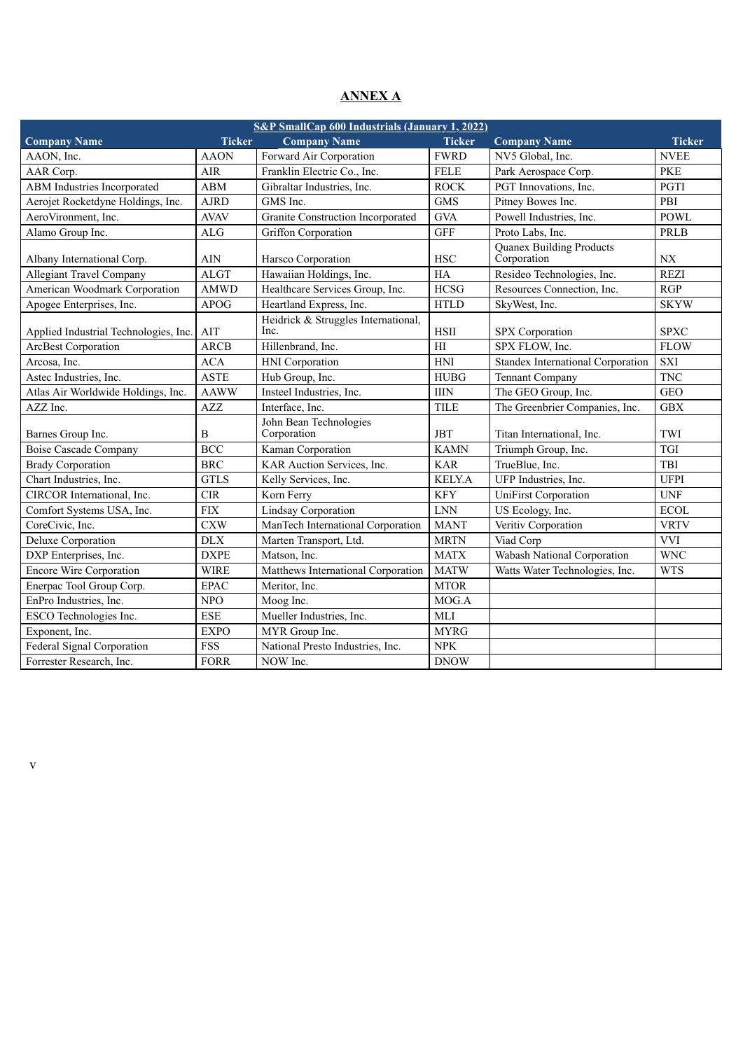## **ANNEX A**

| <b>S&amp;P SmallCap 600 Industrials (January 1, 2022)</b> |               |                                             |               |                                                |                                              |  |
|-----------------------------------------------------------|---------------|---------------------------------------------|---------------|------------------------------------------------|----------------------------------------------|--|
| <b>Company Name</b>                                       | <b>Ticker</b> | <b>Company Name</b>                         | <b>Ticker</b> | <b>Company Name</b>                            | <b>Ticker</b>                                |  |
| AAON, Inc.                                                | <b>AAON</b>   | Forward Air Corporation                     | <b>FWRD</b>   | NV5 Global, Inc.                               | <b>NVEE</b>                                  |  |
| AAR Corp.                                                 | AIR           | Franklin Electric Co., Inc.                 | <b>FELE</b>   | Park Aerospace Corp.                           | <b>PKE</b>                                   |  |
| ABM Industries Incorporated                               | <b>ABM</b>    | Gibraltar Industries, Inc.                  | <b>ROCK</b>   | PGT Innovations, Inc.                          | PGTI                                         |  |
| Aerojet Rocketdyne Holdings, Inc.                         | <b>AJRD</b>   | GMS Inc.                                    | <b>GMS</b>    | Pitney Bowes Inc.                              | PBI                                          |  |
| AeroVironment, Inc.                                       | <b>AVAV</b>   | Granite Construction Incorporated           | <b>GVA</b>    | Powell Industries, Inc.                        | <b>POWL</b>                                  |  |
| Alamo Group Inc.                                          | ALG           | Griffon Corporation                         | <b>GFF</b>    | Proto Labs, Inc.                               | <b>PRLB</b>                                  |  |
| Albany International Corp.                                | <b>AIN</b>    | Harsco Corporation                          | <b>HSC</b>    | <b>Quanex Building Products</b><br>Corporation | $\ensuremath{\text{N}}\ensuremath{\text{X}}$ |  |
| <b>Allegiant Travel Company</b>                           | <b>ALGT</b>   | Hawaiian Holdings, Inc.                     | HA            | Resideo Technologies, Inc.                     | <b>REZI</b>                                  |  |
| American Woodmark Corporation                             | <b>AMWD</b>   | Healthcare Services Group, Inc.             | <b>HCSG</b>   | Resources Connection, Inc.                     | RGP                                          |  |
| Apogee Enterprises, Inc.                                  | <b>APOG</b>   | Heartland Express, Inc.                     | <b>HTLD</b>   | SkyWest, Inc.                                  | <b>SKYW</b>                                  |  |
| Applied Industrial Technologies, Inc.                     | AIT           | Heidrick & Struggles International,<br>Inc. | HSII          | <b>SPX</b> Corporation                         | <b>SPXC</b>                                  |  |
| <b>ArcBest Corporation</b>                                | <b>ARCB</b>   | Hillenbrand, Inc.                           | H             | SPX FLOW, Inc.                                 | <b>FLOW</b>                                  |  |
| Arcosa, Inc.                                              | <b>ACA</b>    | HNI Corporation                             | <b>HNI</b>    | Standex International Corporation              | <b>SXI</b>                                   |  |
| Astec Industries, Inc.                                    | <b>ASTE</b>   | Hub Group, Inc.                             | <b>HUBG</b>   | Tennant Company                                | <b>TNC</b>                                   |  |
| Atlas Air Worldwide Holdings, Inc.                        | <b>AAWW</b>   | Insteel Industries, Inc.                    | <b>IIIN</b>   | The GEO Group, Inc.                            | <b>GEO</b>                                   |  |
| AZZ Inc.                                                  | AZZ           | Interface, Inc.                             | <b>TILE</b>   | The Greenbrier Companies, Inc.                 | <b>GBX</b>                                   |  |
| Barnes Group Inc.                                         | B             | John Bean Technologies<br>Corporation       | <b>JBT</b>    | Titan International, Inc.                      | TWI                                          |  |
| <b>Boise Cascade Company</b>                              | <b>BCC</b>    | Kaman Corporation                           | <b>KAMN</b>   | Triumph Group, Inc.                            | TGI                                          |  |
| <b>Brady Corporation</b>                                  | <b>BRC</b>    | KAR Auction Services, Inc.                  | <b>KAR</b>    | TrueBlue, Inc.                                 | TBI                                          |  |
| Chart Industries, Inc.                                    | <b>GTLS</b>   | Kelly Services, Inc.                        | <b>KELY.A</b> | UFP Industries, Inc.                           | <b>UFPI</b>                                  |  |
| CIRCOR International, Inc.                                | $\rm CIR$     | Korn Ferry                                  | <b>KFY</b>    | <b>UniFirst Corporation</b>                    | <b>UNF</b>                                   |  |
| Comfort Systems USA, Inc.                                 | ${\rm FIX}$   | Lindsay Corporation                         | <b>LNN</b>    | US Ecology, Inc.                               | <b>ECOL</b>                                  |  |
| CoreCivic, Inc.                                           | <b>CXW</b>    | ManTech International Corporation           | <b>MANT</b>   | Veritiv Corporation                            | <b>VRTV</b>                                  |  |
| Deluxe Corporation                                        | $\rm{DLX}$    | Marten Transport, Ltd.                      | <b>MRTN</b>   | Viad Corp                                      | <b>VVI</b>                                   |  |
| DXP Enterprises, Inc.                                     | <b>DXPE</b>   | Matson, Inc.                                | <b>MATX</b>   | Wabash National Corporation                    | <b>WNC</b>                                   |  |
| <b>Encore Wire Corporation</b>                            | <b>WIRE</b>   | Matthews International Corporation          | <b>MATW</b>   | Watts Water Technologies, Inc.                 | <b>WTS</b>                                   |  |
| Enerpac Tool Group Corp.                                  | <b>EPAC</b>   | Meritor, Inc.                               | <b>MTOR</b>   |                                                |                                              |  |
| EnPro Industries, Inc.                                    | NPO           | Moog Inc.                                   | MOG.A         |                                                |                                              |  |
| ESCO Technologies Inc.                                    | <b>ESE</b>    | Mueller Industries, Inc.                    | <b>MLI</b>    |                                                |                                              |  |
| Exponent, Inc.                                            | <b>EXPO</b>   | MYR Group Inc.                              | <b>MYRG</b>   |                                                |                                              |  |
| Federal Signal Corporation                                | <b>FSS</b>    | National Presto Industries, Inc.            | <b>NPK</b>    |                                                |                                              |  |
| Forrester Research, Inc.                                  | <b>FORR</b>   | NOW Inc.                                    | <b>DNOW</b>   |                                                |                                              |  |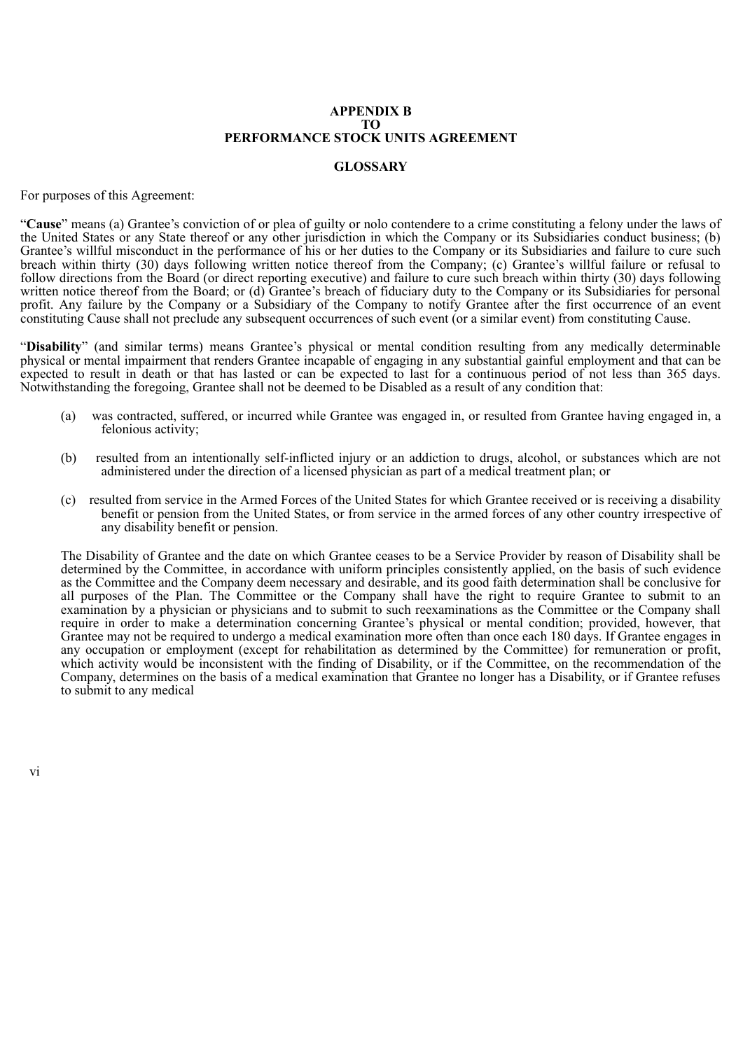#### **APPENDIX B TO PERFORMANCE STOCK UNITS AGREEMENT**

## **GLOSSARY**

For purposes of this Agreement:

"**Cause**" means (a) Grantee's conviction of or plea of guilty or nolo contendere to a crime constituting a felony under the laws of the United States or any State thereof or any other jurisdiction in which the Company or its Subsidiaries conduct business; (b) Grantee's willful misconduct in the performance of his or her duties to the Company or its Subsidiaries and failure to cure such breach within thirty (30) days following written notice thereof from the Company; (c) Grantee's willful failure or refusal to follow directions from the Board (or direct reporting executive) and failure to cure such breach within thirty (30) days following written notice thereof from the Board; or (d) Grantee's breach of fiduciary duty to the Company or its Subsidiaries for personal profit. Any failure by the Company or a Subsidiary of the Company to notify Grantee after the first occurrence of an event constituting Cause shall not preclude any subsequent occurrences of such event (or a similar event) from constituting Cause.

"**Disability**" (and similar terms) means Grantee's physical or mental condition resulting from any medically determinable physical or mental impairment that renders Grantee incapable of engaging in any substantial gainful employment and that can be expected to result in death or that has lasted or can be expected to last for a continuous period of not less than 365 days. Notwithstanding the foregoing, Grantee shall not be deemed to be Disabled as a result of any condition that:

- (a) was contracted, suffered, or incurred while Grantee was engaged in, or resulted from Grantee having engaged in, a felonious activity;
- (b) resulted from an intentionally self-inflicted injury or an addiction to drugs, alcohol, or substances which are not administered under the direction of a licensed physician as part of a medical treatment plan; or
- (c) resulted from service in the Armed Forces of the United States for which Grantee received or is receiving a disability benefit or pension from the United States, or from service in the armed forces of any other country irrespective of any disability benefit or pension.

The Disability of Grantee and the date on which Grantee ceases to be a Service Provider by reason of Disability shall be determined by the Committee, in accordance with uniform principles consistently applied, on the basis of such evidence as the Committee and the Company deem necessary and desirable, and its good faith determination shall be conclusive for all purposes of the Plan. The Committee or the Company shall have the right to require Grantee to submit to an examination by a physician or physicians and to submit to such reexaminations as the Committee or the Company shall require in order to make a determination concerning Grantee's physical or mental condition; provided, however, that Grantee may not be required to undergo a medical examination more often than once each 180 days. If Grantee engages in any occupation or employment (except for rehabilitation as determined by the Committee) for remuneration or profit, which activity would be inconsistent with the finding of Disability, or if the Committee, on the recommendation of the Company, determines on the basis of a medical examination that Grantee no longer has a Disability, or if Grantee refuses to submit to any medical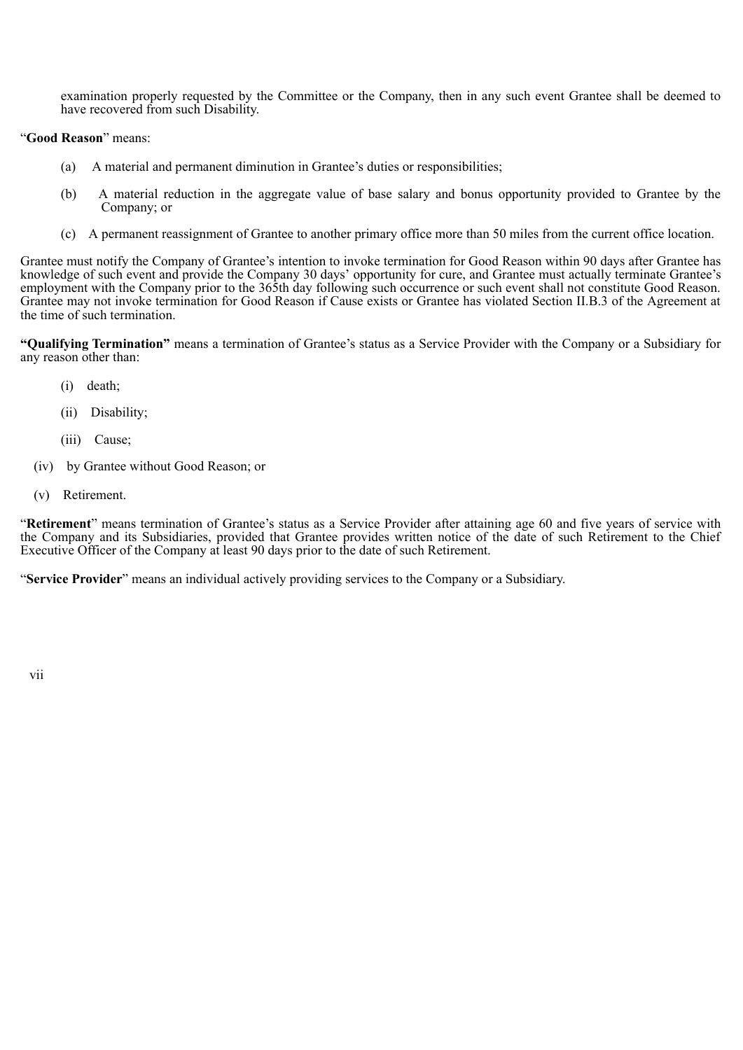examination properly requested by the Committee or the Company, then in any such event Grantee shall be deemed to have recovered from such Disability.

## "**Good Reason**" means:

- (a) A material and permanent diminution in Grantee's duties or responsibilities;
- (b) A material reduction in the aggregate value of base salary and bonus opportunity provided to Grantee by the Company; or
- (c) A permanent reassignment of Grantee to another primary office more than 50 miles from the current office location.

Grantee must notify the Company of Grantee's intention to invoke termination for Good Reason within 90 days after Grantee has knowledge of such event and provide the Company 30 days' opportunity for cure, and Grantee must actually terminate Grantee's employment with the Company prior to the 365th day following such occurrence or such event shall not constitute Good Reason. Grantee may not invoke termination for Good Reason if Cause exists or Grantee has violated Section II.B.3 of the Agreement at the time of such termination.

**"Qualifying Termination"** means a termination of Grantee's status as a Service Provider with the Company or a Subsidiary for any reason other than:

- (i) death;
- (ii) Disability;
- (iii) Cause;
- (iv) by Grantee without Good Reason; or
- (v) Retirement.

"**Retirement**" means termination of Grantee's status as a Service Provider after attaining age 60 and five years of service with the Company and its Subsidiaries, provided that Grantee provides written notice of the date of such Retirement to the Chief Executive Officer of the Company at least 90 days prior to the date of such Retirement.

"**Service Provider**" means an individual actively providing services to the Company or a Subsidiary.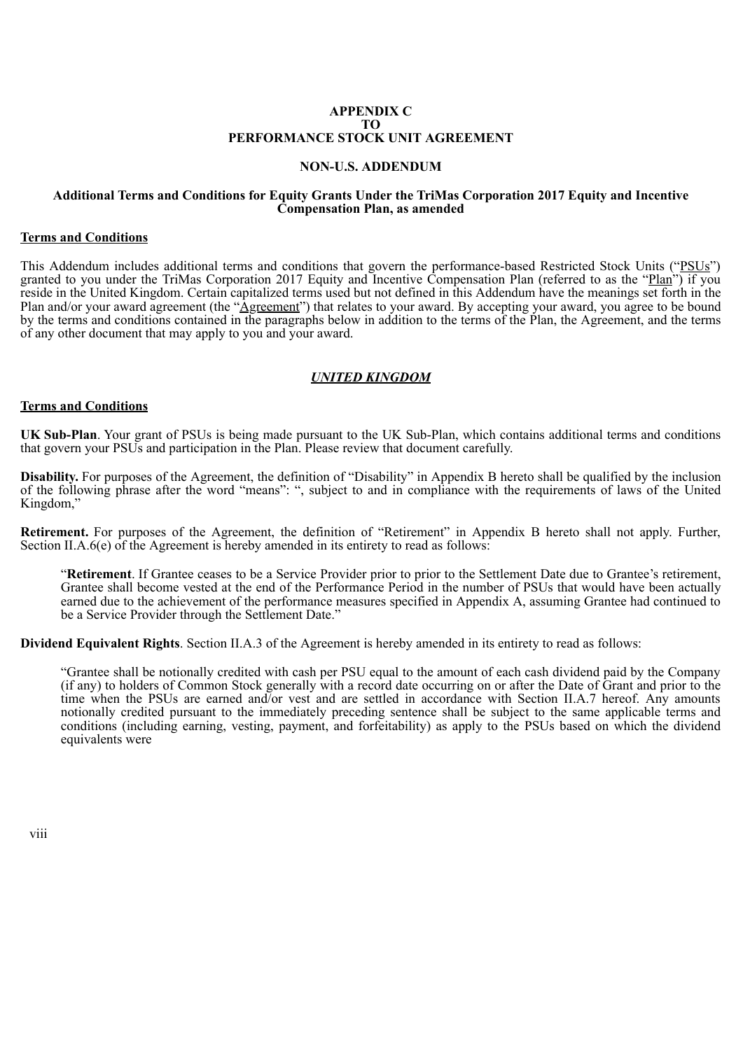## **APPENDIX C TO PERFORMANCE STOCK UNIT AGREEMENT**

## **NON-U.S. ADDENDUM**

## **Additional Terms and Conditions for Equity Grants Under the TriMas Corporation 2017 Equity and Incentive Compensation Plan, as amended**

## **Terms and Conditions**

This Addendum includes additional terms and conditions that govern the performance-based Restricted Stock Units ("PSUs") granted to you under the TriMas Corporation 2017 Equity and Incentive Compensation Plan (referred to as the "Plan") if you reside in the United Kingdom. Certain capitalized terms used but not defined in this Addendum have the meanings set forth in the Plan and/or your award agreement (the "*Agreement*") that relates to your award. By accepting your award, you agree to be bound by the terms and conditions contained in the paragraphs below in addition to the terms of the Plan, the Agreement, and the terms of any other document that may apply to you and your award.

## *UNITED KINGDOM*

#### **Terms and Conditions**

**UK Sub-Plan**. Your grant of PSUs is being made pursuant to the UK Sub-Plan, which contains additional terms and conditions that govern your PSUs and participation in the Plan. Please review that document carefully.

**Disability.** For purposes of the Agreement, the definition of "Disability" in Appendix B hereto shall be qualified by the inclusion of the following phrase after the word "means": ", subject to and in compliance with the requirements of laws of the United Kingdom,'

**Retirement.** For purposes of the Agreement, the definition of "Retirement" in Appendix B hereto shall not apply. Further, Section II.A.6(e) of the Agreement is hereby amended in its entirety to read as follows:

"**Retirement**. If Grantee ceases to be a Service Provider prior to prior to the Settlement Date due to Grantee's retirement, Grantee shall become vested at the end of the Performance Period in the number of PSUs that would have been actually earned due to the achievement of the performance measures specified in Appendix A, assuming Grantee had continued to be a Service Provider through the Settlement Date."

**Dividend Equivalent Rights**. Section II.A.3 of the Agreement is hereby amended in its entirety to read as follows:

"Grantee shall be notionally credited with cash per PSU equal to the amount of each cash dividend paid by the Company (if any) to holders of Common Stock generally with a record date occurring on or after the Date of Grant and prior to the time when the PSUs are earned and/or vest and are settled in accordance with Section II.A.7 hereof. Any amounts notionally credited pursuant to the immediately preceding sentence shall be subject to the same applicable terms and conditions (including earning, vesting, payment, and forfeitability) as apply to the PSUs based on which the dividend equivalents were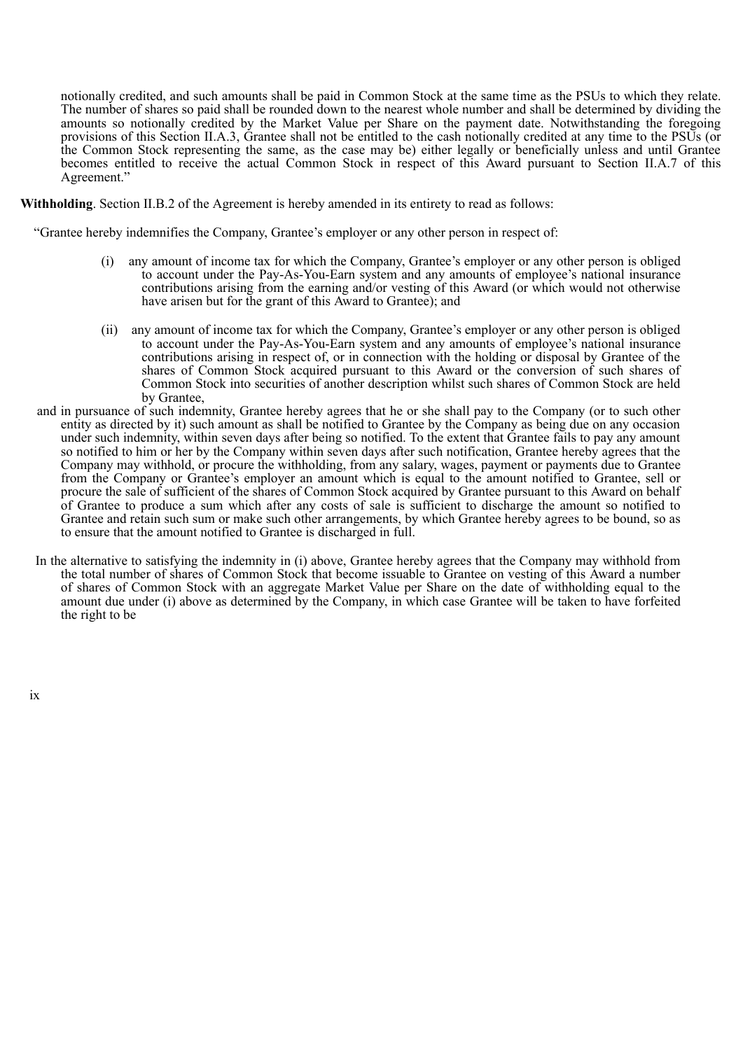notionally credited, and such amounts shall be paid in Common Stock at the same time as the PSUs to which they relate. The number of shares so paid shall be rounded down to the nearest whole number and shall be determined by dividing the amounts so notionally credited by the Market Value per Share on the payment date. Notwithstanding the foregoing provisions of this Section II.A.3, Grantee shall not be entitled to the cash notionally credited at any time to the PSUs (or the Common Stock representing the same, as the case may be) either legally or beneficially unless and until Grantee becomes entitled to receive the actual Common Stock in respect of this Award pursuant to Section II.A.7 of this Agreement."

**Withholding**. Section II.B.2 of the Agreement is hereby amended in its entirety to read as follows:

"Grantee hereby indemnifies the Company, Grantee's employer or any other person in respect of:

- (i) any amount of income tax for which the Company, Grantee's employer or any other person is obliged to account under the Pay-As-You-Earn system and any amounts of employee's national insurance contributions arising from the earning and/or vesting of this Award (or which would not otherwise have arisen but for the grant of this Award to Grantee); and
- (ii) any amount of income tax for which the Company, Grantee's employer or any other person is obliged to account under the Pay-As-You-Earn system and any amounts of employee's national insurance contributions arising in respect of, or in connection with the holding or disposal by Grantee of the shares of Common Stock acquired pursuant to this Award or the conversion of such shares of Common Stock into securities of another description whilst such shares of Common Stock are held by Grantee,
- and in pursuance of such indemnity, Grantee hereby agrees that he or she shall pay to the Company (or to such other entity as directed by it) such amount as shall be notified to Grantee by the Company as being due on any occasion under such indemnity, within seven days after being so notified. To the extent that Grantee fails to pay any amount so notified to him or her by the Company within seven days after such notification, Grantee hereby agrees that the Company may withhold, or procure the withholding, from any salary, wages, payment or payments due to Grantee from the Company or Grantee's employer an amount which is equal to the amount notified to Grantee, sell or procure the sale of sufficient of the shares of Common Stock acquired by Grantee pursuant to this Award on behalf of Grantee to produce a sum which after any costs of sale is sufficient to discharge the amount so notified to Grantee and retain such sum or make such other arrangements, by which Grantee hereby agrees to be bound, so as to ensure that the amount notified to Grantee is discharged in full.
- In the alternative to satisfying the indemnity in (i) above, Grantee hereby agrees that the Company may withhold from the total number of shares of Common Stock that become issuable to Grantee on vesting of this Award a number of shares of Common Stock with an aggregate Market Value per Share on the date of withholding equal to the amount due under (i) above as determined by the Company, in which case Grantee will be taken to have forfeited the right to be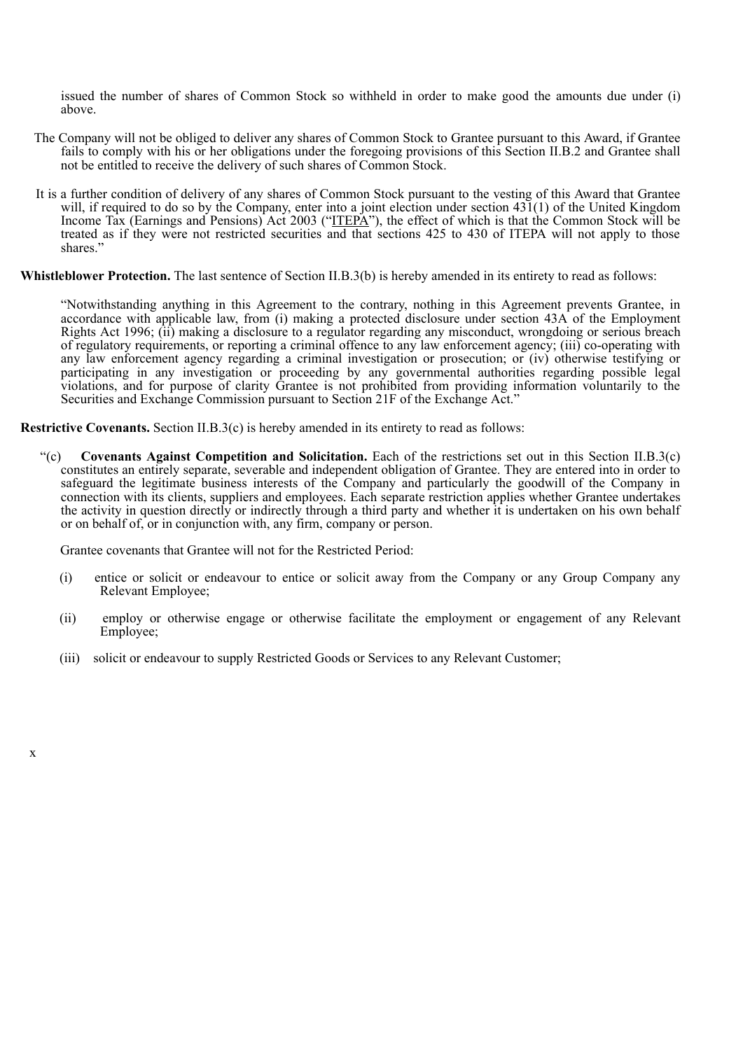issued the number of shares of Common Stock so withheld in order to make good the amounts due under (i) above.

- The Company will not be obliged to deliver any shares of Common Stock to Grantee pursuant to this Award, if Grantee fails to comply with his or her obligations under the foregoing provisions of this Section II.B.2 and Grantee shall not be entitled to receive the delivery of such shares of Common Stock.
- It is a further condition of delivery of any shares of Common Stock pursuant to the vesting of this Award that Grantee will, if required to do so by the Company, enter into a joint election under section 431(1) of the United Kingdom Income Tax (Earnings and Pensions) Act 2003 ("ITEPA"), the effect of which is that the Common Stock will be treated as if they were not restricted securities and that sections 425 to 430 of ITEPA will not apply to those shares."

**Whistleblower Protection.** The last sentence of Section II.B.3(b) is hereby amended in its entirety to read as follows:

"Notwithstanding anything in this Agreement to the contrary, nothing in this Agreement prevents Grantee, in accordance with applicable law, from (i) making a protected disclosure under section 43A of the Employment Rights Act 1996; (ii) making a disclosure to a regulator regarding any misconduct, wrongdoing or serious breach of regulatory requirements, or reporting a criminal offence to any law enforcement agency; (iii) co-operating with any law enforcement agency regarding a criminal investigation or prosecution; or (iv) otherwise testifying or participating in any investigation or proceeding by any governmental authorities regarding possible legal violations, and for purpose of clarity Grantee is not prohibited from providing information voluntarily to the Securities and Exchange Commission pursuant to Section 21F of the Exchange Act."

**Restrictive Covenants.** Section II.B.3(c) is hereby amended in its entirety to read as follows:

"(c) **Covenants Against Competition and Solicitation.** Each of the restrictions set out in this Section II.B.3(c) constitutes an entirely separate, severable and independent obligation of Grantee. They are entered into in order to safeguard the legitimate business interests of the Company and particularly the goodwill of the Company in connection with its clients, suppliers and employees. Each separate restriction applies whether Grantee undertakes the activity in question directly or indirectly through a third party and whether it is undertaken on his own behalf or on behalf of, or in conjunction with, any firm, company or person.

Grantee covenants that Grantee will not for the Restricted Period:

- (i) entice or solicit or endeavour to entice or solicit away from the Company or any Group Company any Relevant Employee;
- (ii) employ or otherwise engage or otherwise facilitate the employment or engagement of any Relevant Employee;
- (iii) solicit or endeavour to supply Restricted Goods or Services to any Relevant Customer;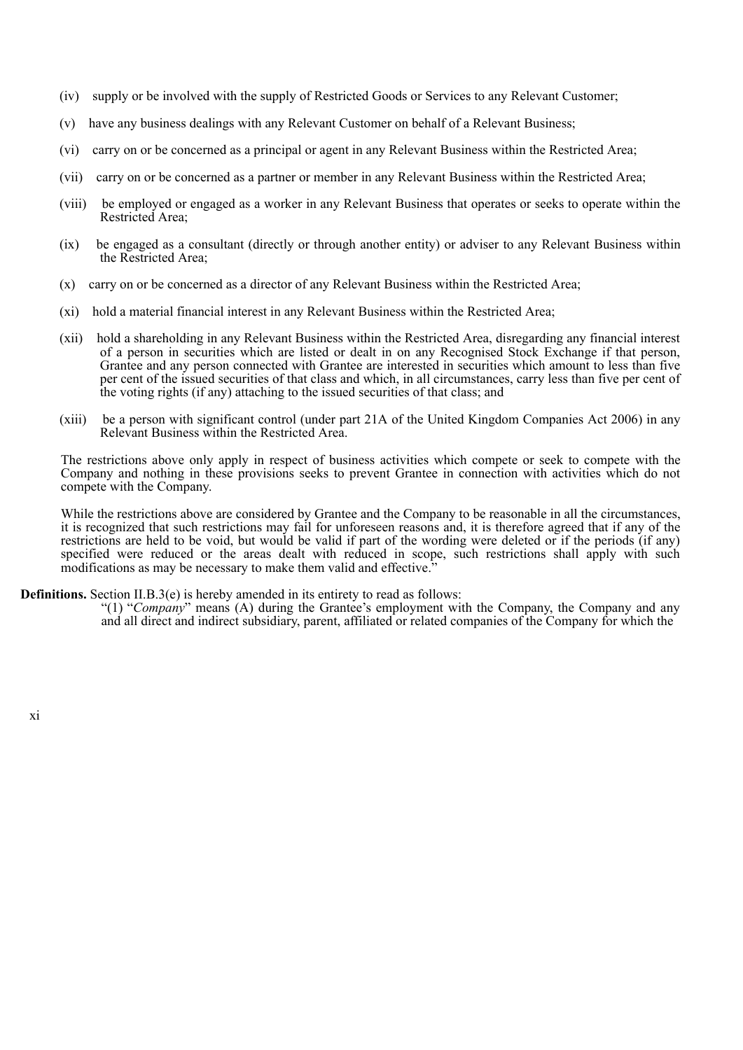- (iv) supply or be involved with the supply of Restricted Goods or Services to any Relevant Customer;
- (v) have any business dealings with any Relevant Customer on behalf of a Relevant Business;
- (vi) carry on or be concerned as a principal or agent in any Relevant Business within the Restricted Area;
- (vii) carry on or be concerned as a partner or member in any Relevant Business within the Restricted Area;
- (viii) be employed or engaged as a worker in any Relevant Business that operates or seeks to operate within the Restricted Area;
- (ix) be engaged as a consultant (directly or through another entity) or adviser to any Relevant Business within the Restricted Area;
- (x) carry on or be concerned as a director of any Relevant Business within the Restricted Area;
- (xi) hold a material financial interest in any Relevant Business within the Restricted Area;
- (xii) hold a shareholding in any Relevant Business within the Restricted Area, disregarding any financial interest of a person in securities which are listed or dealt in on any Recognised Stock Exchange if that person, Grantee and any person connected with Grantee are interested in securities which amount to less than five per cent of the issued securities of that class and which, in all circumstances, carry less than five per cent of the voting rights (if any) attaching to the issued securities of that class; and
- (xiii) be a person with significant control (under part 21A of the United Kingdom Companies Act 2006) in any Relevant Business within the Restricted Area.

The restrictions above only apply in respect of business activities which compete or seek to compete with the Company and nothing in these provisions seeks to prevent Grantee in connection with activities which do not compete with the Company.

While the restrictions above are considered by Grantee and the Company to be reasonable in all the circumstances, it is recognized that such restrictions may fail for unforeseen reasons and, it is therefore agreed that if any of the restrictions are held to be void, but would be valid if part of the wording were deleted or if the periods (if any) specified were reduced or the areas dealt with reduced in scope, such restrictions shall apply with such modifications as may be necessary to make them valid and effective.<sup>3</sup>

## **Definitions.** Section II.B.3(e) is hereby amended in its entirety to read as follows:

"(1) "*Company*" means (A) during the Grantee's employment with the Company, the Company and any and all direct and indirect subsidiary, parent, affiliated or related companies of the Company for which the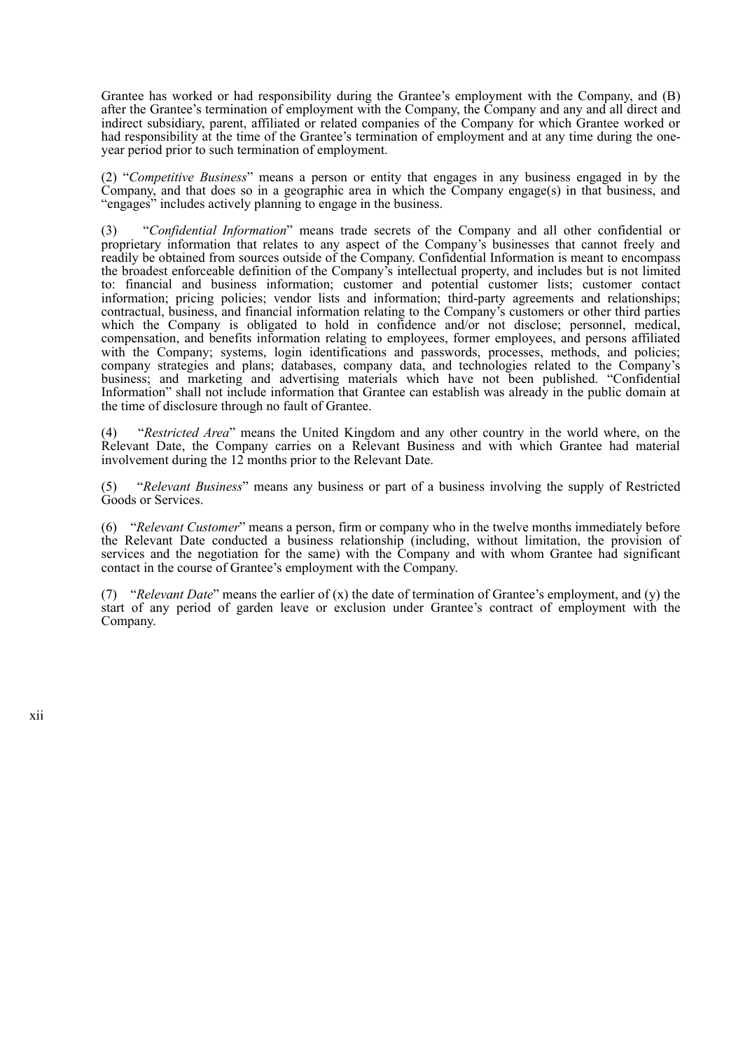Grantee has worked or had responsibility during the Grantee's employment with the Company, and (B) after the Grantee's termination of employment with the Company, the Company and any and all direct and indirect subsidiary, parent, affiliated or related companies of the Company for which Grantee worked or had responsibility at the time of the Grantee's termination of employment and at any time during the oneyear period prior to such termination of employment.

(2) "*Competitive Business*" means a person or entity that engages in any business engaged in by the Company, and that does so in a geographic area in which the Company engage(s) in that business, and "engages" includes actively planning to engage in the business.

(3) "*Confidential Information*" means trade secrets of the Company and all other confidential or proprietary information that relates to any aspect of the Company's businesses that cannot freely and readily be obtained from sources outside of the Company. Confidential Information is meant to encompass the broadest enforceable definition of the Company's intellectual property, and includes but is not limited to: financial and business information; customer and potential customer lists; customer contact information; pricing policies; vendor lists and information; third-party agreements and relationships; contractual, business, and financial information relating to the Company's customers or other third parties which the Company is obligated to hold in confidence and/or not disclose; personnel, medical, compensation, and benefits information relating to employees, former employees, and persons affiliated with the Company; systems, login identifications and passwords, processes, methods, and policies; company strategies and plans; databases, company data, and technologies related to the Company's business; and marketing and advertising materials which have not been published. "Confidential Information" shall not include information that Grantee can establish was already in the public domain at the time of disclosure through no fault of Grantee.

(4) "*Restricted Area*" means the United Kingdom and any other country in the world where, on the Relevant Date, the Company carries on a Relevant Business and with which Grantee had material involvement during the 12 months prior to the Relevant Date.

(5) "*Relevant Business*" means any business or part of a business involving the supply of Restricted Goods or Services.

(6) "*Relevant Customer*" means a person, firm or company who in the twelve months immediately before the Relevant Date conducted a business relationship (including, without limitation, the provision of services and the negotiation for the same) with the Company and with whom Grantee had significant contact in the course of Grantee's employment with the Company.

(7) "*Relevant Date*" means the earlier of (x) the date of termination of Grantee's employment, and (y) the start of any period of garden leave or exclusion under Grantee's contract of employment with the Company.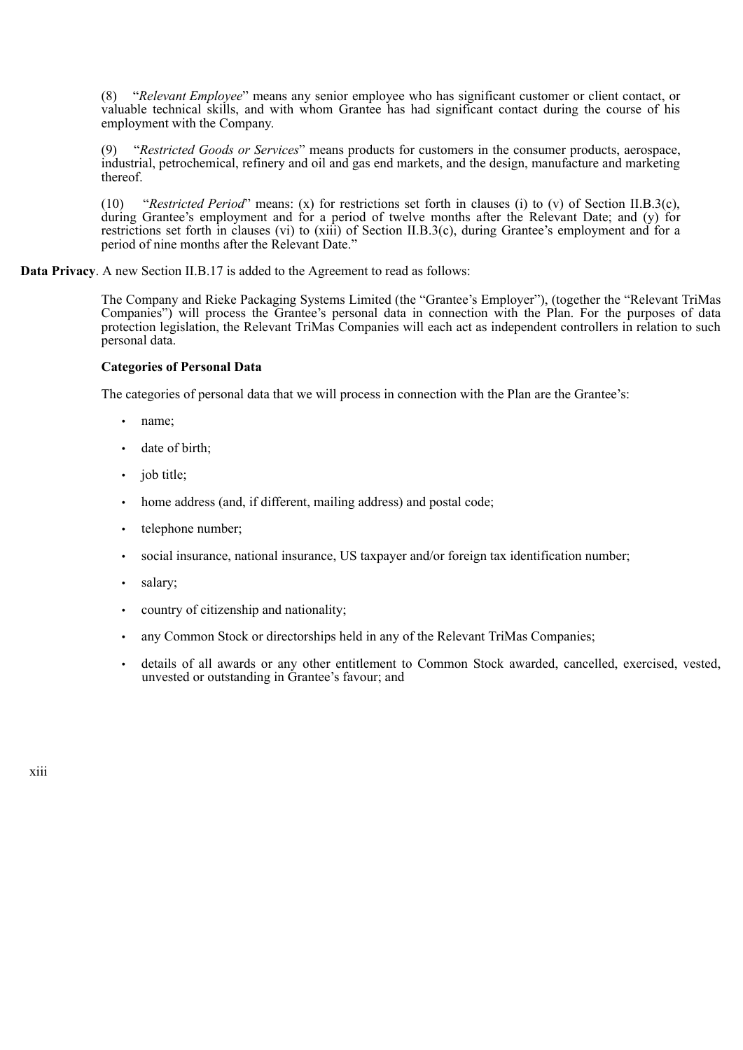(8) "*Relevant Employee*" means any senior employee who has significant customer or client contact, or valuable technical skills, and with whom Grantee has had significant contact during the course of his employment with the Company.

(9) "*Restricted Goods or Services*" means products for customers in the consumer products, aerospace, industrial, petrochemical, refinery and oil and gas end markets, and the design, manufacture and marketing thereof.

(10) "*Restricted Period*" means: (x) for restrictions set forth in clauses (i) to (v) of Section II.B.3(c), during Grantee's employment and for a period of twelve months after the Relevant Date; and (y) for restrictions set forth in clauses (vi) to (xiii) of Section II.B.3(c), during Grantee's employment and for a period of nine months after the Relevant Date."

**Data Privacy**. A new Section II.B.17 is added to the Agreement to read as follows:

The Company and Rieke Packaging Systems Limited (the "Grantee's Employer"), (together the "Relevant TriMas Companies") will process the Grantee's personal data in connection with the Plan. For the purposes of data protection legislation, the Relevant TriMas Companies will each act as independent controllers in relation to such personal data.

## **Categories of Personal Data**

The categories of personal data that we will process in connection with the Plan are the Grantee's:

- name;
- date of birth;
- job title;
- home address (and, if different, mailing address) and postal code;
- telephone number:
- social insurance, national insurance, US taxpayer and/or foreign tax identification number;
- salary;
- country of citizenship and nationality;
- any Common Stock or directorships held in any of the Relevant TriMas Companies;
- details of all awards or any other entitlement to Common Stock awarded, cancelled, exercised, vested, unvested or outstanding in Grantee's favour; and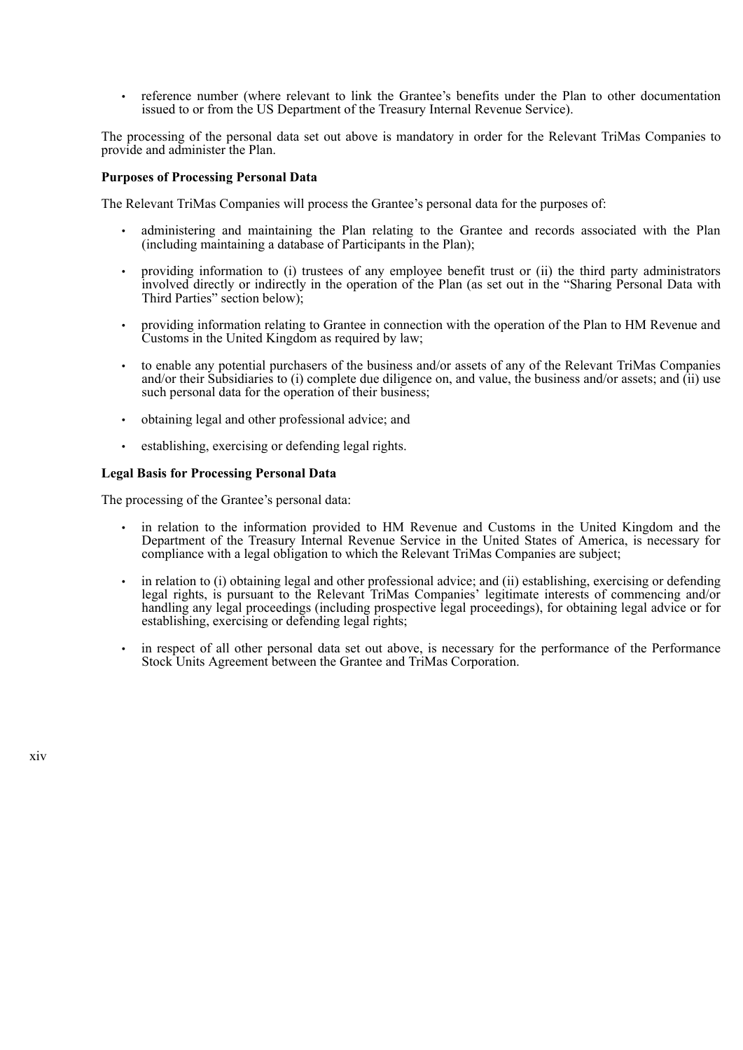• reference number (where relevant to link the Grantee's benefits under the Plan to other documentation issued to or from the US Department of the Treasury Internal Revenue Service).

The processing of the personal data set out above is mandatory in order for the Relevant TriMas Companies to provide and administer the Plan.

## **Purposes of Processing Personal Data**

The Relevant TriMas Companies will process the Grantee's personal data for the purposes of:

- administering and maintaining the Plan relating to the Grantee and records associated with the Plan (including maintaining a database of Participants in the Plan);
- providing information to (i) trustees of any employee benefit trust or (ii) the third party administrators involved directly or indirectly in the operation of the Plan (as set out in the "Sharing Personal Data with Third Parties" section below);
- providing information relating to Grantee in connection with the operation of the Plan to HM Revenue and Customs in the United Kingdom as required by law;
- to enable any potential purchasers of the business and/or assets of any of the Relevant TriMas Companies and/or their Subsidiaries to (i) complete due diligence on, and value, the business and/or assets; and (ii) use such personal data for the operation of their business:
- obtaining legal and other professional advice; and
- establishing, exercising or defending legal rights.

## **Legal Basis for Processing Personal Data**

The processing of the Grantee's personal data:

- in relation to the information provided to HM Revenue and Customs in the United Kingdom and the Department of the Treasury Internal Revenue Service in the United States of America, is necessary for compliance with a legal obligation to which the Relevant TriMas Companies are subject;
- in relation to (i) obtaining legal and other professional advice; and (ii) establishing, exercising or defending legal rights, is pursuant to the Relevant TriMas Companies' legitimate interests of commencing and/or handling any legal proceedings (including prospective legal proceedings), for obtaining legal advice or for establishing, exercising or defending legal rights;
- in respect of all other personal data set out above, is necessary for the performance of the Performance Stock Units Agreement between the Grantee and TriMas Corporation.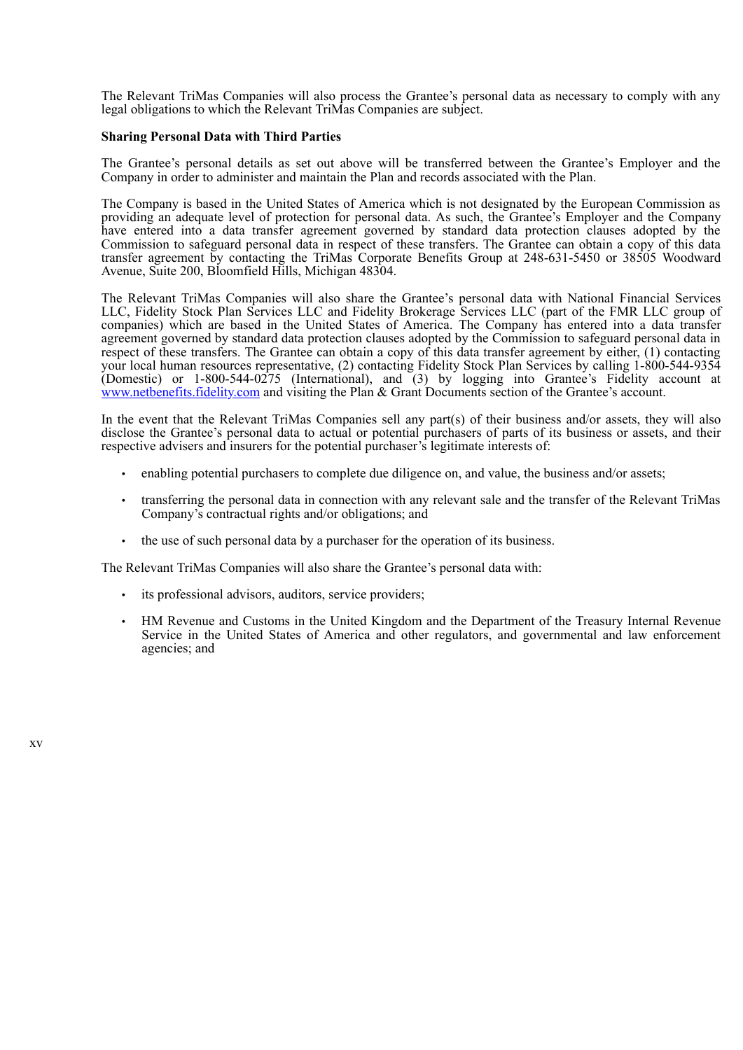The Relevant TriMas Companies will also process the Grantee's personal data as necessary to comply with any legal obligations to which the Relevant TriMas Companies are subject.

## **Sharing Personal Data with Third Parties**

The Grantee's personal details as set out above will be transferred between the Grantee's Employer and the Company in order to administer and maintain the Plan and records associated with the Plan.

The Company is based in the United States of America which is not designated by the European Commission as providing an adequate level of protection for personal data. As such, the Grantee's Employer and the Company have entered into a data transfer agreement governed by standard data protection clauses adopted by the Commission to safeguard personal data in respect of these transfers. The Grantee can obtain a copy of this data transfer agreement by contacting the TriMas Corporate Benefits Group at 248-631-5450 or 38505 Woodward Avenue, Suite 200, Bloomfield Hills, Michigan 48304.

The Relevant TriMas Companies will also share the Grantee's personal data with National Financial Services LLC, Fidelity Stock Plan Services LLC and Fidelity Brokerage Services LLC (part of the FMR LLC group of companies) which are based in the United States of America. The Company has entered into a data transfer agreement governed by standard data protection clauses adopted by the Commission to safeguard personal data in respect of these transfers. The Grantee can obtain a copy of this data transfer agreement by either, (1) contacting your local human resources representative, (2) contacting Fidelity Stock Plan Services by calling 1-800-544-9354 (Domestic) or 1-800-544-0275 (International), and (3) by logging into Grantee's Fidelity account at www.netbenefits.fidelity.com and visiting the Plan & Grant Documents section of the Grantee's account.

In the event that the Relevant TriMas Companies sell any part(s) of their business and/or assets, they will also disclose the Grantee's personal data to actual or potential purchasers of parts of its business or assets, and their respective advisers and insurers for the potential purchaser's legitimate interests of:

- enabling potential purchasers to complete due diligence on, and value, the business and/or assets;
- transferring the personal data in connection with any relevant sale and the transfer of the Relevant TriMas Company's contractual rights and/or obligations; and
- the use of such personal data by a purchaser for the operation of its business.

The Relevant TriMas Companies will also share the Grantee's personal data with:

- its professional advisors, auditors, service providers;
- HM Revenue and Customs in the United Kingdom and the Department of the Treasury Internal Revenue Service in the United States of America and other regulators, and governmental and law enforcement agencies; and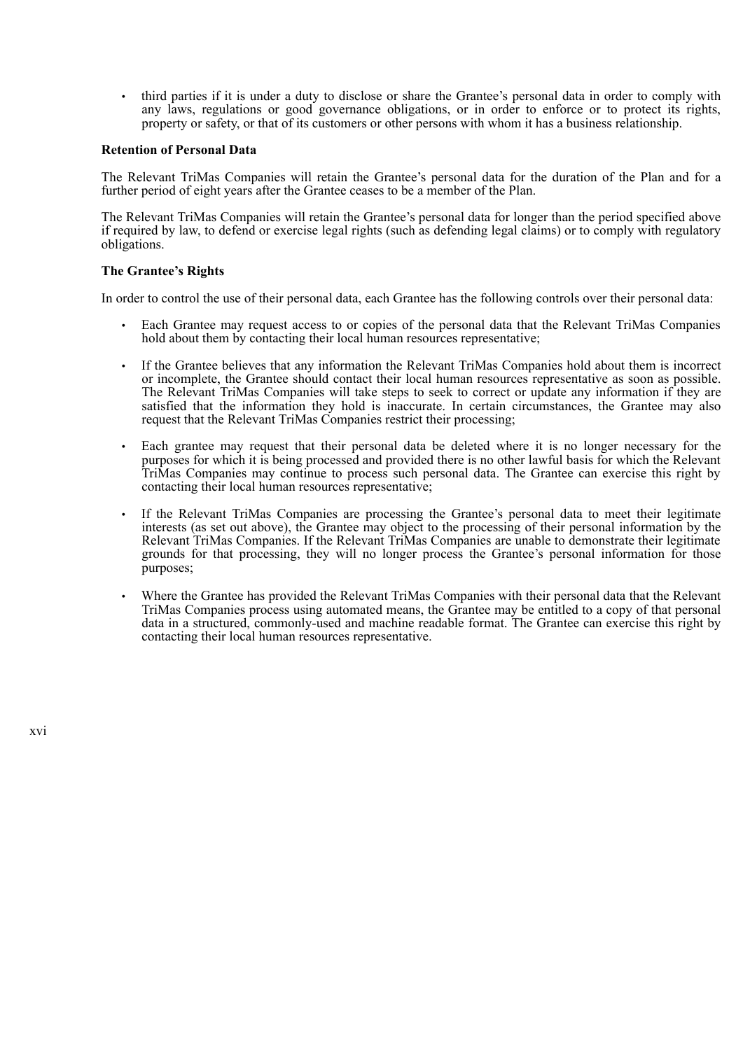• third parties if it is under a duty to disclose or share the Grantee's personal data in order to comply with any laws, regulations or good governance obligations, or in order to enforce or to protect its rights, property or safety, or that of its customers or other persons with whom it has a business relationship.

#### **Retention of Personal Data**

The Relevant TriMas Companies will retain the Grantee's personal data for the duration of the Plan and for a further period of eight years after the Grantee ceases to be a member of the Plan.

The Relevant TriMas Companies will retain the Grantee's personal data for longer than the period specified above if required by law, to defend or exercise legal rights (such as defending legal claims) or to comply with regulatory obligations.

#### **The Grantee's Rights**

In order to control the use of their personal data, each Grantee has the following controls over their personal data:

- Each Grantee may request access to or copies of the personal data that the Relevant TriMas Companies hold about them by contacting their local human resources representative;
- If the Grantee believes that any information the Relevant TriMas Companies hold about them is incorrect or incomplete, the Grantee should contact their local human resources representative as soon as possible. The Relevant TriMas Companies will take steps to seek to correct or update any information if they are satisfied that the information they hold is inaccurate. In certain circumstances, the Grantee may also request that the Relevant TriMas Companies restrict their processing;
- Each grantee may request that their personal data be deleted where it is no longer necessary for the purposes for which it is being processed and provided there is no other lawful basis for which the Relevant TriMas Companies may continue to process such personal data. The Grantee can exercise this right by contacting their local human resources representative;
- If the Relevant TriMas Companies are processing the Grantee's personal data to meet their legitimate interests (as set out above), the Grantee may object to the processing of their personal information by the Relevant TriMas Companies. If the Relevant TriMas Companies are unable to demonstrate their legitimate grounds for that processing, they will no longer process the Grantee's personal information for those purposes;
- Where the Grantee has provided the Relevant TriMas Companies with their personal data that the Relevant TriMas Companies process using automated means, the Grantee may be entitled to a copy of that personal data in a structured, commonly-used and machine readable format. The Grantee can exercise this right by contacting their local human resources representative.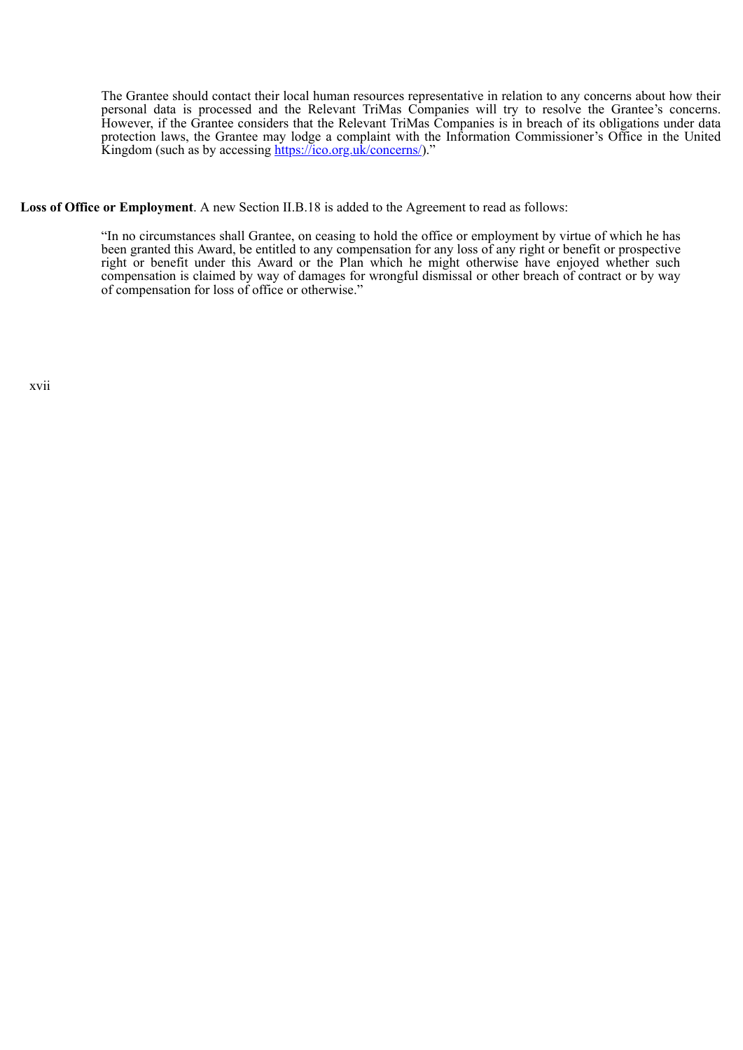The Grantee should contact their local human resources representative in relation to any concerns about how their personal data is processed and the Relevant TriMas Companies will try to resolve the Grantee's concerns. However, if the Grantee considers that the Relevant TriMas Companies is in breach of its obligations under data protection laws, the Grantee may lodge a complaint with the Information Commissioner's Office in the United Kingdom (such as by accessing https://ico.org.uk/concerns/)."

**Loss of Office or Employment**. A new Section II.B.18 is added to the Agreement to read as follows:

"In no circumstances shall Grantee, on ceasing to hold the office or employment by virtue of which he has been granted this Award, be entitled to any compensation for any loss of any right or benefit or prospective right or benefit under this Award or the Plan which he might otherwise have enjoyed whether such compensation is claimed by way of damages for wrongful dismissal or other breach of contract or by way of compensation for loss of office or otherwise."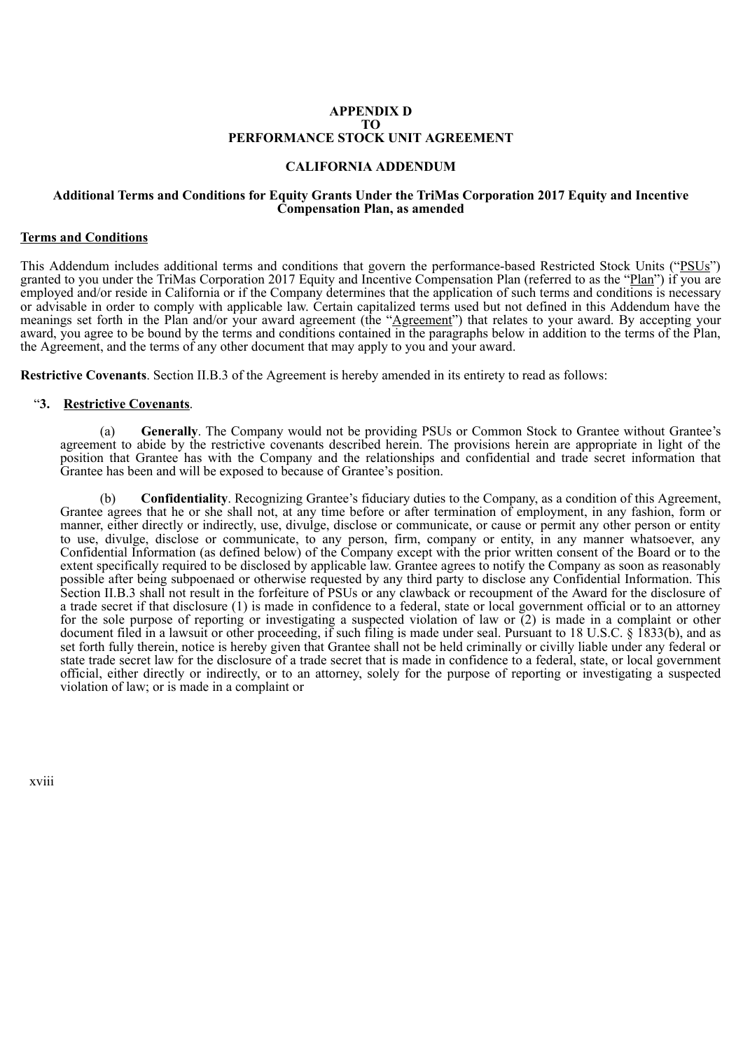## **APPENDIX D TO PERFORMANCE STOCK UNIT AGREEMENT**

## **CALIFORNIA ADDENDUM**

## **Additional Terms and Conditions for Equity Grants Under the TriMas Corporation 2017 Equity and Incentive Compensation Plan, as amended**

## **Terms and Conditions**

This Addendum includes additional terms and conditions that govern the performance-based Restricted Stock Units ("PSUs") granted to you under the TriMas Corporation 2017 Equity and Incentive Compensation Plan (referred to as the "Plan") if you are employed and/or reside in California or if the Company determines that the application of such terms and conditions is necessary or advisable in order to comply with applicable law. Certain capitalized terms used but not defined in this Addendum have the meanings set forth in the Plan and/or your award agreement (the "Agreement") that relates to your award. By accepting your award, you agree to be bound by the terms and conditions contained in the paragraphs below in addition to the terms of the Plan, the Agreement, and the terms of any other document that may apply to you and your award.

**Restrictive Covenants**. Section II.B.3 of the Agreement is hereby amended in its entirety to read as follows:

## "**3. Restrictive Covenants**.

(a) **Generally**. The Company would not be providing PSUs or Common Stock to Grantee without Grantee's agreement to abide by the restrictive covenants described herein. The provisions herein are appropriate in light of the position that Grantee has with the Company and the relationships and confidential and trade secret information that Grantee has been and will be exposed to because of Grantee's position.

(b) **Confidentiality**. Recognizing Grantee's fiduciary duties to the Company, as a condition of this Agreement, Grantee agrees that he or she shall not, at any time before or after termination of employment, in any fashion, form or manner, either directly or indirectly, use, divulge, disclose or communicate, or cause or permit any other person or entity to use, divulge, disclose or communicate, to any person, firm, company or entity, in any manner whatsoever, any Confidential Information (as defined below) of the Company except with the prior written consent of the Board or to the extent specifically required to be disclosed by applicable law. Grantee agrees to notify the Company as soon as reasonably possible after being subpoenaed or otherwise requested by any third party to disclose any Confidential Information. This Section II.B.3 shall not result in the forfeiture of PSUs or any clawback or recoupment of the Award for the disclosure of a trade secret if that disclosure (1) is made in confidence to a federal, state or local government official or to an attorney for the sole purpose of reporting or investigating a suspected violation of law or (2) is made in a complaint or other document filed in a lawsuit or other proceeding, if such filing is made under seal. Pursuant to 18 U.S.C. § 1833(b), and as set forth fully therein, notice is hereby given that Grantee shall not be held criminally or civilly liable under any federal or state trade secret law for the disclosure of a trade secret that is made in confidence to a federal, state, or local government official, either directly or indirectly, or to an attorney, solely for the purpose of reporting or investigating a suspected violation of law; or is made in a complaint or

xviii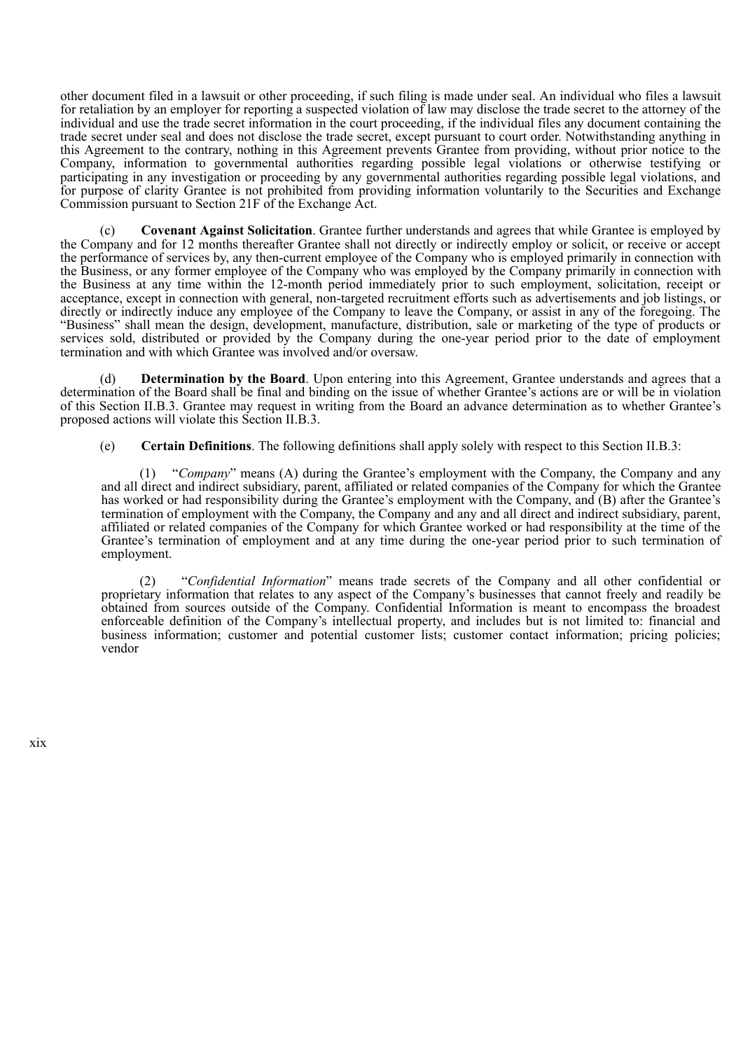other document filed in a lawsuit or other proceeding, if such filing is made under seal. An individual who files a lawsuit for retaliation by an employer for reporting a suspected violation of law may disclose the trade secret to the attorney of the individual and use the trade secret information in the court proceeding, if the individual files any document containing the trade secret under seal and does not disclose the trade secret, except pursuant to court order. Notwithstanding anything in this Agreement to the contrary, nothing in this Agreement prevents Grantee from providing, without prior notice to the Company, information to governmental authorities regarding possible legal violations or otherwise testifying or participating in any investigation or proceeding by any governmental authorities regarding possible legal violations, and for purpose of clarity Grantee is not prohibited from providing information voluntarily to the Securities and Exchange Commission pursuant to Section 21F of the Exchange Act.

(c) **Covenant Against Solicitation**. Grantee further understands and agrees that while Grantee is employed by the Company and for 12 months thereafter Grantee shall not directly or indirectly employ or solicit, or receive or accept the performance of services by, any then-current employee of the Company who is employed primarily in connection with the Business, or any former employee of the Company who was employed by the Company primarily in connection with the Business at any time within the 12-month period immediately prior to such employment, solicitation, receipt or acceptance, except in connection with general, non-targeted recruitment efforts such as advertisements and job listings, or directly or indirectly induce any employee of the Company to leave the Company, or assist in any of the foregoing. The "Business" shall mean the design, development, manufacture, distribution, sale or marketing of the type of products or services sold, distributed or provided by the Company during the one-year period prior to the date of employment termination and with which Grantee was involved and/or oversaw.

(d) **Determination by the Board**. Upon entering into this Agreement, Grantee understands and agrees that a determination of the Board shall be final and binding on the issue of whether Grantee's actions are or will be in violation of this Section II.B.3. Grantee may request in writing from the Board an advance determination as to whether Grantee's proposed actions will violate this Section II.B.3.

(e) **Certain Definitions**. The following definitions shall apply solely with respect to this Section II.B.3:

"*Company*" means (A) during the Grantee's employment with the Company, the Company and any and all direct and indirect subsidiary, parent, affiliated or related companies of the Company for which the Grantee has worked or had responsibility during the Grantee's employment with the Company, and (B) after the Grantee's termination of employment with the Company, the Company and any and all direct and indirect subsidiary, parent, affiliated or related companies of the Company for which Grantee worked or had responsibility at the time of the Grantee's termination of employment and at any time during the one-year period prior to such termination of employment.

(2) "*Confidential Information*" means trade secrets of the Company and all other confidential or proprietary information that relates to any aspect of the Company's businesses that cannot freely and readily be obtained from sources outside of the Company. Confidential Information is meant to encompass the broadest enforceable definition of the Company's intellectual property, and includes but is not limited to: financial and business information; customer and potential customer lists; customer contact information; pricing policies; vendor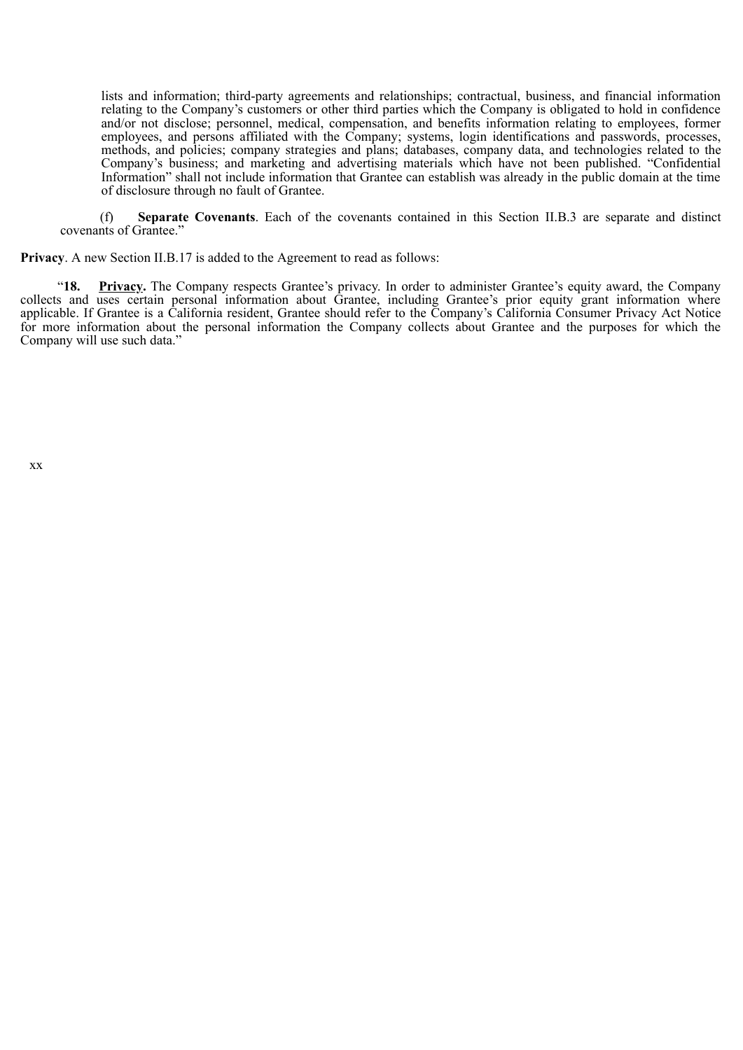lists and information; third-party agreements and relationships; contractual, business, and financial information relating to the Company's customers or other third parties which the Company is obligated to hold in confidence and/or not disclose; personnel, medical, compensation, and benefits information relating to employees, former employees, and persons affiliated with the Company; systems, login identifications and passwords, processes, methods, and policies; company strategies and plans; databases, company data, and technologies related to the Company's business; and marketing and advertising materials which have not been published. "Confidential Information" shall not include information that Grantee can establish was already in the public domain at the time of disclosure through no fault of Grantee.

(f) **Separate Covenants**. Each of the covenants contained in this Section II.B.3 are separate and distinct covenants of Grantee."

**Privacy**. A new Section II.B.17 is added to the Agreement to read as follows:

"**18. Privacy.** The Company respects Grantee's privacy. In order to administer Grantee's equity award, the Company collects and uses certain personal information about Grantee, including Grantee's prior equity grant information where applicable. If Grantee is a California resident, Grantee should refer to the Company's California Consumer Privacy Act Notice for more information about the personal information the Company collects about Grantee and the purposes for which the Company will use such data."

xx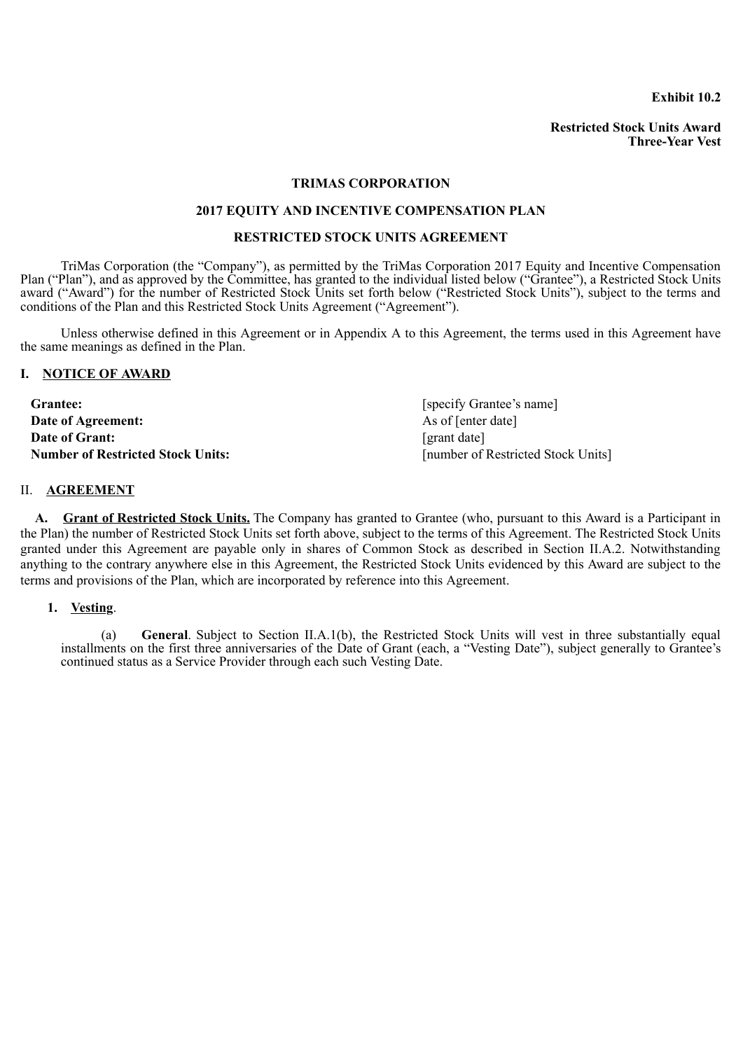**Exhibit 10.2**

**Restricted Stock Units Award Three-Year Vest**

# **TRIMAS CORPORATION**

# **2017 EQUITY AND INCENTIVE COMPENSATION PLAN**

## **RESTRICTED STOCK UNITS AGREEMENT**

TriMas Corporation (the "Company"), as permitted by the TriMas Corporation 2017 Equity and Incentive Compensation Plan ("Plan"), and as approved by the Committee, has granted to the individual listed below ("Grantee"), a Restricted Stock Units award ("Award") for the number of Restricted Stock Units set forth below ("Restricted Stock Units"), subject to the terms and conditions of the Plan and this Restricted Stock Units Agreement ("Agreement").

Unless otherwise defined in this Agreement or in Appendix A to this Agreement, the terms used in this Agreement have the same meanings as defined in the Plan.

### **I. NOTICE OF AWARD**

| <b>Grantee:</b>                   | [specify Grantee's name]           |
|-----------------------------------|------------------------------------|
| Date of Agreement:                | As of [enter date]                 |
| Date of Grant:                    | [grant date]                       |
| Number of Restricted Stock Units: | [number of Restricted Stock Units] |

## II. **AGREEMENT**

**A. Grant of Restricted Stock Units.** The Company has granted to Grantee (who, pursuant to this Award is a Participant in the Plan) the number of Restricted Stock Units set forth above, subject to the terms of this Agreement. The Restricted Stock Units granted under this Agreement are payable only in shares of Common Stock as described in Section II.A.2. Notwithstanding anything to the contrary anywhere else in this Agreement, the Restricted Stock Units evidenced by this Award are subject to the terms and provisions of the Plan, which are incorporated by reference into this Agreement.

**1. Vesting**.

(a) **General**. Subject to Section II.A.1(b), the Restricted Stock Units will vest in three substantially equal installments on the first three anniversaries of the Date of Grant (each, a "Vesting Date"), subject generally to Grantee's continued status as a Service Provider through each such Vesting Date.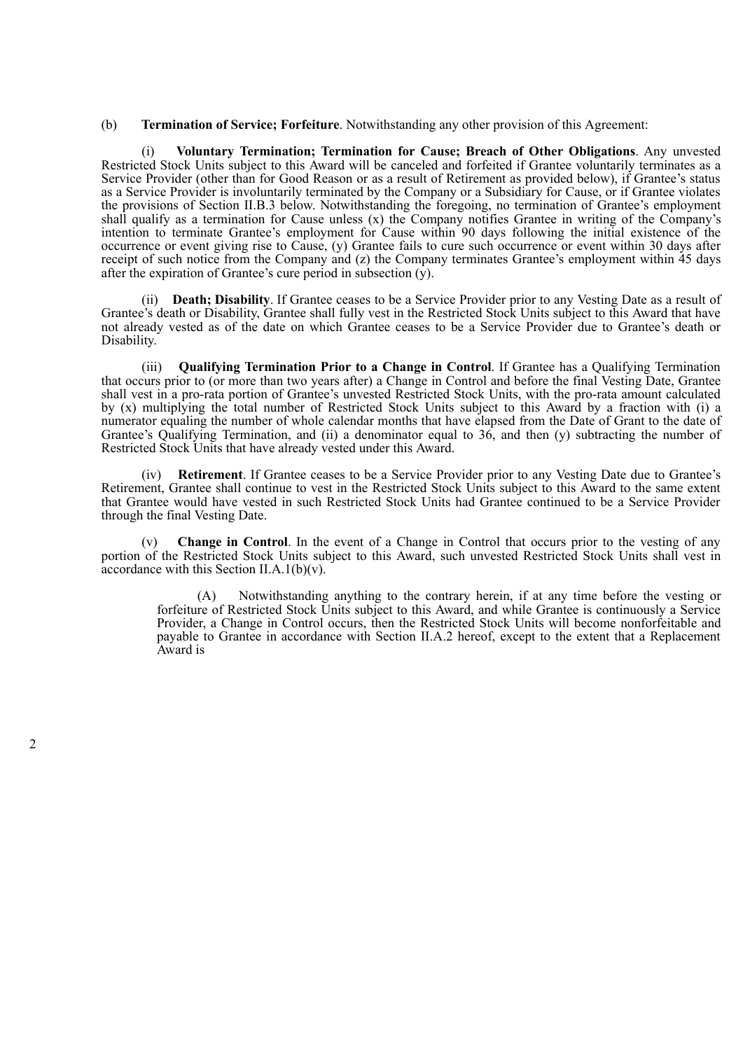(b) **Termination of Service; Forfeiture**. Notwithstanding any other provision of this Agreement:

(i) **Voluntary Termination; Termination for Cause; Breach of Other Obligations**. Any unvested Restricted Stock Units subject to this Award will be canceled and forfeited if Grantee voluntarily terminates as a Service Provider (other than for Good Reason or as a result of Retirement as provided below), if Grantee's status as a Service Provider is involuntarily terminated by the Company or a Subsidiary for Cause, or if Grantee violates the provisions of Section II.B.3 below. Notwithstanding the foregoing, no termination of Grantee's employment shall qualify as a termination for Cause unless (x) the Company notifies Grantee in writing of the Company's intention to terminate Grantee's employment for Cause within 90 days following the initial existence of the occurrence or event giving rise to Cause, (y) Grantee fails to cure such occurrence or event within 30 days after receipt of such notice from the Company and (z) the Company terminates Grantee's employment within 45 days after the expiration of Grantee's cure period in subsection (y).

(ii) **Death; Disability**. If Grantee ceases to be a Service Provider prior to any Vesting Date as a result of Grantee's death or Disability, Grantee shall fully vest in the Restricted Stock Units subject to this Award that have not already vested as of the date on which Grantee ceases to be a Service Provider due to Grantee's death or Disability.

(iii) **Qualifying Termination Prior to a Change in Control**. If Grantee has a Qualifying Termination that occurs prior to (or more than two years after) a Change in Control and before the final Vesting Date, Grantee shall vest in a pro-rata portion of Grantee's unvested Restricted Stock Units, with the pro-rata amount calculated by (x) multiplying the total number of Restricted Stock Units subject to this Award by a fraction with (i) a numerator equaling the number of whole calendar months that have elapsed from the Date of Grant to the date of Grantee's Qualifying Termination, and (ii) a denominator equal to  $36$ , and then (y) subtracting the number of Restricted Stock Units that have already vested under this Award.

(iv) **Retirement**. If Grantee ceases to be a Service Provider prior to any Vesting Date due to Grantee's Retirement, Grantee shall continue to vest in the Restricted Stock Units subject to this Award to the same extent that Grantee would have vested in such Restricted Stock Units had Grantee continued to be a Service Provider through the final Vesting Date.

(v) **Change in Control**. In the event of a Change in Control that occurs prior to the vesting of any portion of the Restricted Stock Units subject to this Award, such unvested Restricted Stock Units shall vest in accordance with this Section II.A.1(b) $(v)$ .

(A) Notwithstanding anything to the contrary herein, if at any time before the vesting or forfeiture of Restricted Stock Units subject to this Award, and while Grantee is continuously a Service Provider, a Change in Control occurs, then the Restricted Stock Units will become nonforfeitable and payable to Grantee in accordance with Section II.A.2 hereof, except to the extent that a Replacement Award is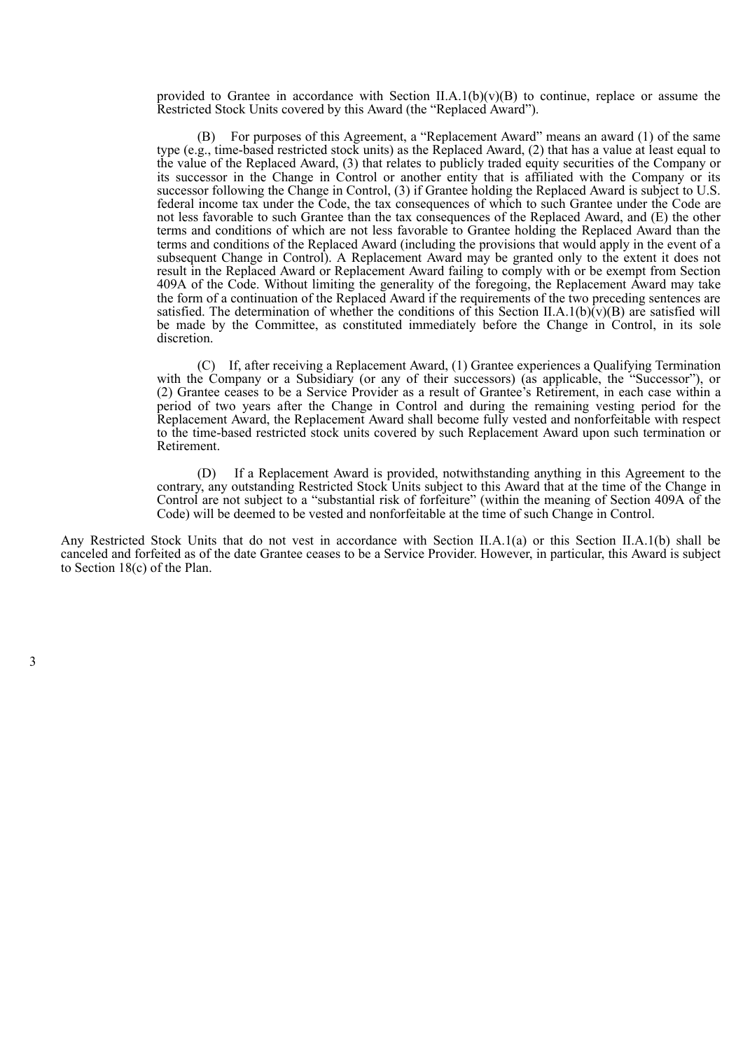provided to Grantee in accordance with Section II.A.1(b)(v)(B) to continue, replace or assume the Restricted Stock Units covered by this Award (the "Replaced Award").

(B) For purposes of this Agreement, a "Replacement Award" means an award (1) of the same type (e.g., time-based restricted stock units) as the Replaced Award, (2) that has a value at least equal to the value of the Replaced Award, (3) that relates to publicly traded equity securities of the Company or its successor in the Change in Control or another entity that is affiliated with the Company or its successor following the Change in Control, (3) if Grantee holding the Replaced Award is subject to U.S. federal income tax under the Code, the tax consequences of which to such Grantee under the Code are not less favorable to such Grantee than the tax consequences of the Replaced Award, and (E) the other terms and conditions of which are not less favorable to Grantee holding the Replaced Award than the terms and conditions of the Replaced Award (including the provisions that would apply in the event of a subsequent Change in Control). A Replacement Award may be granted only to the extent it does not result in the Replaced Award or Replacement Award failing to comply with or be exempt from Section 409A of the Code. Without limiting the generality of the foregoing, the Replacement Award may take the form of a continuation of the Replaced Award if the requirements of the two preceding sentences are satisfied. The determination of whether the conditions of this Section II.A.1(b) $\hat{v}(v)(B)$  are satisfied will be made by the Committee, as constituted immediately before the Change in Control, in its sole discretion.

(C) If, after receiving a Replacement Award, (1) Grantee experiences a Qualifying Termination with the Company or a Subsidiary (or any of their successors) (as applicable, the "Successor"), or (2) Grantee ceases to be a Service Provider as a result of Grantee's Retirement, in each case within a period of two years after the Change in Control and during the remaining vesting period for the Replacement Award, the Replacement Award shall become fully vested and nonforfeitable with respect to the time-based restricted stock units covered by such Replacement Award upon such termination or Retirement.

(D) If a Replacement Award is provided, notwithstanding anything in this Agreement to the contrary, any outstanding Restricted Stock Units subject to this Award that at the time of the Change in Control are not subject to a "substantial risk of forfeiture" (within the meaning of Section 409A of the Code) will be deemed to be vested and nonforfeitable at the time of such Change in Control.

Any Restricted Stock Units that do not vest in accordance with Section II.A.1(a) or this Section II.A.1(b) shall be canceled and forfeited as of the date Grantee ceases to be a Service Provider. However, in particular, this Award is subject to Section 18(c) of the Plan.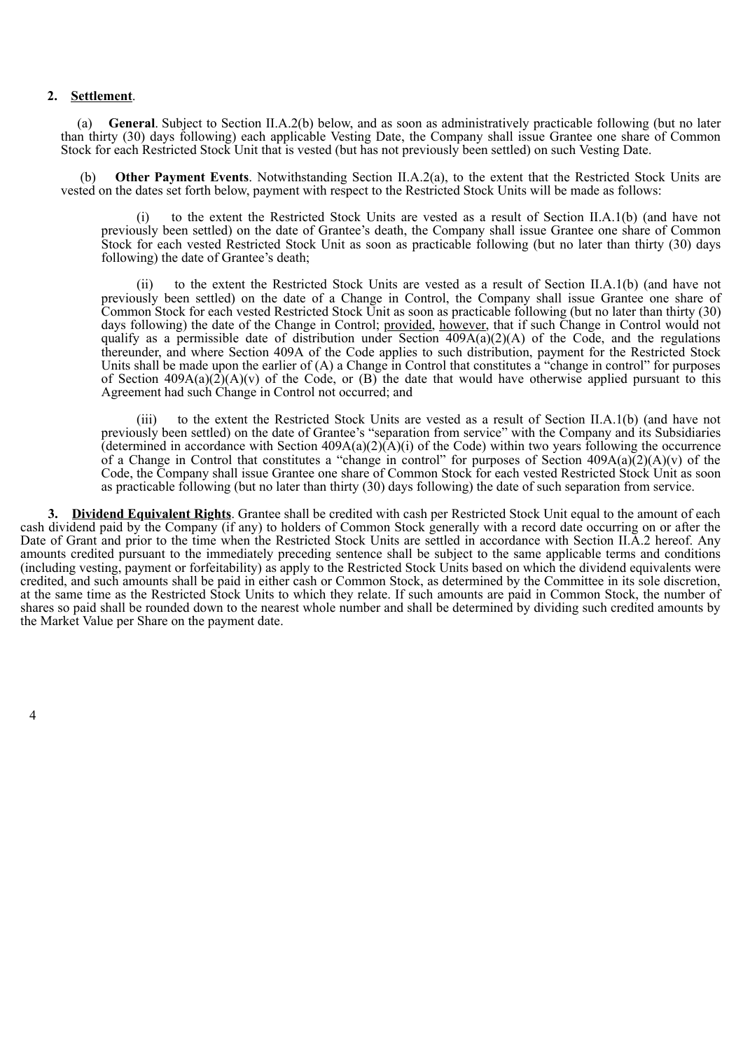# **2. Settlement**.

(a) **General**. Subject to Section II.A.2(b) below, and as soon as administratively practicable following (but no later than thirty (30) days following) each applicable Vesting Date, the Company shall issue Grantee one share of Common Stock for each Restricted Stock Unit that is vested (but has not previously been settled) on such Vesting Date.

**Other Payment Events**. Notwithstanding Section II.A.2(a), to the extent that the Restricted Stock Units are vested on the dates set forth below, payment with respect to the Restricted Stock Units will be made as follows:

(i) to the extent the Restricted Stock Units are vested as a result of Section II.A.1(b) (and have not previously been settled) on the date of Grantee's death, the Company shall issue Grantee one share of Common Stock for each vested Restricted Stock Unit as soon as practicable following (but no later than thirty (30) days following) the date of Grantee's death;

(ii) to the extent the Restricted Stock Units are vested as a result of Section II.A.1(b) (and have not previously been settled) on the date of a Change in Control, the Company shall issue Grantee one share of Common Stock for each vested Restricted Stock Unit as soon as practicable following (but no later than thirty (30) days following) the date of the Change in Control; provided, however, that if such Change in Control would not qualify as a permissible date of distribution under Section  $409A(a)(2)(A)$  of the Code, and the regulations thereunder, and where Section 409A of the Code applies to such distribution, payment for the Restricted Stock Units shall be made upon the earlier of (A) a Change in Control that constitutes a "change in control" for purposes of Section  $409A(a)(2)(A)(v)$  of the Code, or  $(B)$  the date that would have otherwise applied pursuant to this Agreement had such Change in Control not occurred; and

to the extent the Restricted Stock Units are vested as a result of Section II.A.1(b) (and have not previously been settled) on the date of Grantee's "separation from service" with the Company and its Subsidiaries (determined in accordance with Section  $409A(a)(2)(A)(i)$  of the Code) within two years following the occurrence of a Change in Control that constitutes a "change in control" for purposes of Section  $409A(a)(2)(A)(v)$  of the Code, the Company shall issue Grantee one share of Common Stock for each vested Restricted Stock Unit as soon as practicable following (but no later than thirty (30) days following) the date of such separation from service.

**3. Dividend Equivalent Rights**. Grantee shall be credited with cash per Restricted Stock Unit equal to the amount of each cash dividend paid by the Company (if any) to holders of Common Stock generally with a record date occurring on or after the Date of Grant and prior to the time when the Restricted Stock Units are settled in accordance with Section II.A.2 hereof. Any amounts credited pursuant to the immediately preceding sentence shall be subject to the same applicable terms and conditions (including vesting, payment or forfeitability) as apply to the Restricted Stock Units based on which the dividend equivalents were credited, and such amounts shall be paid in either cash or Common Stock, as determined by the Committee in its sole discretion, at the same time as the Restricted Stock Units to which they relate. If such amounts are paid in Common Stock, the number of shares so paid shall be rounded down to the nearest whole number and shall be determined by dividing such credited amounts by the Market Value per Share on the payment date.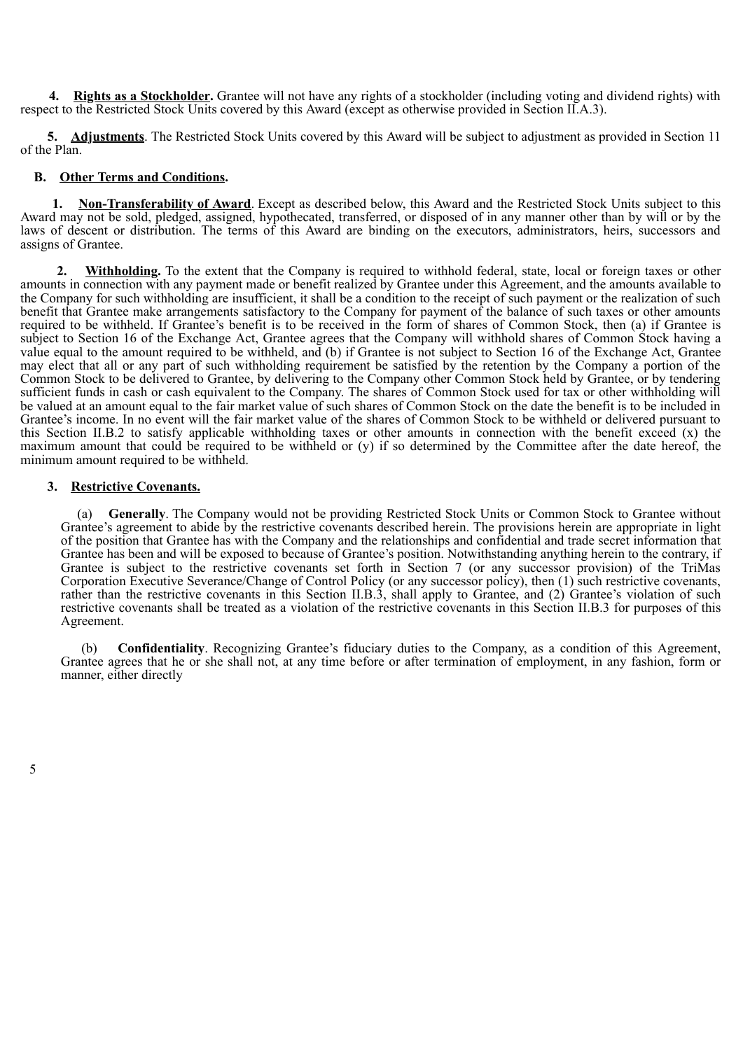**4. Rights as a Stockholder.** Grantee will not have any rights of a stockholder (including voting and dividend rights) with respect to the Restricted Stock Units covered by this Award (except as otherwise provided in Section II.A.3).

**5. Adjustments**. The Restricted Stock Units covered by this Award will be subject to adjustment as provided in Section 11 of the Plan.

# **B. Other Terms and Conditions.**

**1. Non-Transferability of Award**. Except as described below, this Award and the Restricted Stock Units subject to this Award may not be sold, pledged, assigned, hypothecated, transferred, or disposed of in any manner other than by will or by the laws of descent or distribution. The terms of this Award are binding on the executors, administrators, heirs, successors and assigns of Grantee.

**2. Withholding.** To the extent that the Company is required to withhold federal, state, local or foreign taxes or other amounts in connection with any payment made or benefit realized by Grantee under this Agreement, and the amounts available to the Company for such withholding are insufficient, it shall be a condition to the receipt of such payment or the realization of such benefit that Grantee make arrangements satisfactory to the Company for payment of the balance of such taxes or other amounts required to be withheld. If Grantee's benefit is to be received in the form of shares of Common Stock, then (a) if Grantee is subject to Section 16 of the Exchange Act, Grantee agrees that the Company will withhold shares of Common Stock having a value equal to the amount required to be withheld, and (b) if Grantee is not subject to Section 16 of the Exchange Act, Grantee may elect that all or any part of such withholding requirement be satisfied by the retention by the Company a portion of the Common Stock to be delivered to Grantee, by delivering to the Company other Common Stock held by Grantee, or by tendering sufficient funds in cash or cash equivalent to the Company. The shares of Common Stock used for tax or other withholding will be valued at an amount equal to the fair market value of such shares of Common Stock on the date the benefit is to be included in Grantee's income. In no event will the fair market value of the shares of Common Stock to be withheld or delivered pursuant to this Section II.B.2 to satisfy applicable withholding taxes or other amounts in connection with the benefit exceed (x) the maximum amount that could be required to be withheld or  $(v)$  if so determined by the Committee after the date hereof, the minimum amount required to be withheld.

# **3. Restrictive Covenants.**

(a) **Generally**. The Company would not be providing Restricted Stock Units or Common Stock to Grantee without Grantee's agreement to abide by the restrictive covenants described herein. The provisions herein are appropriate in light of the position that Grantee has with the Company and the relationships and confidential and trade secret information that Grantee has been and will be exposed to because of Grantee's position. Notwithstanding anything herein to the contrary, if Grantee is subject to the restrictive covenants set forth in Section 7 (or any successor provision) of the TriMas Corporation Executive Severance/Change of Control Policy (or any successor policy), then (1) such restrictive covenants, rather than the restrictive covenants in this Section II.B.3, shall apply to Grantee, and (2) Grantee's violation of such restrictive covenants shall be treated as a violation of the restrictive covenants in this Section II.B.3 for purposes of this Agreement.

(b) **Confidentiality**. Recognizing Grantee's fiduciary duties to the Company, as a condition of this Agreement, Grantee agrees that he or she shall not, at any time before or after termination of employment, in any fashion, form or manner, either directly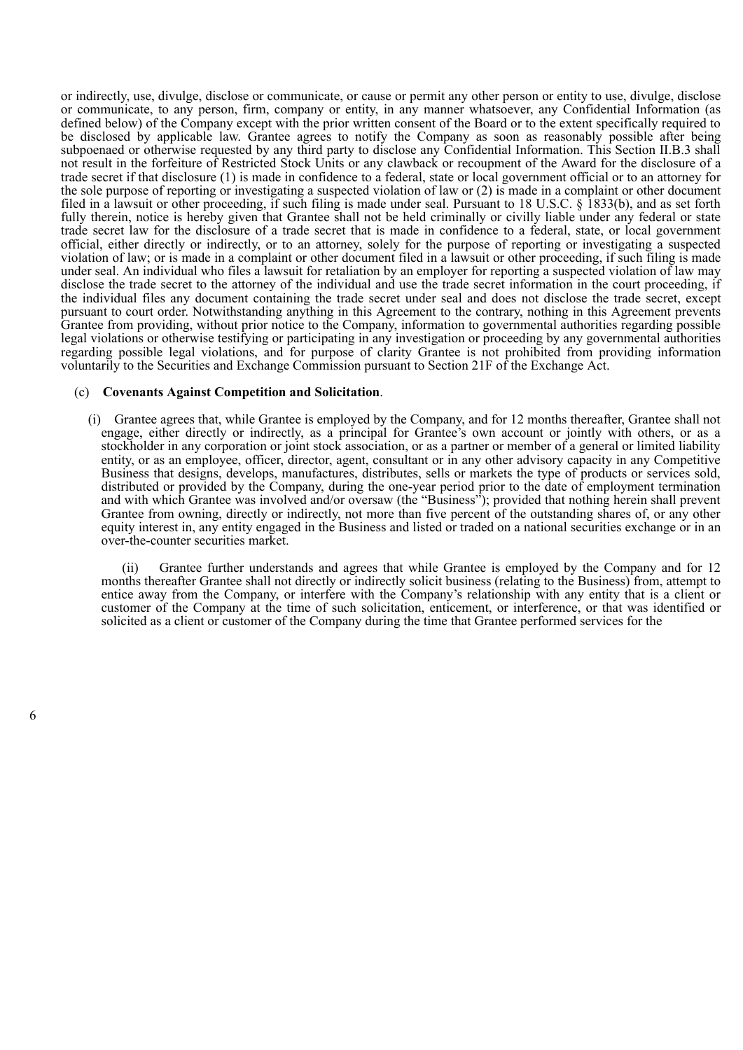or indirectly, use, divulge, disclose or communicate, or cause or permit any other person or entity to use, divulge, disclose or communicate, to any person, firm, company or entity, in any manner whatsoever, any Confidential Information (as defined below) of the Company except with the prior written consent of the Board or to the extent specifically required to be disclosed by applicable law. Grantee agrees to notify the Company as soon as reasonably possible after being subpoenaed or otherwise requested by any third party to disclose any Confidential Information. This Section II.B.3 shall not result in the forfeiture of Restricted Stock Units or any clawback or recoupment of the Award for the disclosure of a trade secret if that disclosure (1) is made in confidence to a federal, state or local government official or to an attorney for the sole purpose of reporting or investigating a suspected violation of law or (2) is made in a complaint or other document filed in a lawsuit or other proceeding, if such filing is made under seal. Pursuant to 18 U.S.C. § 1833(b), and as set forth fully therein, notice is hereby given that Grantee shall not be held criminally or civilly liable under any federal or state trade secret law for the disclosure of a trade secret that is made in confidence to a federal, state, or local government official, either directly or indirectly, or to an attorney, solely for the purpose of reporting or investigating a suspected violation of law; or is made in a complaint or other document filed in a lawsuit or other proceeding, if such filing is made under seal. An individual who files a lawsuit for retaliation by an employer for reporting a suspected violation of law may disclose the trade secret to the attorney of the individual and use the trade secret information in the court proceeding, if the individual files any document containing the trade secret under seal and does not disclose the trade secret, except pursuant to court order. Notwithstanding anything in this Agreement to the contrary, nothing in this Agreement prevents Grantee from providing, without prior notice to the Company, information to governmental authorities regarding possible legal violations or otherwise testifying or participating in any investigation or proceeding by any governmental authorities regarding possible legal violations, and for purpose of clarity Grantee is not prohibited from providing information voluntarily to the Securities and Exchange Commission pursuant to Section 21F of the Exchange Act.

#### (c) **Covenants Against Competition and Solicitation**.

(i) Grantee agrees that, while Grantee is employed by the Company, and for 12 months thereafter, Grantee shall not engage, either directly or indirectly, as a principal for Grantee's own account or jointly with others, or as a stockholder in any corporation or joint stock association, or as a partner or member of a general or limited liability entity, or as an employee, officer, director, agent, consultant or in any other advisory capacity in any Competitive Business that designs, develops, manufactures, distributes, sells or markets the type of products or services sold, distributed or provided by the Company, during the one-year period prior to the date of employment termination and with which Grantee was involved and/or oversaw (the "Business"); provided that nothing herein shall prevent Grantee from owning, directly or indirectly, not more than five percent of the outstanding shares of, or any other equity interest in, any entity engaged in the Business and listed or traded on a national securities exchange or in an over-the-counter securities market.

(ii) Grantee further understands and agrees that while Grantee is employed by the Company and for 12 months thereafter Grantee shall not directly or indirectly solicit business (relating to the Business) from, attempt to entice away from the Company, or interfere with the Company's relationship with any entity that is a client or customer of the Company at the time of such solicitation, enticement, or interference, or that was identified or solicited as a client or customer of the Company during the time that Grantee performed services for the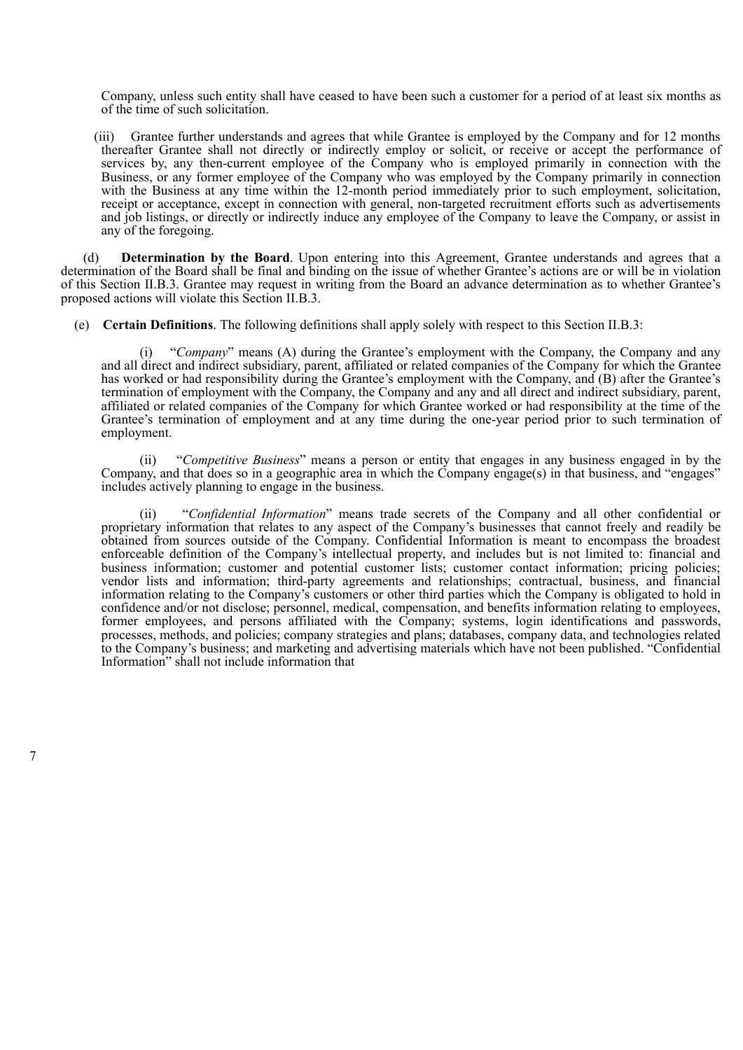Company, unless such entity shall have ceased to have been such a customer for a period of at least six months as of the time of such solicitation.

(iii) Grantee further understands and agrees that while Grantee is employed by the Company and for 12 months thereafter Grantee shall not directly or indirectly employ or solicit, or receive or accept the performance of services by, any then-current employee of the Company who is employed primarily in connection with the Business, or any former employee of the Company who was employed by the Company primarily in connection with the Business at any time within the 12-month period immediately prior to such employment, solicitation, receipt or acceptance, except in connection with general, non-targeted recruitment efforts such as advertisements and job listings, or directly or indirectly induce any employee of the Company to leave the Company, or assist in any of the foregoing.

(d) **Determination by the Board**. Upon entering into this Agreement, Grantee understands and agrees that a determination of the Board shall be final and binding on the issue of whether Grantee's actions are or will be in violation of this Section II.B.3. Grantee may request in writing from the Board an advance determination as to whether Grantee's proposed actions will violate this Section II.B.3.

(e) **Certain Definitions**. The following definitions shall apply solely with respect to this Section II.B.3:

(i) "*Company*" means (A) during the Grantee's employment with the Company, the Company and any and all direct and indirect subsidiary, parent, affiliated or related companies of the Company for which the Grantee has worked or had responsibility during the Grantee's employment with the Company, and (B) after the Grantee's termination of employment with the Company, the Company and any and all direct and indirect subsidiary, parent, affiliated or related companies of the Company for which Grantee worked or had responsibility at the time of the Grantee's termination of employment and at any time during the one-year period prior to such termination of employment.

(ii) "*Competitive Business*" means a person or entity that engages in any business engaged in by the Company, and that does so in a geographic area in which the Company engage(s) in that business, and "engages" includes actively planning to engage in the business.

(ii) "*Confidential Information*" means trade secrets of the Company and all other confidential or proprietary information that relates to any aspect of the Company's businesses that cannot freely and readily be obtained from sources outside of the Company. Confidential Information is meant to encompass the broadest enforceable definition of the Company's intellectual property, and includes but is not limited to: financial and business information; customer and potential customer lists; customer contact information; pricing policies; vendor lists and information; third-party agreements and relationships; contractual, business, and financial information relating to the Company's customers or other third parties which the Company is obligated to hold in confidence and/or not disclose; personnel, medical, compensation, and benefits information relating to employees, former employees, and persons affiliated with the Company; systems, login identifications and passwords, processes, methods, and policies; company strategies and plans; databases, company data, and technologies related to the Company's business; and marketing and advertising materials which have not been published. "Confidential Information" shall not include information that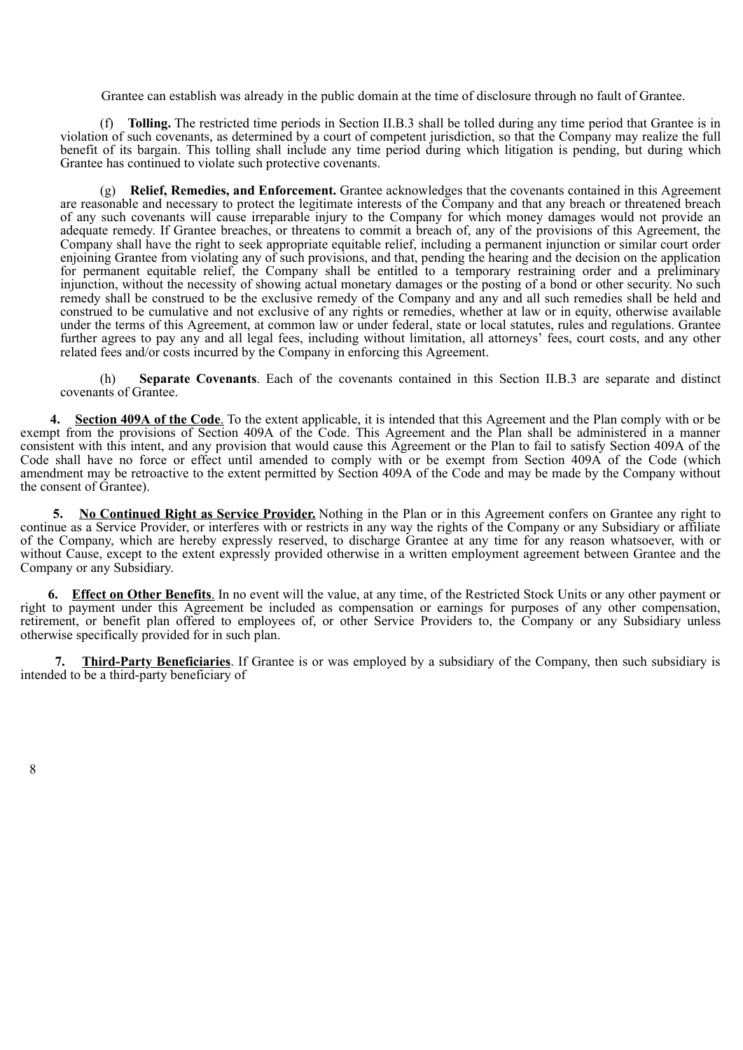Grantee can establish was already in the public domain at the time of disclosure through no fault of Grantee.

(f) **Tolling.** The restricted time periods in Section II.B.3 shall be tolled during any time period that Grantee is in violation of such covenants, as determined by a court of competent jurisdiction, so that the Company may realize the full benefit of its bargain. This tolling shall include any time period during which litigation is pending, but during which Grantee has continued to violate such protective covenants.

(g) **Relief, Remedies, and Enforcement.** Grantee acknowledges that the covenants contained in this Agreement are reasonable and necessary to protect the legitimate interests of the Company and that any breach or threatened breach of any such covenants will cause irreparable injury to the Company for which money damages would not provide an adequate remedy. If Grantee breaches, or threatens to commit a breach of, any of the provisions of this Agreement, the Company shall have the right to seek appropriate equitable relief, including a permanent injunction or similar court order enjoining Grantee from violating any of such provisions, and that, pending the hearing and the decision on the application for permanent equitable relief, the Company shall be entitled to a temporary restraining order and a preliminary injunction, without the necessity of showing actual monetary damages or the posting of a bond or other security. No such remedy shall be construed to be the exclusive remedy of the Company and any and all such remedies shall be held and construed to be cumulative and not exclusive of any rights or remedies, whether at law or in equity, otherwise available under the terms of this Agreement, at common law or under federal, state or local statutes, rules and regulations. Grantee further agrees to pay any and all legal fees, including without limitation, all attorneys' fees, court costs, and any other related fees and/or costs incurred by the Company in enforcing this Agreement.

(h) **Separate Covenants**. Each of the covenants contained in this Section II.B.3 are separate and distinct covenants of Grantee.

**Section 409A of the Code**. To the extent applicable, it is intended that this Agreement and the Plan comply with or be exempt from the provisions of Section 409A of the Code. This Agreement and the Plan shall be administered in a manner consistent with this intent, and any provision that would cause this Agreement or the Plan to fail to satisfy Section 409A of the Code shall have no force or effect until amended to comply with or be exempt from Section 409A of the Code (which amendment may be retroactive to the extent permitted by Section 409A of the Code and may be made by the Company without the consent of Grantee).

**5. No Continued Right as Service Provider.** Nothing in the Plan or in this Agreement confers on Grantee any right to continue as a Service Provider, or interferes with or restricts in any way the rights of the Company or any Subsidiary or affiliate of the Company, which are hereby expressly reserved, to discharge Grantee at any time for any reason whatsoever, with or without Cause, except to the extent expressly provided otherwise in a written employment agreement between Grantee and the Company or any Subsidiary.

**6. Effect on Other Benefits**. In no event will the value, at any time, of the Restricted Stock Units or any other payment or right to payment under this Agreement be included as compensation or earnings for purposes of any other compensation, retirement, or benefit plan offered to employees of, or other Service Providers to, the Company or any Subsidiary unless otherwise specifically provided for in such plan.

**7. Third-Party Beneficiaries**. If Grantee is or was employed by a subsidiary of the Company, then such subsidiary is intended to be a third-party beneficiary of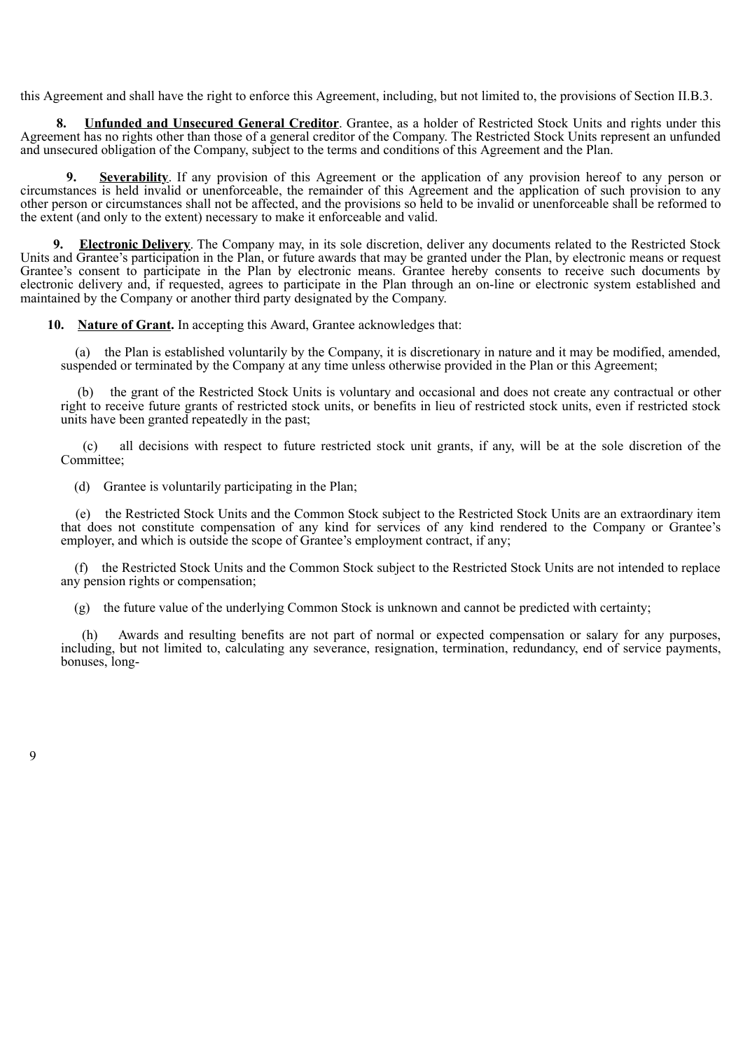this Agreement and shall have the right to enforce this Agreement, including, but not limited to, the provisions of Section II.B.3.

**8. Unfunded and Unsecured General Creditor**. Grantee, as a holder of Restricted Stock Units and rights under this Agreement has no rights other than those of a general creditor of the Company. The Restricted Stock Units represent an unfunded and unsecured obligation of the Company, subject to the terms and conditions of this Agreement and the Plan.

**9. Severability**. If any provision of this Agreement or the application of any provision hereof to any person or circumstances is held invalid or unenforceable, the remainder of this Agreement and the application of such provision to any other person or circumstances shall not be affected, and the provisions so held to be invalid or unenforceable shall be reformed to the extent (and only to the extent) necessary to make it enforceable and valid.

**9. Electronic Delivery**. The Company may, in its sole discretion, deliver any documents related to the Restricted Stock Units and Grantee's participation in the Plan, or future awards that may be granted under the Plan, by electronic means or request Grantee's consent to participate in the Plan by electronic means. Grantee hereby consents to receive such documents by electronic delivery and, if requested, agrees to participate in the Plan through an on-line or electronic system established and maintained by the Company or another third party designated by the Company.

**10. Nature of Grant.** In accepting this Award, Grantee acknowledges that:

(a) the Plan is established voluntarily by the Company, it is discretionary in nature and it may be modified, amended, suspended or terminated by the Company at any time unless otherwise provided in the Plan or this Agreement;

(b) the grant of the Restricted Stock Units is voluntary and occasional and does not create any contractual or other right to receive future grants of restricted stock units, or benefits in lieu of restricted stock units, even if restricted stock units have been granted repeatedly in the past;

(c) all decisions with respect to future restricted stock unit grants, if any, will be at the sole discretion of the Committee:

(d) Grantee is voluntarily participating in the Plan;

(e) the Restricted Stock Units and the Common Stock subject to the Restricted Stock Units are an extraordinary item that does not constitute compensation of any kind for services of any kind rendered to the Company or Grantee's employer, and which is outside the scope of Grantee's employment contract, if any;

(f) the Restricted Stock Units and the Common Stock subject to the Restricted Stock Units are not intended to replace any pension rights or compensation;

(g) the future value of the underlying Common Stock is unknown and cannot be predicted with certainty;

(h) Awards and resulting benefits are not part of normal or expected compensation or salary for any purposes, including, but not limited to, calculating any severance, resignation, termination, redundancy, end of service payments, bonuses, long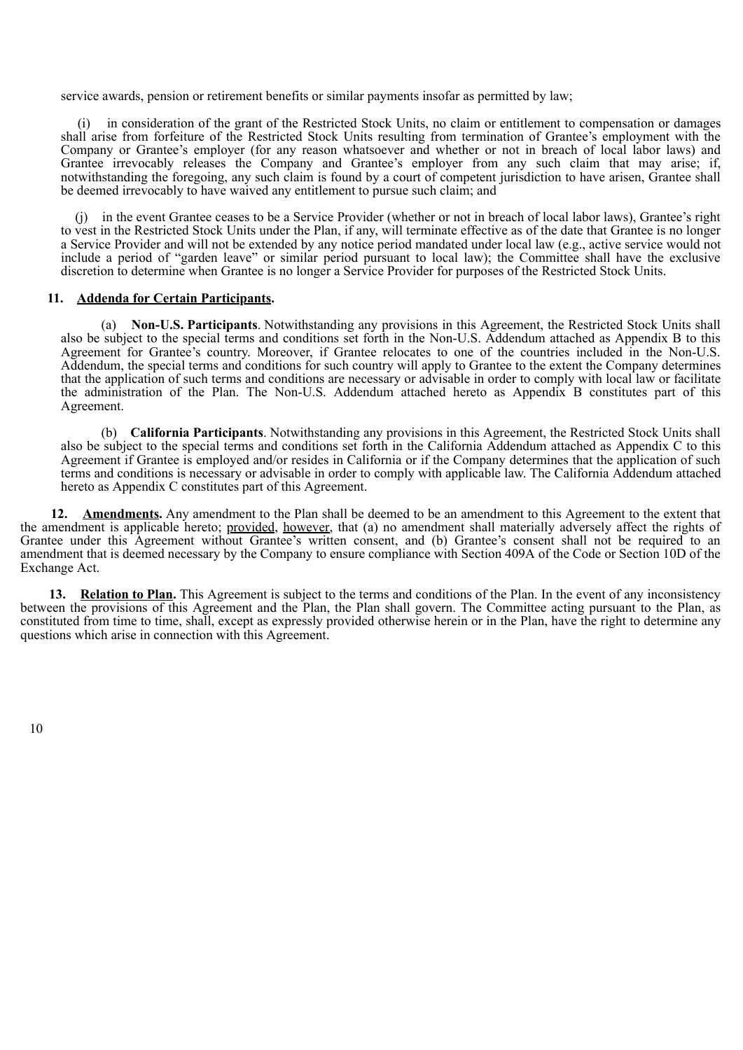service awards, pension or retirement benefits or similar payments insofar as permitted by law;

(i) in consideration of the grant of the Restricted Stock Units, no claim or entitlement to compensation or damages shall arise from forfeiture of the Restricted Stock Units resulting from termination of Grantee's employment with the Company or Grantee's employer (for any reason whatsoever and whether or not in breach of local labor laws) and Grantee irrevocably releases the Company and Grantee's employer from any such claim that may arise; if, notwithstanding the foregoing, any such claim is found by a court of competent jurisdiction to have arisen, Grantee shall be deemed irrevocably to have waived any entitlement to pursue such claim; and

(j) in the event Grantee ceases to be a Service Provider (whether or not in breach of local labor laws), Grantee's right to vest in the Restricted Stock Units under the Plan, if any, will terminate effective as of the date that Grantee is no longer a Service Provider and will not be extended by any notice period mandated under local law (e.g., active service would not include a period of "garden leave" or similar period pursuant to local law); the Committee shall have the exclusive discretion to determine when Grantee is no longer a Service Provider for purposes of the Restricted Stock Units.

### **11. Addenda for Certain Participants.**

(a) **Non-U.S. Participants**. Notwithstanding any provisions in this Agreement, the Restricted Stock Units shall also be subject to the special terms and conditions set forth in the Non-U.S. Addendum attached as Appendix B to this Agreement for Grantee's country. Moreover, if Grantee relocates to one of the countries included in the Non-U.S. Addendum, the special terms and conditions for such country will apply to Grantee to the extent the Company determines that the application of such terms and conditions are necessary or advisable in order to comply with local law or facilitate the administration of the Plan. The Non-U.S. Addendum attached hereto as Appendix B constitutes part of this Agreement.

(b) **California Participants**. Notwithstanding any provisions in this Agreement, the Restricted Stock Units shall also be subject to the special terms and conditions set forth in the California Addendum attached as Appendix C to this Agreement if Grantee is employed and/or resides in California or if the Company determines that the application of such terms and conditions is necessary or advisable in order to comply with applicable law. The California Addendum attached hereto as Appendix C constitutes part of this Agreement.

**12. Amendments.** Any amendment to the Plan shall be deemed to be an amendment to this Agreement to the extent that the amendment is applicable hereto; provided, however, that (a) no amendment shall materially adversely affect the rights of Grantee under this Agreement without Grantee's written consent, and (b) Grantee's consent shall not be required to an amendment that is deemed necessary by the Company to ensure compliance with Section 409A of the Code or Section 10D of the Exchange Act.

**13. Relation to Plan.** This Agreement is subject to the terms and conditions of the Plan. In the event of any inconsistency between the provisions of this Agreement and the Plan, the Plan shall govern. The Committee acting pursuant to the Plan, as constituted from time to time, shall, except as expressly provided otherwise herein or in the Plan, have the right to determine any questions which arise in connection with this Agreement.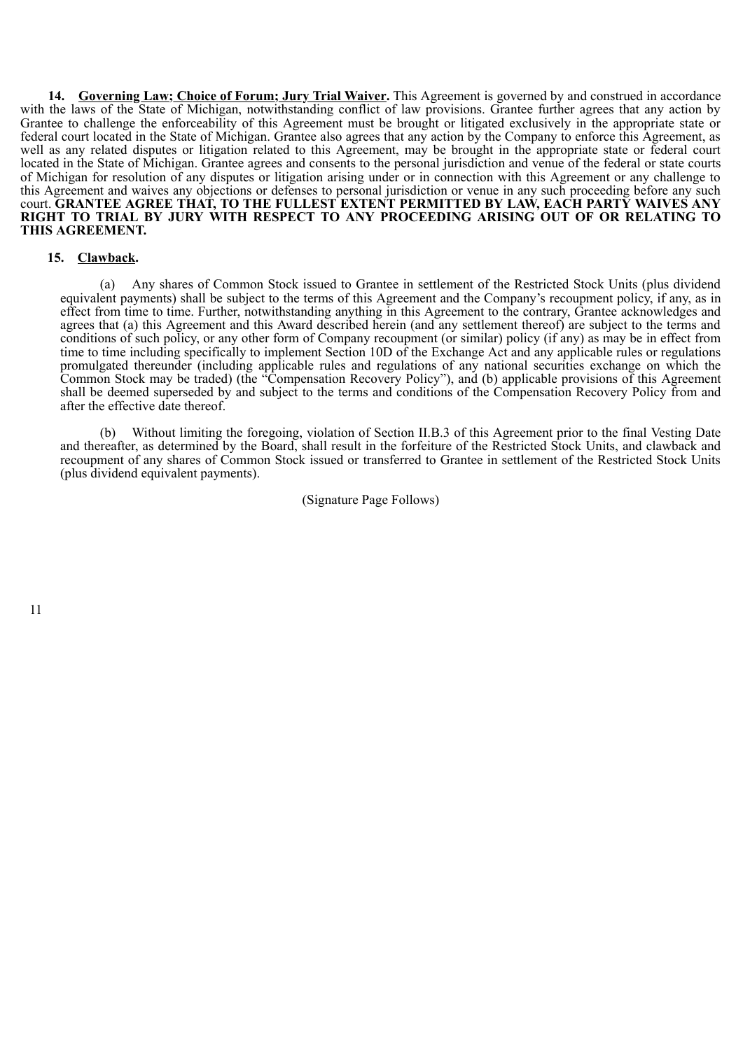**14. Governing Law; Choice of Forum; Jury Trial Waiver.** This Agreement is governed by and construed in accordance with the laws of the State of Michigan, notwithstanding conflict of law provisions. Grantee further agrees that any action by Grantee to challenge the enforceability of this Agreement must be brought or litigated exclusively in the appropriate state or federal court located in the State of Michigan. Grantee also agrees that any action by the Company to enforce this Agreement, as well as any related disputes or litigation related to this Agreement, may be brought in the appropriate state or federal court located in the State of Michigan. Grantee agrees and consents to the personal jurisdiction and venue of the federal or state courts of Michigan for resolution of any disputes or litigation arising under or in connection with this Agreement or any challenge to this Agreement and waives any objections or defenses to personal jurisdiction or venue in any such proceeding before any such court. **GRANTEE AGREE THAT, TO THE FULLEST EXTENT PERMITTED BY LAW, EACH PARTY WAIVES ANY RIGHT TO TRIAL BY JURY WITH RESPECT TO ANY PROCEEDING ARISING OUT OF OR RELATING TO THIS AGREEMENT.**

### **15. Clawback.**

(a) Any shares of Common Stock issued to Grantee in settlement of the Restricted Stock Units (plus dividend equivalent payments) shall be subject to the terms of this Agreement and the Company's recoupment policy, if any, as in effect from time to time. Further, notwithstanding anything in this Agreement to the contrary, Grantee acknowledges and agrees that (a) this Agreement and this Award described herein (and any settlement thereof) are subject to the terms and conditions of such policy, or any other form of Company recoupment (or similar) policy (if any) as may be in effect from time to time including specifically to implement Section 10D of the Exchange Act and any applicable rules or regulations promulgated thereunder (including applicable rules and regulations of any national securities exchange on which the Common Stock may be traded) (the "Compensation Recovery Policy"), and (b) applicable provisions of this Agreement shall be deemed superseded by and subject to the terms and conditions of the Compensation Recovery Policy from and after the effective date thereof.

(b) Without limiting the foregoing, violation of Section II.B.3 of this Agreement prior to the final Vesting Date and thereafter, as determined by the Board, shall result in the forfeiture of the Restricted Stock Units, and clawback and recoupment of any shares of Common Stock issued or transferred to Grantee in settlement of the Restricted Stock Units (plus dividend equivalent payments).

(Signature Page Follows)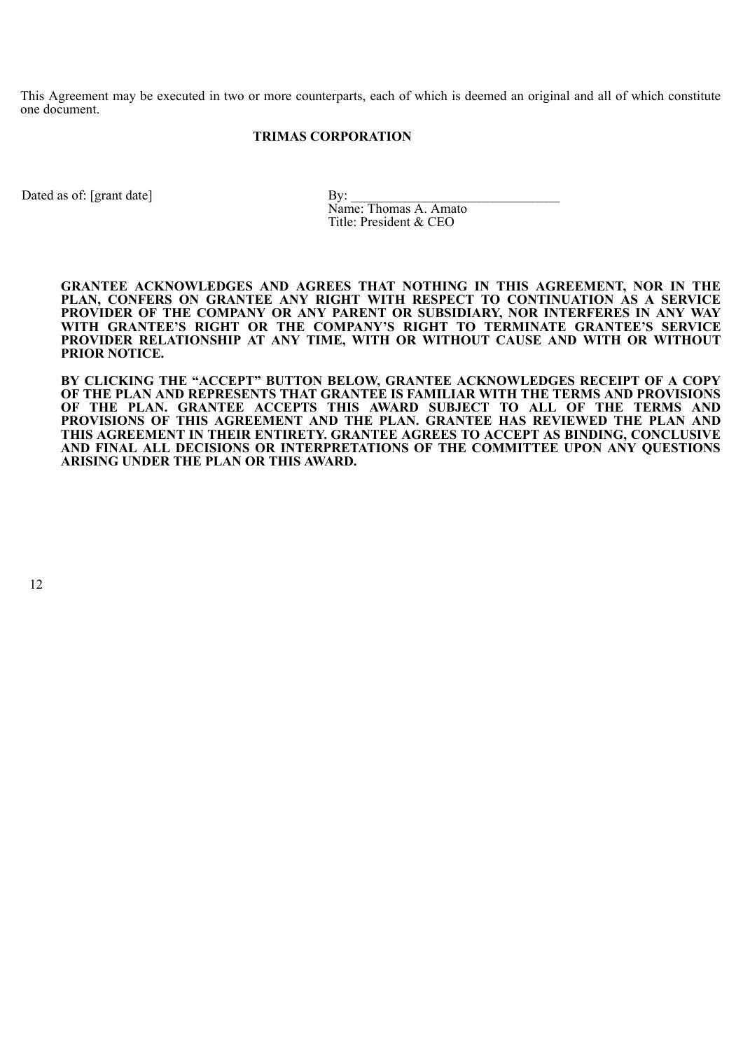This Agreement may be executed in two or more counterparts, each of which is deemed an original and all of which constitute one document.

### **TRIMAS CORPORATION**

Dated as of: [grant date] By:

Name: Thomas A. Amato Title: President & CEO

**GRANTEE ACKNOWLEDGES AND AGREES THAT NOTHING IN THIS AGREEMENT, NOR IN THE PLAN, CONFERS ON GRANTEE ANY RIGHT WITH RESPECT TO CONTINUATION AS A SERVICE PROVIDER OF THE COMPANY OR ANY PARENT OR SUBSIDIARY, NOR INTERFERES IN ANY WAY WITH GRANTEE'S RIGHT OR THE COMPANY'S RIGHT TO TERMINATE GRANTEE'S SERVICE PROVIDER RELATIONSHIP AT ANY TIME, WITH OR WITHOUT CAUSE AND WITH OR WITHOUT PRIOR NOTICE.**

**BY CLICKING THE "ACCEPT" BUTTON BELOW, GRANTEE ACKNOWLEDGES RECEIPT OF A COPY OF THE PLAN AND REPRESENTS THAT GRANTEE IS FAMILIAR WITH THE TERMS AND PROVISIONS OF THE PLAN. GRANTEE ACCEPTS THIS AWARD SUBJECT TO ALL OF THE TERMS AND PROVISIONS OF THIS AGREEMENT AND THE PLAN. GRANTEE HAS REVIEWED THE PLAN AND THIS AGREEMENT IN THEIR ENTIRETY. GRANTEE AGREES TO ACCEPT AS BINDING, CONCLUSIVE AND FINAL ALL DECISIONS OR INTERPRETATIONS OF THE COMMITTEE UPON ANY QUESTIONS ARISING UNDER THE PLAN OR THIS AWARD.**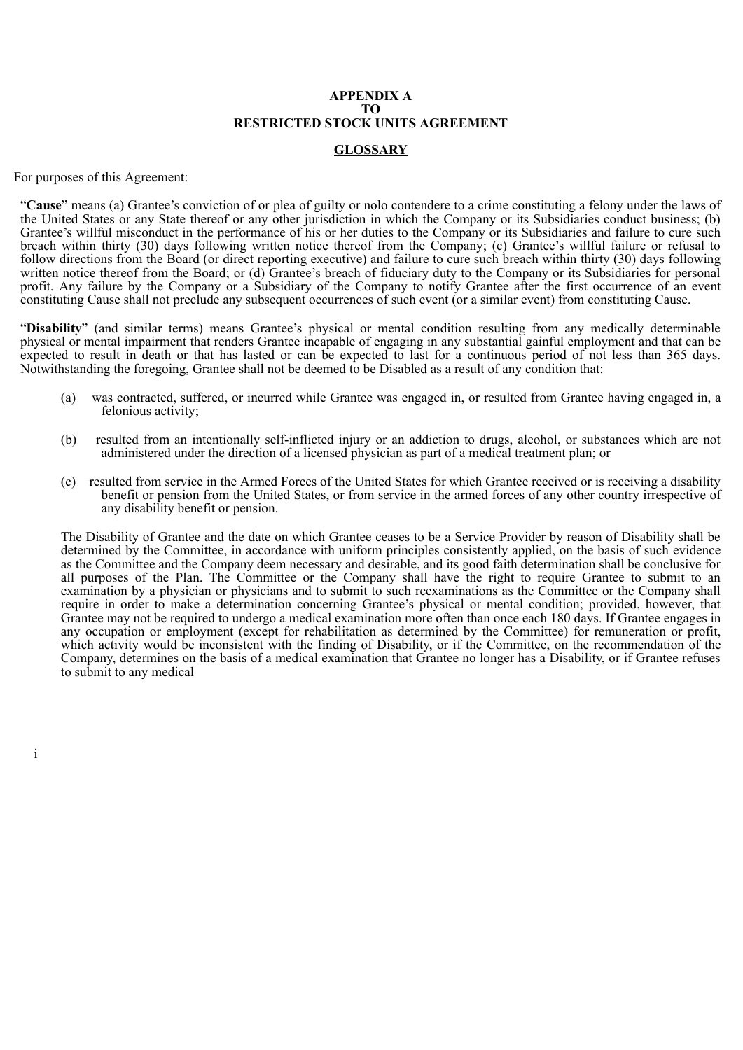# **APPENDIX A TO RESTRICTED STOCK UNITS AGREEMENT**

# **GLOSSARY**

For purposes of this Agreement:

"**Cause**" means (a) Grantee's conviction of or plea of guilty or nolo contendere to a crime constituting a felony under the laws of the United States or any State thereof or any other jurisdiction in which the Company or its Subsidiaries conduct business; (b) Grantee's willful misconduct in the performance of his or her duties to the Company or its Subsidiaries and failure to cure such breach within thirty (30) days following written notice thereof from the Company; (c) Grantee's willful failure or refusal to follow directions from the Board (or direct reporting executive) and failure to cure such breach within thirty (30) days following written notice thereof from the Board; or (d) Grantee's breach of fiduciary duty to the Company or its Subsidiaries for personal profit. Any failure by the Company or a Subsidiary of the Company to notify Grantee after the first occurrence of an event constituting Cause shall not preclude any subsequent occurrences of such event (or a similar event) from constituting Cause.

"**Disability**" (and similar terms) means Grantee's physical or mental condition resulting from any medically determinable physical or mental impairment that renders Grantee incapable of engaging in any substantial gainful employment and that can be expected to result in death or that has lasted or can be expected to last for a continuous period of not less than 365 days. Notwithstanding the foregoing, Grantee shall not be deemed to be Disabled as a result of any condition that:

- (a) was contracted, suffered, or incurred while Grantee was engaged in, or resulted from Grantee having engaged in, a felonious activity;
- (b) resulted from an intentionally self-inflicted injury or an addiction to drugs, alcohol, or substances which are not administered under the direction of a licensed physician as part of a medical treatment plan; or
- (c) resulted from service in the Armed Forces of the United States for which Grantee received or is receiving a disability benefit or pension from the United States, or from service in the armed forces of any other country irrespective of any disability benefit or pension.

The Disability of Grantee and the date on which Grantee ceases to be a Service Provider by reason of Disability shall be determined by the Committee, in accordance with uniform principles consistently applied, on the basis of such evidence as the Committee and the Company deem necessary and desirable, and its good faith determination shall be conclusive for all purposes of the Plan. The Committee or the Company shall have the right to require Grantee to submit to an examination by a physician or physicians and to submit to such reexaminations as the Committee or the Company shall require in order to make a determination concerning Grantee's physical or mental condition; provided, however, that Grantee may not be required to undergo a medical examination more often than once each 180 days. If Grantee engages in any occupation or employment (except for rehabilitation as determined by the Committee) for remuneration or profit, which activity would be inconsistent with the finding of Disability, or if the Committee, on the recommendation of the Company, determines on the basis of a medical examination that Grantee no longer has a Disability, or if Grantee refuses to submit to any medical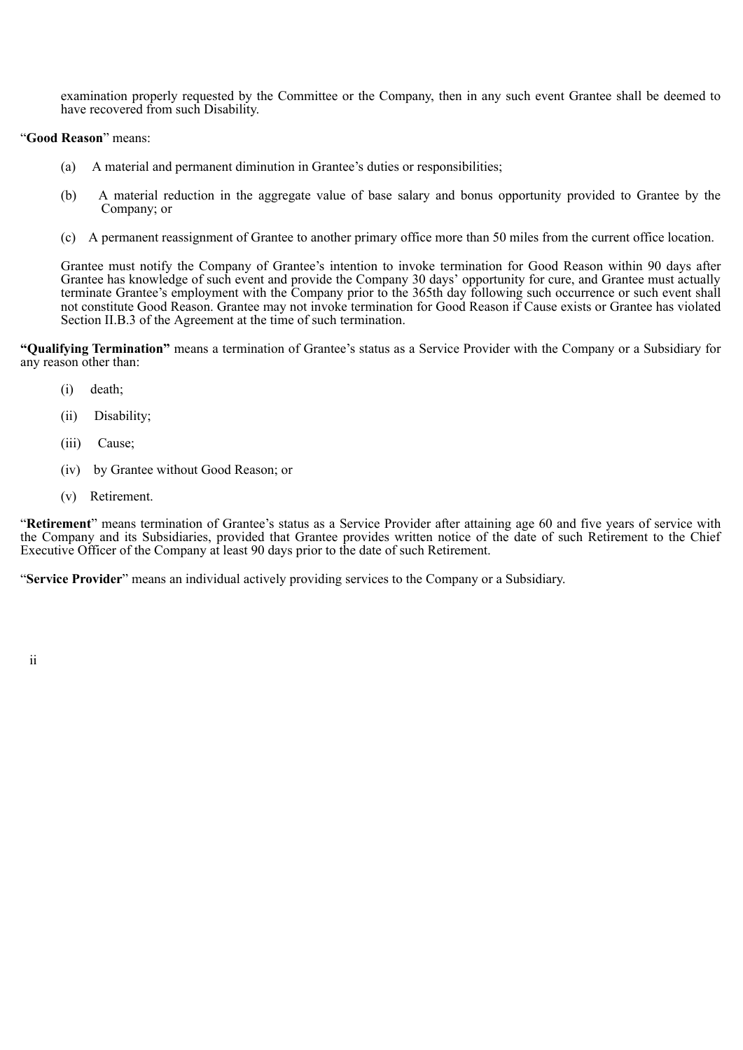examination properly requested by the Committee or the Company, then in any such event Grantee shall be deemed to have recovered from such Disability.

## "**Good Reason**" means:

- (a) A material and permanent diminution in Grantee's duties or responsibilities;
- (b) A material reduction in the aggregate value of base salary and bonus opportunity provided to Grantee by the Company; or
- (c) A permanent reassignment of Grantee to another primary office more than 50 miles from the current office location.

Grantee must notify the Company of Grantee's intention to invoke termination for Good Reason within 90 days after Grantee has knowledge of such event and provide the Company 30 days' opportunity for cure, and Grantee must actually terminate Grantee's employment with the Company prior to the 365th day following such occurrence or such event shall not constitute Good Reason. Grantee may not invoke termination for Good Reason if Cause exists or Grantee has violated Section II.B.3 of the Agreement at the time of such termination.

**"Qualifying Termination"** means a termination of Grantee's status as a Service Provider with the Company or a Subsidiary for any reason other than:

- (i) death;
- (ii) Disability;
- (iii) Cause;
- (iv) by Grantee without Good Reason; or
- (v) Retirement.

"**Retirement**" means termination of Grantee's status as a Service Provider after attaining age 60 and five years of service with the Company and its Subsidiaries, provided that Grantee provides written notice of the date of such Retirement to the Chief Executive Officer of the Company at least 90 days prior to the date of such Retirement.

"**Service Provider**" means an individual actively providing services to the Company or a Subsidiary.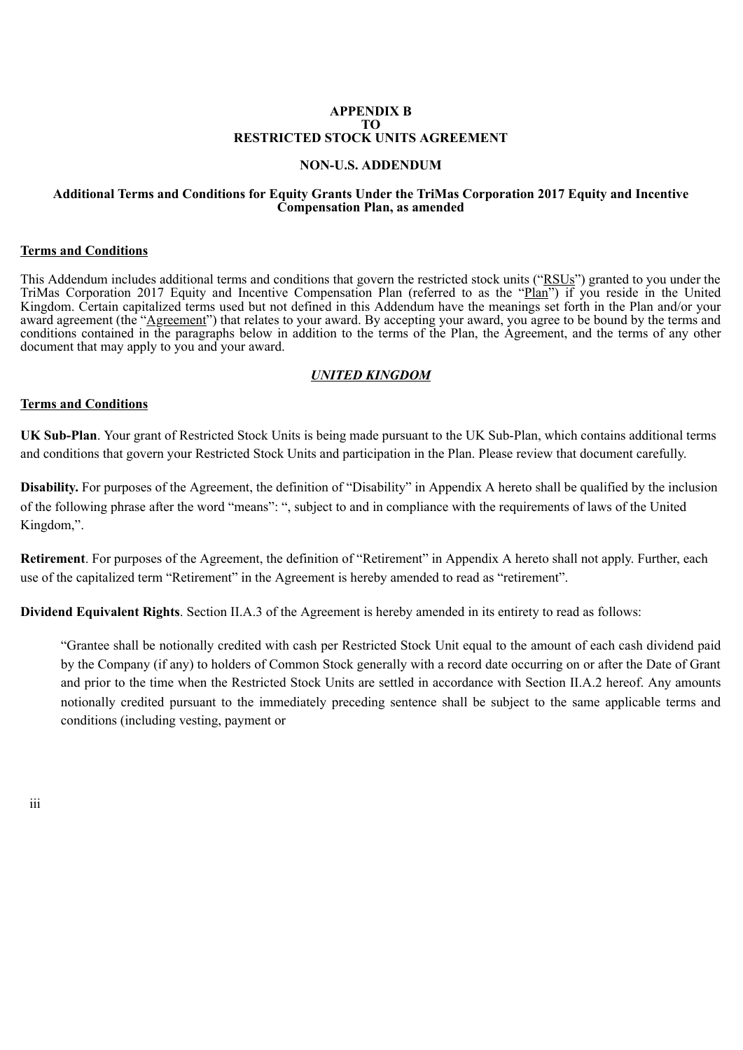### **APPENDIX B TO RESTRICTED STOCK UNITS AGREEMENT**

# **NON-U.S. ADDENDUM**

### **Additional Terms and Conditions for Equity Grants Under the TriMas Corporation 2017 Equity and Incentive Compensation Plan, as amended**

### **Terms and Conditions**

This Addendum includes additional terms and conditions that govern the restricted stock units ("RSUs") granted to you under the TriMas Corporation 2017 Equity and Incentive Compensation Plan (referred to as the "Plan") if you reside in the United Kingdom. Certain capitalized terms used but not defined in this Addendum have the meanings set forth in the Plan and/or your award agreement (the "Agreement") that relates to your award. By accepting your award, you agree to be bound by the terms and conditions contained in the paragraphs below in addition to the terms of the Plan, the Agreement, and the terms of any other document that may apply to you and your award.

# *UNITED KINGDOM*

# **Terms and Conditions**

**UK Sub-Plan**. Your grant of Restricted Stock Units is being made pursuant to the UK Sub-Plan, which contains additional terms and conditions that govern your Restricted Stock Units and participation in the Plan. Please review that document carefully.

**Disability.** For purposes of the Agreement, the definition of "Disability" in Appendix A hereto shall be qualified by the inclusion of the following phrase after the word "means": ", subject to and in compliance with the requirements of laws of the United Kingdom,".

**Retirement**. For purposes of the Agreement, the definition of "Retirement" in Appendix A hereto shall not apply. Further, each use of the capitalized term "Retirement" in the Agreement is hereby amended to read as "retirement".

**Dividend Equivalent Rights**. Section II.A.3 of the Agreement is hereby amended in its entirety to read as follows:

"Grantee shall be notionally credited with cash per Restricted Stock Unit equal to the amount of each cash dividend paid by the Company (if any) to holders of Common Stock generally with a record date occurring on or after the Date of Grant and prior to the time when the Restricted Stock Units are settled in accordance with Section II.A.2 hereof. Any amounts notionally credited pursuant to the immediately preceding sentence shall be subject to the same applicable terms and conditions (including vesting, payment or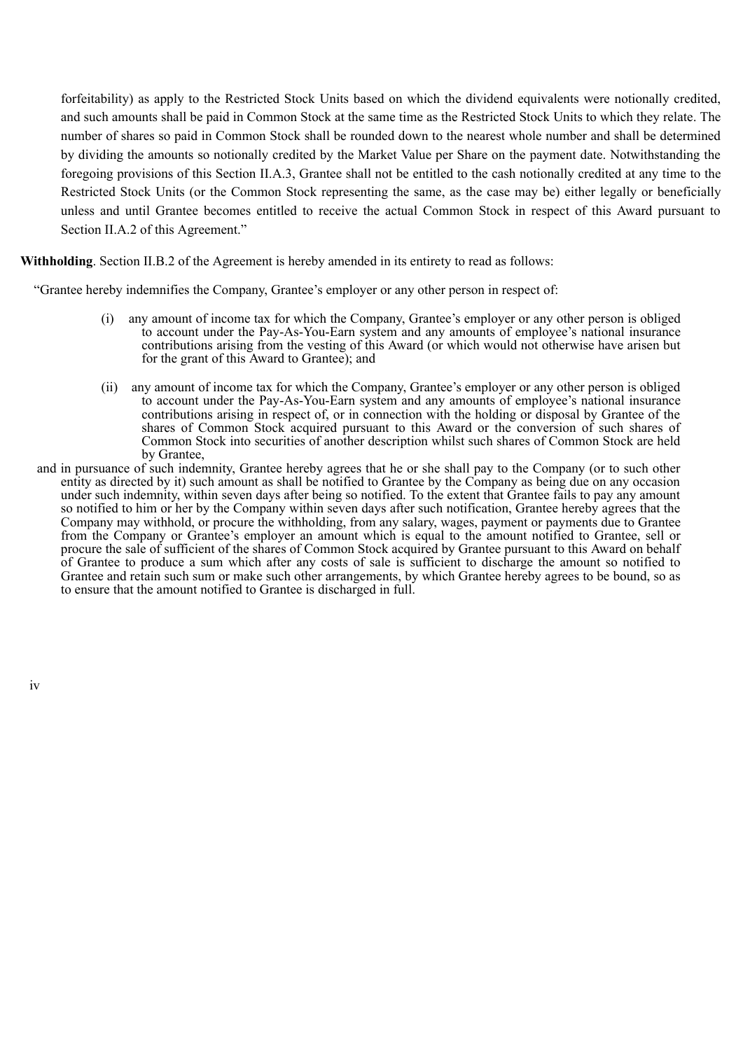forfeitability) as apply to the Restricted Stock Units based on which the dividend equivalents were notionally credited, and such amounts shall be paid in Common Stock at the same time as the Restricted Stock Units to which they relate. The number of shares so paid in Common Stock shall be rounded down to the nearest whole number and shall be determined by dividing the amounts so notionally credited by the Market Value per Share on the payment date. Notwithstanding the foregoing provisions of this Section II.A.3, Grantee shall not be entitled to the cash notionally credited at any time to the Restricted Stock Units (or the Common Stock representing the same, as the case may be) either legally or beneficially unless and until Grantee becomes entitled to receive the actual Common Stock in respect of this Award pursuant to Section II.A.2 of this Agreement."

## **Withholding**. Section II.B.2 of the Agreement is hereby amended in its entirety to read as follows:

"Grantee hereby indemnifies the Company, Grantee's employer or any other person in respect of:

- (i) any amount of income tax for which the Company, Grantee's employer or any other person is obliged to account under the Pay-As-You-Earn system and any amounts of employee's national insurance contributions arising from the vesting of this Award (or which would not otherwise have arisen but for the grant of this Award to Grantee); and
- (ii) any amount of income tax for which the Company, Grantee's employer or any other person is obliged to account under the Pay-As-You-Earn system and any amounts of employee's national insurance contributions arising in respect of, or in connection with the holding or disposal by Grantee of the shares of Common Stock acquired pursuant to this Award or the conversion of such shares of Common Stock into securities of another description whilst such shares of Common Stock are held by Grantee,
- and in pursuance of such indemnity, Grantee hereby agrees that he or she shall pay to the Company (or to such other entity as directed by it) such amount as shall be notified to Grantee by the Company as being due on any occasion under such indemnity, within seven days after being so notified. To the extent that Grantee fails to pay any amount so notified to him or her by the Company within seven days after such notification, Grantee hereby agrees that the Company may withhold, or procure the withholding, from any salary, wages, payment or payments due to Grantee from the Company or Grantee's employer an amount which is equal to the amount notified to Grantee, sell or procure the sale of sufficient of the shares of Common Stock acquired by Grantee pursuant to this Award on behalf of Grantee to produce a sum which after any costs of sale is sufficient to discharge the amount so notified to Grantee and retain such sum or make such other arrangements, by which Grantee hereby agrees to be bound, so as to ensure that the amount notified to Grantee is discharged in full.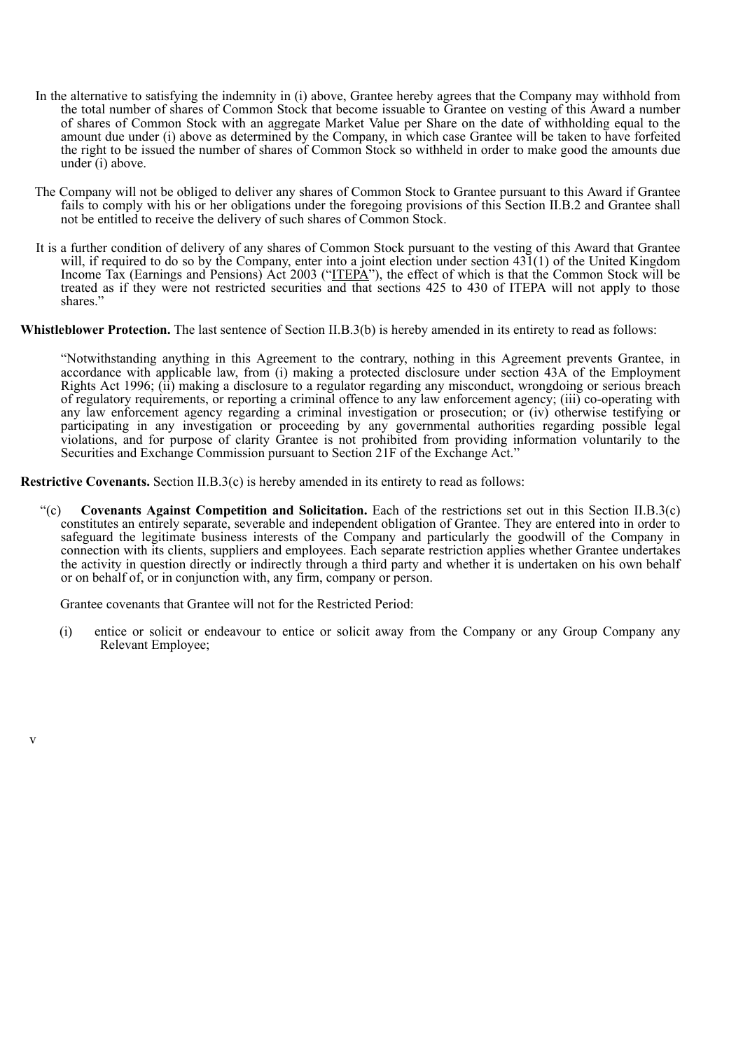- In the alternative to satisfying the indemnity in (i) above, Grantee hereby agrees that the Company may withhold from the total number of shares of Common Stock that become issuable to Grantee on vesting of this Award a number of shares of Common Stock with an aggregate Market Value per Share on the date of withholding equal to the amount due under (i) above as determined by the Company, in which case Grantee will be taken to have forfeited the right to be issued the number of shares of Common Stock so withheld in order to make good the amounts due under (i) above.
- The Company will not be obliged to deliver any shares of Common Stock to Grantee pursuant to this Award if Grantee fails to comply with his or her obligations under the foregoing provisions of this Section II.B.2 and Grantee shall not be entitled to receive the delivery of such shares of Common Stock.
- It is a further condition of delivery of any shares of Common Stock pursuant to the vesting of this Award that Grantee will, if required to do so by the Company, enter into a joint election under section 431(1) of the United Kingdom Income Tax (Earnings and Pensions) Act 2003 ("ITEPA"), the effect of which is that the Common Stock will be treated as if they were not restricted securities and that sections 425 to 430 of ITEPA will not apply to those shares."

### **Whistleblower Protection.** The last sentence of Section II.B.3(b) is hereby amended in its entirety to read as follows:

"Notwithstanding anything in this Agreement to the contrary, nothing in this Agreement prevents Grantee, in accordance with applicable law, from (i) making a protected disclosure under section 43A of the Employment Rights Act 1996; (ii) making a disclosure to a regulator regarding any misconduct, wrongdoing or serious breach of regulatory requirements, or reporting a criminal offence to any law enforcement agency; (iii) co-operating with any law enforcement agency regarding a criminal investigation or prosecution; or (iv) otherwise testifying or participating in any investigation or proceeding by any governmental authorities regarding possible legal violations, and for purpose of clarity Grantee is not prohibited from providing information voluntarily to the Securities and Exchange Commission pursuant to Section 21F of the Exchange Act."

**Restrictive Covenants.** Section II.B.3(c) is hereby amended in its entirety to read as follows:

"(c) **Covenants Against Competition and Solicitation.** Each of the restrictions set out in this Section II.B.3(c) constitutes an entirely separate, severable and independent obligation of Grantee. They are entered into in order to safeguard the legitimate business interests of the Company and particularly the goodwill of the Company in connection with its clients, suppliers and employees. Each separate restriction applies whether Grantee undertakes the activity in question directly or indirectly through a third party and whether it is undertaken on his own behalf or on behalf of, or in conjunction with, any firm, company or person.

Grantee covenants that Grantee will not for the Restricted Period:

v

(i) entice or solicit or endeavour to entice or solicit away from the Company or any Group Company any Relevant Employee;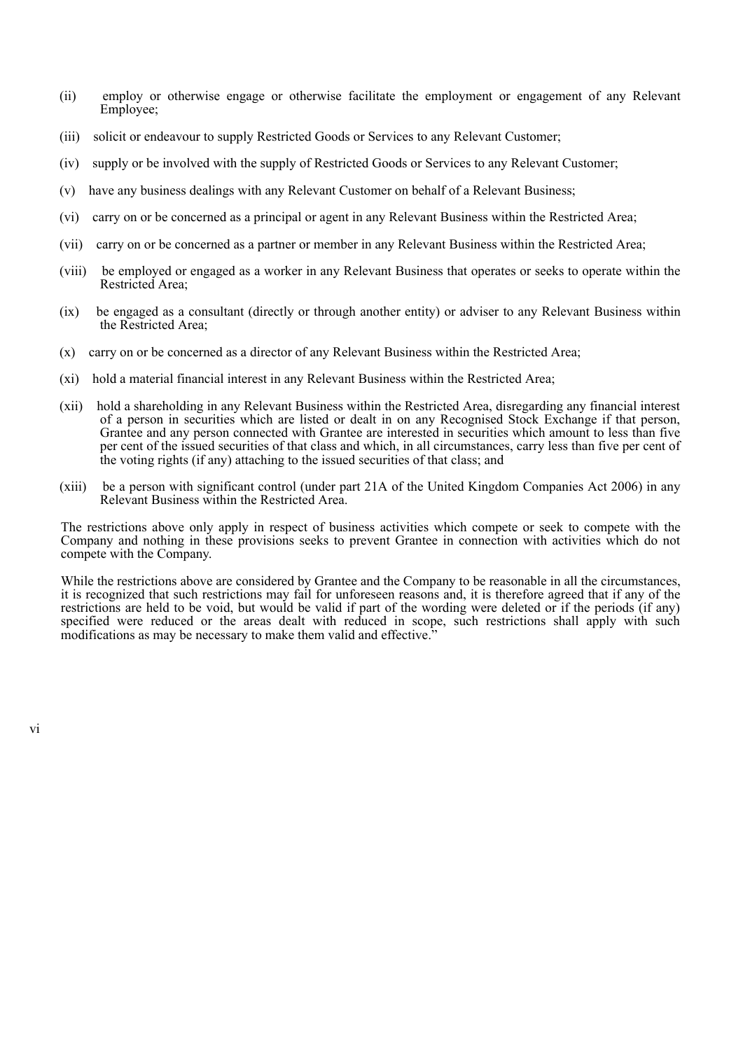- (ii) employ or otherwise engage or otherwise facilitate the employment or engagement of any Relevant Employee;
- (iii) solicit or endeavour to supply Restricted Goods or Services to any Relevant Customer;
- (iv) supply or be involved with the supply of Restricted Goods or Services to any Relevant Customer;
- (v) have any business dealings with any Relevant Customer on behalf of a Relevant Business;
- (vi) carry on or be concerned as a principal or agent in any Relevant Business within the Restricted Area;
- (vii) carry on or be concerned as a partner or member in any Relevant Business within the Restricted Area;
- (viii) be employed or engaged as a worker in any Relevant Business that operates or seeks to operate within the Restricted Area;
- (ix) be engaged as a consultant (directly or through another entity) or adviser to any Relevant Business within the Restricted Area;
- (x) carry on or be concerned as a director of any Relevant Business within the Restricted Area;
- (xi) hold a material financial interest in any Relevant Business within the Restricted Area;
- (xii) hold a shareholding in any Relevant Business within the Restricted Area, disregarding any financial interest of a person in securities which are listed or dealt in on any Recognised Stock Exchange if that person, Grantee and any person connected with Grantee are interested in securities which amount to less than five per cent of the issued securities of that class and which, in all circumstances, carry less than five per cent of the voting rights (if any) attaching to the issued securities of that class; and
- (xiii) be a person with significant control (under part 21A of the United Kingdom Companies Act 2006) in any Relevant Business within the Restricted Area.

The restrictions above only apply in respect of business activities which compete or seek to compete with the Company and nothing in these provisions seeks to prevent Grantee in connection with activities which do not compete with the Company.

While the restrictions above are considered by Grantee and the Company to be reasonable in all the circumstances, it is recognized that such restrictions may fail for unforeseen reasons and, it is therefore agreed that if any of the restrictions are held to be void, but would be valid if part of the wording were deleted or if the periods (if any) specified were reduced or the areas dealt with reduced in scope, such restrictions shall apply with such modifications as may be necessary to make them valid and effective.<sup>3</sup>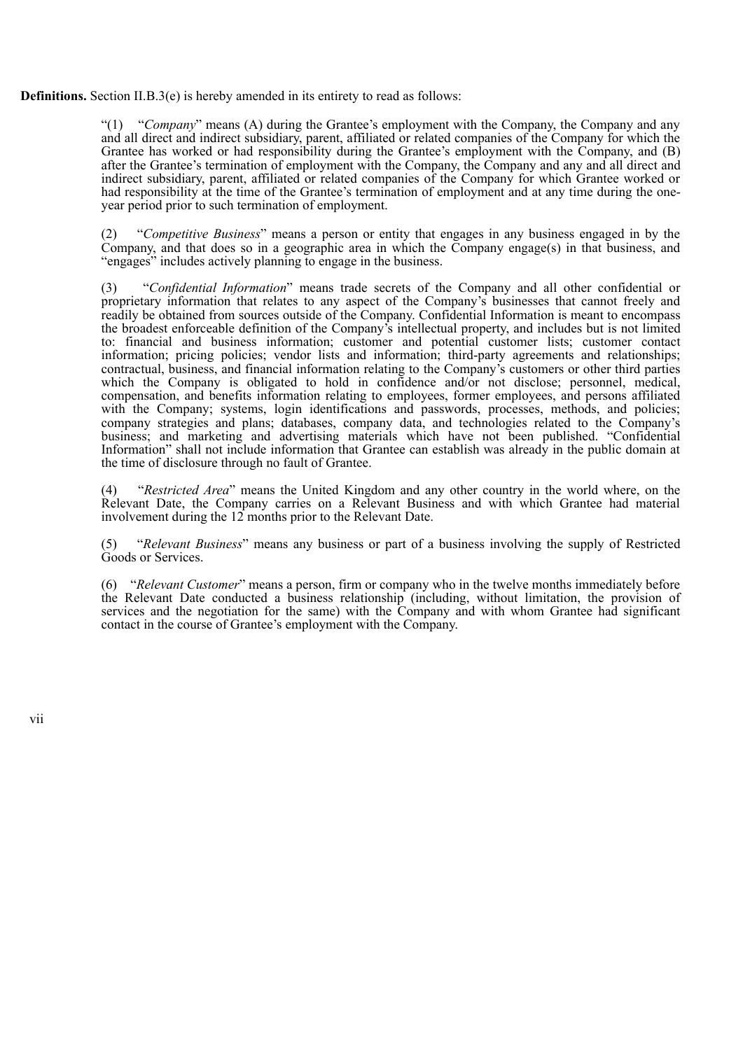**Definitions.** Section II.B.3(e) is hereby amended in its entirety to read as follows:

"(1) "*Company*" means (A) during the Grantee's employment with the Company, the Company and any and all direct and indirect subsidiary, parent, affiliated or related companies of the Company for which the Grantee has worked or had responsibility during the Grantee's employment with the Company, and (B) after the Grantee's termination of employment with the Company, the Company and any and all direct and indirect subsidiary, parent, affiliated or related companies of the Company for which Grantee worked or had responsibility at the time of the Grantee's termination of employment and at any time during the oneyear period prior to such termination of employment.

(2) "*Competitive Business*" means a person or entity that engages in any business engaged in by the Company, and that does so in a geographic area in which the Company engage(s) in that business, and "engages" includes actively planning to engage in the business.

(3) "*Confidential Information*" means trade secrets of the Company and all other confidential or proprietary information that relates to any aspect of the Company's businesses that cannot freely and readily be obtained from sources outside of the Company. Confidential Information is meant to encompass the broadest enforceable definition of the Company's intellectual property, and includes but is not limited to: financial and business information; customer and potential customer lists; customer contact information; pricing policies; vendor lists and information; third-party agreements and relationships; contractual, business, and financial information relating to the Company's customers or other third parties which the Company is obligated to hold in confidence and/or not disclose; personnel, medical, compensation, and benefits information relating to employees, former employees, and persons affiliated with the Company; systems, login identifications and passwords, processes, methods, and policies; company strategies and plans; databases, company data, and technologies related to the Company's business; and marketing and advertising materials which have not been published. "Confidential Information" shall not include information that Grantee can establish was already in the public domain at the time of disclosure through no fault of Grantee.

(4) "*Restricted Area*" means the United Kingdom and any other country in the world where, on the Relevant Date, the Company carries on a Relevant Business and with which Grantee had material involvement during the 12 months prior to the Relevant Date.

(5) "*Relevant Business*" means any business or part of a business involving the supply of Restricted Goods or Services.

(6) "*Relevant Customer*" means a person, firm or company who in the twelve months immediately before the Relevant Date conducted a business relationship (including, without limitation, the provision of services and the negotiation for the same) with the Company and with whom Grantee had significant contact in the course of Grantee's employment with the Company.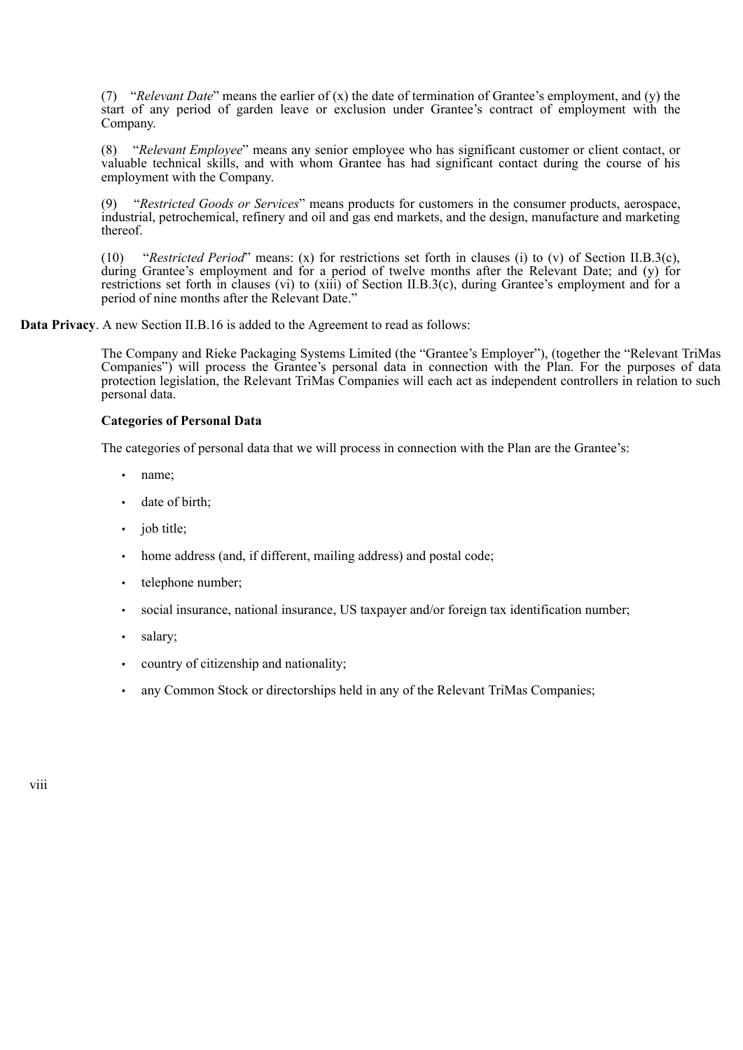(7) "*Relevant Date*" means the earlier of (x) the date of termination of Grantee's employment, and (y) the start of any period of garden leave or exclusion under Grantee's contract of employment with the Company.

(8) "*Relevant Employee*" means any senior employee who has significant customer or client contact, or valuable technical skills, and with whom Grantee has had significant contact during the course of his employment with the Company.

(9) "*Restricted Goods or Services*" means products for customers in the consumer products, aerospace, industrial, petrochemical, refinery and oil and gas end markets, and the design, manufacture and marketing thereof.

(10) "*Restricted Period*" means: (x) for restrictions set forth in clauses (i) to (v) of Section II.B.3(c), during Grantee's employment and for a period of twelve months after the Relevant Date; and (y) for restrictions set forth in clauses (vi) to (xiii) of Section II.B.3(c), during Grantee's employment and for a period of nine months after the Relevant Date."

**Data Privacy**. A new Section II.B.16 is added to the Agreement to read as follows:

The Company and Rieke Packaging Systems Limited (the "Grantee's Employer"), (together the "Relevant TriMas Companies") will process the Grantee's personal data in connection with the Plan. For the purposes of data protection legislation, the Relevant TriMas Companies will each act as independent controllers in relation to such personal data.

### **Categories of Personal Data**

The categories of personal data that we will process in connection with the Plan are the Grantee's:

- name;
- date of birth:
- iob title:
- home address (and, if different, mailing address) and postal code;
- telephone number;
- social insurance, national insurance, US taxpayer and/or foreign tax identification number;
- salary:
- country of citizenship and nationality;
- any Common Stock or directorships held in any of the Relevant TriMas Companies;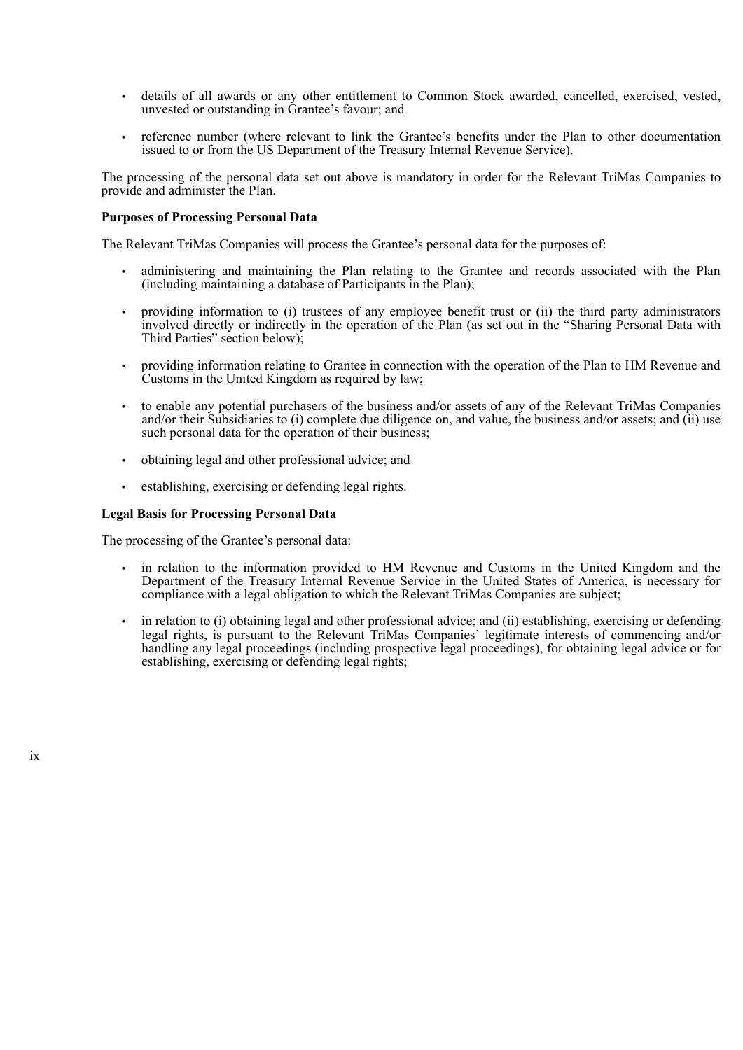- details of all awards or any other entitlement to Common Stock awarded, cancelled, exercised, vested, unvested or outstanding in Grantee's favour; and
- reference number (where relevant to link the Grantee's benefits under the Plan to other documentation issued to or from the US Department of the Treasury Internal Revenue Service).

The processing of the personal data set out above is mandatory in order for the Relevant TriMas Companies to provide and administer the Plan.

### **Purposes of Processing Personal Data**

The Relevant TriMas Companies will process the Grantee's personal data for the purposes of:

- administering and maintaining the Plan relating to the Grantee and records associated with the Plan (including maintaining a database of Participants in the Plan);
- providing information to (i) trustees of any employee benefit trust or (ii) the third party administrators involved directly or indirectly in the operation of the Plan (as set out in the "Sharing Personal Data with Third Parties" section below);
- providing information relating to Grantee in connection with the operation of the Plan to HM Revenue and Customs in the United Kingdom as required by law;
- to enable any potential purchasers of the business and/or assets of any of the Relevant TriMas Companies and/or their Subsidiaries to (i) complete due diligence on, and value, the business and/or assets; and (ii) use such personal data for the operation of their business;
- obtaining legal and other professional advice; and
- establishing, exercising or defending legal rights.

#### **Legal Basis for Processing Personal Data**

The processing of the Grantee's personal data:

- in relation to the information provided to HM Revenue and Customs in the United Kingdom and the Department of the Treasury Internal Revenue Service in the United States of America, is necessary for compliance with a legal obligation to which the Relevant TriMas Companies are subject;
- in relation to (i) obtaining legal and other professional advice; and (ii) establishing, exercising or defending legal rights, is pursuant to the Relevant TriMas Companies' legitimate interests of commencing and/or handling any legal proceedings (including prospective legal proceedings), for obtaining legal advice or for establishing, exercising or defending legal rights;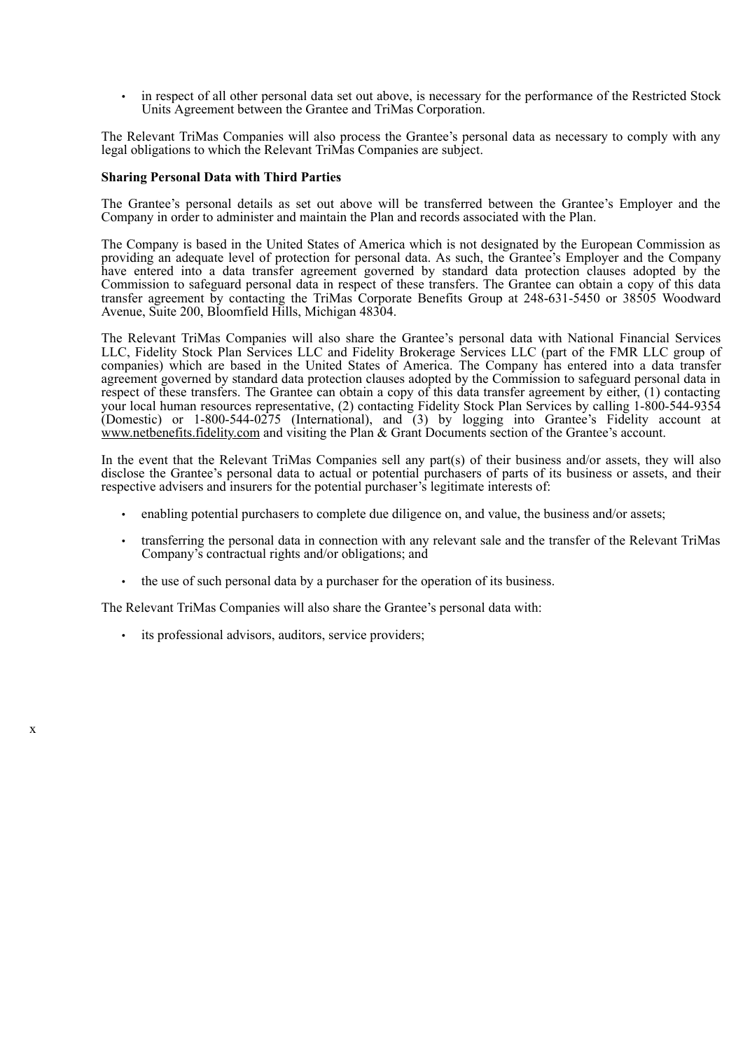in respect of all other personal data set out above, is necessary for the performance of the Restricted Stock Units Agreement between the Grantee and TriMas Corporation.

The Relevant TriMas Companies will also process the Grantee's personal data as necessary to comply with any legal obligations to which the Relevant TriMas Companies are subject.

### **Sharing Personal Data with Third Parties**

The Grantee's personal details as set out above will be transferred between the Grantee's Employer and the Company in order to administer and maintain the Plan and records associated with the Plan.

The Company is based in the United States of America which is not designated by the European Commission as providing an adequate level of protection for personal data. As such, the Grantee's Employer and the Company have entered into a data transfer agreement governed by standard data protection clauses adopted by the Commission to safeguard personal data in respect of these transfers. The Grantee can obtain a copy of this data transfer agreement by contacting the TriMas Corporate Benefits Group at 248-631-5450 or 38505 Woodward Avenue, Suite 200, Bloomfield Hills, Michigan 48304.

The Relevant TriMas Companies will also share the Grantee's personal data with National Financial Services LLC, Fidelity Stock Plan Services LLC and Fidelity Brokerage Services LLC (part of the FMR LLC group of companies) which are based in the United States of America. The Company has entered into a data transfer agreement governed by standard data protection clauses adopted by the Commission to safeguard personal data in respect of these transfers. The Grantee can obtain a copy of this data transfer agreement by either, (1) contacting your local human resources representative, (2) contacting Fidelity Stock Plan Services by calling 1-800-544-9354 (Domestic) or 1-800-544-0275 (International), and (3) by logging into Grantee's Fidelity account at www.netbenefits.fidelity.com and visiting the Plan & Grant Documents section of the Grantee's account.

In the event that the Relevant TriMas Companies sell any part(s) of their business and/or assets, they will also disclose the Grantee's personal data to actual or potential purchasers of parts of its business or assets, and their respective advisers and insurers for the potential purchaser's legitimate interests of:

- enabling potential purchasers to complete due diligence on, and value, the business and/or assets;
- transferring the personal data in connection with any relevant sale and the transfer of the Relevant TriMas Company's contractual rights and/or obligations; and
- the use of such personal data by a purchaser for the operation of its business.

The Relevant TriMas Companies will also share the Grantee's personal data with:

• its professional advisors, auditors, service providers;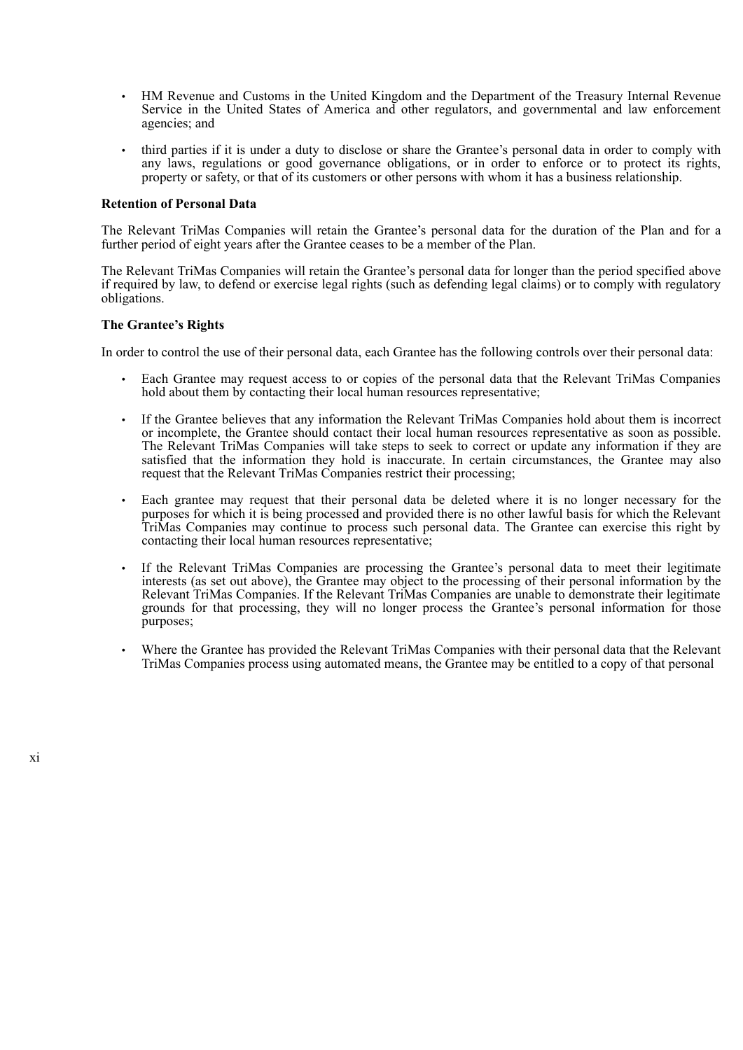- HM Revenue and Customs in the United Kingdom and the Department of the Treasury Internal Revenue Service in the United States of America and other regulators, and governmental and law enforcement agencies; and
- third parties if it is under a duty to disclose or share the Grantee's personal data in order to comply with any laws, regulations or good governance obligations, or in order to enforce or to protect its rights, property or safety, or that of its customers or other persons with whom it has a business relationship.

### **Retention of Personal Data**

The Relevant TriMas Companies will retain the Grantee's personal data for the duration of the Plan and for a further period of eight years after the Grantee ceases to be a member of the Plan.

The Relevant TriMas Companies will retain the Grantee's personal data for longer than the period specified above if required by law, to defend or exercise legal rights (such as defending legal claims) or to comply with regulatory obligations.

#### **The Grantee's Rights**

In order to control the use of their personal data, each Grantee has the following controls over their personal data:

- Each Grantee may request access to or copies of the personal data that the Relevant TriMas Companies hold about them by contacting their local human resources representative;
- If the Grantee believes that any information the Relevant TriMas Companies hold about them is incorrect or incomplete, the Grantee should contact their local human resources representative as soon as possible. The Relevant TriMas Companies will take steps to seek to correct or update any information if they are satisfied that the information they hold is inaccurate. In certain circumstances, the Grantee may also request that the Relevant TriMas Companies restrict their processing;
- Each grantee may request that their personal data be deleted where it is no longer necessary for the purposes for which it is being processed and provided there is no other lawful basis for which the Relevant TriMas Companies may continue to process such personal data. The Grantee can exercise this right by contacting their local human resources representative;
- If the Relevant TriMas Companies are processing the Grantee's personal data to meet their legitimate interests (as set out above), the Grantee may object to the processing of their personal information by the Relevant TriMas Companies. If the Relevant TriMas Companies are unable to demonstrate their legitimate grounds for that processing, they will no longer process the Grantee's personal information for those purposes;
- Where the Grantee has provided the Relevant TriMas Companies with their personal data that the Relevant TriMas Companies process using automated means, the Grantee may be entitled to a copy of that personal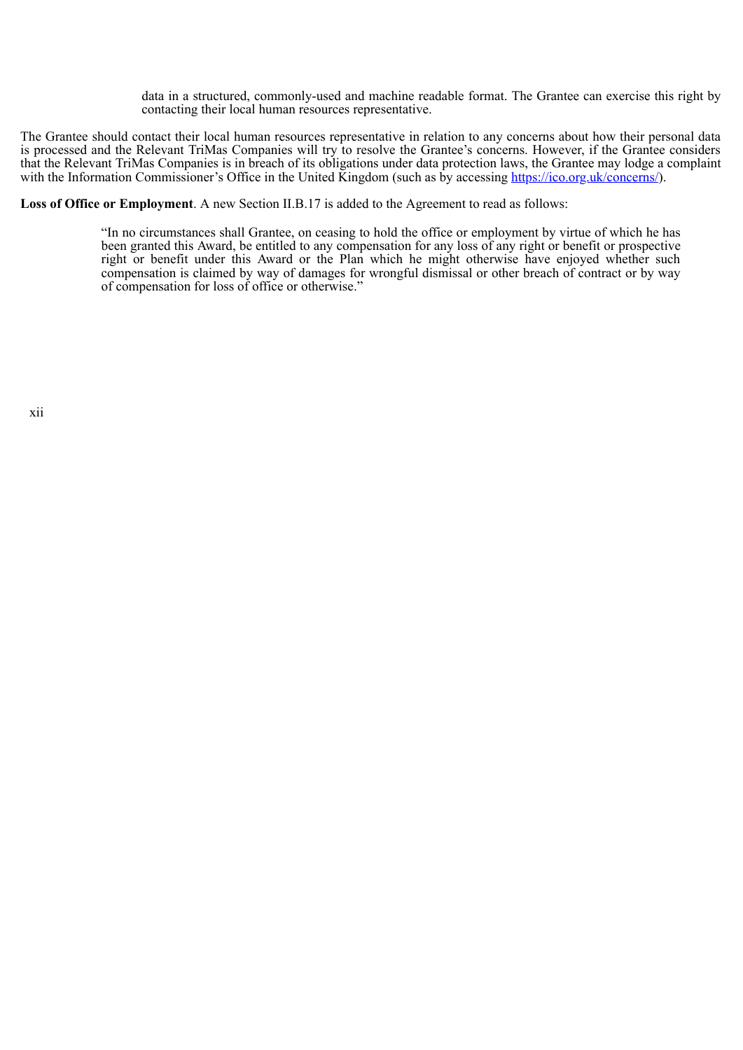data in a structured, commonly-used and machine readable format. The Grantee can exercise this right by contacting their local human resources representative.

The Grantee should contact their local human resources representative in relation to any concerns about how their personal data is processed and the Relevant TriMas Companies will try to resolve the Grantee's concerns. However, if the Grantee considers that the Relevant TriMas Companies is in breach of its obligations under data protection laws, the Grantee may lodge a complaint with the Information Commissioner's Office in the United Kingdom (such as by accessing https://ico.org.uk/concerns/).

**Loss of Office or Employment**. A new Section II.B.17 is added to the Agreement to read as follows:

"In no circumstances shall Grantee, on ceasing to hold the office or employment by virtue of which he has been granted this Award, be entitled to any compensation for any loss of any right or benefit or prospective right or benefit under this Award or the Plan which he might otherwise have enjoyed whether such compensation is claimed by way of damages for wrongful dismissal or other breach of contract or by way of compensation for loss of office or otherwise."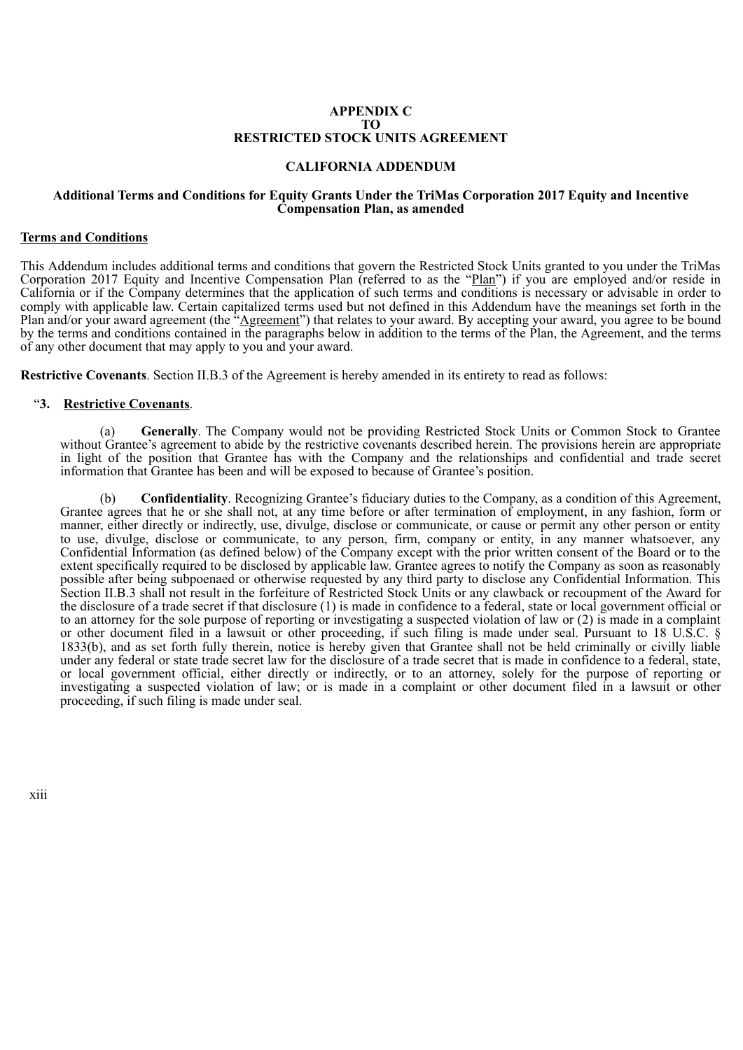### **APPENDIX C TO RESTRICTED STOCK UNITS AGREEMENT**

# **CALIFORNIA ADDENDUM**

#### **Additional Terms and Conditions for Equity Grants Under the TriMas Corporation 2017 Equity and Incentive Compensation Plan, as amended**

### **Terms and Conditions**

This Addendum includes additional terms and conditions that govern the Restricted Stock Units granted to you under the TriMas Corporation 2017 Equity and Incentive Compensation Plan (referred to as the "Plan") if you are employed and/or reside in California or if the Company determines that the application of such terms and conditions is necessary or advisable in order to comply with applicable law. Certain capitalized terms used but not defined in this Addendum have the meanings set forth in the Plan and/or your award agreement (the "*Agreement*") that relates to your award. By accepting your award, you agree to be bound by the terms and conditions contained in the paragraphs below in addition to the terms of the Plan, the Agreement, and the terms of any other document that may apply to you and your award.

**Restrictive Covenants**. Section II.B.3 of the Agreement is hereby amended in its entirety to read as follows:

# "**3. Restrictive Covenants**.

(a) **Generally**. The Company would not be providing Restricted Stock Units or Common Stock to Grantee without Grantee's agreement to abide by the restrictive covenants described herein. The provisions herein are appropriate in light of the position that Grantee has with the Company and the relationships and confidential and trade secret information that Grantee has been and will be exposed to because of Grantee's position.

(b) **Confidentiality**. Recognizing Grantee's fiduciary duties to the Company, as a condition of this Agreement, Grantee agrees that he or she shall not, at any time before or after termination of employment, in any fashion, form or manner, either directly or indirectly, use, divulge, disclose or communicate, or cause or permit any other person or entity to use, divulge, disclose or communicate, to any person, firm, company or entity, in any manner whatsoever, any Confidential Information (as defined below) of the Company except with the prior written consent of the Board or to the extent specifically required to be disclosed by applicable law. Grantee agrees to notify the Company as soon as reasonably possible after being subpoenaed or otherwise requested by any third party to disclose any Confidential Information. This Section II.B.3 shall not result in the forfeiture of Restricted Stock Units or any clawback or recoupment of the Award for the disclosure of a trade secret if that disclosure (1) is made in confidence to a federal, state or local government official or to an attorney for the sole purpose of reporting or investigating a suspected violation of law or (2) is made in a complaint or other document filed in a lawsuit or other proceeding, if such filing is made under seal. Pursuant to 18 U.S.C. § 1833(b), and as set forth fully therein, notice is hereby given that Grantee shall not be held criminally or civilly liable under any federal or state trade secret law for the disclosure of a trade secret that is made in confidence to a federal, state, or local government official, either directly or indirectly, or to an attorney, solely for the purpose of reporting or investigating a suspected violation of law; or is made in a complaint or other document filed in a lawsuit or other proceeding, if such filing is made under seal.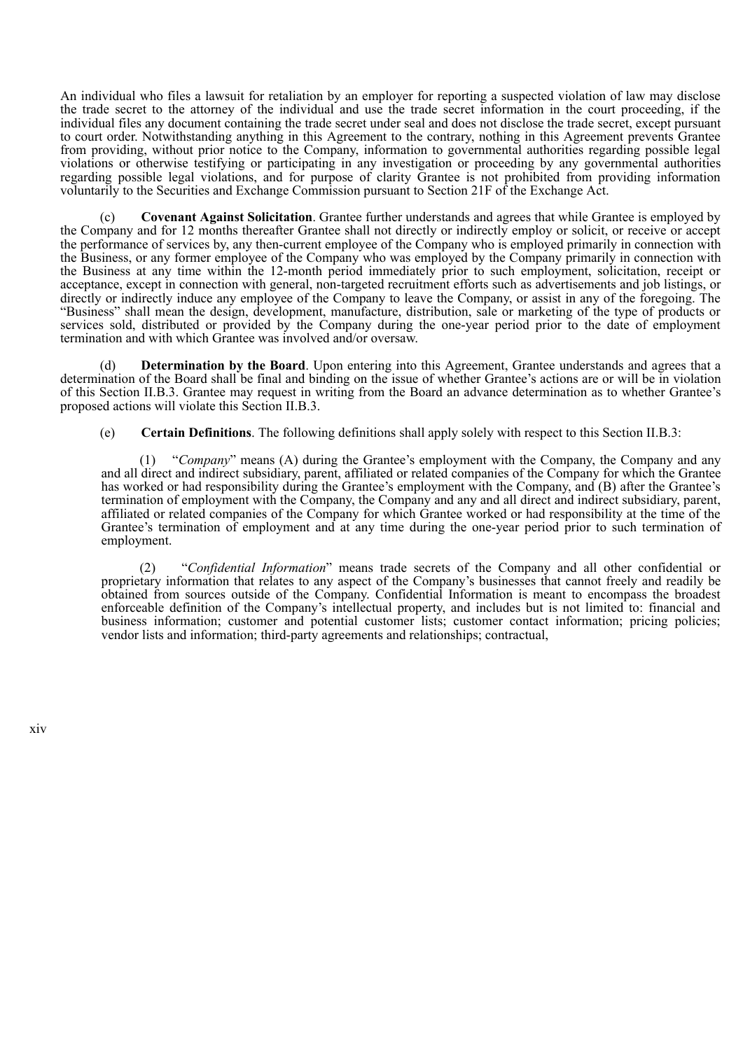An individual who files a lawsuit for retaliation by an employer for reporting a suspected violation of law may disclose the trade secret to the attorney of the individual and use the trade secret information in the court proceeding, if the individual files any document containing the trade secret under seal and does not disclose the trade secret, except pursuant to court order. Notwithstanding anything in this Agreement to the contrary, nothing in this Agreement prevents Grantee from providing, without prior notice to the Company, information to governmental authorities regarding possible legal violations or otherwise testifying or participating in any investigation or proceeding by any governmental authorities regarding possible legal violations, and for purpose of clarity Grantee is not prohibited from providing information voluntarily to the Securities and Exchange Commission pursuant to Section 21F of the Exchange Act.

(c) **Covenant Against Solicitation**. Grantee further understands and agrees that while Grantee is employed by the Company and for 12 months thereafter Grantee shall not directly or indirectly employ or solicit, or receive or accept the performance of services by, any then-current employee of the Company who is employed primarily in connection with the Business, or any former employee of the Company who was employed by the Company primarily in connection with the Business at any time within the 12-month period immediately prior to such employment, solicitation, receipt or acceptance, except in connection with general, non-targeted recruitment efforts such as advertisements and job listings, or directly or indirectly induce any employee of the Company to leave the Company, or assist in any of the foregoing. The "Business" shall mean the design, development, manufacture, distribution, sale or marketing of the type of products or services sold, distributed or provided by the Company during the one-year period prior to the date of employment termination and with which Grantee was involved and/or oversaw.

(d) **Determination by the Board**. Upon entering into this Agreement, Grantee understands and agrees that a determination of the Board shall be final and binding on the issue of whether Grantee's actions are or will be in violation of this Section II.B.3. Grantee may request in writing from the Board an advance determination as to whether Grantee's proposed actions will violate this Section II.B.3.

(e) **Certain Definitions**. The following definitions shall apply solely with respect to this Section II.B.3:

(1) "*Company*" means (A) during the Grantee's employment with the Company, the Company and any and all direct and indirect subsidiary, parent, affiliated or related companies of the Company for which the Grantee has worked or had responsibility during the Grantee's employment with the Company, and (B) after the Grantee's termination of employment with the Company, the Company and any and all direct and indirect subsidiary, parent, affiliated or related companies of the Company for which Grantee worked or had responsibility at the time of the Grantee's termination of employment and at any time during the one-year period prior to such termination of employment.

(2) "*Confidential Information*" means trade secrets of the Company and all other confidential or proprietary information that relates to any aspect of the Company's businesses that cannot freely and readily be obtained from sources outside of the Company. Confidential Information is meant to encompass the broadest enforceable definition of the Company's intellectual property, and includes but is not limited to: financial and business information; customer and potential customer lists; customer contact information; pricing policies; vendor lists and information; third-party agreements and relationships; contractual,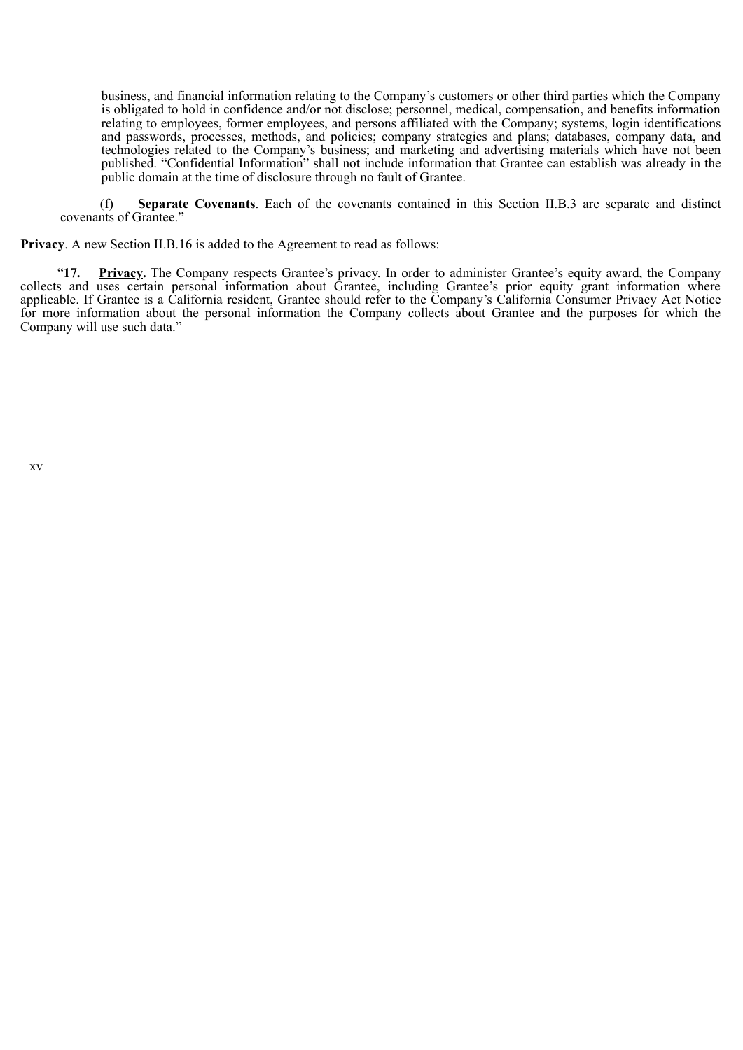business, and financial information relating to the Company's customers or other third parties which the Company is obligated to hold in confidence and/or not disclose; personnel, medical, compensation, and benefits information relating to employees, former employees, and persons affiliated with the Company; systems, login identifications and passwords, processes, methods, and policies; company strategies and plans; databases, company data, and technologies related to the Company's business; and marketing and advertising materials which have not been published. "Confidential Information" shall not include information that Grantee can establish was already in the public domain at the time of disclosure through no fault of Grantee.

(f) **Separate Covenants**. Each of the covenants contained in this Section II.B.3 are separate and distinct covenants of Grantee."

**Privacy**. A new Section II.B.16 is added to the Agreement to read as follows:

"**17. Privacy.** The Company respects Grantee's privacy. In order to administer Grantee's equity award, the Company collects and uses certain personal information about Grantee, including Grantee's prior equity grant information where applicable. If Grantee is a California resident, Grantee should refer to the Company's California Consumer Privacy Act Notice for more information about the personal information the Company collects about Grantee and the purposes for which the Company will use such data."

xv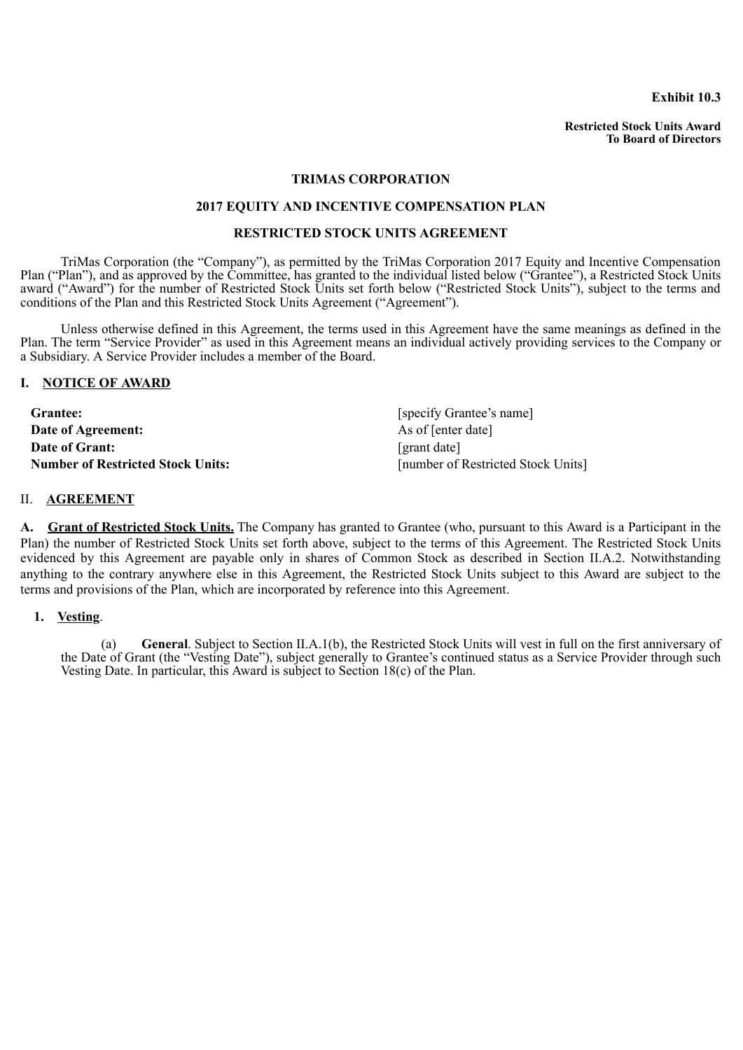**Exhibit 10.3**

**Restricted Stock Units Award To Board of Directors**

# **TRIMAS CORPORATION**

# **2017 EQUITY AND INCENTIVE COMPENSATION PLAN**

# **RESTRICTED STOCK UNITS AGREEMENT**

TriMas Corporation (the "Company"), as permitted by the TriMas Corporation 2017 Equity and Incentive Compensation Plan ("Plan"), and as approved by the Committee, has granted to the individual listed below ("Grantee"), a Restricted Stock Units award ("Award") for the number of Restricted Stock Units set forth below ("Restricted Stock Units"), subject to the terms and conditions of the Plan and this Restricted Stock Units Agreement ("Agreement").

Unless otherwise defined in this Agreement, the terms used in this Agreement have the same meanings as defined in the Plan. The term "Service Provider" as used in this Agreement means an individual actively providing services to the Company or a Subsidiary. A Service Provider includes a member of the Board.

### **I. NOTICE OF AWARD**

| <b>Grantee:</b>                          | [specify Grantee's name]           |
|------------------------------------------|------------------------------------|
| Date of Agreement:                       | As of [enter date]                 |
| <b>Date of Grant:</b>                    | [grant date]                       |
| <b>Number of Restricted Stock Units:</b> | [number of Restricted Stock Units] |

# II. **AGREEMENT**

**A. Grant of Restricted Stock Units.** The Company has granted to Grantee (who, pursuant to this Award is a Participant in the Plan) the number of Restricted Stock Units set forth above, subject to the terms of this Agreement. The Restricted Stock Units evidenced by this Agreement are payable only in shares of Common Stock as described in Section II.A.2. Notwithstanding anything to the contrary anywhere else in this Agreement, the Restricted Stock Units subject to this Award are subject to the terms and provisions of the Plan, which are incorporated by reference into this Agreement.

# **1. Vesting**.

(a) **General**. Subject to Section II.A.1(b), the Restricted Stock Units will vest in full on the first anniversary of the Date of Grant (the "Vesting Date"), subject generally to Grantee's continued status as a Service Provider through such Vesting Date. In particular, this Award is subject to Section 18(c) of the Plan.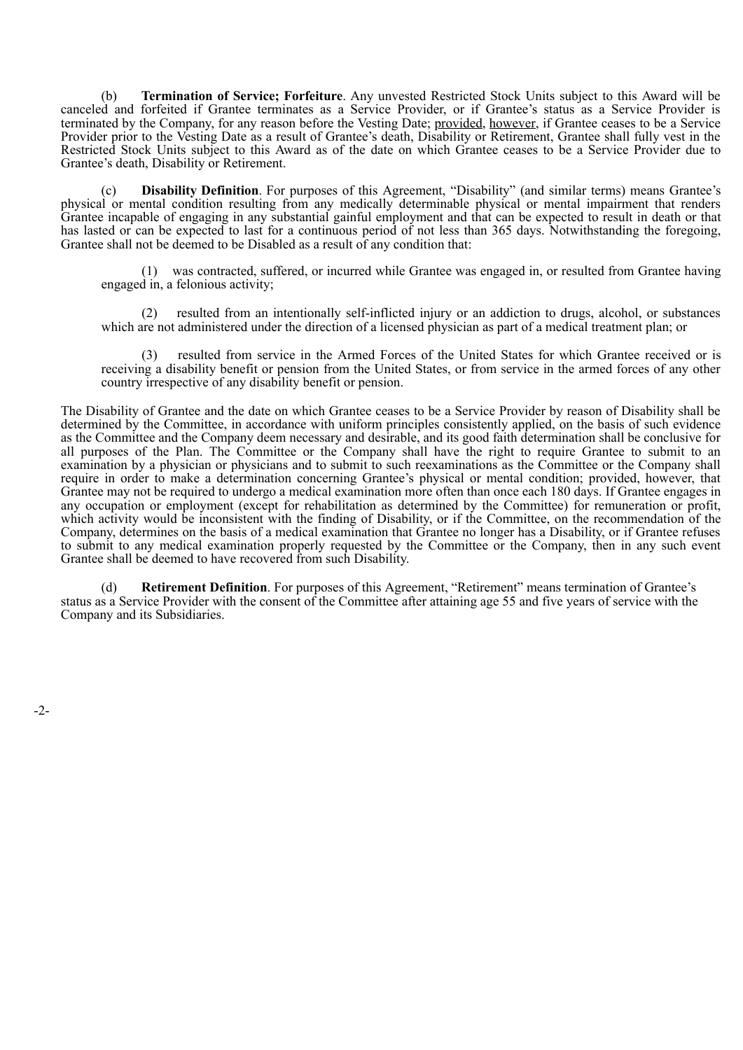(b) **Termination of Service; Forfeiture**. Any unvested Restricted Stock Units subject to this Award will be canceled and forfeited if Grantee terminates as a Service Provider, or if Grantee's status as a Service Provider is terminated by the Company, for any reason before the Vesting Date; provided, however, if Grantee ceases to be a Service Provider prior to the Vesting Date as a result of Grantee's death, Disability or Retirement, Grantee shall fully vest in the Restricted Stock Units subject to this Award as of the date on which Grantee ceases to be a Service Provider due to Grantee's death, Disability or Retirement.

(c) **Disability Definition**. For purposes of this Agreement, "Disability" (and similar terms) means Grantee's physical or mental condition resulting from any medically determinable physical or mental impairment that renders Grantee incapable of engaging in any substantial gainful employment and that can be expected to result in death or that has lasted or can be expected to last for a continuous period of not less than 365 days. Notwithstanding the foregoing, Grantee shall not be deemed to be Disabled as a result of any condition that:

(1) was contracted, suffered, or incurred while Grantee was engaged in, or resulted from Grantee having engaged in, a felonious activity;

(2) resulted from an intentionally self-inflicted injury or an addiction to drugs, alcohol, or substances which are not administered under the direction of a licensed physician as part of a medical treatment plan; or

resulted from service in the Armed Forces of the United States for which Grantee received or is receiving a disability benefit or pension from the United States, or from service in the armed forces of any other country irrespective of any disability benefit or pension.

The Disability of Grantee and the date on which Grantee ceases to be a Service Provider by reason of Disability shall be determined by the Committee, in accordance with uniform principles consistently applied, on the basis of such evidence as the Committee and the Company deem necessary and desirable, and its good faith determination shall be conclusive for all purposes of the Plan. The Committee or the Company shall have the right to require Grantee to submit to an examination by a physician or physicians and to submit to such reexaminations as the Committee or the Company shall require in order to make a determination concerning Grantee's physical or mental condition; provided, however, that Grantee may not be required to undergo a medical examination more often than once each 180 days. If Grantee engages in any occupation or employment (except for rehabilitation as determined by the Committee) for remuneration or profit, which activity would be inconsistent with the finding of Disability, or if the Committee, on the recommendation of the Company, determines on the basis of a medical examination that Grantee no longer has a Disability, or if Grantee refuses to submit to any medical examination properly requested by the Committee or the Company, then in any such event Grantee shall be deemed to have recovered from such Disability.

Retirement Definition. For purposes of this Agreement, "Retirement" means termination of Grantee's status as a Service Provider with the consent of the Committee after attaining age 55 and five years of service with the Company and its Subsidiaries.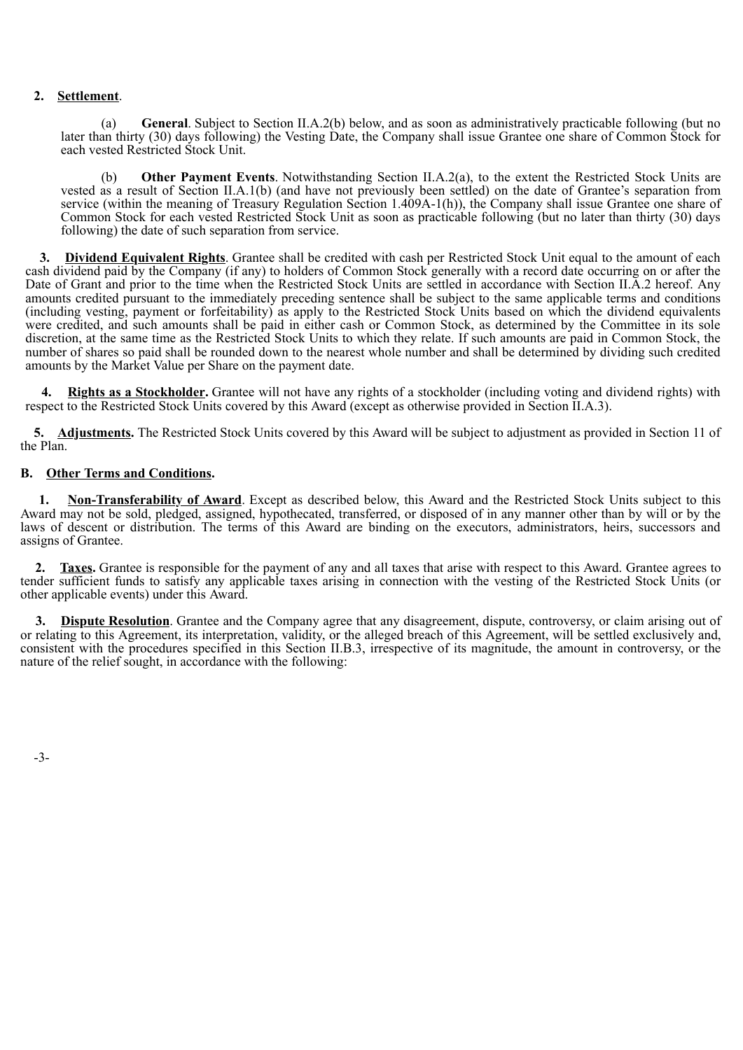# **2. Settlement**.

(a) **General**. Subject to Section II.A.2(b) below, and as soon as administratively practicable following (but no later than thirty (30) days following) the Vesting Date, the Company shall issue Grantee one share of Common Stock for each vested Restricted Stock Unit.

(b) **Other Payment Events**. Notwithstanding Section II.A.2(a), to the extent the Restricted Stock Units are vested as a result of Section II.A.1(b) (and have not previously been settled) on the date of Grantee's separation from service (within the meaning of Treasury Regulation Section 1.409A-1(h)), the Company shall issue Grantee one share of Common Stock for each vested Restricted Stock Unit as soon as practicable following (but no later than thirty (30) days following) the date of such separation from service.

**3. Dividend Equivalent Rights**. Grantee shall be credited with cash per Restricted Stock Unit equal to the amount of each cash dividend paid by the Company (if any) to holders of Common Stock generally with a record date occurring on or after the Date of Grant and prior to the time when the Restricted Stock Units are settled in accordance with Section II.A.2 hereof. Any amounts credited pursuant to the immediately preceding sentence shall be subject to the same applicable terms and conditions (including vesting, payment or forfeitability) as apply to the Restricted Stock Units based on which the dividend equivalents were credited, and such amounts shall be paid in either cash or Common Stock, as determined by the Committee in its sole discretion, at the same time as the Restricted Stock Units to which they relate. If such amounts are paid in Common Stock, the number of shares so paid shall be rounded down to the nearest whole number and shall be determined by dividing such credited amounts by the Market Value per Share on the payment date.

**4. Rights as a Stockholder.** Grantee will not have any rights of a stockholder (including voting and dividend rights) with respect to the Restricted Stock Units covered by this Award (except as otherwise provided in Section II.A.3).

**5. Adjustments.** The Restricted Stock Units covered by this Award will be subject to adjustment as provided in Section 11 of the Plan.

# **B. Other Terms and Conditions.**

**1. Non-Transferability of Award**. Except as described below, this Award and the Restricted Stock Units subject to this Award may not be sold, pledged, assigned, hypothecated, transferred, or disposed of in any manner other than by will or by the laws of descent or distribution. The terms of this Award are binding on the executors, administrators, heirs, successors and assigns of Grantee.

**2. Taxes.** Grantee is responsible for the payment of any and all taxes that arise with respect to this Award. Grantee agrees to tender sufficient funds to satisfy any applicable taxes arising in connection with the vesting of the Restricted Stock Units (or other applicable events) under this Award.

**3. Dispute Resolution**. Grantee and the Company agree that any disagreement, dispute, controversy, or claim arising out of or relating to this Agreement, its interpretation, validity, or the alleged breach of this Agreement, will be settled exclusively and, consistent with the procedures specified in this Section II.B.3, irrespective of its magnitude, the amount in controversy, or the nature of the relief sought, in accordance with the following:

-3-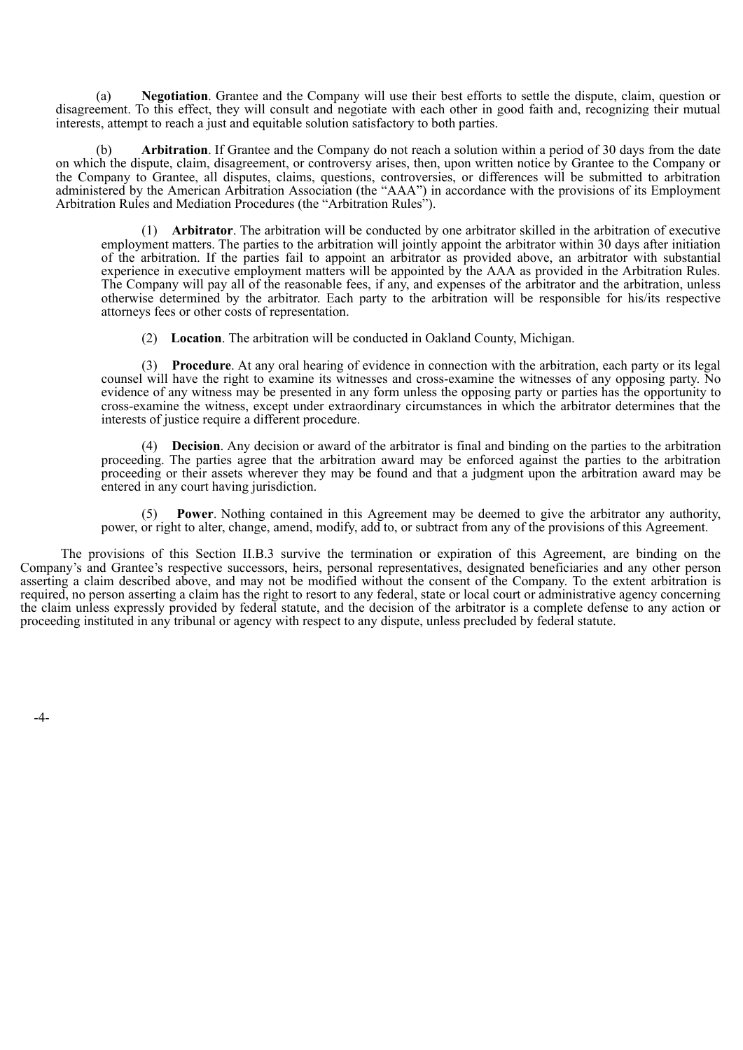(a) **Negotiation**. Grantee and the Company will use their best efforts to settle the dispute, claim, question or disagreement. To this effect, they will consult and negotiate with each other in good faith and, recognizing their mutual interests, attempt to reach a just and equitable solution satisfactory to both parties.

**Arbitration**. If Grantee and the Company do not reach a solution within a period of 30 days from the date on which the dispute, claim, disagreement, or controversy arises, then, upon written notice by Grantee to the Company or the Company to Grantee, all disputes, claims, questions, controversies, or differences will be submitted to arbitration administered by the American Arbitration Association (the "AAA") in accordance with the provisions of its Employment Arbitration Rules and Mediation Procedures (the "Arbitration Rules").

(1) **Arbitrator**. The arbitration will be conducted by one arbitrator skilled in the arbitration of executive employment matters. The parties to the arbitration will jointly appoint the arbitrator within 30 days after initiation of the arbitration. If the parties fail to appoint an arbitrator as provided above, an arbitrator with substantial experience in executive employment matters will be appointed by the AAA as provided in the Arbitration Rules. The Company will pay all of the reasonable fees, if any, and expenses of the arbitrator and the arbitration, unless otherwise determined by the arbitrator. Each party to the arbitration will be responsible for his/its respective attorneys fees or other costs of representation.

(2) **Location**. The arbitration will be conducted in Oakland County, Michigan.

(3) **Procedure**. At any oral hearing of evidence in connection with the arbitration, each party or its legal counsel will have the right to examine its witnesses and cross-examine the witnesses of any opposing party. No evidence of any witness may be presented in any form unless the opposing party or parties has the opportunity to cross-examine the witness, except under extraordinary circumstances in which the arbitrator determines that the interests of justice require a different procedure.

(4) **Decision**. Any decision or award of the arbitrator is final and binding on the parties to the arbitration proceeding. The parties agree that the arbitration award may be enforced against the parties to the arbitration proceeding or their assets wherever they may be found and that a judgment upon the arbitration award may be entered in any court having jurisdiction.

**Power**. Nothing contained in this Agreement may be deemed to give the arbitrator any authority, power, or right to alter, change, amend, modify, add to, or subtract from any of the provisions of this Agreement.

The provisions of this Section II.B.3 survive the termination or expiration of this Agreement, are binding on the Company's and Grantee's respective successors, heirs, personal representatives, designated beneficiaries and any other person asserting a claim described above, and may not be modified without the consent of the Company. To the extent arbitration is required, no person asserting a claim has the right to resort to any federal, state or local court or administrative agency concerning the claim unless expressly provided by federal statute, and the decision of the arbitrator is a complete defense to any action or proceeding instituted in any tribunal or agency with respect to any dispute, unless precluded by federal statute.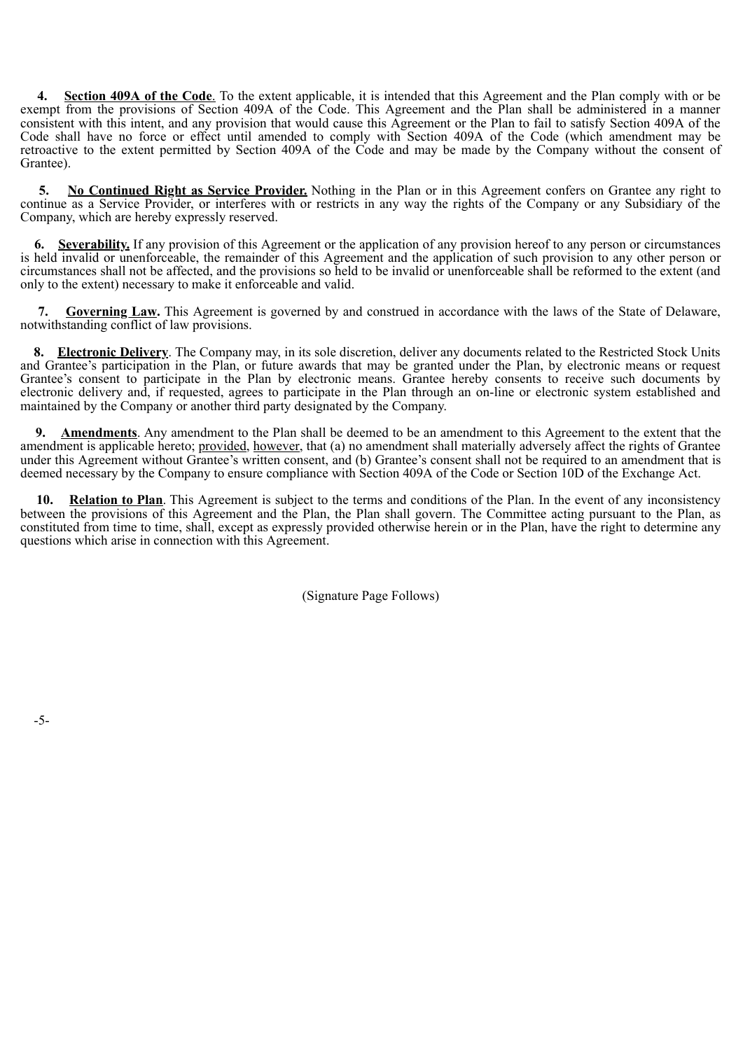**4. Section 409A of the Code**. To the extent applicable, it is intended that this Agreement and the Plan comply with or be exempt from the provisions of Section 409A of the Code. This Agreement and the Plan shall be administered in a manner consistent with this intent, and any provision that would cause this Agreement or the Plan to fail to satisfy Section 409A of the Code shall have no force or effect until amended to comply with Section 409A of the Code (which amendment may be retroactive to the extent permitted by Section 409A of the Code and may be made by the Company without the consent of Grantee).

**5. No Continued Right as Service Provider.** Nothing in the Plan or in this Agreement confers on Grantee any right to continue as a Service Provider, or interferes with or restricts in any way the rights of the Company or any Subsidiary of the Company, which are hereby expressly reserved.

**6. Severability.** If any provision of this Agreement or the application of any provision hereof to any person or circumstances is held invalid or unenforceable, the remainder of this Agreement and the application of such provision to any other person or circumstances shall not be affected, and the provisions so held to be invalid or unenforceable shall be reformed to the extent (and only to the extent) necessary to make it enforceable and valid.

**7. Governing Law.** This Agreement is governed by and construed in accordance with the laws of the State of Delaware, notwithstanding conflict of law provisions.

**8. Electronic Delivery**. The Company may, in its sole discretion, deliver any documents related to the Restricted Stock Units and Grantee's participation in the Plan, or future awards that may be granted under the Plan, by electronic means or request Grantee's consent to participate in the Plan by electronic means. Grantee hereby consents to receive such documents by electronic delivery and, if requested, agrees to participate in the Plan through an on-line or electronic system established and maintained by the Company or another third party designated by the Company.

**9. Amendments**. Any amendment to the Plan shall be deemed to be an amendment to this Agreement to the extent that the amendment is applicable hereto; provided, however, that (a) no amendment shall materially adversely affect the rights of Grantee under this Agreement without Grantee's written consent, and (b) Grantee's consent shall not be required to an amendment that is deemed necessary by the Company to ensure compliance with Section 409A of the Code or Section 10D of the Exchange Act.

**Relation to Plan**. This Agreement is subject to the terms and conditions of the Plan. In the event of any inconsistency between the provisions of this Agreement and the Plan, the Plan shall govern. The Committee acting pursuant to the Plan, as constituted from time to time, shall, except as expressly provided otherwise herein or in the Plan, have the right to determine any questions which arise in connection with this Agreement.

(Signature Page Follows)

-5-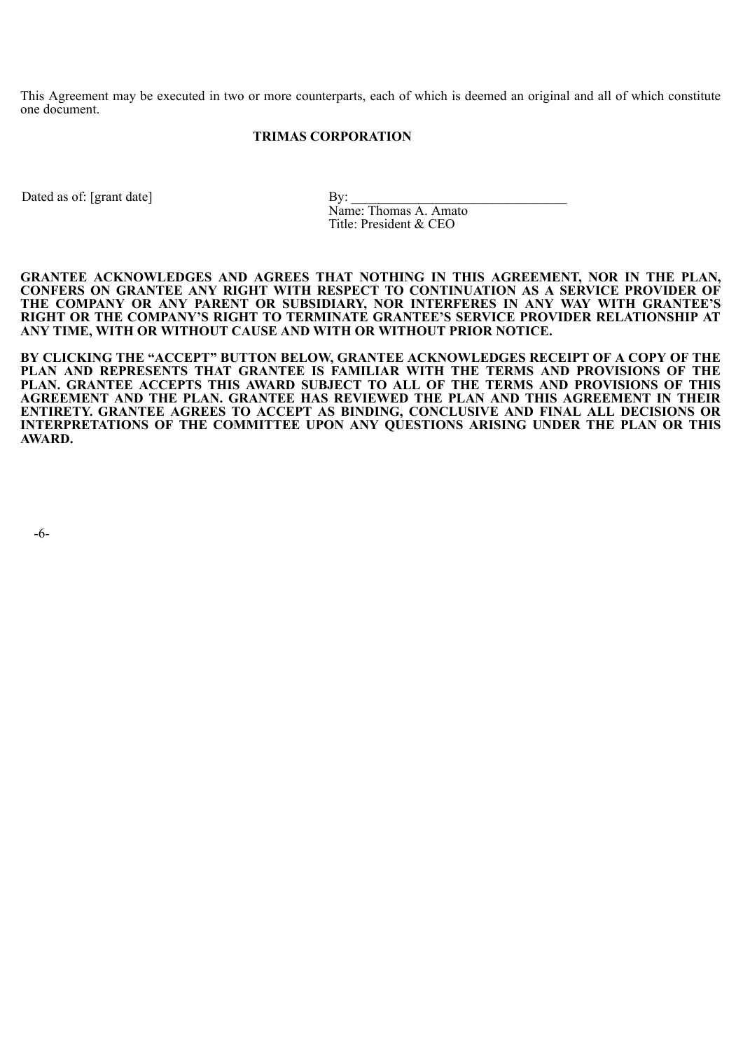This Agreement may be executed in two or more counterparts, each of which is deemed an original and all of which constitute one document.

# **TRIMAS CORPORATION**

Dated as of: [grant date] By:

Name: Thomas A. Amato Title: President & CEO

**GRANTEE ACKNOWLEDGES AND AGREES THAT NOTHING IN THIS AGREEMENT, NOR IN THE PLAN, CONFERS ON GRANTEE ANY RIGHT WITH RESPECT TO CONTINUATION AS A SERVICE PROVIDER OF THE COMPANY OR ANY PARENT OR SUBSIDIARY, NOR INTERFERES IN ANY WAY WITH GRANTEE'S RIGHT OR THE COMPANY'S RIGHT TO TERMINATE GRANTEE'S SERVICE PROVIDER RELATIONSHIP AT ANY TIME, WITH OR WITHOUT CAUSE AND WITH OR WITHOUT PRIOR NOTICE.**

**BY CLICKING THE "ACCEPT" BUTTON BELOW, GRANTEE ACKNOWLEDGES RECEIPT OF A COPY OF THE PLAN AND REPRESENTS THAT GRANTEE IS FAMILIAR WITH THE TERMS AND PROVISIONS OF THE PLAN. GRANTEE ACCEPTS THIS AWARD SUBJECT TO ALL OF THE TERMS AND PROVISIONS OF THIS AGREEMENT AND THE PLAN. GRANTEE HAS REVIEWED THE PLAN AND THIS AGREEMENT IN THEIR ENTIRETY. GRANTEE AGREES TO ACCEPT AS BINDING, CONCLUSIVE AND FINAL ALL DECISIONS OR INTERPRETATIONS OF THE COMMITTEE UPON ANY QUESTIONS ARISING UNDER THE PLAN OR THIS AWARD.**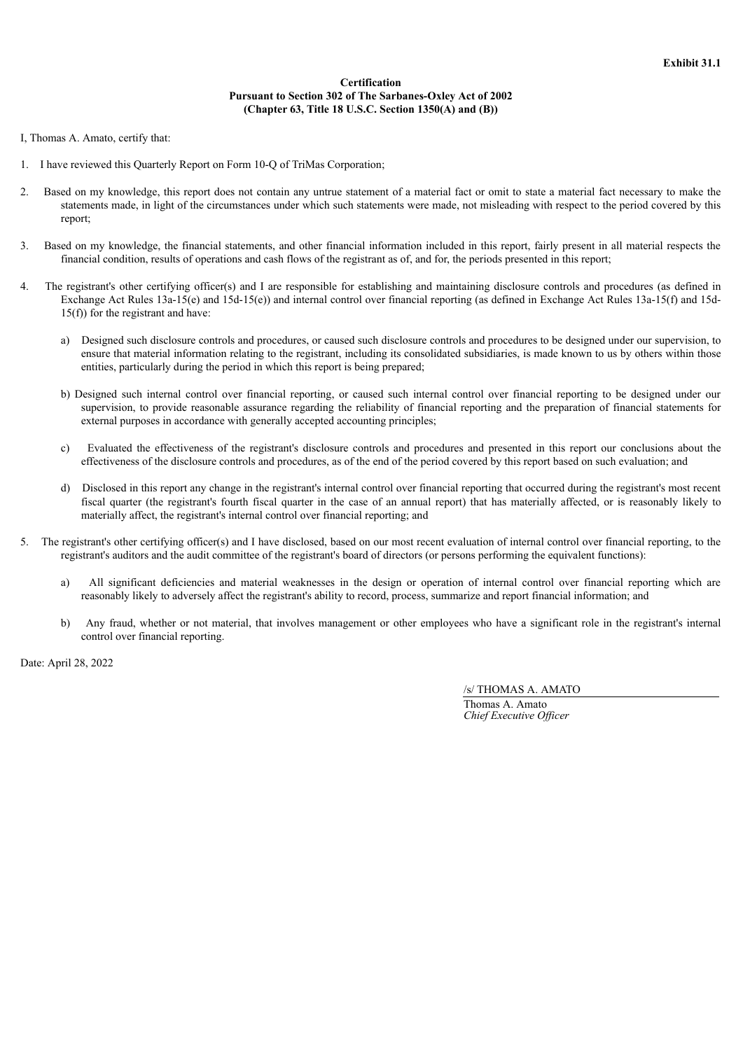#### **Certification Pursuant to Section 302 of The Sarbanes-Oxley Act of 2002 (Chapter 63, Title 18 U.S.C. Section 1350(A) and (B))**

I, Thomas A. Amato, certify that:

- 1. I have reviewed this Quarterly Report on Form 10-Q of TriMas Corporation;
- 2. Based on my knowledge, this report does not contain any untrue statement of a material fact or omit to state a material fact necessary to make the statements made, in light of the circumstances under which such statements were made, not misleading with respect to the period covered by this report;
- 3. Based on my knowledge, the financial statements, and other financial information included in this report, fairly present in all material respects the financial condition, results of operations and cash flows of the registrant as of, and for, the periods presented in this report;
- 4. The registrant's other certifying officer(s) and I are responsible for establishing and maintaining disclosure controls and procedures (as defined in Exchange Act Rules 13a-15(e) and 15d-15(e)) and internal control over financial reporting (as defined in Exchange Act Rules 13a-15(f) and 15d-15(f)) for the registrant and have:
	- a) Designed such disclosure controls and procedures, or caused such disclosure controls and procedures to be designed under our supervision, to ensure that material information relating to the registrant, including its consolidated subsidiaries, is made known to us by others within those entities, particularly during the period in which this report is being prepared;
	- b) Designed such internal control over financial reporting, or caused such internal control over financial reporting to be designed under our supervision, to provide reasonable assurance regarding the reliability of financial reporting and the preparation of financial statements for external purposes in accordance with generally accepted accounting principles;
	- c) Evaluated the effectiveness of the registrant's disclosure controls and procedures and presented in this report our conclusions about the effectiveness of the disclosure controls and procedures, as of the end of the period covered by this report based on such evaluation; and
	- d) Disclosed in this report any change in the registrant's internal control over financial reporting that occurred during the registrant's most recent fiscal quarter (the registrant's fourth fiscal quarter in the case of an annual report) that has materially affected, or is reasonably likely to materially affect, the registrant's internal control over financial reporting; and
- The registrant's other certifying officer(s) and I have disclosed, based on our most recent evaluation of internal control over financial reporting, to the registrant's auditors and the audit committee of the registrant's board of directors (or persons performing the equivalent functions):
	- a) All significant deficiencies and material weaknesses in the design or operation of internal control over financial reporting which are reasonably likely to adversely affect the registrant's ability to record, process, summarize and report financial information; and
	- b) Any fraud, whether or not material, that involves management or other employees who have a significant role in the registrant's internal control over financial reporting.

Date: April 28, 2022

/s/ THOMAS A. AMATO

Thomas A. Amato *Chief Executive Of icer*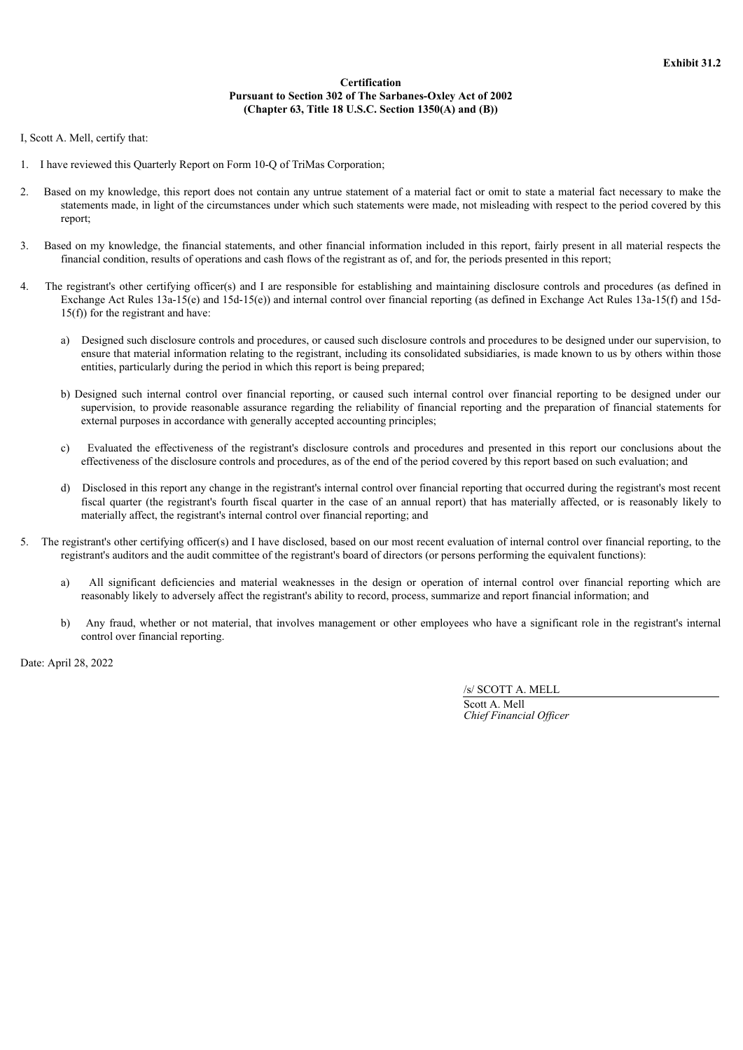#### **Certification Pursuant to Section 302 of The Sarbanes-Oxley Act of 2002 (Chapter 63, Title 18 U.S.C. Section 1350(A) and (B))**

I, Scott A. Mell, certify that:

- 1. I have reviewed this Quarterly Report on Form 10-Q of TriMas Corporation;
- 2. Based on my knowledge, this report does not contain any untrue statement of a material fact or omit to state a material fact necessary to make the statements made, in light of the circumstances under which such statements were made, not misleading with respect to the period covered by this report;
- 3. Based on my knowledge, the financial statements, and other financial information included in this report, fairly present in all material respects the financial condition, results of operations and cash flows of the registrant as of, and for, the periods presented in this report;
- 4. The registrant's other certifying officer(s) and I are responsible for establishing and maintaining disclosure controls and procedures (as defined in Exchange Act Rules 13a-15(e) and 15d-15(e)) and internal control over financial reporting (as defined in Exchange Act Rules 13a-15(f) and 15d-15(f)) for the registrant and have:
	- a) Designed such disclosure controls and procedures, or caused such disclosure controls and procedures to be designed under our supervision, to ensure that material information relating to the registrant, including its consolidated subsidiaries, is made known to us by others within those entities, particularly during the period in which this report is being prepared;
	- b) Designed such internal control over financial reporting, or caused such internal control over financial reporting to be designed under our supervision, to provide reasonable assurance regarding the reliability of financial reporting and the preparation of financial statements for external purposes in accordance with generally accepted accounting principles;
	- c) Evaluated the effectiveness of the registrant's disclosure controls and procedures and presented in this report our conclusions about the effectiveness of the disclosure controls and procedures, as of the end of the period covered by this report based on such evaluation; and
	- d) Disclosed in this report any change in the registrant's internal control over financial reporting that occurred during the registrant's most recent fiscal quarter (the registrant's fourth fiscal quarter in the case of an annual report) that has materially affected, or is reasonably likely to materially affect, the registrant's internal control over financial reporting; and
- 5. The registrant's other certifying officer(s) and I have disclosed, based on our most recent evaluation of internal control over financial reporting, to the registrant's auditors and the audit committee of the registrant's board of directors (or persons performing the equivalent functions):
	- a) All significant deficiencies and material weaknesses in the design or operation of internal control over financial reporting which are reasonably likely to adversely affect the registrant's ability to record, process, summarize and report financial information; and
	- b) Any fraud, whether or not material, that involves management or other employees who have a significant role in the registrant's internal control over financial reporting.

Date: April 28, 2022

/s/ SCOTT A. MELL

Scott A. Mell *Chief Financial Of icer*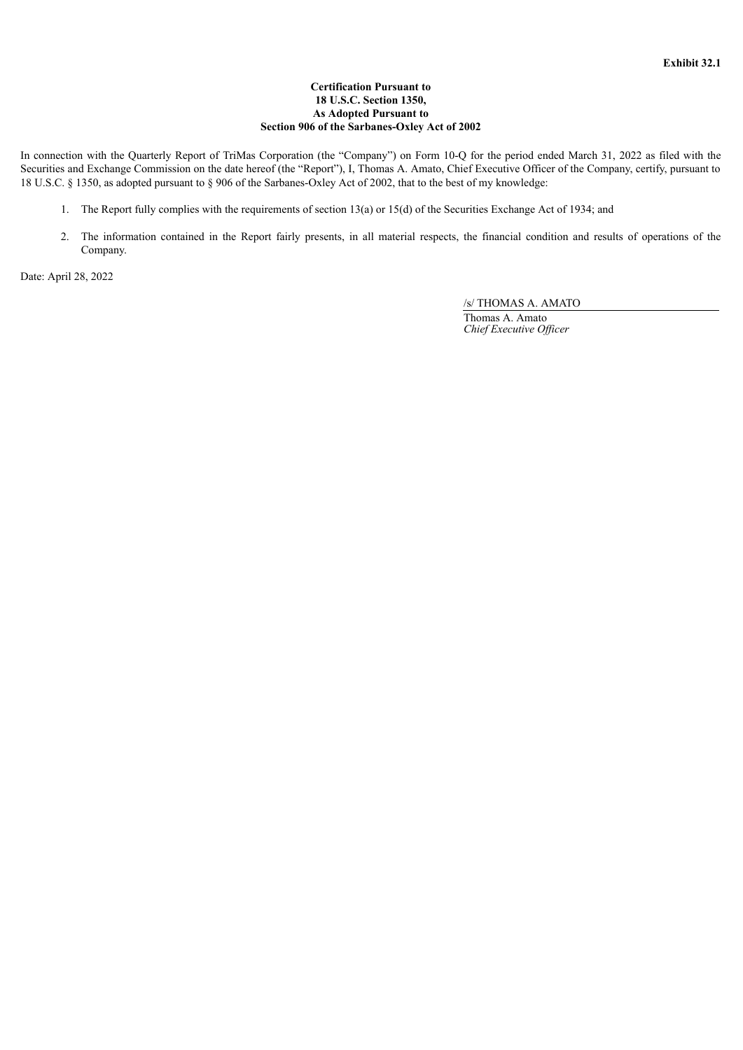## **Certification Pursuant to 18 U.S.C. Section 1350, As Adopted Pursuant to Section 906 of the Sarbanes-Oxley Act of 2002**

In connection with the Quarterly Report of TriMas Corporation (the "Company") on Form 10-Q for the period ended March 31, 2022 as filed with the Securities and Exchange Commission on the date hereof (the "Report"), I, Thomas A. Amato, Chief Executive Officer of the Company, certify, pursuant to 18 U.S.C. § 1350, as adopted pursuant to § 906 of the Sarbanes-Oxley Act of 2002, that to the best of my knowledge:

- 1. The Report fully complies with the requirements of section 13(a) or 15(d) of the Securities Exchange Act of 1934; and
- 2. The information contained in the Report fairly presents, in all material respects, the financial condition and results of operations of the Company.

Date: April 28, 2022

/s/ THOMAS A. AMATO

Thomas A. Amato *Chief Executive Of icer*